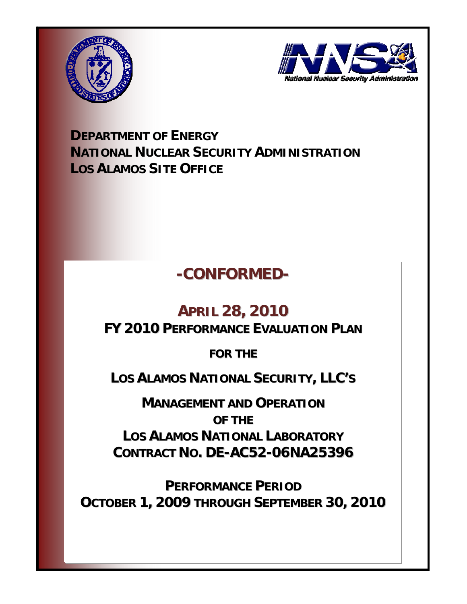



# **DEPARTMENT OF ENERGY NATIONAL NUCLEAR SECURITY ADMINISTRATION LOS ALAMOS SITE OFFICE**

# **-CONFORMED-**

# **APRIL 28, 2010**

**FY 2010 PERFORMANCE EVALUATION PLAN**

**FOR THE**

**LOS ALAMOS NATIONAL SECURITY, LLC'S**

**MANAGEMENT AND OPERATION OF THE LOS ALAMOS NATIONAL LABORATORY CONTRACT NO. DE-AC52-06NA25396**

**PERFORMANCE PERIOD OCTOBER 1, 2009 THROUGH SEPTEMBER 30, 2010**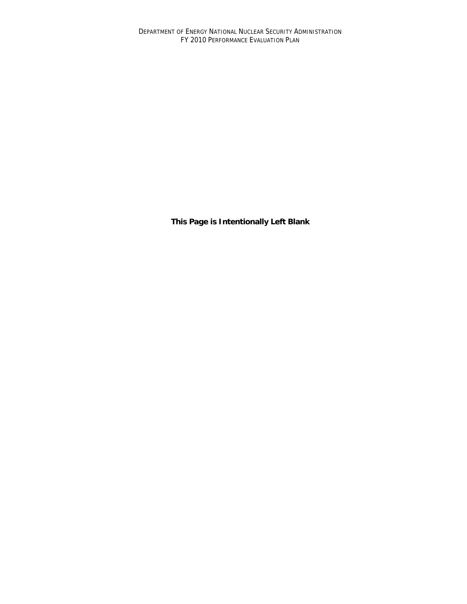**This Page is Intentionally Left Blank**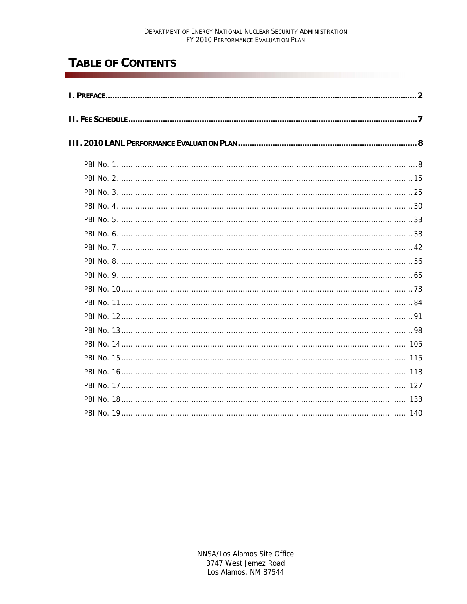# **TABLE OF CONTENTS**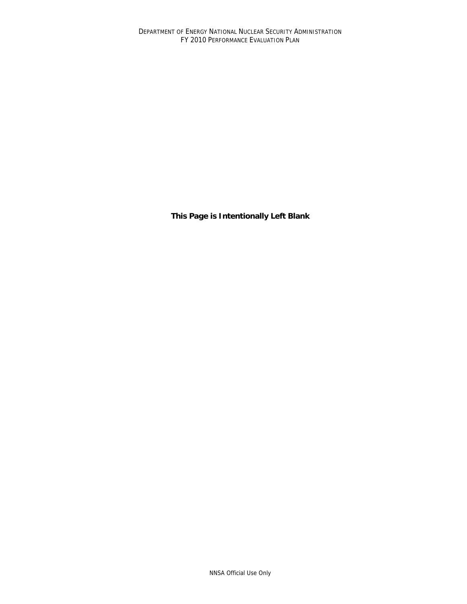**This Page is Intentionally Left Blank**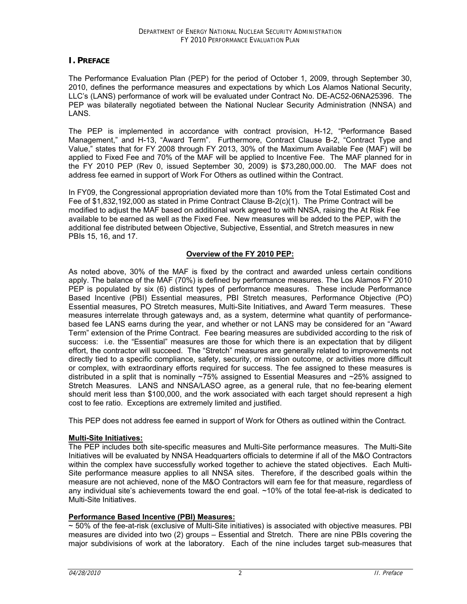### **I. PREFACE**

The Performance Evaluation Plan (PEP) for the period of October 1, 2009, through September 30, 2010, defines the performance measures and expectations by which Los Alamos National Security, LLC's (LANS) performance of work will be evaluated under Contract No. DE-AC52-06NA25396. The PEP was bilaterally negotiated between the National Nuclear Security Administration (NNSA) and LANS.

The PEP is implemented in accordance with contract provision, H-12, "Performance Based Management," and H-13, "Award Term". Furthermore, Contract Clause B-2, "Contract Type and Value," states that for FY 2008 through FY 2013, 30% of the Maximum Available Fee (MAF) will be applied to Fixed Fee and 70% of the MAF will be applied to Incentive Fee. The MAF planned for in the FY 2010 PEP (Rev 0, issued September 30, 2009) is \$73,280,000.00. The MAF does not address fee earned in support of Work For Others as outlined within the Contract.

In FY09, the Congressional appropriation deviated more than 10% from the Total Estimated Cost and Fee of \$1,832,192,000 as stated in Prime Contract Clause B-2(c)(1). The Prime Contract will be modified to adjust the MAF based on additional work agreed to with NNSA, raising the At Risk Fee available to be earned as well as the Fixed Fee. New measures will be added to the PEP, with the additional fee distributed between Objective, Subjective, Essential, and Stretch measures in new PBIs 15, 16, and 17.

### **Overview of the FY 2010 PEP:**

As noted above, 30% of the MAF is fixed by the contract and awarded unless certain conditions apply. The balance of the MAF (70%) is defined by performance measures. The Los Alamos FY 2010 PEP is populated by six (6) distinct types of performance measures. These include Performance Based Incentive (PBI) Essential measures, PBI Stretch measures, Performance Objective (PO) Essential measures, PO Stretch measures, Multi-Site Initiatives, and Award Term measures. These measures interrelate through gateways and, as a system, determine what quantity of performancebased fee LANS earns during the year, and whether or not LANS may be considered for an "Award Term" extension of the Prime Contract. Fee bearing measures are subdivided according to the risk of success: i.e. the "Essential" measures are those for which there is an expectation that by diligent effort, the contractor will succeed. The "Stretch" measures are generally related to improvements not directly tied to a specific compliance, safety, security, or mission outcome, or activities more difficult or complex, with extraordinary efforts required for success. The fee assigned to these measures is distributed in a split that is nominally ~75% assigned to Essential Measures and ~25% assigned to Stretch Measures. LANS and NNSA/LASO agree, as a general rule, that no fee-bearing element should merit less than \$100,000, and the work associated with each target should represent a high cost to fee ratio. Exceptions are extremely limited and justified.

This PEP does not address fee earned in support of Work for Others as outlined within the Contract.

#### **Multi-Site Initiatives:**

The PEP includes both site-specific measures and Multi-Site performance measures. The Multi-Site Initiatives will be evaluated by NNSA Headquarters officials to determine if all of the M&O Contractors within the complex have successfully worked together to achieve the stated objectives. Each Multi-Site performance measure applies to all NNSA sites. Therefore, if the described goals within the measure are not achieved, none of the M&O Contractors will earn fee for that measure, regardless of any individual site's achievements toward the end goal. ~10% of the total fee-at-risk is dedicated to Multi-Site Initiatives.

#### **Performance Based Incentive (PBI) Measures:**

~ 50% of the fee-at-risk (exclusive of Multi-Site initiatives) is associated with objective measures. PBI measures are divided into two (2) groups – Essential and Stretch. There are nine PBIs covering the major subdivisions of work at the laboratory. Each of the nine includes target sub-measures that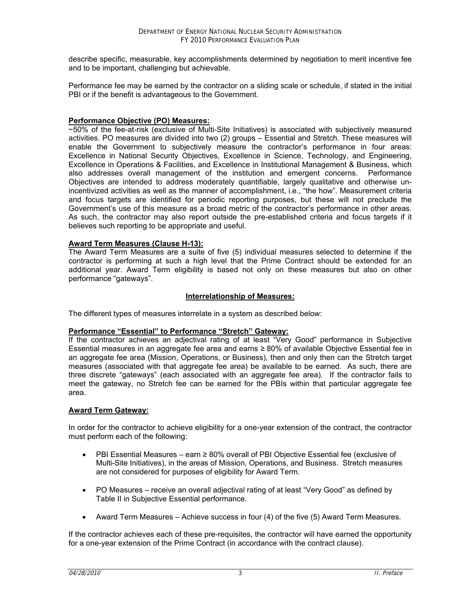describe specific, measurable, key accomplishments determined by negotiation to merit incentive fee and to be important, challenging but achievable.

Performance fee may be earned by the contractor on a sliding scale or schedule, if stated in the initial PBI or if the benefit is advantageous to the Government.

#### **Performance Objective (PO) Measures:**

~50% of the fee-at-risk (exclusive of Multi-Site Initiatives) is associated with subjectively measured activities. PO measures are divided into two (2) groups – Essential and Stretch. These measures will enable the Government to subjectively measure the contractor's performance in four areas: Excellence in National Security Objectives, Excellence in Science, Technology, and Engineering, Excellence in Operations & Facilities, and Excellence in Institutional Management & Business, which also addresses overall management of the institution and emergent concerns. Performance Objectives are intended to address moderately quantifiable, largely qualitative and otherwise unincentivized activities as well as the manner of accomplishment, i.e., "the how". Measurement criteria and focus targets are identified for periodic reporting purposes, but these will not preclude the Government's use of this measure as a broad metric of the contractor's performance in other areas. As such, the contractor may also report outside the pre-established criteria and focus targets if it believes such reporting to be appropriate and useful.

#### **Award Term Measures (Clause H-13):**

The Award Term Measures are a suite of five (5) individual measures selected to determine if the contractor is performing at such a high level that the Prime Contract should be extended for an additional year. Award Term eligibility is based not only on these measures but also on other performance "gateways".

#### **Interrelationship of Measures:**

The different types of measures interrelate in a system as described below:

#### **Performance "Essential" to Performance "Stretch" Gateway:**

If the contractor achieves an adjectival rating of at least "Very Good" performance in Subjective Essential measures in an aggregate fee area and earns ≥ 80% of available Objective Essential fee in an aggregate fee area (Mission, Operations, or Business), then and only then can the Stretch target measures (associated with that aggregate fee area) be available to be earned. As such, there are three discrete "gateways" (each associated with an aggregate fee area). If the contractor fails to meet the gateway, no Stretch fee can be earned for the PBIs within that particular aggregate fee area.

#### **Award Term Gateway:**

In order for the contractor to achieve eligibility for a one-year extension of the contract, the contractor must perform each of the following:

- PBI Essential Measures earn ≥ 80% overall of PBI Objective Essential fee (exclusive of Multi-Site Initiatives), in the areas of Mission, Operations, and Business. Stretch measures are not considered for purposes of eligibility for Award Term.
- PO Measures receive an overall adjectival rating of at least "Very Good" as defined by Table II in Subjective Essential performance.
- Award Term Measures Achieve success in four (4) of the five (5) Award Term Measures.

If the contractor achieves each of these pre-requisites, the contractor will have earned the opportunity for a one-year extension of the Prime Contract (in accordance with the contract clause).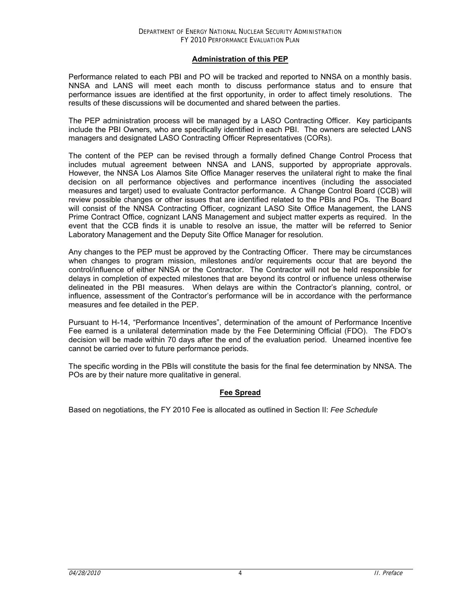#### **Administration of this PEP**

Performance related to each PBI and PO will be tracked and reported to NNSA on a monthly basis. NNSA and LANS will meet each month to discuss performance status and to ensure that performance issues are identified at the first opportunity, in order to affect timely resolutions. The results of these discussions will be documented and shared between the parties.

The PEP administration process will be managed by a LASO Contracting Officer. Key participants include the PBI Owners, who are specifically identified in each PBI. The owners are selected LANS managers and designated LASO Contracting Officer Representatives (CORs).

The content of the PEP can be revised through a formally defined Change Control Process that includes mutual agreement between NNSA and LANS, supported by appropriate approvals. However, the NNSA Los Alamos Site Office Manager reserves the unilateral right to make the final decision on all performance objectives and performance incentives (including the associated measures and target) used to evaluate Contractor performance. A Change Control Board (CCB) will review possible changes or other issues that are identified related to the PBIs and POs. The Board will consist of the NNSA Contracting Officer, cognizant LASO Site Office Management, the LANS Prime Contract Office, cognizant LANS Management and subject matter experts as required. In the event that the CCB finds it is unable to resolve an issue, the matter will be referred to Senior Laboratory Management and the Deputy Site Office Manager for resolution.

Any changes to the PEP must be approved by the Contracting Officer. There may be circumstances when changes to program mission, milestones and/or requirements occur that are beyond the control/influence of either NNSA or the Contractor. The Contractor will not be held responsible for delays in completion of expected milestones that are beyond its control or influence unless otherwise delineated in the PBI measures. When delays are within the Contractor's planning, control, or influence, assessment of the Contractor's performance will be in accordance with the performance measures and fee detailed in the PEP.

Pursuant to H-14, "Performance Incentives", determination of the amount of Performance Incentive Fee earned is a unilateral determination made by the Fee Determining Official (FDO). The FDO's decision will be made within 70 days after the end of the evaluation period. Unearned incentive fee cannot be carried over to future performance periods.

The specific wording in the PBIs will constitute the basis for the final fee determination by NNSA. The POs are by their nature more qualitative in general.

# **Fee Spread**

Based on negotiations, the FY 2010 Fee is allocated as outlined in Section II: *Fee Schedule*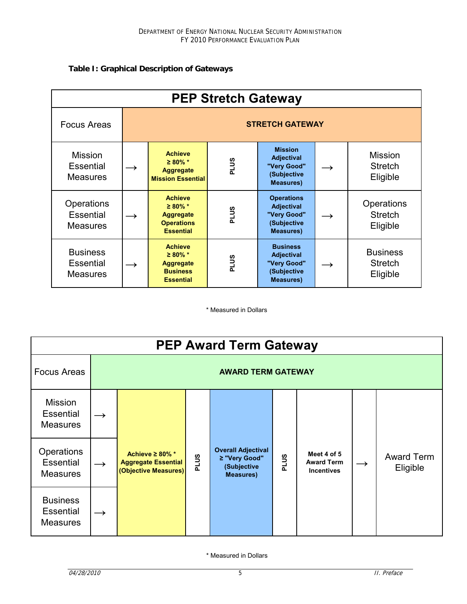# **Table I: Graphical Description of Gateways**

| <b>PEP Stretch Gateway</b>                               |  |                                                                                              |             |                                                                                        |               |                                               |  |
|----------------------------------------------------------|--|----------------------------------------------------------------------------------------------|-------------|----------------------------------------------------------------------------------------|---------------|-----------------------------------------------|--|
| <b>Focus Areas</b>                                       |  | <b>STRETCH GATEWAY</b>                                                                       |             |                                                                                        |               |                                               |  |
| <b>Mission</b><br><b>Essential</b><br><b>Measures</b>    |  | <b>Achieve</b><br>$\geq 80\%$ *<br><b>Aggregate</b><br><b>Mission Essential</b>              | <b>PLUS</b> | <b>Mission</b><br><b>Adjectival</b><br>"Very Good"<br>(Subjective<br><b>Measures)</b>  |               | <b>Mission</b><br><b>Stretch</b><br>Eligible  |  |
| <b>Operations</b><br><b>Essential</b><br><b>Measures</b> |  | <b>Achieve</b><br>$\geq 80\%$ *<br><b>Aggregate</b><br><b>Operations</b><br><b>Essential</b> | <b>PLUS</b> | <b>Operations</b><br>Adjectival<br>"Very Good"<br>(Subjective<br><b>Measures)</b>      |               | Operations<br><b>Stretch</b><br>Eligible      |  |
| <b>Business</b><br><b>Essential</b><br><b>Measures</b>   |  | <b>Achieve</b><br>$\geq 80\%$ *<br><b>Aggregate</b><br><b>Business</b><br><b>Essential</b>   | <b>PLUS</b> | <b>Business</b><br><b>Adjectival</b><br>"Very Good"<br>(Subjective<br><b>Measures)</b> | $\rightarrow$ | <b>Business</b><br><b>Stretch</b><br>Eligible |  |

\* Measured in Dollars

| <b>PEP Award Term Gateway</b>                     |                           |                                                                                    |             |                                                                               |             |                                                       |               |                               |
|---------------------------------------------------|---------------------------|------------------------------------------------------------------------------------|-------------|-------------------------------------------------------------------------------|-------------|-------------------------------------------------------|---------------|-------------------------------|
| <b>Focus Areas</b>                                | <b>AWARD TERM GATEWAY</b> |                                                                                    |             |                                                                               |             |                                                       |               |                               |
| Mission<br>Essential<br><b>Measures</b>           |                           |                                                                                    |             |                                                                               |             |                                                       |               |                               |
| Operations<br><b>Essential</b><br><b>Measures</b> | $\rightarrow$             | Achieve $\geq 80\%$ *<br><b>Aggregate Essential</b><br><b>(Objective Measures)</b> | <b>PLUS</b> | <b>Overall Adjectival</b><br>≥ "Very Good"<br>(Subjective<br><b>Measures)</b> | <b>PLUS</b> | Meet 4 of 5<br><b>Award Term</b><br><b>Incentives</b> | $\rightarrow$ | <b>Award Term</b><br>Eligible |
| <b>Business</b><br>Essential<br><b>Measures</b>   | $\rightarrow$             |                                                                                    |             |                                                                               |             |                                                       |               |                               |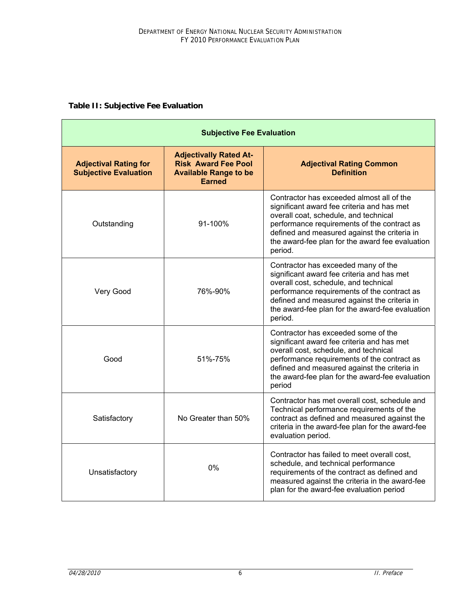# **Table II: Subjective Fee Evaluation**

| <b>Subjective Fee Evaluation</b>                             |                                                                                                              |                                                                                                                                                                                                                                                                                               |  |  |  |
|--------------------------------------------------------------|--------------------------------------------------------------------------------------------------------------|-----------------------------------------------------------------------------------------------------------------------------------------------------------------------------------------------------------------------------------------------------------------------------------------------|--|--|--|
| <b>Adjectival Rating for</b><br><b>Subjective Evaluation</b> | <b>Adjectivally Rated At-</b><br><b>Risk Award Fee Pool</b><br><b>Available Range to be</b><br><b>Earned</b> | <b>Adjectival Rating Common</b><br><b>Definition</b>                                                                                                                                                                                                                                          |  |  |  |
| Outstanding                                                  | $91 - 100%$                                                                                                  | Contractor has exceeded almost all of the<br>significant award fee criteria and has met<br>overall coat, schedule, and technical<br>performance requirements of the contract as<br>defined and measured against the criteria in<br>the award-fee plan for the award fee evaluation<br>period. |  |  |  |
| Very Good                                                    | 76%-90%                                                                                                      | Contractor has exceeded many of the<br>significant award fee criteria and has met<br>overall cost, schedule, and technical<br>performance requirements of the contract as<br>defined and measured against the criteria in<br>the award-fee plan for the award-fee evaluation<br>period.       |  |  |  |
| Good                                                         | 51%-75%                                                                                                      | Contractor has exceeded some of the<br>significant award fee criteria and has met<br>overall cost, schedule, and technical<br>performance requirements of the contract as<br>defined and measured against the criteria in<br>the award-fee plan for the award-fee evaluation<br>period        |  |  |  |
| Satisfactory                                                 | No Greater than 50%                                                                                          | Contractor has met overall cost, schedule and<br>Technical performance requirements of the<br>contract as defined and measured against the<br>criteria in the award-fee plan for the award-fee<br>evaluation period.                                                                          |  |  |  |
| Unsatisfactory                                               | 0%                                                                                                           | Contractor has failed to meet overall cost,<br>schedule, and technical performance<br>requirements of the contract as defined and<br>measured against the criteria in the award-fee<br>plan for the award-fee evaluation period                                                               |  |  |  |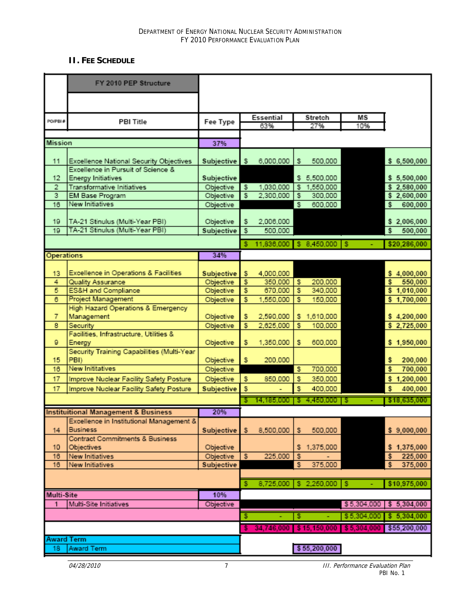# **II. FEE SCHEDULE**

|                   | FY 2010 PEP Structure                                                                       |                   |                         |                  |    |                |                            |                         |
|-------------------|---------------------------------------------------------------------------------------------|-------------------|-------------------------|------------------|----|----------------|----------------------------|-------------------------|
|                   |                                                                                             |                   |                         |                  |    |                |                            |                         |
|                   |                                                                                             |                   |                         |                  |    |                |                            |                         |
|                   |                                                                                             |                   |                         |                  |    |                |                            |                         |
| POIPBI #          | PBI Title                                                                                   | Fee Type          |                         | Essential<br>63% |    | Stretch<br>27% | МS<br>10%                  |                         |
|                   |                                                                                             |                   |                         |                  |    |                |                            |                         |
| <b>Mission</b>    |                                                                                             | 37%               |                         |                  |    |                |                            |                         |
|                   |                                                                                             |                   |                         | 6,000,000        |    | 500,000        |                            | \$6,500,000             |
| 11                | Excellence National Security Objectives<br>Excellence in Pursuit of Science &               | Subjective \$     |                         |                  | s  |                |                            |                         |
| 12                | <b>Energy Initiatives</b>                                                                   | Subjective        |                         |                  |    | \$ 5,500,000   |                            | \$5,500,000             |
| $\overline{2}$    | Transformative Initiatives                                                                  | Objective         | $\mathfrak{F}$          | 1,030,000        | s  | 1,550,000      |                            | \$2,580,000             |
| 3                 | EM Base Program                                                                             | Objective         | \$                      | 2,300,000        | s  | 300,000        |                            | \$2,600,000             |
| 16                | <b>New Initiatives</b>                                                                      | Objective         |                         |                  | s  | 600,000        |                            | \$<br>600,000           |
|                   |                                                                                             |                   |                         |                  |    |                |                            |                         |
| 19                | TA-21 Stinulus (Multi-Year PBI)<br>TA-21 Stinulus (Multi-Year PBI)                          | Objective         | \$                      | 2,006,000        |    |                |                            | \$2,006,000             |
| 19                |                                                                                             | Subjective        | \$                      | 500,000          |    |                |                            | \$<br>500,000           |
|                   |                                                                                             |                   | s.                      | 11,836,000       |    | \$ 8,450,000   | ∣\$                        | \$20,286,000            |
| Operations        |                                                                                             | 34%               |                         |                  |    |                |                            |                         |
|                   |                                                                                             |                   |                         |                  |    |                |                            |                         |
| 13                | Excellence in Operations & Facilities                                                       | <b>Subjective</b> | \$                      | 4,000,000        |    |                |                            | \$4,000,000             |
| 4                 | <b>Quality Assurance</b>                                                                    | Objective         | \$                      | 350,000          | s  | 200,000        |                            | \$<br>550,000           |
| 5                 | <b>ES&amp;H</b> and Compliance                                                              | Objective         | \$                      | 670,000          | s  | 340,000        |                            | \$1,010,000             |
| 6                 | Project Management                                                                          | Objective         | \$                      | 1,550,000        | s  | 150,000        |                            | \$1,700,000             |
|                   | High Hazard Operations & Emergency                                                          |                   |                         |                  |    |                |                            |                         |
| $\overline{7}$    | Management                                                                                  | Objective         | \$                      | 2,590,000        | s. | 1,610,000      |                            | \$4,200,000             |
| $\overline{8}$    | Security<br>Facilities, Infrastructure, Utilities &                                         | Objective         | $\overline{\mathbb{S}}$ | 2,625,000        | s  | 100,000        |                            | \$2,725,000             |
| 9                 | Energy                                                                                      | Objective         | \$                      | 1,350,000        | s  | 600,000        |                            | \$1,950,000             |
|                   | Security Training Capabilities (Multi-Year                                                  |                   |                         |                  |    |                |                            |                         |
| 15                | PBI)                                                                                        | Objective         | \$                      | 200,000          |    |                |                            | 200,000<br>s            |
| 16                | <b>New Inititatives</b>                                                                     | Objective         |                         |                  | s  | 700,000        |                            | s<br>700,000            |
| 17                | Improve Nuclear Facility Safety Posture                                                     | Objective         | \$                      | 850,000          | s  | 350,000        |                            | \$1,200,000             |
| 17                | Improve Nuclear Facility Safety Posture                                                     | Subjective        | \$                      |                  | s  | 400,000        |                            | \$<br>400,000           |
|                   |                                                                                             |                   | s                       | 14,185,000       | s. | 4,450,000   \$ |                            | \$18,635,000            |
|                   |                                                                                             | 20%               |                         |                  |    |                |                            |                         |
|                   | <b>Instituitional Management &amp; Business</b><br>Excellence in Institutional Management & |                   |                         |                  |    |                |                            |                         |
| 14                | <b>Business</b>                                                                             | Subjective        | \$                      | 8,500,000        | s  | 500,000        |                            | \$9,000,000             |
|                   | Contract Commitments & Business                                                             |                   |                         |                  |    |                |                            |                         |
| 10                | Objectives                                                                                  | Objective         |                         |                  | s  | 1,375,000      |                            | \$1,375,000             |
| 16                | New Initiatives                                                                             | Objective         | \$                      | 225,000          | \$ |                |                            | 225,000<br>s            |
| 16                | New Initiatives                                                                             | <b>Subjective</b> |                         |                  | s  | 375,000        |                            | \$<br>375,000           |
|                   |                                                                                             |                   |                         |                  |    |                |                            |                         |
|                   |                                                                                             |                   | \$                      | 8,725,000        |    | \$2,250,000    | s                          | \$10,975,000            |
| Multi-Site        |                                                                                             | 10%               |                         |                  |    |                |                            |                         |
| 1                 | Multi-Site Initiatives                                                                      | Objective         |                         |                  |    |                | \$5,304,000                | $\frac{1}{5}$ 5,304,000 |
|                   |                                                                                             |                   | \$                      |                  | s  |                | \$5,304,000                | \$5,304,000             |
|                   |                                                                                             |                   |                         | 34,746,000       |    |                |                            |                         |
|                   |                                                                                             |                   |                         |                  |    |                | $$15,150,000$ $$5,304,000$ | \$55,200,000            |
| <b>Award Term</b> |                                                                                             |                   |                         |                  |    |                |                            |                         |
| 18                | <b>Award Term</b>                                                                           |                   |                         |                  |    | \$55,200,000   |                            |                         |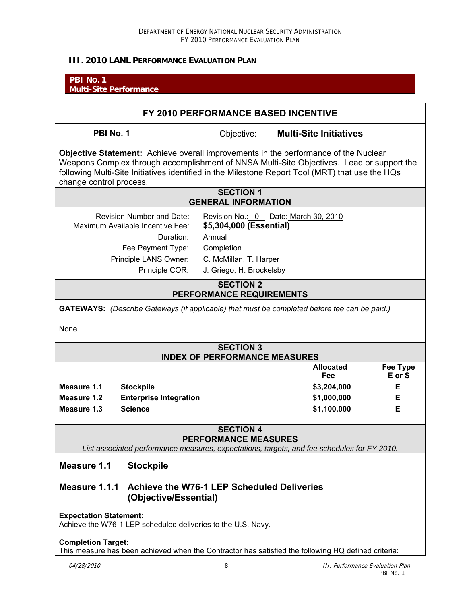# **III. 2010 LANL PERFORMANCE EVALUATION PLAN**

| PBI No. 1<br><b>Multi-Site Performance</b>                                                                                                                                                                                        |                                                                                                                                                                                                                                                                                            |                                                                             |                                          |  |  |  |  |
|-----------------------------------------------------------------------------------------------------------------------------------------------------------------------------------------------------------------------------------|--------------------------------------------------------------------------------------------------------------------------------------------------------------------------------------------------------------------------------------------------------------------------------------------|-----------------------------------------------------------------------------|------------------------------------------|--|--|--|--|
| FY 2010 PERFORMANCE BASED INCENTIVE                                                                                                                                                                                               |                                                                                                                                                                                                                                                                                            |                                                                             |                                          |  |  |  |  |
| PBI No. 1                                                                                                                                                                                                                         | Objective:                                                                                                                                                                                                                                                                                 | <b>Multi-Site Initiatives</b>                                               |                                          |  |  |  |  |
| change control process.                                                                                                                                                                                                           | <b>Objective Statement:</b> Achieve overall improvements in the performance of the Nuclear<br>Weapons Complex through accomplishment of NNSA Multi-Site Objectives. Lead or support the<br>following Multi-Site Initiatives identified in the Milestone Report Tool (MRT) that use the HQs |                                                                             |                                          |  |  |  |  |
|                                                                                                                                                                                                                                   | <b>SECTION 1</b><br><b>GENERAL INFORMATION</b>                                                                                                                                                                                                                                             |                                                                             |                                          |  |  |  |  |
| <b>Revision Number and Date:</b><br>Maximum Available Incentive Fee:<br>Duration:<br>Fee Payment Type:<br>Principle LANS Owner:<br>Principle COR:                                                                                 | \$5,304,000 (Essential)<br>Annual<br>Completion<br>C. McMillan, T. Harper<br>J. Griego, H. Brockelsby                                                                                                                                                                                      | Revision No.: 0 Date: March 30, 2010                                        |                                          |  |  |  |  |
|                                                                                                                                                                                                                                   | <b>SECTION 2</b><br>PERFORMANCE REQUIREMENTS                                                                                                                                                                                                                                               |                                                                             |                                          |  |  |  |  |
| None                                                                                                                                                                                                                              | <b>GATEWAYS:</b> (Describe Gateways (if applicable) that must be completed before fee can be paid.)<br><b>SECTION 3</b>                                                                                                                                                                    |                                                                             |                                          |  |  |  |  |
|                                                                                                                                                                                                                                   | <b>INDEX OF PERFORMANCE MEASURES</b>                                                                                                                                                                                                                                                       |                                                                             |                                          |  |  |  |  |
| Measure 1.1<br><b>Stockpile</b><br>Measure 1.2<br><b>Enterprise Integration</b><br><b>Science</b><br>Measure 1.3                                                                                                                  |                                                                                                                                                                                                                                                                                            | <b>Allocated</b><br><b>Fee</b><br>\$3,204,000<br>\$1,000,000<br>\$1,100,000 | <b>Fee Type</b><br>E or S<br>Е<br>Е<br>Е |  |  |  |  |
| <b>SECTION 4</b><br><b>PERFORMANCE MEASURES</b><br>List associated performance measures, expectations, targets, and fee schedules for FY 2010.                                                                                    |                                                                                                                                                                                                                                                                                            |                                                                             |                                          |  |  |  |  |
| Measure 1.1<br><b>Stockpile</b>                                                                                                                                                                                                   |                                                                                                                                                                                                                                                                                            |                                                                             |                                          |  |  |  |  |
| Measure 1.1.1<br><b>Achieve the W76-1 LEP Scheduled Deliveries</b><br>(Objective/Essential)                                                                                                                                       |                                                                                                                                                                                                                                                                                            |                                                                             |                                          |  |  |  |  |
| <b>Expectation Statement:</b><br>Achieve the W76-1 LEP scheduled deliveries to the U.S. Navy.<br><b>Completion Target:</b><br>This measure has been achieved when the Contractor has satisfied the following HQ defined criteria: |                                                                                                                                                                                                                                                                                            |                                                                             |                                          |  |  |  |  |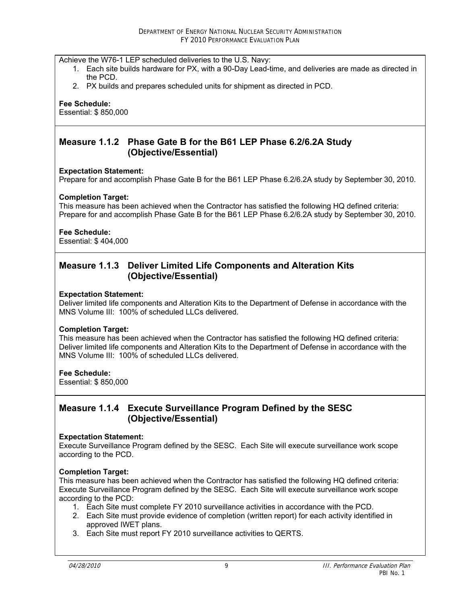Achieve the W76-1 LEP scheduled deliveries to the U.S. Navy:

- 1. Each site builds hardware for PX, with a 90-Day Lead-time, and deliveries are made as directed in the PCD.
- 2. PX builds and prepares scheduled units for shipment as directed in PCD.

#### **Fee Schedule:**

Essential: \$ 850,000

# **Measure 1.1.2 Phase Gate B for the B61 LEP Phase 6.2/6.2A Study (Objective/Essential)**

#### **Expectation Statement:**

Prepare for and accomplish Phase Gate B for the B61 LEP Phase 6.2/6.2A study by September 30, 2010.

#### **Completion Target:**

This measure has been achieved when the Contractor has satisfied the following HQ defined criteria: Prepare for and accomplish Phase Gate B for the B61 LEP Phase 6.2/6.2A study by September 30, 2010.

#### **Fee Schedule:**

Essential: \$ 404,000

# **Measure 1.1.3 Deliver Limited Life Components and Alteration Kits (Objective/Essential)**

#### **Expectation Statement:**

Deliver limited life components and Alteration Kits to the Department of Defense in accordance with the MNS Volume III: 100% of scheduled LLCs delivered.

#### **Completion Target:**

This measure has been achieved when the Contractor has satisfied the following HQ defined criteria: Deliver limited life components and Alteration Kits to the Department of Defense in accordance with the MNS Volume III: 100% of scheduled LLCs delivered.

#### **Fee Schedule:**

Essential: \$ 850,000

# **Measure 1.1.4 Execute Surveillance Program Defined by the SESC (Objective/Essential)**

#### **Expectation Statement:**

Execute Surveillance Program defined by the SESC. Each Site will execute surveillance work scope according to the PCD.

#### **Completion Target:**

This measure has been achieved when the Contractor has satisfied the following HQ defined criteria: Execute Surveillance Program defined by the SESC. Each Site will execute surveillance work scope according to the PCD:

- 1. Each Site must complete FY 2010 surveillance activities in accordance with the PCD.
- 2. Each Site must provide evidence of completion (written report) for each activity identified in approved IWET plans.
- 3. Each Site must report FY 2010 surveillance activities to QERTS.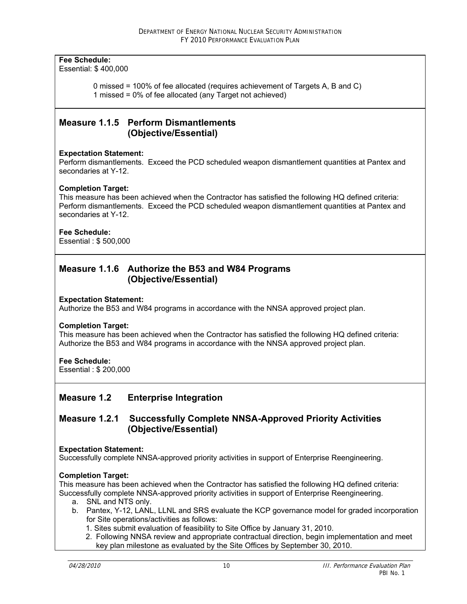**Fee Schedule:**

| י פפ ספוופטמופ<br>Essential: \$400,000                     |                                                                                                                                                                                                                                                                                                              |                                                                                                                                                                                                                                                                                                     |
|------------------------------------------------------------|--------------------------------------------------------------------------------------------------------------------------------------------------------------------------------------------------------------------------------------------------------------------------------------------------------------|-----------------------------------------------------------------------------------------------------------------------------------------------------------------------------------------------------------------------------------------------------------------------------------------------------|
|                                                            | 0 missed = 100% of fee allocated (requires achievement of Targets A, B and C)<br>1 missed = 0% of fee allocated (any Target not achieved)                                                                                                                                                                    |                                                                                                                                                                                                                                                                                                     |
|                                                            | <b>Measure 1.1.5 Perform Dismantlements</b><br>(Objective/Essential)                                                                                                                                                                                                                                         |                                                                                                                                                                                                                                                                                                     |
| <b>Expectation Statement:</b><br>secondaries at Y-12.      |                                                                                                                                                                                                                                                                                                              | Perform dismantlements. Exceed the PCD scheduled weapon dismantlement quantities at Pantex and                                                                                                                                                                                                      |
| <b>Completion Target:</b><br>secondaries at Y-12.          |                                                                                                                                                                                                                                                                                                              | This measure has been achieved when the Contractor has satisfied the following HQ defined criteria:<br>Perform dismantlements. Exceed the PCD scheduled weapon dismantlement quantities at Pantex and                                                                                               |
| <b>Fee Schedule:</b><br>Essential: \$500,000               |                                                                                                                                                                                                                                                                                                              |                                                                                                                                                                                                                                                                                                     |
|                                                            | Measure 1.1.6 Authorize the B53 and W84 Programs<br>(Objective/Essential)                                                                                                                                                                                                                                    |                                                                                                                                                                                                                                                                                                     |
| <b>Expectation Statement:</b>                              | Authorize the B53 and W84 programs in accordance with the NNSA approved project plan.                                                                                                                                                                                                                        |                                                                                                                                                                                                                                                                                                     |
| <b>Completion Target:</b>                                  | Authorize the B53 and W84 programs in accordance with the NNSA approved project plan.                                                                                                                                                                                                                        | This measure has been achieved when the Contractor has satisfied the following HQ defined criteria:                                                                                                                                                                                                 |
| <b>Fee Schedule:</b><br>Essential: \$200,000               |                                                                                                                                                                                                                                                                                                              |                                                                                                                                                                                                                                                                                                     |
| Measure 1.2                                                | <b>Enterprise Integration</b>                                                                                                                                                                                                                                                                                |                                                                                                                                                                                                                                                                                                     |
| Measure 1.2.1                                              | <b>Successfully Complete NNSA-Approved Priority Activities</b><br>(Objective/Essential)                                                                                                                                                                                                                      |                                                                                                                                                                                                                                                                                                     |
| <b>Expectation Statement:</b>                              | Successfully complete NNSA-approved priority activities in support of Enterprise Reengineering.                                                                                                                                                                                                              |                                                                                                                                                                                                                                                                                                     |
| <b>Completion Target:</b><br>SNL and NTS only.<br>а.<br>b. | Successfully complete NNSA-approved priority activities in support of Enterprise Reengineering.<br>for Site operations/activities as follows:<br>1. Sites submit evaluation of feasibility to Site Office by January 31, 2010.<br>key plan milestone as evaluated by the Site Offices by September 30, 2010. | This measure has been achieved when the Contractor has satisfied the following HQ defined criteria:<br>Pantex, Y-12, LANL, LLNL and SRS evaluate the KCP governance model for graded incorporation<br>2. Following NNSA review and appropriate contractual direction, begin implementation and meet |
| 04/28/2010                                                 | 10                                                                                                                                                                                                                                                                                                           | III. Performance Evaluation Plan                                                                                                                                                                                                                                                                    |

PBI No. 1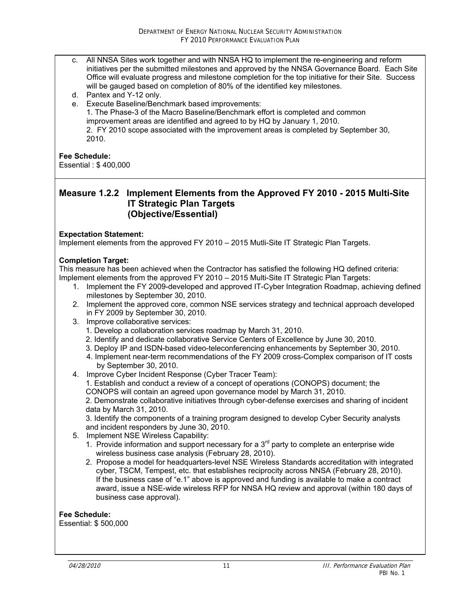- c. All NNSA Sites work together and with NNSA HQ to implement the re-engineering and reform initiatives per the submitted milestones and approved by the NNSA Governance Board. Each Site Office will evaluate progress and milestone completion for the top initiative for their Site. Success will be gauged based on completion of 80% of the identified key milestones.
- d. Pantex and Y-12 only.
- e. Execute Baseline/Benchmark based improvements: 1. The Phase-3 of the Macro Baseline/Benchmark effort is completed and common improvement areas are identified and agreed to by HQ by January 1, 2010. 2. FY 2010 scope associated with the improvement areas is completed by September 30, 2010.

# **Fee Schedule:**

Essential : \$ 400,000

# **Measure 1.2.2 Implement Elements from the Approved FY 2010 - 2015 Multi-Site IT Strategic Plan Targets (Objective/Essential)**

### **Expectation Statement:**

Implement elements from the approved FY 2010 – 2015 Mutli-Site IT Strategic Plan Targets.

### **Completion Target:**

This measure has been achieved when the Contractor has satisfied the following HQ defined criteria: Implement elements from the approved FY 2010 – 2015 Multi-Site IT Strategic Plan Targets:

- 1. Implement the FY 2009-developed and approved IT-Cyber Integration Roadmap, achieving defined milestones by September 30, 2010.
- 2. Implement the approved core, common NSE services strategy and technical approach developed in FY 2009 by September 30, 2010.
- 3. Improve collaborative services:
	- 1. Develop a collaboration services roadmap by March 31, 2010.
	- 2. Identify and dedicate collaborative Service Centers of Excellence by June 30, 2010.
	- 3. Deploy IP and ISDN-based video-teleconferencing enhancements by September 30, 2010.
	- 4. Implement near-term recommendations of the FY 2009 cross-Complex comparison of IT costs by September 30, 2010.
- 4. Improve Cyber Incident Response (Cyber Tracer Team):
	- 1. Establish and conduct a review of a concept of operations (CONOPS) document; the CONOPS will contain an agreed upon governance model by March 31, 2010.

 2. Demonstrate collaborative initiatives through cyber-defense exercises and sharing of incident data by March 31, 2010.

 3. Identify the components of a training program designed to develop Cyber Security analysts and incident responders by June 30, 2010.

- 5. Implement NSE Wireless Capability:
	- 1. Provide information and support necessary for a  $3<sup>rd</sup>$  party to complete an enterprise wide wireless business case analysis (February 28, 2010).
	- 2. Propose a model for headquarters-level NSE Wireless Standards accreditation with integrated cyber, TSCM, Tempest, etc. that establishes reciprocity across NNSA (February 28, 2010). If the business case of "e.1" above is approved and funding is available to make a contract award, issue a NSE-wide wireless RFP for NNSA HQ review and approval (within 180 days of business case approval).

# **Fee Schedule:**

Essential: \$ 500,000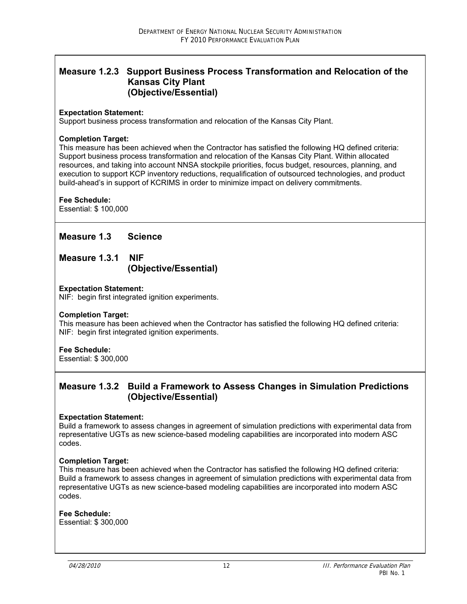# **Measure 1.2.3 Support Business Process Transformation and Relocation of the Kansas City Plant (Objective/Essential)**

#### **Expectation Statement:**

Support business process transformation and relocation of the Kansas City Plant.

#### **Completion Target:**

This measure has been achieved when the Contractor has satisfied the following HQ defined criteria: Support business process transformation and relocation of the Kansas City Plant. Within allocated resources, and taking into account NNSA stockpile priorities, focus budget, resources, planning, and execution to support KCP inventory reductions, requalification of outsourced technologies, and product build-ahead's in support of KCRIMS in order to minimize impact on delivery commitments.

**Fee Schedule:**

Essential: \$ 100,000

# **Measure 1.3 Science**

**Measure 1.3.1 NIF (Objective/Essential)** 

#### **Expectation Statement:**

NIF: begin first integrated ignition experiments.

#### **Completion Target:**

This measure has been achieved when the Contractor has satisfied the following HQ defined criteria: NIF: begin first integrated ignition experiments.

#### **Fee Schedule:**

Essential: \$ 300,000

# **Measure 1.3.2 Build a Framework to Assess Changes in Simulation Predictions (Objective/Essential)**

#### **Expectation Statement:**

Build a framework to assess changes in agreement of simulation predictions with experimental data from representative UGTs as new science-based modeling capabilities are incorporated into modern ASC codes.

#### **Completion Target:**

This measure has been achieved when the Contractor has satisfied the following HQ defined criteria: Build a framework to assess changes in agreement of simulation predictions with experimental data from representative UGTs as new science-based modeling capabilities are incorporated into modern ASC codes.

#### **Fee Schedule:**

Essential: \$ 300,000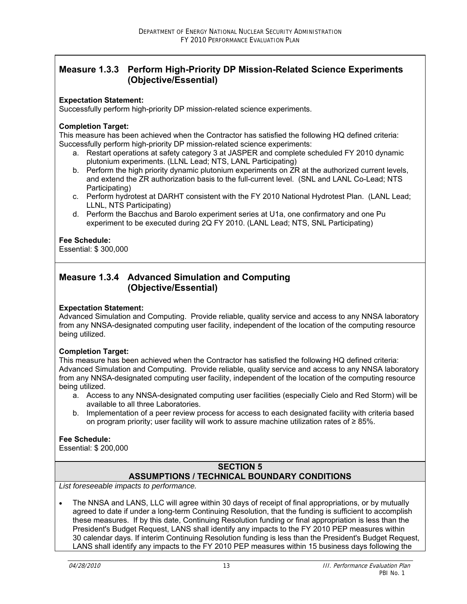# **Measure 1.3.3 Perform High-Priority DP Mission-Related Science Experiments (Objective/Essential)**

#### **Expectation Statement:**

Successfully perform high-priority DP mission-related science experiments.

#### **Completion Target:**

This measure has been achieved when the Contractor has satisfied the following HQ defined criteria: Successfully perform high-priority DP mission-related science experiments:

- a. Restart operations at safety category 3 at JASPER and complete scheduled FY 2010 dynamic plutonium experiments. (LLNL Lead; NTS, LANL Participating)
- b. Perform the high priority dynamic plutonium experiments on ZR at the authorized current levels, and extend the ZR authorization basis to the full-current level. (SNL and LANL Co-Lead; NTS Participating)
- c. Perform hydrotest at DARHT consistent with the FY 2010 National Hydrotest Plan. (LANL Lead; LLNL, NTS Participating)
- d. Perform the Bacchus and Barolo experiment series at U1a, one confirmatory and one Pu experiment to be executed during 2Q FY 2010. (LANL Lead; NTS, SNL Participating)

#### **Fee Schedule:**

Essential: \$ 300,000

# **Measure 1.3.4 Advanced Simulation and Computing (Objective/Essential)**

#### **Expectation Statement:**

Advanced Simulation and Computing. Provide reliable, quality service and access to any NNSA laboratory from any NNSA-designated computing user facility, independent of the location of the computing resource being utilized.

#### **Completion Target:**

This measure has been achieved when the Contractor has satisfied the following HQ defined criteria: Advanced Simulation and Computing. Provide reliable, quality service and access to any NNSA laboratory from any NNSA-designated computing user facility, independent of the location of the computing resource being utilized.

- a. Access to any NNSA-designated computing user facilities (especially Cielo and Red Storm) will be available to all three Laboratories.
- b. Implementation of a peer review process for access to each designated facility with criteria based on program priority; user facility will work to assure machine utilization rates of ≥ 85%.

#### **Fee Schedule:**

Essential: \$ 200,000

# **SECTION 5 ASSUMPTIONS / TECHNICAL BOUNDARY CONDITIONS**

*List foreseeable impacts to performance.*

• The NNSA and LANS, LLC will agree within 30 days of receipt of final appropriations, or by mutually agreed to date if under a long-term Continuing Resolution, that the funding is sufficient to accomplish these measures. If by this date, Continuing Resolution funding or final appropriation is less than the President's Budget Request, LANS shall identify any impacts to the FY 2010 PEP measures within 30 calendar days. If interim Continuing Resolution funding is less than the President's Budget Request, LANS shall identify any impacts to the FY 2010 PEP measures within 15 business days following the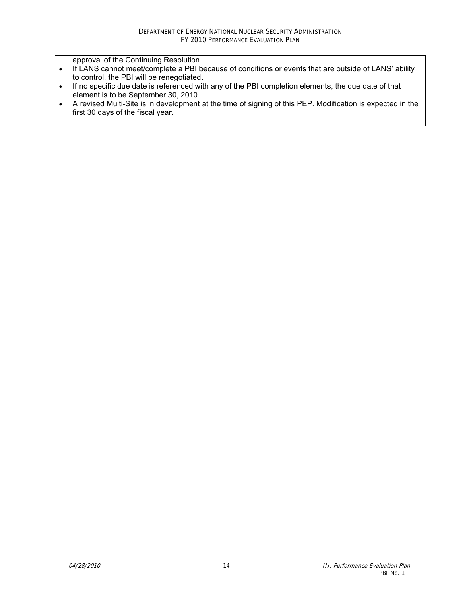approval of the Continuing Resolution.

- If LANS cannot meet/complete a PBI because of conditions or events that are outside of LANS' ability to control, the PBI will be renegotiated.
- If no specific due date is referenced with any of the PBI completion elements, the due date of that element is to be September 30, 2010.
- A revised Multi-Site is in development at the time of signing of this PEP. Modification is expected in the first 30 days of the fiscal year.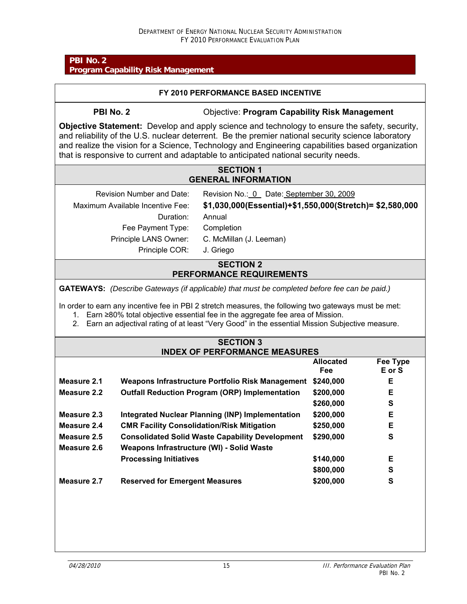#### **PBI NO. 2 Program Capability Risk Management**

#### **FY 2010 PERFORMANCE BASED INCENTIVE**

**PBI No. 2** Objective: **Program Capability Risk Management**

**Objective Statement:** Develop and apply science and technology to ensure the safety, security, and reliability of the U.S. nuclear deterrent. Be the premier national security science laboratory and realize the vision for a Science, Technology and Engineering capabilities based organization that is responsive to current and adaptable to anticipated national security needs.

#### **SECTION 1 GENERAL INFORMATION**

| Revision Number and Date:        | Revision No.: 0 Date: September 30, 2009                 |
|----------------------------------|----------------------------------------------------------|
| Maximum Available Incentive Fee: | \$1,030,000(Essential)+\$1,550,000(Stretch)= \$2,580,000 |
| Duration:                        | Annual                                                   |
| Fee Payment Type:                | Completion                                               |
| Principle LANS Owner:            | C. McMillan (J. Leeman)                                  |
| Principle COR:                   | J. Griego                                                |

# **SECTION 2 PERFORMANCE REQUIREMENTS**

**GATEWAYS:** *(Describe Gateways (if applicable) that must be completed before fee can be paid.)* 

In order to earn any incentive fee in PBI 2 stretch measures, the following two gateways must be met:

- 1. Earn ≥80% total objective essential fee in the aggregate fee area of Mission.
- 2. Earn an adjectival rating of at least "Very Good" in the essential Mission Subjective measure.

#### **SECTION 3 INDEX OF PERFORMANCE MEASURES**

|             |                                                         | <b>Allocated</b><br><b>Fee</b> | Fee Type<br>E or S |
|-------------|---------------------------------------------------------|--------------------------------|--------------------|
| Measure 2.1 | Weapons Infrastructure Portfolio Risk Management        | \$240,000                      | Е                  |
| Measure 2.2 | <b>Outfall Reduction Program (ORP) Implementation</b>   | \$200,000                      | Е                  |
|             |                                                         | \$260,000                      | S                  |
| Measure 2.3 | <b>Integrated Nuclear Planning (INP) Implementation</b> | \$200,000                      | Е                  |
| Measure 2.4 | <b>CMR Facility Consolidation/Risk Mitigation</b>       | \$250,000                      | Е                  |
| Measure 2.5 | <b>Consolidated Solid Waste Capability Development</b>  | \$290,000                      | S                  |
| Measure 2.6 | Weapons Infrastructure (WI) - Solid Waste               |                                |                    |
|             | <b>Processing Initiatives</b>                           | \$140,000                      | Е                  |
|             |                                                         | \$800,000                      | S                  |
| Measure 2.7 | <b>Reserved for Emergent Measures</b>                   | \$200,000                      | S                  |
|             |                                                         |                                |                    |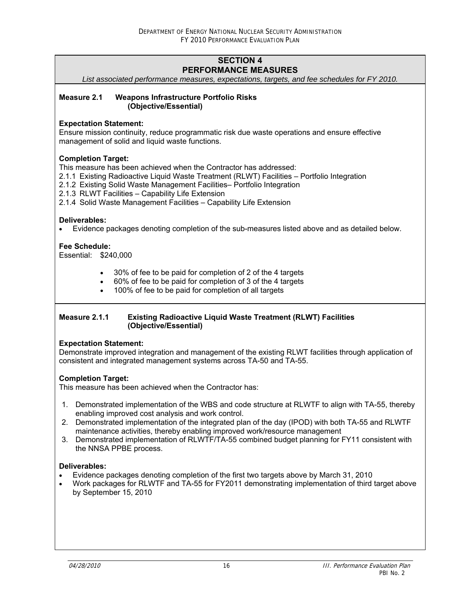# **SECTION 4 PERFORMANCE MEASURES**

*List associated performance measures, expectations, targets, and fee schedules for FY 2010.* 

#### **Measure 2.1 Weapons Infrastructure Portfolio Risks (Objective/Essential)**

#### **Expectation Statement:**

Ensure mission continuity, reduce programmatic risk due waste operations and ensure effective management of solid and liquid waste functions.

### **Completion Target:**

This measure has been achieved when the Contractor has addressed:

- 2.1.1 Existing Radioactive Liquid Waste Treatment (RLWT) Facilities Portfolio Integration
- 2.1.2 Existing Solid Waste Management Facilities– Portfolio Integration
- 2.1.3 RLWT Facilities Capability Life Extension
- 2.1.4 Solid Waste Management Facilities Capability Life Extension

#### **Deliverables:**

• Evidence packages denoting completion of the sub-measures listed above and as detailed below.

#### **Fee Schedule:**

Essential: \$240,000

- 30% of fee to be paid for completion of 2 of the 4 targets
- 60% of fee to be paid for completion of 3 of the 4 targets
- 100% of fee to be paid for completion of all targets

#### **Measure 2.1.1 Existing Radioactive Liquid Waste Treatment (RLWT) Facilities (Objective/Essential)**

#### **Expectation Statement:**

Demonstrate improved integration and management of the existing RLWT facilities through application of consistent and integrated management systems across TA-50 and TA-55.

#### **Completion Target:**

This measure has been achieved when the Contractor has:

- 1. Demonstrated implementation of the WBS and code structure at RLWTF to align with TA-55, thereby enabling improved cost analysis and work control.
- 2. Demonstrated implementation of the integrated plan of the day (IPOD) with both TA-55 and RLWTF maintenance activities, thereby enabling improved work/resource management
- 3. Demonstrated implementation of RLWTF/TA-55 combined budget planning for FY11 consistent with the NNSA PPBE process.

#### **Deliverables:**

- Evidence packages denoting completion of the first two targets above by March 31, 2010
- Work packages for RLWTF and TA-55 for FY2011 demonstrating implementation of third target above by September 15, 2010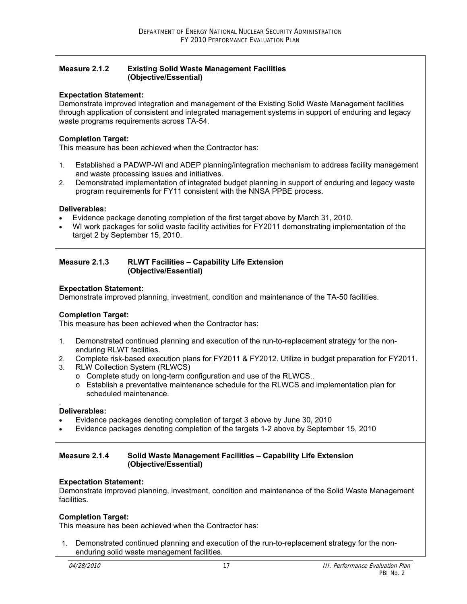#### **Measure 2.1.2 Existing Solid Waste Management Facilities (Objective/Essential)**

#### **Expectation Statement:**

Demonstrate improved integration and management of the Existing Solid Waste Management facilities through application of consistent and integrated management systems in support of enduring and legacy waste programs requirements across TA-54.

#### **Completion Target:**

This measure has been achieved when the Contractor has:

- 1. Established a PADWP-WI and ADEP planning/integration mechanism to address facility management and waste processing issues and initiatives.
- 2. Demonstrated implementation of integrated budget planning in support of enduring and legacy waste program requirements for FY11 consistent with the NNSA PPBE process.

#### **Deliverables:**

- Evidence package denoting completion of the first target above by March 31, 2010.
- WI work packages for solid waste facility activities for FY2011 demonstrating implementation of the target 2 by September 15, 2010.

#### **Measure 2.1.3 RLWT Facilities – Capability Life Extension (Objective/Essential)**

#### **Expectation Statement:**

Demonstrate improved planning, investment, condition and maintenance of the TA-50 facilities.

#### **Completion Target:**

This measure has been achieved when the Contractor has:

- 1. Demonstrated continued planning and execution of the run-to-replacement strategy for the nonenduring RLWT facilities.
- 2. Complete risk-based execution plans for FY2011 & FY2012. Utilize in budget preparation for FY2011.
- 3. RLW Collection System (RLWCS)
	- o Complete study on long-term configuration and use of the RLWCS..
	- o Establish a preventative maintenance schedule for the RLWCS and implementation plan for scheduled maintenance.

#### . **Deliverables:**

- Evidence packages denoting completion of target 3 above by June 30, 2010
- Evidence packages denoting completion of the targets 1-2 above by September 15, 2010

#### **Measure 2.1.4 Solid Waste Management Facilities – Capability Life Extension (Objective/Essential)**

#### **Expectation Statement:**

Demonstrate improved planning, investment, condition and maintenance of the Solid Waste Management facilities.

#### **Completion Target:**

This measure has been achieved when the Contractor has:

1. Demonstrated continued planning and execution of the run-to-replacement strategy for the nonenduring solid waste management facilities.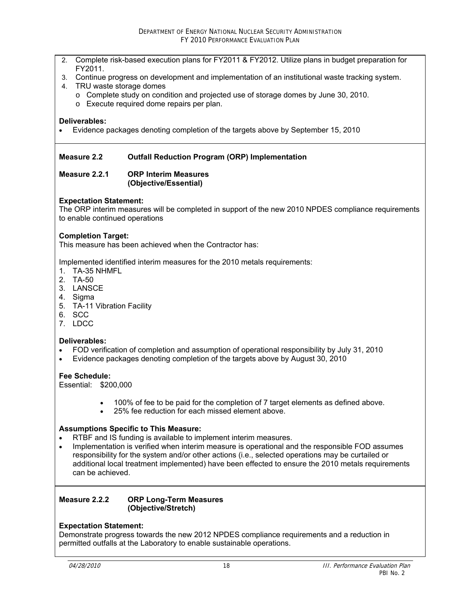- 2. Complete risk-based execution plans for FY2011 & FY2012. Utilize plans in budget preparation for FY2011.
- 3. Continue progress on development and implementation of an institutional waste tracking system.
- 4. TRU waste storage domes
	- o Complete study on condition and projected use of storage domes by June 30, 2010.
	- o Execute required dome repairs per plan.

#### **Deliverables:**

• Evidence packages denoting completion of the targets above by September 15, 2010

#### **Measure 2.2 Outfall Reduction Program (ORP) Implementation**

#### **Measure 2.2.1 ORP Interim Measures (Objective/Essential)**

#### **Expectation Statement:**

The ORP interim measures will be completed in support of the new 2010 NPDES compliance requirements to enable continued operations

#### **Completion Target:**

This measure has been achieved when the Contractor has:

Implemented identified interim measures for the 2010 metals requirements:

- 1. TA-35 NHMFL
- 2. TA-50
- 3. LANSCE
- 4. Sigma
- 5. TA-11 Vibration Facility
- 6. SCC
- 7. LDCC

#### **Deliverables:**

- FOD verification of completion and assumption of operational responsibility by July 31, 2010
- Evidence packages denoting completion of the targets above by August 30, 2010

#### **Fee Schedule:**

Essential: \$200,000

- 100% of fee to be paid for the completion of 7 target elements as defined above.
- 25% fee reduction for each missed element above.

#### **Assumptions Specific to This Measure:**

- RTBF and IS funding is available to implement interim measures.
- Implementation is verified when interim measure is operational and the responsible FOD assumes responsibility for the system and/or other actions (i.e., selected operations may be curtailed or additional local treatment implemented) have been effected to ensure the 2010 metals requirements can be achieved.

#### **Measure 2.2.2 ORP Long-Term Measures (Objective/Stretch)**

#### **Expectation Statement:**

Demonstrate progress towards the new 2012 NPDES compliance requirements and a reduction in permitted outfalls at the Laboratory to enable sustainable operations.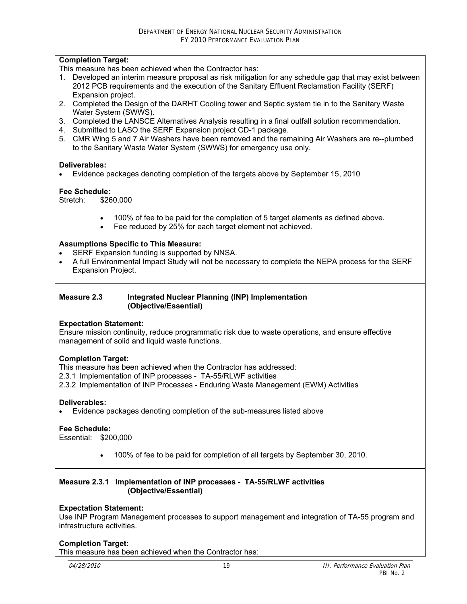### **Completion Target:**

This measure has been achieved when the Contractor has:

- 1. Developed an interim measure proposal as risk mitigation for any schedule gap that may exist between 2012 PCB requirements and the execution of the Sanitary Effluent Reclamation Facility (SERF) Expansion project.
- 2. Completed the Design of the DARHT Cooling tower and Septic system tie in to the Sanitary Waste Water System (SWWS).
- 3. Completed the LANSCE Alternatives Analysis resulting in a final outfall solution recommendation.
- 4. Submitted to LASO the SERF Expansion project CD-1 package.
- 5. CMR Wing 5 and 7 Air Washers have been removed and the remaining Air Washers are re--plumbed to the Sanitary Waste Water System (SWWS) for emergency use only.

#### **Deliverables:**

• Evidence packages denoting completion of the targets above by September 15, 2010

#### **Fee Schedule:**

Stretch: \$260,000

- 100% of fee to be paid for the completion of 5 target elements as defined above.
- Fee reduced by 25% for each target element not achieved.

#### **Assumptions Specific to This Measure:**

- SERF Expansion funding is supported by NNSA.
- A full Environmental Impact Study will not be necessary to complete the NEPA process for the SERF Expansion Project.

#### **Measure 2.3 Integrated Nuclear Planning (INP) Implementation (Objective/Essential)**

#### **Expectation Statement:**

Ensure mission continuity, reduce programmatic risk due to waste operations, and ensure effective management of solid and liquid waste functions.

#### **Completion Target:**

This measure has been achieved when the Contractor has addressed:

- 2.3.1 Implementation of INP processes TA-55/RLWF activities
- 2.3.2 Implementation of INP Processes Enduring Waste Management (EWM) Activities

#### **Deliverables:**

• Evidence packages denoting completion of the sub-measures listed above

#### **Fee Schedule:**

Essential: \$200,000

• 100% of fee to be paid for completion of all targets by September 30, 2010.

#### **Measure 2.3.1 Implementation of INP processes - TA-55/RLWF activities (Objective/Essential)**

#### **Expectation Statement:**

Use INP Program Management processes to support management and integration of TA-55 program and infrastructure activities.

#### **Completion Target:**

This measure has been achieved when the Contractor has: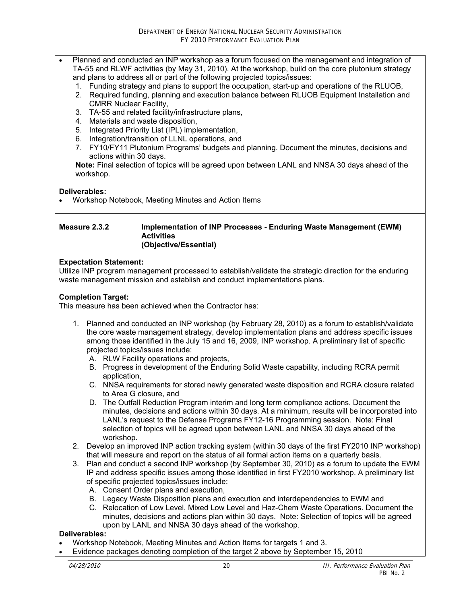- Planned and conducted an INP workshop as a forum focused on the management and integration of TA-55 and RLWF activities (by May 31, 2010). At the workshop, build on the core plutonium strategy and plans to address all or part of the following projected topics/issues:
	- 1. Funding strategy and plans to support the occupation, start-up and operations of the RLUOB,
	- 2. Required funding, planning and execution balance between RLUOB Equipment Installation and CMRR Nuclear Facility,
	- 3. TA-55 and related facility/infrastructure plans,
	- 4. Materials and waste disposition,
	- 5. Integrated Priority List (IPL) implementation,
	- 6. Integration/transition of LLNL operations, and
	- 7. FY10/FY11 Plutonium Programs' budgets and planning. Document the minutes, decisions and actions within 30 days.

**Note:** Final selection of topics will be agreed upon between LANL and NNSA 30 days ahead of the workshop.

#### **Deliverables:**

• Workshop Notebook, Meeting Minutes and Action Items

#### **Measure 2.3.2 Implementation of INP Processes - Enduring Waste Management (EWM) Activities (Objective/Essential)**

#### **Expectation Statement:**

Utilize INP program management processed to establish/validate the strategic direction for the enduring waste management mission and establish and conduct implementations plans.

#### **Completion Target:**

This measure has been achieved when the Contractor has:

- 1. Planned and conducted an INP workshop (by February 28, 2010) as a forum to establish/validate the core waste management strategy, develop implementation plans and address specific issues among those identified in the July 15 and 16, 2009, INP workshop. A preliminary list of specific projected topics/issues include:
	- A. RLW Facility operations and projects,
	- B. Progress in development of the Enduring Solid Waste capability, including RCRA permit application,
	- C. NNSA requirements for stored newly generated waste disposition and RCRA closure related to Area G closure, and
	- D. The Outfall Reduction Program interim and long term compliance actions. Document the minutes, decisions and actions within 30 days. At a minimum, results will be incorporated into LANL's request to the Defense Programs FY12-16 Programming session. Note: Final selection of topics will be agreed upon between LANL and NNSA 30 days ahead of the workshop.
- 2. Develop an improved INP action tracking system (within 30 days of the first FY2010 INP workshop) that will measure and report on the status of all formal action items on a quarterly basis.
- 3. Plan and conduct a second INP workshop (by September 30, 2010) as a forum to update the EWM IP and address specific issues among those identified in first FY2010 workshop. A preliminary list of specific projected topics/issues include:
	- A. Consent Order plans and execution,
	- B. Legacy Waste Disposition plans and execution and interdependencies to EWM and
	- C. Relocation of Low Level, Mixed Low Level and Haz-Chem Waste Operations. Document the minutes, decisions and actions plan within 30 days. Note: Selection of topics will be agreed upon by LANL and NNSA 30 days ahead of the workshop.

#### **Deliverables:**

- Workshop Notebook, Meeting Minutes and Action Items for targets 1 and 3.
- Evidence packages denoting completion of the target 2 above by September 15, 2010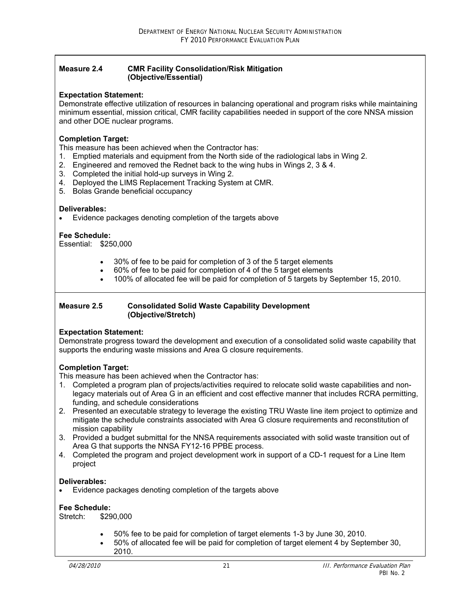#### **Measure 2.4 CMR Facility Consolidation/Risk Mitigation (Objective/Essential)**

#### **Expectation Statement:**

Demonstrate effective utilization of resources in balancing operational and program risks while maintaining minimum essential, mission critical, CMR facility capabilities needed in support of the core NNSA mission and other DOE nuclear programs.

#### **Completion Target:**

This measure has been achieved when the Contractor has:

- 1. Emptied materials and equipment from the North side of the radiological labs in Wing 2.
- 2. Engineered and removed the Rednet back to the wing hubs in Wings 2, 3 & 4.
- 3. Completed the initial hold-up surveys in Wing 2.
- 4. Deployed the LIMS Replacement Tracking System at CMR.
- 5. Bolas Grande beneficial occupancy

#### **Deliverables:**

• Evidence packages denoting completion of the targets above

#### **Fee Schedule:**

Essential: \$250,000

- 30% of fee to be paid for completion of 3 of the 5 target elements
- 60% of fee to be paid for completion of 4 of the 5 target elements
- 100% of allocated fee will be paid for completion of 5 targets by September 15, 2010.

#### **Measure 2.5 Consolidated Solid Waste Capability Development (Objective/Stretch)**

#### **Expectation Statement:**

Demonstrate progress toward the development and execution of a consolidated solid waste capability that supports the enduring waste missions and Area G closure requirements.

#### **Completion Target:**

This measure has been achieved when the Contractor has:

- 1. Completed a program plan of projects/activities required to relocate solid waste capabilities and nonlegacy materials out of Area G in an efficient and cost effective manner that includes RCRA permitting, funding, and schedule considerations
- 2. Presented an executable strategy to leverage the existing TRU Waste line item project to optimize and mitigate the schedule constraints associated with Area G closure requirements and reconstitution of mission capability
- 3. Provided a budget submittal for the NNSA requirements associated with solid waste transition out of Area G that supports the NNSA FY12-16 PPBE process.
- 4. Completed the program and project development work in support of a CD-1 request for a Line Item project

#### **Deliverables:**

• Evidence packages denoting completion of the targets above

#### **Fee Schedule:**

Stretch: \$290,000

- 50% fee to be paid for completion of target elements 1-3 by June 30, 2010.
- 50% of allocated fee will be paid for completion of target element 4 by September 30, 2010.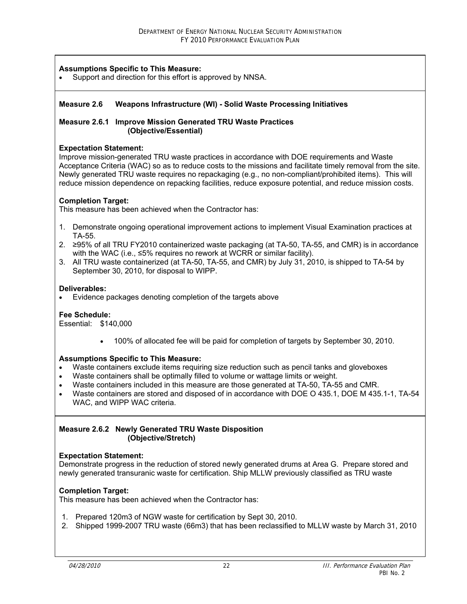#### **Assumptions Specific to This Measure:**

• Support and direction for this effort is approved by NNSA.

#### **Measure 2.6 Weapons Infrastructure (WI) - Solid Waste Processing Initiatives**

#### **Measure 2.6.1 Improve Mission Generated TRU Waste Practices (Objective/Essential)**

#### **Expectation Statement:**

Improve mission-generated TRU waste practices in accordance with DOE requirements and Waste Acceptance Criteria (WAC) so as to reduce costs to the missions and facilitate timely removal from the site. Newly generated TRU waste requires no repackaging (e.g., no non-compliant/prohibited items). This will reduce mission dependence on repacking facilities, reduce exposure potential, and reduce mission costs.

#### **Completion Target:**

This measure has been achieved when the Contractor has:

- 1. Demonstrate ongoing operational improvement actions to implement Visual Examination practices at TA-55.
- 2. ≥95% of all TRU FY2010 containerized waste packaging (at TA-50, TA-55, and CMR) is in accordance with the WAC (i.e., ≤5% requires no rework at WCRR or similar facility).
- 3. All TRU waste containerized (at TA-50, TA-55, and CMR) by July 31, 2010, is shipped to TA-54 by September 30, 2010, for disposal to WIPP.

#### **Deliverables:**

• Evidence packages denoting completion of the targets above

#### **Fee Schedule:**

Essential: \$140,000

• 100% of allocated fee will be paid for completion of targets by September 30, 2010.

#### **Assumptions Specific to This Measure:**

- Waste containers exclude items requiring size reduction such as pencil tanks and gloveboxes
- Waste containers shall be optimally filled to volume or wattage limits or weight.
- Waste containers included in this measure are those generated at TA-50, TA-55 and CMR.
- Waste containers are stored and disposed of in accordance with DOE O 435.1, DOE M 435.1-1, TA-54 WAC, and WIPP WAC criteria.

#### **Measure 2.6.2 Newly Generated TRU Waste Disposition (Objective/Stretch)**

#### **Expectation Statement:**

Demonstrate progress in the reduction of stored newly generated drums at Area G. Prepare stored and newly generated transuranic waste for certification. Ship MLLW previously classified as TRU waste

#### **Completion Target:**

This measure has been achieved when the Contractor has:

- 1. Prepared 120m3 of NGW waste for certification by Sept 30, 2010.
- 2. Shipped 1999-2007 TRU waste (66m3) that has been reclassified to MLLW waste by March 31, 2010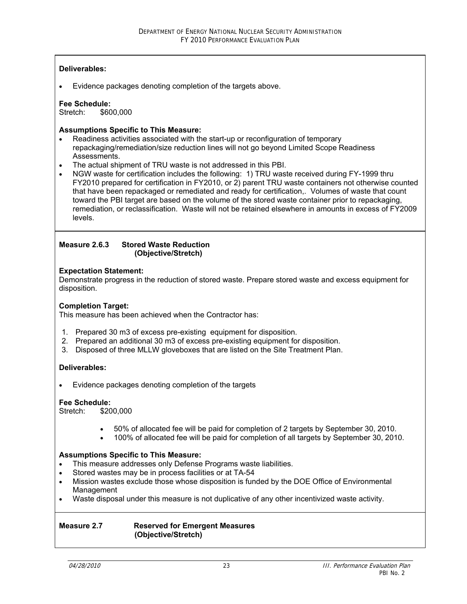#### **Deliverables:**

• Evidence packages denoting completion of the targets above.

#### **Fee Schedule:**

Stretch: \$600,000

#### **Assumptions Specific to This Measure:**

- Readiness activities associated with the start-up or reconfiguration of temporary repackaging/remediation/size reduction lines will not go beyond Limited Scope Readiness Assessments.
- The actual shipment of TRU waste is not addressed in this PBI.
- NGW waste for certification includes the following: 1) TRU waste received during FY-1999 thru FY2010 prepared for certification in FY2010, or 2) parent TRU waste containers not otherwise counted that have been repackaged or remediated and ready for certification,. Volumes of waste that count toward the PBI target are based on the volume of the stored waste container prior to repackaging, remediation, or reclassification. Waste will not be retained elsewhere in amounts in excess of FY2009 levels.

#### **Measure 2.6.3 Stored Waste Reduction (Objective/Stretch)**

#### **Expectation Statement:**

Demonstrate progress in the reduction of stored waste. Prepare stored waste and excess equipment for disposition.

#### **Completion Target:**

This measure has been achieved when the Contractor has:

- 1. Prepared 30 m3 of excess pre-existing equipment for disposition.
- 2. Prepared an additional 30 m3 of excess pre-existing equipment for disposition.
- 3. Disposed of three MLLW gloveboxes that are listed on the Site Treatment Plan.

#### **Deliverables:**

• Evidence packages denoting completion of the targets

#### **Fee Schedule:**

Stretch: \$200,000

- 50% of allocated fee will be paid for completion of 2 targets by September 30, 2010.
- 100% of allocated fee will be paid for completion of all targets by September 30, 2010.

#### **Assumptions Specific to This Measure:**

- This measure addresses only Defense Programs waste liabilities.
- Stored wastes may be in process facilities or at TA-54
- Mission wastes exclude those whose disposition is funded by the DOE Office of Environmental Management
- Waste disposal under this measure is not duplicative of any other incentivized waste activity.

#### **Measure 2.7 Reserved for Emergent Measures (Objective/Stretch)**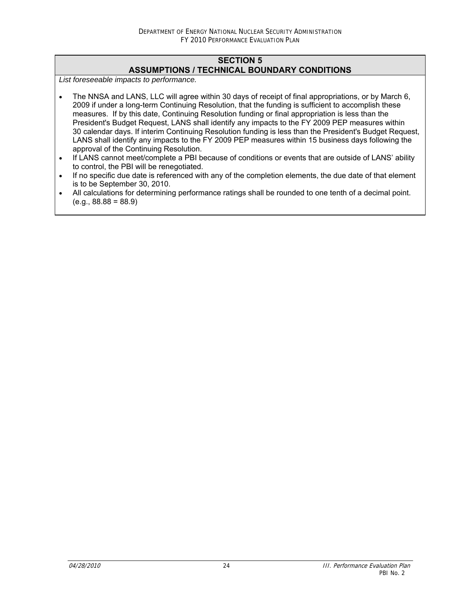### **SECTION 5 ASSUMPTIONS / TECHNICAL BOUNDARY CONDITIONS**

*List foreseeable impacts to performance.*

- The NNSA and LANS, LLC will agree within 30 days of receipt of final appropriations, or by March 6, 2009 if under a long-term Continuing Resolution, that the funding is sufficient to accomplish these measures. If by this date, Continuing Resolution funding or final appropriation is less than the President's Budget Request, LANS shall identify any impacts to the FY 2009 PEP measures within 30 calendar days. If interim Continuing Resolution funding is less than the President's Budget Request, LANS shall identify any impacts to the FY 2009 PEP measures within 15 business days following the approval of the Continuing Resolution.
- If LANS cannot meet/complete a PBI because of conditions or events that are outside of LANS' ability to control, the PBI will be renegotiated.
- If no specific due date is referenced with any of the completion elements, the due date of that element is to be September 30, 2010.
- All calculations for determining performance ratings shall be rounded to one tenth of a decimal point.  $(e.g., 88.88 = 88.9)$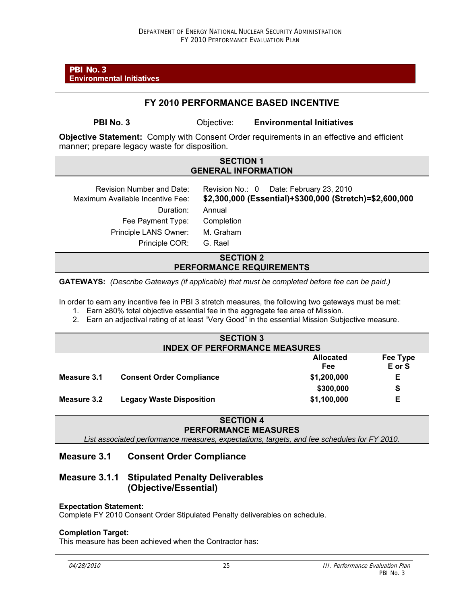#### **PBI NO. 3 Environmental Initiatives**

| FY 2010 PERFORMANCE BASED INCENTIVE                                                                                                                                                                                                                                                            |                                                |                                                                                                    |                       |  |
|------------------------------------------------------------------------------------------------------------------------------------------------------------------------------------------------------------------------------------------------------------------------------------------------|------------------------------------------------|----------------------------------------------------------------------------------------------------|-----------------------|--|
| PBI No. 3                                                                                                                                                                                                                                                                                      | Objective:                                     | <b>Environmental Initiatives</b>                                                                   |                       |  |
| <b>Objective Statement:</b> Comply with Consent Order requirements in an effective and efficient<br>manner; prepare legacy waste for disposition.                                                                                                                                              |                                                |                                                                                                    |                       |  |
|                                                                                                                                                                                                                                                                                                | <b>SECTION 1</b><br><b>GENERAL INFORMATION</b> |                                                                                                    |                       |  |
| Revision Number and Date:<br>Maximum Available Incentive Fee:<br>Duration:<br>Fee Payment Type:<br>Principle LANS Owner:                                                                                                                                                                       | Annual<br>Completion<br>M. Graham              | Revision No.: 0 Date: February 23, 2010<br>\$2,300,000 (Essential)+\$300,000 (Stretch)=\$2,600,000 |                       |  |
| Principle COR:                                                                                                                                                                                                                                                                                 | G. Rael                                        |                                                                                                    |                       |  |
|                                                                                                                                                                                                                                                                                                | <b>SECTION 2</b>                               | <b>PERFORMANCE REQUIREMENTS</b>                                                                    |                       |  |
| In order to earn any incentive fee in PBI 3 stretch measures, the following two gateways must be met:<br>1. Earn ≥80% total objective essential fee in the aggregate fee area of Mission.<br>2. Earn an adjectival rating of at least "Very Good" in the essential Mission Subjective measure. |                                                |                                                                                                    |                       |  |
|                                                                                                                                                                                                                                                                                                | <b>SECTION 3</b>                               | <b>INDEX OF PERFORMANCE MEASURES</b>                                                               |                       |  |
|                                                                                                                                                                                                                                                                                                |                                                | <b>Allocated</b>                                                                                   | <b>Fee Type</b>       |  |
| <b>Measure 3.1</b><br><b>Consent Order Compliance</b><br><b>Measure 3.2</b><br><b>Legacy Waste Disposition</b>                                                                                                                                                                                 |                                                | Fee<br>\$1,200,000<br>\$300,000<br>\$1,100,000                                                     | E or S<br>Е<br>S<br>Е |  |
| <b>SECTION 4</b><br><b>PERFORMANCE MEASURES</b><br>List associated performance measures, expectations, targets, and fee schedules for FY 2010.                                                                                                                                                 |                                                |                                                                                                    |                       |  |
| Measure 3.1<br><b>Consent Order Compliance</b>                                                                                                                                                                                                                                                 |                                                |                                                                                                    |                       |  |
| Measure 3.1.1<br><b>Stipulated Penalty Deliverables</b><br>(Objective/Essential)                                                                                                                                                                                                               |                                                |                                                                                                    |                       |  |
| <b>Expectation Statement:</b><br>Complete FY 2010 Consent Order Stipulated Penalty deliverables on schedule.                                                                                                                                                                                   |                                                |                                                                                                    |                       |  |
| <b>Completion Target:</b><br>This measure has been achieved when the Contractor has:                                                                                                                                                                                                           |                                                |                                                                                                    |                       |  |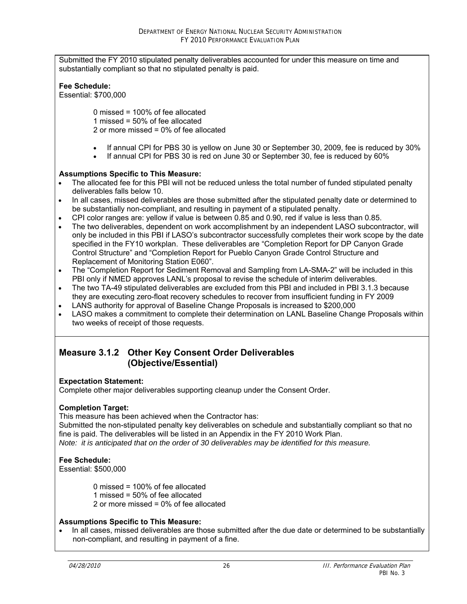Submitted the FY 2010 stipulated penalty deliverables accounted for under this measure on time and substantially compliant so that no stipulated penalty is paid.

#### **Fee Schedule:**

Essential: \$700,000

0 missed = 100% of fee allocated 1 missed = 50% of fee allocated

2 or more missed = 0% of fee allocated

- If annual CPI for PBS 30 is yellow on June 30 or September 30, 2009, fee is reduced by 30%
- If annual CPI for PBS 30 is red on June 30 or September 30, fee is reduced by 60%

#### **Assumptions Specific to This Measure:**

- The allocated fee for this PBI will not be reduced unless the total number of funded stipulated penalty deliverables falls below 10.
- In all cases, missed deliverables are those submitted after the stipulated penalty date or determined to be substantially non-compliant, and resulting in payment of a stipulated penalty.
- CPI color ranges are: yellow if value is between 0.85 and 0.90, red if value is less than 0.85.
- The two deliverables, dependent on work accomplishment by an independent LASO subcontractor, will only be included in this PBI if LASO's subcontractor successfully completes their work scope by the date specified in the FY10 workplan. These deliverables are "Completion Report for DP Canyon Grade Control Structure" and "Completion Report for Pueblo Canyon Grade Control Structure and Replacement of Monitoring Station E060".
- The "Completion Report for Sediment Removal and Sampling from LA-SMA-2" will be included in this PBI only if NMED approves LANL's proposal to revise the schedule of interim deliverables.
- The two TA-49 stipulated deliverables are excluded from this PBI and included in PBI 3.1.3 because they are executing zero-float recovery schedules to recover from insufficient funding in FY 2009
- LANS authority for approval of Baseline Change Proposals is increased to \$200,000
- LASO makes a commitment to complete their determination on LANL Baseline Change Proposals within two weeks of receipt of those requests.

# **Measure 3.1.2 Other Key Consent Order Deliverables (Objective/Essential)**

#### **Expectation Statement:**

Complete other major deliverables supporting cleanup under the Consent Order.

#### **Completion Target:**

This measure has been achieved when the Contractor has:

Submitted the non-stipulated penalty key deliverables on schedule and substantially compliant so that no fine is paid. The deliverables will be listed in an Appendix in the FY 2010 Work Plan. *Note: it is anticipated that on the order of 30 deliverables may be identified for this measure.* 

#### **Fee Schedule:**

Essential: \$500,000

0 missed = 100% of fee allocated

1 missed = 50% of fee allocated

2 or more missed = 0% of fee allocated

### **Assumptions Specific to This Measure:**

• In all cases, missed deliverables are those submitted after the due date or determined to be substantially non-compliant, and resulting in payment of a fine.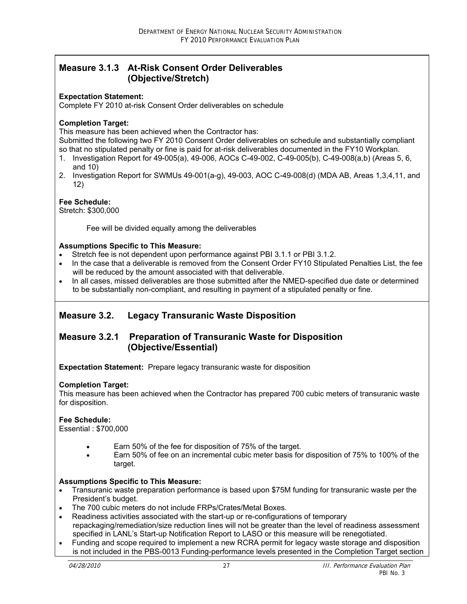# **Measure 3.1.3 At-Risk Consent Order Deliverables (Objective/Stretch)**

#### **Expectation Statement:**

Complete FY 2010 at-risk Consent Order deliverables on schedule

#### **Completion Target:**

This measure has been achieved when the Contractor has:

Submitted the following two FY 2010 Consent Order deliverables on schedule and substantially compliant so that no stipulated penalty or fine is paid for at-risk deliverables documented in the FY10 Workplan.

- 1. Investigation Report for 49-005(a), 49-006, AOCs C-49-002, C-49-005(b), C-49-008(a,b) (Areas 5, 6, and 10)
- 2. Investigation Report for SWMUs 49-001(a-g), 49-003, AOC C-49-008(d) (MDA AB, Areas 1,3,4,11, and 12)

#### **Fee Schedule:**

Stretch: \$300,000

Fee will be divided equally among the deliverables

#### **Assumptions Specific to This Measure:**

- Stretch fee is not dependent upon performance against PBI 3.1.1 or PBI 3.1.2.
- In the case that a deliverable is removed from the Consent Order FY10 Stipulated Penalties List, the fee will be reduced by the amount associated with that deliverable.
- In all cases, missed deliverables are those submitted after the NMED-specified due date or determined to be substantially non-compliant, and resulting in payment of a stipulated penalty or fine.

# **Measure 3.2. Legacy Transuranic Waste Disposition**

# **Measure 3.2.1 Preparation of Transuranic Waste for Disposition (Objective/Essential)**

**Expectation Statement:** Prepare legacy transuranic waste for disposition

#### **Completion Target:**

This measure has been achieved when the Contractor has prepared 700 cubic meters of transuranic waste for disposition.

#### **Fee Schedule:**

Essential : \$700,000

- Earn 50% of the fee for disposition of 75% of the target.
- Earn 50% of fee on an incremental cubic meter basis for disposition of 75% to 100% of the target.

#### **Assumptions Specific to This Measure:**

- Transuranic waste preparation performance is based upon \$75M funding for transuranic waste per the President's budget.
- The 700 cubic meters do not include FRPs/Crates/Metal Boxes.
- Readiness activities associated with the start-up or re-configurations of temporary repackaging/remediation/size reduction lines will not be greater than the level of readiness assessment specified in LANL's Start-up Notification Report to LASO or this measure will be renegotiated.
- Funding and scope required to implement a new RCRA permit for legacy waste storage and disposition is not included in the PBS-0013 Funding-performance levels presented in the Completion Target section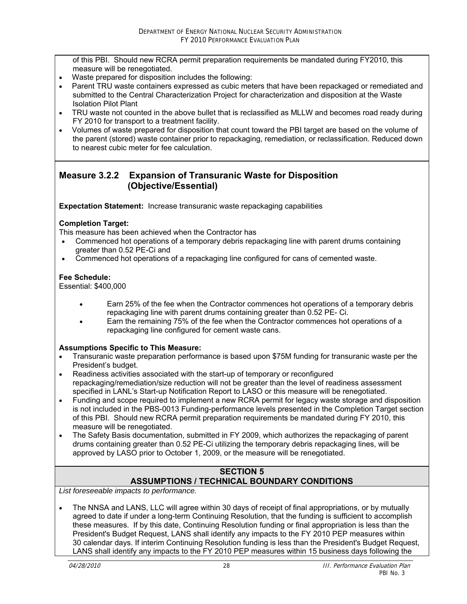of this PBI. Should new RCRA permit preparation requirements be mandated during FY2010, this measure will be renegotiated.

- Waste prepared for disposition includes the following:
- Parent TRU waste containers expressed as cubic meters that have been repackaged or remediated and submitted to the Central Characterization Project for characterization and disposition at the Waste Isolation Pilot Plant
- TRU waste not counted in the above bullet that is reclassified as MLLW and becomes road ready during FY 2010 for transport to a treatment facility.
- Volumes of waste prepared for disposition that count toward the PBI target are based on the volume of the parent (stored) waste container prior to repackaging, remediation, or reclassification. Reduced down to nearest cubic meter for fee calculation.

# **Measure 3.2.2 Expansion of Transuranic Waste for Disposition (Objective/Essential)**

**Expectation Statement:** Increase transuranic waste repackaging capabilities

### **Completion Target:**

This measure has been achieved when the Contractor has

- Commenced hot operations of a temporary debris repackaging line with parent drums containing greater than 0.52 PE-Ci and
- Commenced hot operations of a repackaging line configured for cans of cemented waste.

# **Fee Schedule:**

Essential: \$400,000

- Earn 25% of the fee when the Contractor commences hot operations of a temporary debris repackaging line with parent drums containing greater than 0.52 PE- Ci.
- Earn the remaining 75% of the fee when the Contractor commences hot operations of a repackaging line configured for cement waste cans.

# **Assumptions Specific to This Measure:**

- Transuranic waste preparation performance is based upon \$75M funding for transuranic waste per the President's budget.
- Readiness activities associated with the start-up of temporary or reconfigured repackaging/remediation/size reduction will not be greater than the level of readiness assessment specified in LANL's Start-up Notification Report to LASO or this measure will be renegotiated.
- Funding and scope required to implement a new RCRA permit for legacy waste storage and disposition is not included in the PBS-0013 Funding-performance levels presented in the Completion Target section of this PBI. Should new RCRA permit preparation requirements be mandated during FY 2010, this measure will be renegotiated.
- The Safety Basis documentation, submitted in FY 2009, which authorizes the repackaging of parent drums containing greater than 0.52 PE-Ci utilizing the temporary debris repackaging lines, will be approved by LASO prior to October 1, 2009, or the measure will be renegotiated.

# **SECTION 5 ASSUMPTIONS / TECHNICAL BOUNDARY CONDITIONS**

*List foreseeable impacts to performance.*

• The NNSA and LANS, LLC will agree within 30 days of receipt of final appropriations, or by mutually agreed to date if under a long-term Continuing Resolution, that the funding is sufficient to accomplish these measures. If by this date, Continuing Resolution funding or final appropriation is less than the President's Budget Request, LANS shall identify any impacts to the FY 2010 PEP measures within 30 calendar days. If interim Continuing Resolution funding is less than the President's Budget Request, LANS shall identify any impacts to the FY 2010 PEP measures within 15 business days following the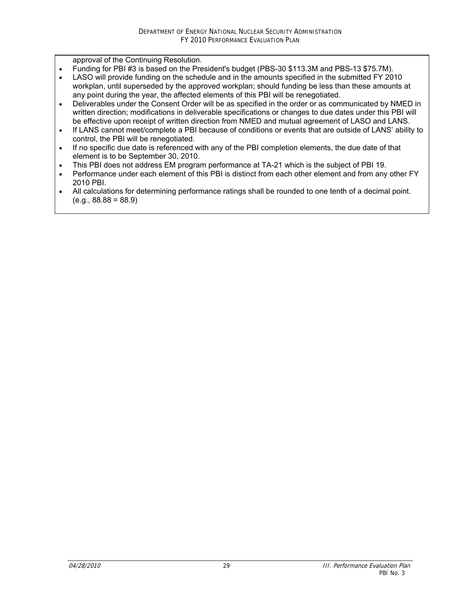approval of the Continuing Resolution.

- Funding for PBI #3 is based on the President's budget (PBS-30 \$113.3M and PBS-13 \$75.7M).
- LASO will provide funding on the schedule and in the amounts specified in the submitted FY 2010 workplan, until superseded by the approved workplan; should funding be less than these amounts at any point during the year, the affected elements of this PBI will be renegotiated.
- Deliverables under the Consent Order will be as specified in the order or as communicated by NMED in written direction; modifications in deliverable specifications or changes to due dates under this PBI will be effective upon receipt of written direction from NMED and mutual agreement of LASO and LANS.
- If LANS cannot meet/complete a PBI because of conditions or events that are outside of LANS' ability to control, the PBI will be renegotiated.
- If no specific due date is referenced with any of the PBI completion elements, the due date of that element is to be September 30, 2010.
- This PBI does not address EM program performance at TA-21 which is the subject of PBI 19.
- Performance under each element of this PBI is distinct from each other element and from any other FY 2010 PBI.
- All calculations for determining performance ratings shall be rounded to one tenth of a decimal point.  $(e.g., 88.88 = 88.9)$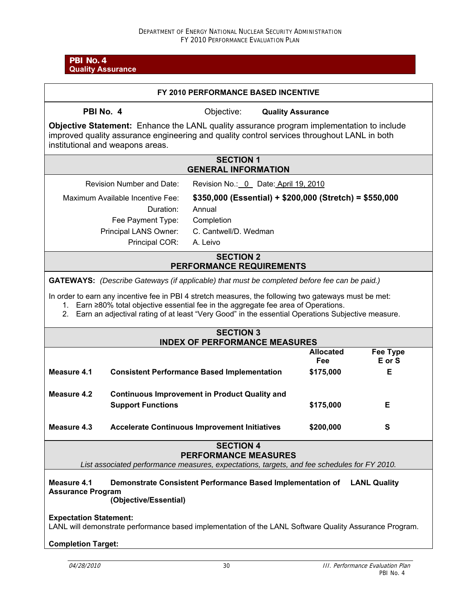#### **PBI NO. 4 Quality Assurance**

# **FY 2010 PERFORMANCE BASED INCENTIVE PBI No. 4** Objective: **Quality Assurance Objective Statement:** Enhance the LANL quality assurance program implementation to include improved quality assurance engineering and quality control services throughout LANL in both institutional and weapons areas. **SECTION 1 GENERAL INFORMATION**  Revision Number and Date: Revision No.: 0 Date: April 19, 2010 Maximum Available Incentive Fee: **\$350,000 (Essential) + \$200,000 (Stretch) = \$550,000**  Duration: Annual Fee Payment Type: Completion Principal LANS Owner: C. Cantwell/D. Wedman Principal COR: A. Leivo **SECTION 2 PERFORMANCE REQUIREMENTS GATEWAYS:** *(Describe Gateways (if applicable) that must be completed before fee can be paid.)*  In order to earn any incentive fee in PBI 4 stretch measures, the following two gateways must be met: 1. Earn ≥80% total objective essential fee in the aggregate fee area of Operations. 2. Earn an adjectival rating of at least "Very Good" in the essential Operations Subjective measure. **SECTION 3 INDEX OF PERFORMANCE MEASURES Allocated Fee Type Fee Example 20 Fee Example 20 Fee Example 20 Fee Example 20 Fee Example 20 Fee Example 20 Fee Example 20 Fee Example 20 Fee Example 20 Fee Example 20 Fee Example 20 Fee Example 20 Fee Example 20 Fee Example 20 Fee Example Measure 4.1 Consistent Performance Based Implementation \$175,000 E Measure 4.2 Continuous Improvement in Product Quality and Support Functions 6175,000 E CONTEX 18 ASSEMBLE FOR SALE ASSEMBLE FOR STATISTIC FIGURE FOR SALE FOR SALE FOR S Measure 4.3 Accelerate Continuous Improvement Initiatives \$200,000 S SECTION 4 PERFORMANCE MEASURES**  *List associated performance measures, expectations, targets, and fee schedules for FY 2010.*  **Measure 4.1 Demonstrate Consistent Performance Based Implementation of LANL Quality Assurance Program (Objective/Essential) Expectation Statement:**  LANL will demonstrate performance based implementation of the LANL Software Quality Assurance Program.

# **Completion Target:**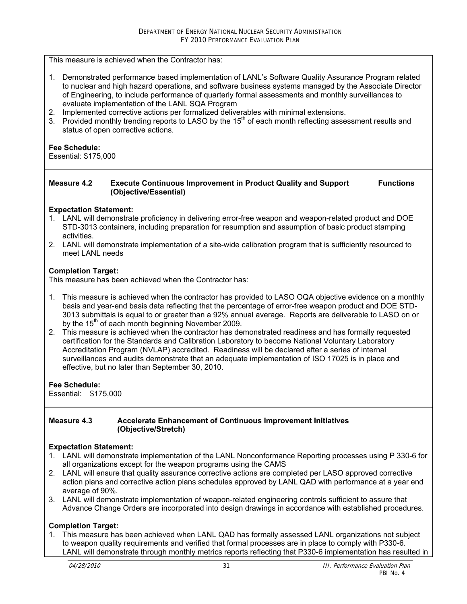This measure is achieved when the Contractor has:

- 1. Demonstrated performance based implementation of LANL's Software Quality Assurance Program related to nuclear and high hazard operations, and software business systems managed by the Associate Director of Engineering, to include performance of quarterly formal assessments and monthly surveillances to evaluate implementation of the LANL SQA Program
- 2. Implemented corrective actions per formalized deliverables with minimal extensions.
- 3. Provided monthly trending reports to LASO by the 15<sup>th</sup> of each month reflecting assessment results and status of open corrective actions.

#### **Fee Schedule:**

Essential: \$175,000

#### **Measure 4.2 Execute Continuous Improvement in Product Quality and Support Functions (Objective/Essential)**

#### **Expectation Statement:**

- 1. LANL will demonstrate proficiency in delivering error-free weapon and weapon-related product and DOE STD-3013 containers, including preparation for resumption and assumption of basic product stamping activities.
- 2. LANL will demonstrate implementation of a site-wide calibration program that is sufficiently resourced to meet LANL needs

#### **Completion Target:**

This measure has been achieved when the Contractor has:

- 1. This measure is achieved when the contractor has provided to LASO OQA objective evidence on a monthly basis and year-end basis data reflecting that the percentage of error-free weapon product and DOE STD-3013 submittals is equal to or greater than a 92% annual average. Reports are deliverable to LASO on or by the  $15<sup>th</sup>$  of each month beginning November 2009.
- 2. This measure is achieved when the contractor has demonstrated readiness and has formally requested certification for the Standards and Calibration Laboratory to become National Voluntary Laboratory Accreditation Program (NVLAP) accredited. Readiness will be declared after a series of internal surveillances and audits demonstrate that an adequate implementation of ISO 17025 is in place and effective, but no later than September 30, 2010.

#### **Fee Schedule:**

Essential: \$175,000

#### **Measure 4.3 Accelerate Enhancement of Continuous Improvement Initiatives (Objective/Stretch)**

#### **Expectation Statement:**

- 1. LANL will demonstrate implementation of the LANL Nonconformance Reporting processes using P 330-6 for all organizations except for the weapon programs using the CAMS
- 2. LANL will ensure that quality assurance corrective actions are completed per LASO approved corrective action plans and corrective action plans schedules approved by LANL QAD with performance at a year end average of 90%.
- 3. LANL will demonstrate implementation of weapon-related engineering controls sufficient to assure that Advance Change Orders are incorporated into design drawings in accordance with established procedures.

#### **Completion Target:**

1. This measure has been achieved when LANL QAD has formally assessed LANL organizations not subject to weapon quality requirements and verified that formal processes are in place to comply with P330-6. LANL will demonstrate through monthly metrics reports reflecting that P330-6 implementation has resulted in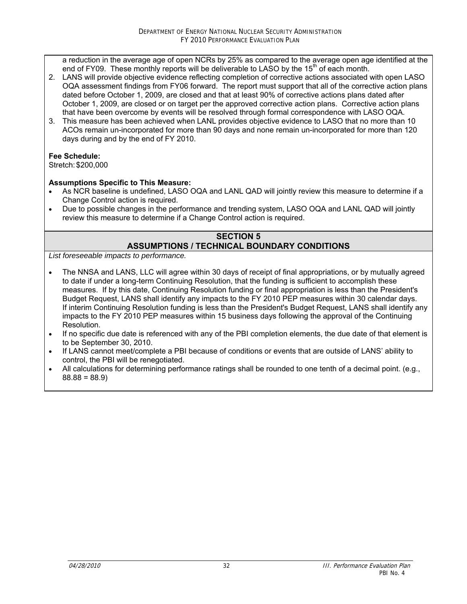a reduction in the average age of open NCRs by 25% as compared to the average open age identified at the end of FY09. These monthly reports will be deliverable to LASO by the  $15<sup>th</sup>$  of each month.

- 2. LANS will provide objective evidence reflecting completion of corrective actions associated with open LASO OQA assessment findings from FY06 forward. The report must support that all of the corrective action plans dated before October 1, 2009, are closed and that at least 90% of corrective actions plans dated after October 1, 2009, are closed or on target per the approved corrective action plans. Corrective action plans that have been overcome by events will be resolved through formal correspondence with LASO OQA.
- 3. This measure has been achieved when LANL provides objective evidence to LASO that no more than 10 ACOs remain un-incorporated for more than 90 days and none remain un-incorporated for more than 120 days during and by the end of FY 2010.

### **Fee Schedule:**

Stretch: \$200,000

### **Assumptions Specific to This Measure:**

- As NCR baseline is undefined, LASO OQA and LANL QAD will jointly review this measure to determine if a Change Control action is required.
- Due to possible changes in the performance and trending system, LASO OQA and LANL QAD will jointly review this measure to determine if a Change Control action is required.

# **SECTION 5 ASSUMPTIONS / TECHNICAL BOUNDARY CONDITIONS**

*List foreseeable impacts to performance.* 

- The NNSA and LANS, LLC will agree within 30 days of receipt of final appropriations, or by mutually agreed to date if under a long-term Continuing Resolution, that the funding is sufficient to accomplish these measures. If by this date, Continuing Resolution funding or final appropriation is less than the President's Budget Request, LANS shall identify any impacts to the FY 2010 PEP measures within 30 calendar days. If interim Continuing Resolution funding is less than the President's Budget Request, LANS shall identify any impacts to the FY 2010 PEP measures within 15 business days following the approval of the Continuing Resolution.
- If no specific due date is referenced with any of the PBI completion elements, the due date of that element is to be September 30, 2010.
- If LANS cannot meet/complete a PBI because of conditions or events that are outside of LANS' ability to control, the PBI will be renegotiated.
- All calculations for determining performance ratings shall be rounded to one tenth of a decimal point. (e.g., 88.88 = 88.9)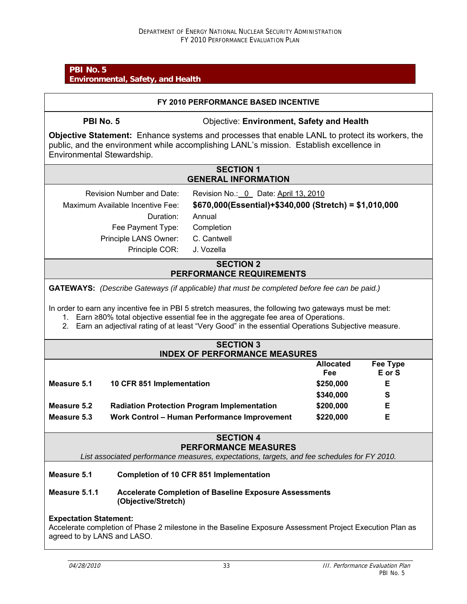#### **PBI NO. 5 Environmental, Safety, and Health**

#### **FY 2010 PERFORMANCE BASED INCENTIVE**

**PBI No. 5** Objective: **Environment, Safety and Health** 

**Objective Statement:** Enhance systems and processes that enable LANL to protect its workers, the public, and the environment while accomplishing LANL's mission. Establish excellence in Environmental Stewardship.

#### **SECTION 1 GENERAL INFORMATION**

| <b>Revision Number and Date:</b><br>Maximum Available Incentive Fee:<br>Duration:<br>Fee Payment Type:<br>Principle LANS Owner: | Revision No.: 0 Date: April 13, 2010<br>$$670,000$ (Essential)+\$340,000 (Stretch) = \$1,010,000<br>Annual<br>Completion<br>C. Cantwell |
|---------------------------------------------------------------------------------------------------------------------------------|-----------------------------------------------------------------------------------------------------------------------------------------|
| Principle COR:                                                                                                                  | J. Vozella                                                                                                                              |
|                                                                                                                                 |                                                                                                                                         |

# **SECTION 2 PERFORMANCE REQUIREMENTS**

**GATEWAYS:** *(Describe Gateways (if applicable) that must be completed before fee can be paid.)* 

In order to earn any incentive fee in PBI 5 stretch measures, the following two gateways must be met:

- 1. Earn ≥80% total objective essential fee in the aggregate fee area of Operations.
- 2. Earn an adjectival rating of at least "Very Good" in the essential Operations Subjective measure.

#### **SECTION 3 INDEX OF PERFORMANCE MEASURES**

|                                                     | <b>Allocated</b><br>Fee | Fee Type<br>E or S |  |
|-----------------------------------------------------|-------------------------|--------------------|--|
| 10 CFR 851 Implementation                           | \$250,000               | Е                  |  |
|                                                     | \$340,000               | S                  |  |
| <b>Radiation Protection Program Implementation</b>  | \$200,000               | Е                  |  |
| <b>Work Control - Human Performance Improvement</b> | \$220,000               | Е                  |  |
|                                                     |                         |                    |  |

#### **SECTION 4 PERFORMANCE MEASURES**

*List associated performance measures, expectations, targets, and fee schedules for FY 2010.* 

#### **Measure 5.1 Completion of 10 CFR 851 Implementation**

#### **Measure 5.1.1 Accelerate Completion of Baseline Exposure Assessments (Objective/Stretch)**

#### **Expectation Statement:**

Accelerate completion of Phase 2 milestone in the Baseline Exposure Assessment Project Execution Plan as agreed to by LANS and LASO.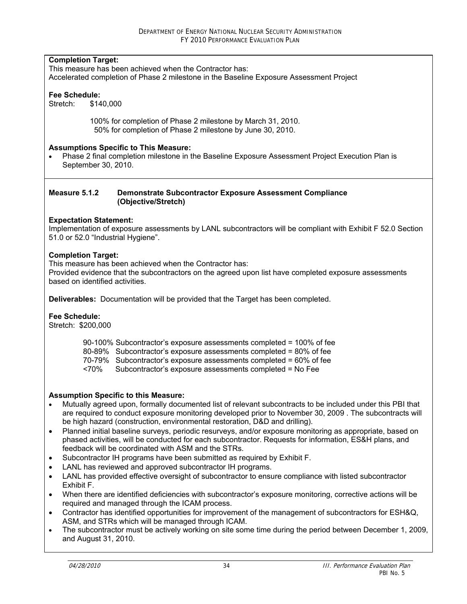# **Completion Target:**

This measure has been achieved when the Contractor has: Accelerated completion of Phase 2 milestone in the Baseline Exposure Assessment Project

#### **Fee Schedule:**

Stretch: \$140,000

100% for completion of Phase 2 milestone by March 31, 2010. 50% for completion of Phase 2 milestone by June 30, 2010.

#### **Assumptions Specific to This Measure:**

• Phase 2 final completion milestone in the Baseline Exposure Assessment Project Execution Plan is September 30, 2010.

#### **Measure 5.1.2 Demonstrate Subcontractor Exposure Assessment Compliance (Objective/Stretch)**

# **Expectation Statement:**

Implementation of exposure assessments by LANL subcontractors will be compliant with Exhibit F 52.0 Section 51.0 or 52.0 "Industrial Hygiene".

#### **Completion Target:**

This measure has been achieved when the Contractor has:

Provided evidence that the subcontractors on the agreed upon list have completed exposure assessments based on identified activities.

**Deliverables:** Documentation will be provided that the Target has been completed.

# **Fee Schedule:**

Stretch: \$200,000

90-100% Subcontractor's exposure assessments completed = 100% of fee

80-89% Subcontractor's exposure assessments completed = 80% of fee

- 70-79% Subcontractor's exposure assessments completed = 60% of fee
- <70% Subcontractor's exposure assessments completed = No Fee

# **Assumption Specific to this Measure:**

- Mutually agreed upon, formally documented list of relevant subcontracts to be included under this PBI that are required to conduct exposure monitoring developed prior to November 30, 2009 . The subcontracts will be high hazard (construction, environmental restoration, D&D and drilling).
- Planned initial baseline surveys, periodic resurveys, and/or exposure monitoring as appropriate, based on phased activities, will be conducted for each subcontractor. Requests for information, ES&H plans, and feedback will be coordinated with ASM and the STRs.
- Subcontractor IH programs have been submitted as required by Exhibit F.
- LANL has reviewed and approved subcontractor IH programs.
- LANL has provided effective oversight of subcontractor to ensure compliance with listed subcontractor Exhibit F.
- When there are identified deficiencies with subcontractor's exposure monitoring, corrective actions will be required and managed through the ICAM process.
- Contractor has identified opportunities for improvement of the management of subcontractors for ESH&Q, ASM, and STRs which will be managed through ICAM.
- The subcontractor must be actively working on site some time during the period between December 1, 2009, and August 31, 2010.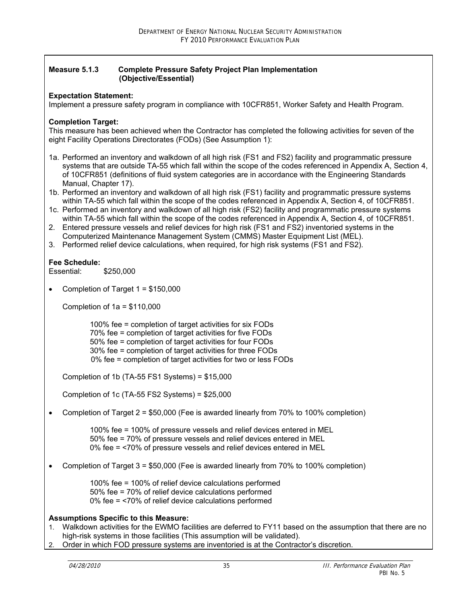# **Measure 5.1.3 Complete Pressure Safety Project Plan Implementation (Objective/Essential)**

# **Expectation Statement:**

Implement a pressure safety program in compliance with 10CFR851, Worker Safety and Health Program.

### **Completion Target:**

This measure has been achieved when the Contractor has completed the following activities for seven of the eight Facility Operations Directorates (FODs) (See Assumption 1):

- 1a. Performed an inventory and walkdown of all high risk (FS1 and FS2) facility and programmatic pressure systems that are outside TA-55 which fall within the scope of the codes referenced in Appendix A, Section 4, of 10CFR851 (definitions of fluid system categories are in accordance with the Engineering Standards Manual, Chapter 17).
- 1b. Performed an inventory and walkdown of all high risk (FS1) facility and programmatic pressure systems within TA-55 which fall within the scope of the codes referenced in Appendix A, Section 4, of 10CFR851.
- 1c. Performed an inventory and walkdown of all high risk (FS2) facility and programmatic pressure systems within TA-55 which fall within the scope of the codes referenced in Appendix A, Section 4, of 10CFR851.
- 2. Entered pressure vessels and relief devices for high risk (FS1 and FS2) inventoried systems in the Computerized Maintenance Management System (CMMS) Master Equipment List (MEL).
- 3. Performed relief device calculations, when required, for high risk systems (FS1 and FS2).

# **Fee Schedule:**

Essential: \$250,000

• Completion of Target 1 = \$150,000

Completion of 1a = \$110,000

 100% fee = completion of target activities for six FODs 70% fee = completion of target activities for five FODs 50% fee = completion of target activities for four FODs 30% fee = completion of target activities for three FODs 0% fee = completion of target activities for two or less FODs

Completion of 1b (TA-55 FS1 Systems) = \$15,000

Completion of 1c (TA-55 FS2 Systems) = \$25,000

• Completion of Target 2 = \$50,000 (Fee is awarded linearly from 70% to 100% completion)

 100% fee = 100% of pressure vessels and relief devices entered in MEL 50% fee = 70% of pressure vessels and relief devices entered in MEL 0% fee = <70% of pressure vessels and relief devices entered in MEL

• Completion of Target 3 = \$50,000 (Fee is awarded linearly from 70% to 100% completion)

 100% fee = 100% of relief device calculations performed 50% fee = 70% of relief device calculations performed 0% fee = <70% of relief device calculations performed

#### **Assumptions Specific to this Measure:**

- 1. Walkdown activities for the EWMO facilities are deferred to FY11 based on the assumption that there are no high-risk systems in those facilities (This assumption will be validated).
- 2. Order in which FOD pressure systems are inventoried is at the Contractor's discretion.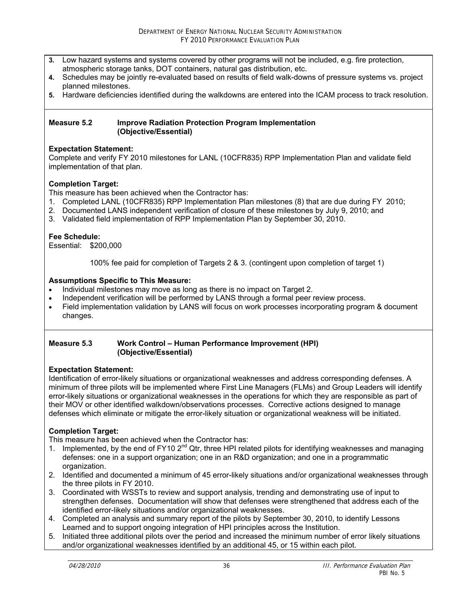- **3.** Low hazard systems and systems covered by other programs will not be included, e.g. fire protection, atmospheric storage tanks, DOT containers, natural gas distribution, etc.
- **4.** Schedules may be jointly re-evaluated based on results of field walk-downs of pressure systems vs. project planned milestones.
- **5.** Hardware deficiencies identified during the walkdowns are entered into the ICAM process to track resolution.

# **Measure 5.2 Improve Radiation Protection Program Implementation (Objective/Essential)**

### **Expectation Statement:**

Complete and verify FY 2010 milestones for LANL (10CFR835) RPP Implementation Plan and validate field implementation of that plan.

# **Completion Target:**

This measure has been achieved when the Contractor has:

- 1. Completed LANL (10CFR835) RPP Implementation Plan milestones (8) that are due during FY 2010;
- 2. Documented LANS independent verification of closure of these milestones by July 9, 2010; and
- 3. Validated field implementation of RPP Implementation Plan by September 30, 2010.

# **Fee Schedule:**

Essential: \$200,000

100% fee paid for completion of Targets 2 & 3. (contingent upon completion of target 1)

#### **Assumptions Specific to This Measure:**

- Individual milestones may move as long as there is no impact on Target 2.
- Independent verification will be performed by LANS through a formal peer review process.
- Field implementation validation by LANS will focus on work processes incorporating program & document changes.

#### **Measure 5.3 Work Control – Human Performance Improvement (HPI) (Objective/Essential)**

# **Expectation Statement:**

Identification of error-likely situations or organizational weaknesses and address corresponding defenses. A minimum of three pilots will be implemented where First Line Managers (FLMs) and Group Leaders will identify error-likely situations or organizational weaknesses in the operations for which they are responsible as part of their MOV or other identified walkdown/observations processes. Corrective actions designed to manage defenses which eliminate or mitigate the error-likely situation or organizational weakness will be initiated.

# **Completion Target:**

This measure has been achieved when the Contractor has:

- 1. Implemented, by the end of FY10  $2^{nd}$  Qtr, three HPI related pilots for identifying weaknesses and managing defenses: one in a support organization; one in an R&D organization; and one in a programmatic organization.
- 2. Identified and documented a minimum of 45 error-likely situations and/or organizational weaknesses through the three pilots in FY 2010.
- 3. Coordinated with WSSTs to review and support analysis, trending and demonstrating use of input to strengthen defenses. Documentation will show that defenses were strengthened that address each of the identified error-likely situations and/or organizational weaknesses.
- 4. Completed an analysis and summary report of the pilots by September 30, 2010, to identify Lessons Learned and to support ongoing integration of HPI principles across the Institution.
- 5. Initiated three additional pilots over the period and increased the minimum number of error likely situations and/or organizational weaknesses identified by an additional 45, or 15 within each pilot.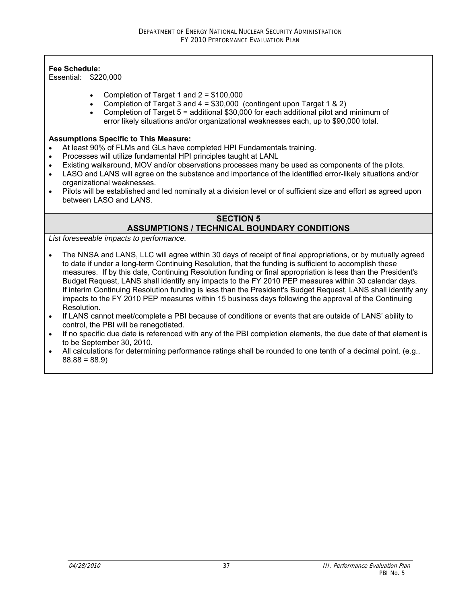# **Fee Schedule:**

Essential: \$220,000

- Completion of Target 1 and  $2 = $100,000$
- Completion of Target 3 and 4 = \$30,000 (contingent upon Target 1 & 2)
- Completion of Target 5 = additional \$30,000 for each additional pilot and minimum of error likely situations and/or organizational weaknesses each, up to \$90,000 total.

# **Assumptions Specific to This Measure:**

- At least 90% of FLMs and GLs have completed HPI Fundamentals training.
- Processes will utilize fundamental HPI principles taught at LANL
- Existing walkaround, MOV and/or observations processes many be used as components of the pilots.
- LASO and LANS will agree on the substance and importance of the identified error-likely situations and/or organizational weaknesses.
- Pilots will be established and led nominally at a division level or of sufficient size and effort as agreed upon between LASO and LANS.

# **SECTION 5 ASSUMPTIONS / TECHNICAL BOUNDARY CONDITIONS**

*List foreseeable impacts to performance.*

- The NNSA and LANS, LLC will agree within 30 days of receipt of final appropriations, or by mutually agreed to date if under a long-term Continuing Resolution, that the funding is sufficient to accomplish these measures. If by this date, Continuing Resolution funding or final appropriation is less than the President's Budget Request, LANS shall identify any impacts to the FY 2010 PEP measures within 30 calendar days. If interim Continuing Resolution funding is less than the President's Budget Request, LANS shall identify any impacts to the FY 2010 PEP measures within 15 business days following the approval of the Continuing Resolution.
- If LANS cannot meet/complete a PBI because of conditions or events that are outside of LANS' ability to control, the PBI will be renegotiated.
- If no specific due date is referenced with any of the PBI completion elements, the due date of that element is to be September 30, 2010.
- All calculations for determining performance ratings shall be rounded to one tenth of a decimal point. (e.g.,  $88.88 = 88.9$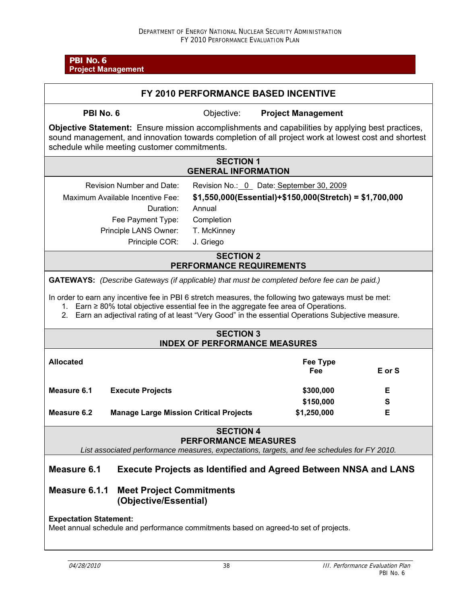#### **PBI NO. 6 Project Management**

# **FY 2010 PERFORMANCE BASED INCENTIVE PBI No. 6** Objective: **Project Management Objective Statement:** Ensure mission accomplishments and capabilities by applying best practices, sound management, and innovation towards completion of all project work at lowest cost and shortest schedule while meeting customer commitments. **SECTION 1 GENERAL INFORMATION**  Revision Number and Date: Revision No.: 0 Date: September 30, 2009 Maximum Available Incentive Fee: **\$1,550,000(Essential)+\$150,000(Stretch) = \$1,700,000** Duration: Annual Fee Payment Type: Completion Principle LANS Owner: T. McKinney Principle COR: J. Griego **SECTION 2 PERFORMANCE REQUIREMENTS GATEWAYS:** *(Describe Gateways (if applicable) that must be completed before fee can be paid.)*  In order to earn any incentive fee in PBI 6 stretch measures, the following two gateways must be met: 1. Earn ≥ 80% total objective essential fee in the aggregate fee area of Operations. 2. Earn an adjectival rating of at least "Very Good" in the essential Operations Subjective measure. **SECTION 3 INDEX OF PERFORMANCE MEASURES Allocated Fee Type Fee Example 20 For S**  $\overline{\phantom{a}}$  **Fee** E or S **Measure 6.1** Execute Projects **Execute From E E 150,000 S \$150,000** S **Measure 6.2 Manage Large Mission Critical Projects \$1,250,000 E SECTION 4 PERFORMANCE MEASURES**  *List associated performance measures, expectations, targets, and fee schedules for FY 2010.*  **Measure 6.1 Execute Projects as Identified and Agreed Between NNSA and LANS Measure 6.1.1 Meet Project Commitments (Objective/Essential) Expectation Statement:** Meet annual schedule and performance commitments based on agreed-to set of projects.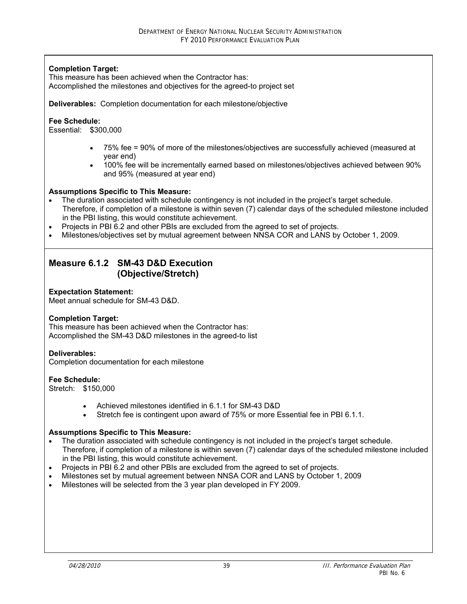# **Completion Target:**

This measure has been achieved when the Contractor has: Accomplished the milestones and objectives for the agreed-to project set

**Deliverables:** Completion documentation for each milestone/objective

### **Fee Schedule:**

Essential: \$300,000

- 75% fee = 90% of more of the milestones/objectives are successfully achieved (measured at year end)
- 100% fee will be incrementally earned based on milestones/objectives achieved between 90% and 95% (measured at year end)

#### **Assumptions Specific to This Measure:**

- The duration associated with schedule contingency is not included in the project's target schedule. Therefore, if completion of a milestone is within seven (7) calendar days of the scheduled milestone included in the PBI listing, this would constitute achievement.
- Projects in PBI 6.2 and other PBIs are excluded from the agreed to set of projects.
- Milestones/objectives set by mutual agreement between NNSA COR and LANS by October 1, 2009.

# **Measure 6.1.2 SM-43 D&D Execution (Objective/Stretch)**

#### **Expectation Statement:**

Meet annual schedule for SM-43 D&D.

# **Completion Target:**

This measure has been achieved when the Contractor has: Accomplished the SM-43 D&D milestones in the agreed-to list

# **Deliverables:**

Completion documentation for each milestone

#### **Fee Schedule:**

Stretch: \$150,000

- Achieved milestones identified in 6.1.1 for SM-43 D&D
- Stretch fee is contingent upon award of 75% or more Essential fee in PBI 6.1.1.

# **Assumptions Specific to This Measure:**

- The duration associated with schedule contingency is not included in the project's target schedule. Therefore, if completion of a milestone is within seven (7) calendar days of the scheduled milestone included in the PBI listing, this would constitute achievement.
- Projects in PBI 6.2 and other PBIs are excluded from the agreed to set of projects.
- Milestones set by mutual agreement between NNSA COR and LANS by October 1, 2009
- Milestones will be selected from the 3 year plan developed in FY 2009.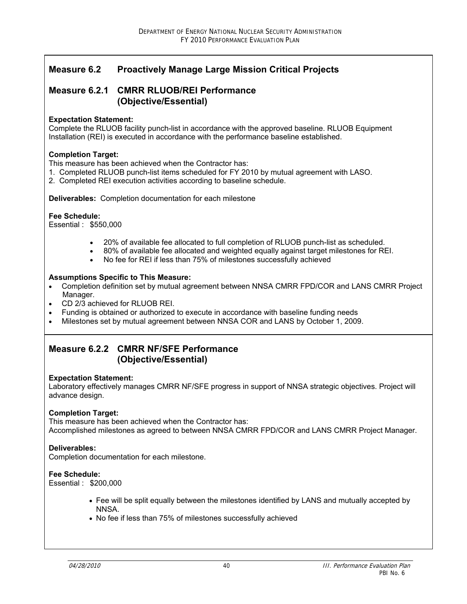# **Measure 6.2 Proactively Manage Large Mission Critical Projects**

# **Measure 6.2.1 CMRR RLUOB/REI Performance (Objective/Essential)**

# **Expectation Statement:**

Complete the RLUOB facility punch-list in accordance with the approved baseline. RLUOB Equipment Installation (REI) is executed in accordance with the performance baseline established.

# **Completion Target:**

This measure has been achieved when the Contractor has:

- 1. Completed RLUOB punch-list items scheduled for FY 2010 by mutual agreement with LASO.
- 2. Completed REI execution activities according to baseline schedule.

**Deliverables:** Completion documentation for each milestone

#### **Fee Schedule:**

Essential : \$550,000

- 20% of available fee allocated to full completion of RLUOB punch-list as scheduled.
- 80% of available fee allocated and weighted equally against target milestones for REI.
- No fee for REI if less than 75% of milestones successfully achieved

#### **Assumptions Specific to This Measure:**

- Completion definition set by mutual agreement between NNSA CMRR FPD/COR and LANS CMRR Project Manager.
- CD 2/3 achieved for RLUOB REI.
- Funding is obtained or authorized to execute in accordance with baseline funding needs
- Milestones set by mutual agreement between NNSA COR and LANS by October 1, 2009.

# **Measure 6.2.2 CMRR NF/SFE Performance (Objective/Essential)**

#### **Expectation Statement:**

Laboratory effectively manages CMRR NF/SFE progress in support of NNSA strategic objectives. Project will advance design.

# **Completion Target:**

This measure has been achieved when the Contractor has: Accomplished milestones as agreed to between NNSA CMRR FPD/COR and LANS CMRR Project Manager.

# **Deliverables:**

Completion documentation for each milestone.

# **Fee Schedule:**

Essential : \$200,000

- Fee will be split equally between the milestones identified by LANS and mutually accepted by NNSA.
- No fee if less than 75% of milestones successfully achieved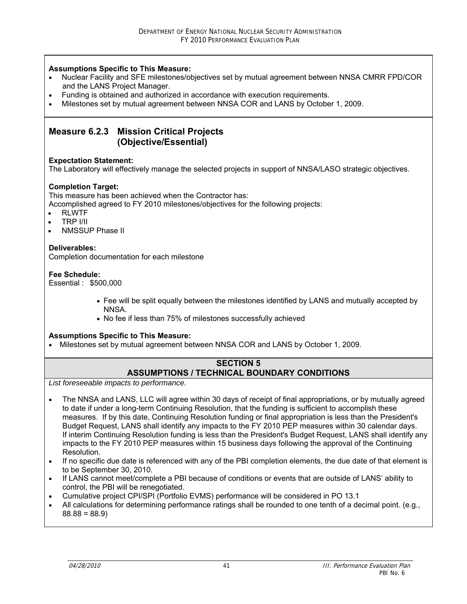# **Assumptions Specific to This Measure:**

- Nuclear Facility and SFE milestones/objectives set by mutual agreement between NNSA CMRR FPD/COR and the LANS Project Manager.
- Funding is obtained and authorized in accordance with execution requirements.
- Milestones set by mutual agreement between NNSA COR and LANS by October 1, 2009.

# **Measure 6.2.3 Mission Critical Projects (Objective/Essential)**

# **Expectation Statement:**

The Laboratory will effectively manage the selected projects in support of NNSA/LASO strategic objectives.

# **Completion Target:**

This measure has been achieved when the Contractor has:

Accomplished agreed to FY 2010 milestones/objectives for the following projects:

- RLWTF
- TRP I/II
- NMSSUP Phase II

# **Deliverables:**

Completion documentation for each milestone

# **Fee Schedule:**

Essential : \$500,000

- Fee will be split equally between the milestones identified by LANS and mutually accepted by NNSA.
- No fee if less than 75% of milestones successfully achieved

# **Assumptions Specific to This Measure:**

• Milestones set by mutual agreement between NNSA COR and LANS by October 1, 2009.

# **SECTION 5 ASSUMPTIONS / TECHNICAL BOUNDARY CONDITIONS**

*List foreseeable impacts to performance.*

- The NNSA and LANS, LLC will agree within 30 days of receipt of final appropriations, or by mutually agreed to date if under a long-term Continuing Resolution, that the funding is sufficient to accomplish these measures. If by this date, Continuing Resolution funding or final appropriation is less than the President's Budget Request, LANS shall identify any impacts to the FY 2010 PEP measures within 30 calendar days. If interim Continuing Resolution funding is less than the President's Budget Request, LANS shall identify any impacts to the FY 2010 PEP measures within 15 business days following the approval of the Continuing Resolution.
- If no specific due date is referenced with any of the PBI completion elements, the due date of that element is to be September 30, 2010.
- If LANS cannot meet/complete a PBI because of conditions or events that are outside of LANS' ability to control, the PBI will be renegotiated.
- Cumulative project CPI/SPI (Portfolio EVMS) performance will be considered in PO 13.1
- All calculations for determining performance ratings shall be rounded to one tenth of a decimal point. (e.g.,  $88.88 = 88.9$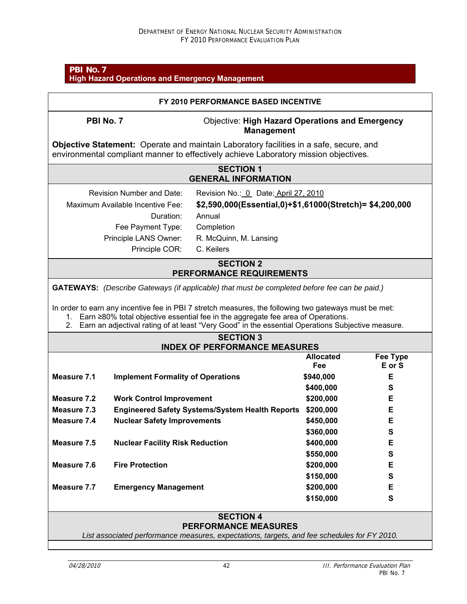# **PBI NO. 7**

**High Hazard Operations and Emergency Management**

# **FY 2010 PERFORMANCE BASED INCENTIVE**

**PBI No. 7** Objective: **High Hazard Operations and Emergency Management** 

**Objective Statement:** Operate and maintain Laboratory facilities in a safe, secure, and environmental compliant manner to effectively achieve Laboratory mission objectives.

| <b>SECTION 1</b>                 |                                                          |  |  |
|----------------------------------|----------------------------------------------------------|--|--|
| <b>GENERAL INFORMATION</b>       |                                                          |  |  |
| Revision Number and Date:        | Revision No.: 0 Date: April 27, 2010                     |  |  |
| Maximum Available Incentive Fee: | \$2,590,000(Essential,0)+\$1,61000(Stretch)= \$4,200,000 |  |  |
| Duration:                        | Annual                                                   |  |  |
| Fee Payment Type:                | Completion                                               |  |  |
| Principle LANS Owner:            | R. McQuinn, M. Lansing                                   |  |  |
| Principle COR:                   | C. Keilers                                               |  |  |
| <b>SECTION 2</b>                 |                                                          |  |  |

# **PERFORMANCE REQUIREMENTS**

**GATEWAYS:** *(Describe Gateways (if applicable) that must be completed before fee can be paid.)* 

In order to earn any incentive fee in PBI 7 stretch measures, the following two gateways must be met:

- 1. Earn ≥80% total objective essential fee in the aggregate fee area of Operations.
- 2. Earn an adjectival rating of at least "Very Good" in the essential Operations Subjective measure.

| <b>SECTION 3</b><br><b>INDEX OF PERFORMANCE MEASURES</b> |                                                        |                                |                    |
|----------------------------------------------------------|--------------------------------------------------------|--------------------------------|--------------------|
|                                                          |                                                        | <b>Allocated</b><br><b>Fee</b> | Fee Type<br>E or S |
| Measure 7.1                                              | <b>Implement Formality of Operations</b>               | \$940,000                      | Е                  |
|                                                          |                                                        | \$400,000                      | S                  |
| Measure 7.2                                              | <b>Work Control Improvement</b>                        | \$200,000                      | Е                  |
| Measure 7.3                                              | <b>Engineered Safety Systems/System Health Reports</b> | \$200,000                      | Е                  |
| Measure 7.4                                              | <b>Nuclear Safety Improvements</b>                     | \$450,000                      | Е                  |
|                                                          |                                                        | \$360,000                      | S                  |
| Measure 7.5                                              | <b>Nuclear Facility Risk Reduction</b>                 | \$400,000                      | Е                  |
|                                                          |                                                        | \$550,000                      | S                  |
| Measure 7.6                                              | <b>Fire Protection</b>                                 | \$200,000                      | Е                  |
|                                                          |                                                        | \$150,000                      | S                  |
| Measure 7.7                                              | <b>Emergency Management</b>                            | \$200,000                      | Е                  |
|                                                          |                                                        | \$150,000                      | S                  |
|                                                          |                                                        |                                |                    |

# **SECTION 4 PERFORMANCE MEASURES**

*List associated performance measures, expectations, targets, and fee schedules for FY 2010.*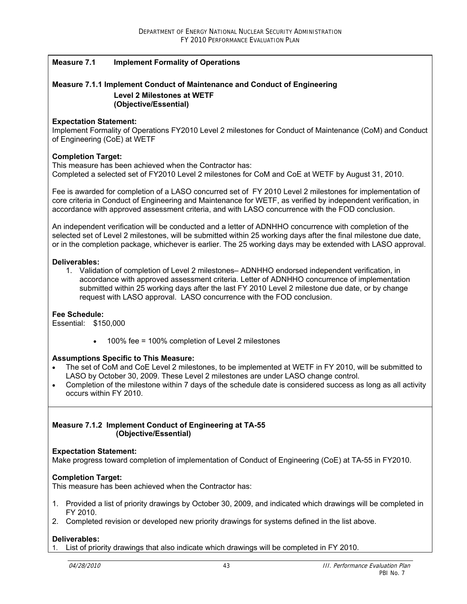# **Measure 7.1 Implement Formality of Operations**

# **Measure 7.1.1 Implement Conduct of Maintenance and Conduct of Engineering Level 2 Milestones at WETF (Objective/Essential)**

#### **Expectation Statement:**

Implement Formality of Operations FY2010 Level 2 milestones for Conduct of Maintenance (CoM) and Conduct of Engineering (CoE) at WETF

#### **Completion Target:**

This measure has been achieved when the Contractor has: Completed a selected set of FY2010 Level 2 milestones for CoM and CoE at WETF by August 31, 2010.

Fee is awarded for completion of a LASO concurred set of FY 2010 Level 2 milestones for implementation of core criteria in Conduct of Engineering and Maintenance for WETF, as verified by independent verification, in accordance with approved assessment criteria, and with LASO concurrence with the FOD conclusion.

An independent verification will be conducted and a letter of ADNHHO concurrence with completion of the selected set of Level 2 milestones, will be submitted within 25 working days after the final milestone due date, or in the completion package, whichever is earlier. The 25 working days may be extended with LASO approval.

#### **Deliverables:**

1. Validation of completion of Level 2 milestones– ADNHHO endorsed independent verification, in accordance with approved assessment criteria. Letter of ADNHHO concurrence of implementation submitted within 25 working days after the last FY 2010 Level 2 milestone due date, or by change request with LASO approval. LASO concurrence with the FOD conclusion.

# **Fee Schedule:**

Essential: \$150,000

• 100% fee = 100% completion of Level 2 milestones

# **Assumptions Specific to This Measure:**

- The set of CoM and CoE Level 2 milestones, to be implemented at WETF in FY 2010, will be submitted to LASO by October 30, 2009. These Level 2 milestones are under LASO change control.
- Completion of the milestone within 7 days of the schedule date is considered success as long as all activity occurs within FY 2010.

#### **Measure 7.1.2 Implement Conduct of Engineering at TA-55 (Objective/Essential)**

#### **Expectation Statement:**

Make progress toward completion of implementation of Conduct of Engineering (CoE) at TA-55 in FY2010.

#### **Completion Target:**

This measure has been achieved when the Contractor has:

- 1. Provided a list of priority drawings by October 30, 2009, and indicated which drawings will be completed in FY 2010.
- 2. Completed revision or developed new priority drawings for systems defined in the list above.

#### **Deliverables:**

1. List of priority drawings that also indicate which drawings will be completed in FY 2010.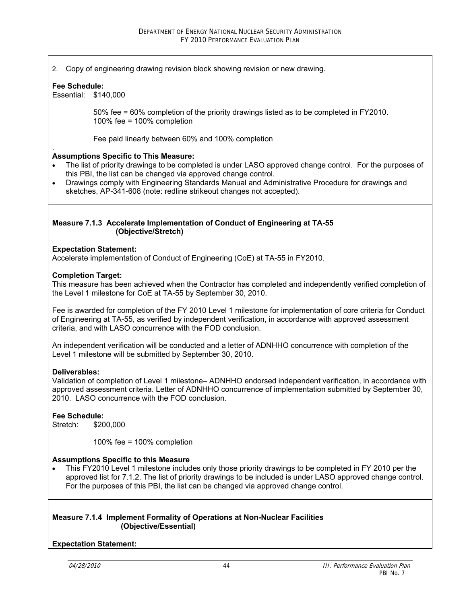2. Copy of engineering drawing revision block showing revision or new drawing.

#### **Fee Schedule:**

Essential: \$140,000

50% fee = 60% completion of the priority drawings listed as to be completed in FY2010. 100% fee = 100% completion

Fee paid linearly between 60% and 100% completion

#### . **Assumptions Specific to This Measure:**

- The list of priority drawings to be completed is under LASO approved change control. For the purposes of this PBI, the list can be changed via approved change control.
- Drawings comply with Engineering Standards Manual and Administrative Procedure for drawings and sketches, AP-341-608 (note: redline strikeout changes not accepted).

#### **Measure 7.1.3 Accelerate Implementation of Conduct of Engineering at TA-55 (Objective/Stretch)**

#### **Expectation Statement:**

Accelerate implementation of Conduct of Engineering (CoE) at TA-55 in FY2010.

#### **Completion Target:**

This measure has been achieved when the Contractor has completed and independently verified completion of the Level 1 milestone for CoE at TA-55 by September 30, 2010.

Fee is awarded for completion of the FY 2010 Level 1 milestone for implementation of core criteria for Conduct of Engineering at TA-55, as verified by independent verification, in accordance with approved assessment criteria, and with LASO concurrence with the FOD conclusion.

An independent verification will be conducted and a letter of ADNHHO concurrence with completion of the Level 1 milestone will be submitted by September 30, 2010.

# **Deliverables:**

Validation of completion of Level 1 milestone– ADNHHO endorsed independent verification, in accordance with approved assessment criteria. Letter of ADNHHO concurrence of implementation submitted by September 30, 2010. LASO concurrence with the FOD conclusion.

# **Fee Schedule:**

Stretch: \$200,000

100% fee = 100% completion

# **Assumptions Specific to this Measure**

• This FY2010 Level 1 milestone includes only those priority drawings to be completed in FY 2010 per the approved list for 7.1.2. The list of priority drawings to be included is under LASO approved change control. For the purposes of this PBI, the list can be changed via approved change control.

#### **Measure 7.1.4 Implement Formality of Operations at Non-Nuclear Facilities (Objective/Essential)**

# **Expectation Statement:**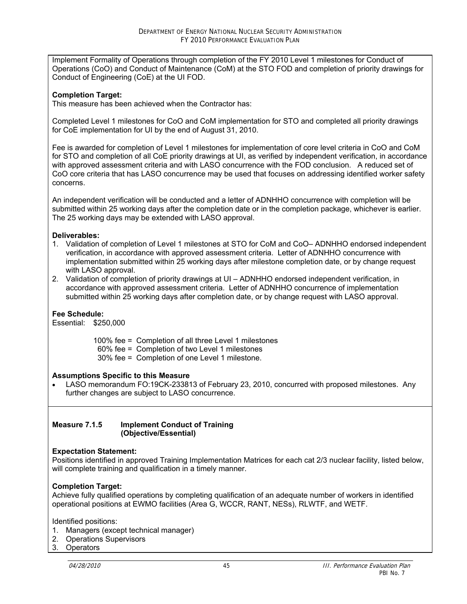Implement Formality of Operations through completion of the FY 2010 Level 1 milestones for Conduct of Operations (CoO) and Conduct of Maintenance (CoM) at the STO FOD and completion of priority drawings for Conduct of Engineering (CoE) at the UI FOD.

# **Completion Target:**

This measure has been achieved when the Contractor has:

Completed Level 1 milestones for CoO and CoM implementation for STO and completed all priority drawings for CoE implementation for UI by the end of August 31, 2010.

Fee is awarded for completion of Level 1 milestones for implementation of core level criteria in CoO and CoM for STO and completion of all CoE priority drawings at UI, as verified by independent verification, in accordance with approved assessment criteria and with LASO concurrence with the FOD conclusion. A reduced set of CoO core criteria that has LASO concurrence may be used that focuses on addressing identified worker safety concerns.

An independent verification will be conducted and a letter of ADNHHO concurrence with completion will be submitted within 25 working days after the completion date or in the completion package, whichever is earlier. The 25 working days may be extended with LASO approval.

# **Deliverables:**

- 1. Validation of completion of Level 1 milestones at STO for CoM and CoO– ADNHHO endorsed independent verification, in accordance with approved assessment criteria. Letter of ADNHHO concurrence with implementation submitted within 25 working days after milestone completion date, or by change request with LASO approval.
- 2. Validation of completion of priority drawings at UI ADNHHO endorsed independent verification, in accordance with approved assessment criteria. Letter of ADNHHO concurrence of implementation submitted within 25 working days after completion date, or by change request with LASO approval.

# **Fee Schedule:**

Essential: \$250,000

100% fee = Completion of all three Level 1 milestones 60% fee = Completion of two Level 1 milestones 30% fee = Completion of one Level 1 milestone.

# **Assumptions Specific to this Measure**

• LASO memorandum FO:19CK-233813 of February 23, 2010, concurred with proposed milestones. Any further changes are subject to LASO concurrence.

# **Measure 7.1.5 Implement Conduct of Training (Objective/Essential)**

# **Expectation Statement:**

Positions identified in approved Training Implementation Matrices for each cat 2/3 nuclear facility, listed below, will complete training and qualification in a timely manner.

# **Completion Target:**

Achieve fully qualified operations by completing qualification of an adequate number of workers in identified operational positions at EWMO facilities (Area G, WCCR, RANT, NESs), RLWTF, and WETF.

Identified positions:

- 1. Managers (except technical manager)
- 2. Operations Supervisors
- 3. Operators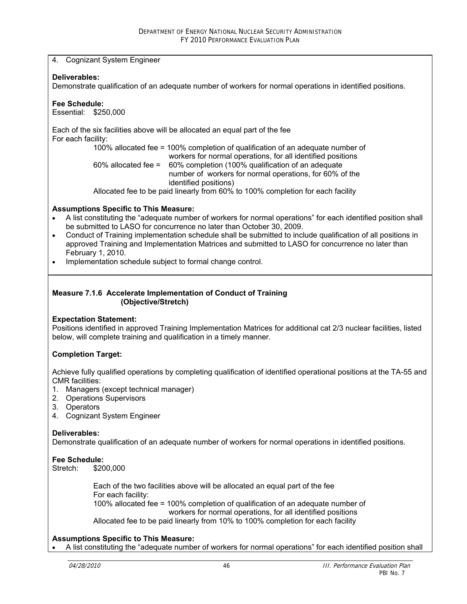# 4. Cognizant System Engineer

### **Deliverables:**

Demonstrate qualification of an adequate number of workers for normal operations in identified positions.

#### **Fee Schedule:**

Essential: \$250,000

Each of the six facilities above will be allocated an equal part of the fee For each facility:

> 100% allocated fee = 100% completion of qualification of an adequate number of workers for normal operations, for all identified positions<br>60% allocated fee = 60% completion (100% qualification of an adequate 60% completion (100% qualification of an adequate number of workers for normal operations, for 60% of the identified positions) Allocated fee to be paid linearly from 60% to 100% completion for each facility

# **Assumptions Specific to This Measure:**

- A list constituting the "adequate number of workers for normal operations" for each identified position shall be submitted to LASO for concurrence no later than October 30, 2009.
- Conduct of Training implementation schedule shall be submitted to include qualification of all positions in approved Training and Implementation Matrices and submitted to LASO for concurrence no later than February 1, 2010.
- Implementation schedule subject to formal change control.

#### **Measure 7.1.6 Accelerate Implementation of Conduct of Training (Objective/Stretch)**

#### **Expectation Statement:**

Positions identified in approved Training Implementation Matrices for additional cat 2/3 nuclear facilities, listed below, will complete training and qualification in a timely manner.

# **Completion Target:**

Achieve fully qualified operations by completing qualification of identified operational positions at the TA-55 and CMR facilities:

- 1. Managers (except technical manager)
- 2. Operations Supervisors
- 3. Operators
- 4. Cognizant System Engineer

#### **Deliverables:**

Demonstrate qualification of an adequate number of workers for normal operations in identified positions.

# **Fee Schedule:**

Stretch: \$200,000

Each of the two facilities above will be allocated an equal part of the fee For each facility: 100% allocated fee = 100% completion of qualification of an adequate number of workers for normal operations, for all identified positions Allocated fee to be paid linearly from 10% to 100% completion for each facility

# **Assumptions Specific to This Measure:**

• A list constituting the "adequate number of workers for normal operations" for each identified position shall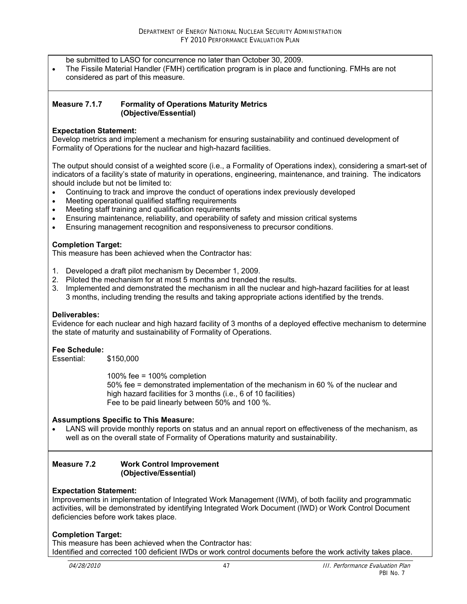be submitted to LASO for concurrence no later than October 30, 2009.

• The Fissile Material Handler (FMH) certification program is in place and functioning. FMHs are not considered as part of this measure.

# **Measure 7.1.7 Formality of Operations Maturity Metrics (Objective/Essential)**

# **Expectation Statement:**

Develop metrics and implement a mechanism for ensuring sustainability and continued development of Formality of Operations for the nuclear and high-hazard facilities.

The output should consist of a weighted score (i.e., a Formality of Operations index), considering a smart-set of indicators of a facility's state of maturity in operations, engineering, maintenance, and training. The indicators should include but not be limited to:

- Continuing to track and improve the conduct of operations index previously developed
- Meeting operational qualified staffing requirements
- Meeting staff training and qualification requirements
- Ensuring maintenance, reliability, and operability of safety and mission critical systems
- Ensuring management recognition and responsiveness to precursor conditions.

# **Completion Target:**

This measure has been achieved when the Contractor has:

- 1. Developed a draft pilot mechanism by December 1, 2009.
- 2. Piloted the mechanism for at most 5 months and trended the results.
- 3. Implemented and demonstrated the mechanism in all the nuclear and high-hazard facilities for at least 3 months, including trending the results and taking appropriate actions identified by the trends.

# **Deliverables:**

Evidence for each nuclear and high hazard facility of 3 months of a deployed effective mechanism to determine the state of maturity and sustainability of Formality of Operations.

# **Fee Schedule:**

Essential: \$150,000

 100% fee = 100% completion 50% fee = demonstrated implementation of the mechanism in 60 % of the nuclear and

high hazard facilities for 3 months (i.e., 6 of 10 facilities) Fee to be paid linearly between 50% and 100 %.

# **Assumptions Specific to This Measure:**

LANS will provide monthly reports on status and an annual report on effectiveness of the mechanism, as well as on the overall state of Formality of Operations maturity and sustainability.

#### **Measure 7.2 Work Control Improvement (Objective/Essential)**

# **Expectation Statement:**

Improvements in implementation of Integrated Work Management (IWM), of both facility and programmatic activities, will be demonstrated by identifying Integrated Work Document (IWD) or Work Control Document deficiencies before work takes place.

# **Completion Target:**

This measure has been achieved when the Contractor has: Identified and corrected 100 deficient IWDs or work control documents before the work activity takes place.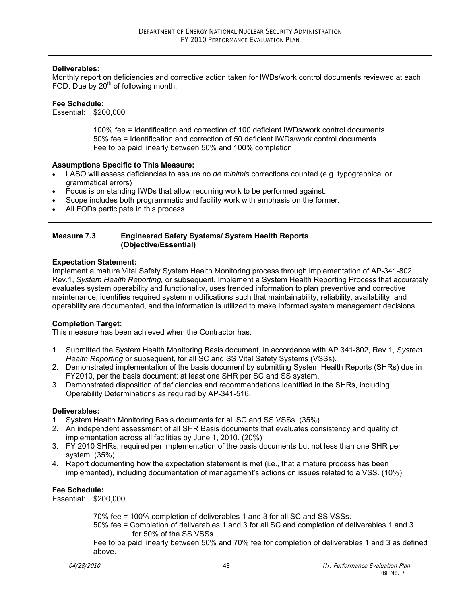# **Deliverables:**

Monthly report on deficiencies and corrective action taken for IWDs/work control documents reviewed at each FOD. Due by  $20<sup>th</sup>$  of following month.

# **Fee Schedule:**

Essential: \$200,000

100% fee = Identification and correction of 100 deficient IWDs/work control documents. 50% fee = Identification and correction of 50 deficient IWDs/work control documents. Fee to be paid linearly between 50% and 100% completion.

# **Assumptions Specific to This Measure:**

- LASO will assess deficiencies to assure no *de minimis* corrections counted (e.g. typographical or grammatical errors)
- Focus is on standing IWDs that allow recurring work to be performed against.
- Scope includes both programmatic and facility work with emphasis on the former.
- All FODs participate in this process.

### **Measure 7.3 Engineered Safety Systems/ System Health Reports (Objective/Essential)**

# **Expectation Statement:**

Implement a mature Vital Safety System Health Monitoring process through implementation of AP-341-802, Rev.1, *System Health Reporting,* or subsequent. Implement a System Health Reporting Process that accurately evaluates system operability and functionality, uses trended information to plan preventive and corrective maintenance, identifies required system modifications such that maintainability, reliability, availability, and operability are documented, and the information is utilized to make informed system management decisions.

# **Completion Target:**

This measure has been achieved when the Contractor has:

- 1. Submitted the System Health Monitoring Basis document, in accordance with AP 341-802, Rev 1, *System Health Reporting* or subsequent, for all SC and SS Vital Safety Systems (VSSs).
- 2. Demonstrated implementation of the basis document by submitting System Health Reports (SHRs) due in FY2010, per the basis document; at least one SHR per SC and SS system.
- 3. Demonstrated disposition of deficiencies and recommendations identified in the SHRs, including Operability Determinations as required by AP-341-516.

# **Deliverables:**

- 1. System Health Monitoring Basis documents for all SC and SS VSSs. (35%)
- 2. An independent assessment of all SHR Basis documents that evaluates consistency and quality of implementation across all facilities by June 1, 2010. (20%)
- 3. FY 2010 SHRs, required per implementation of the basis documents but not less than one SHR per system. (35%)
- 4. Report documenting how the expectation statement is met (i.e., that a mature process has been implemented), including documentation of management's actions on issues related to a VSS. (10%)

# **Fee Schedule:**

Essential: \$200,000

70% fee = 100% completion of deliverables 1 and 3 for all SC and SS VSSs.

50% fee = Completion of deliverables 1 and 3 for all SC and completion of deliverables 1 and 3 for 50% of the SS VSSs.

Fee to be paid linearly between 50% and 70% fee for completion of deliverables 1 and 3 as defined above.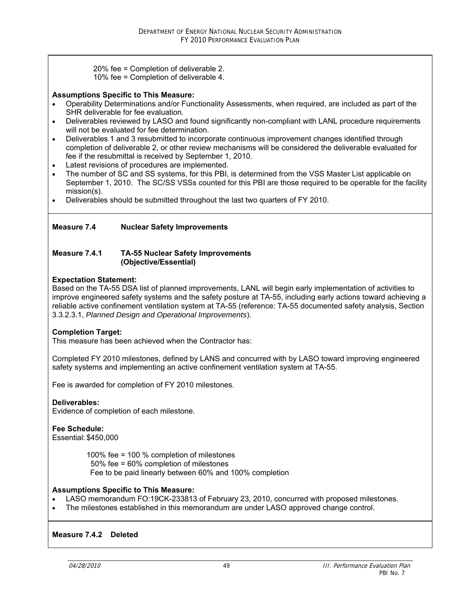20% fee = Completion of deliverable 2. 10% fee = Completion of deliverable 4.

#### **Assumptions Specific to This Measure:**

- Operability Determinations and/or Functionality Assessments, when required, are included as part of the SHR deliverable for fee evaluation.
- Deliverables reviewed by LASO and found significantly non-compliant with LANL procedure requirements will not be evaluated for fee determination.
- Deliverables 1 and 3 resubmitted to incorporate continuous improvement changes identified through completion of deliverable 2, or other review mechanisms will be considered the deliverable evaluated for fee if the resubmittal is received by September 1, 2010.
- Latest revisions of procedures are implemented.
- The number of SC and SS systems, for this PBI, is determined from the VSS Master List applicable on September 1, 2010. The SC/SS VSSs counted for this PBI are those required to be operable for the facility mission(s).
- Deliverables should be submitted throughout the last two quarters of FY 2010.

#### **Measure 7.4 Nuclear Safety Improvements**

#### **Measure 7.4.1 TA-55 Nuclear Safety Improvements (Objective/Essential)**

#### **Expectation Statement:**

Based on the TA-55 DSA list of planned improvements, LANL will begin early implementation of activities to improve engineered safety systems and the safety posture at TA-55, including early actions toward achieving a reliable active confinement ventilation system at TA-55 (reference: TA-55 documented safety analysis, Section 3.3.2.3.1, *Planned Design and Operational Improvements*).

# **Completion Target:**

This measure has been achieved when the Contractor has:

Completed FY 2010 milestones, defined by LANS and concurred with by LASO toward improving engineered safety systems and implementing an active confinement ventilation system at TA-55.

Fee is awarded for completion of FY 2010 milestones.

# **Deliverables:**

Evidence of completion of each milestone.

# **Fee Schedule:**

Essential: \$450,000

 100% fee = 100 % completion of milestones 50% fee = 60% completion of milestones Fee to be paid linearly between 60% and 100% completion

#### **Assumptions Specific to This Measure:**

• LASO memorandum FO:19CK-233813 of February 23, 2010, concurred with proposed milestones.

• The milestones established in this memorandum are under LASO approved change control.

# **Measure 7.4.2 Deleted**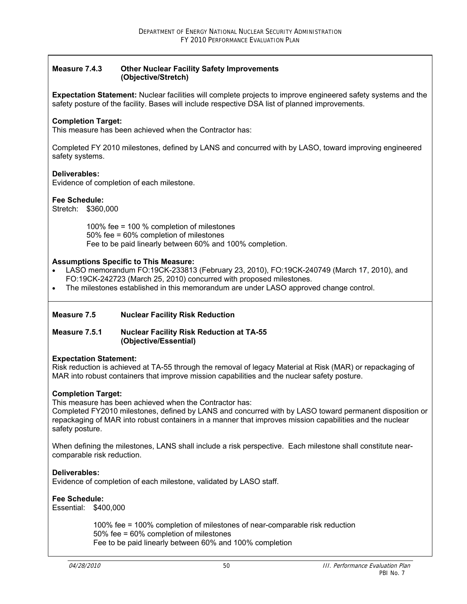# **Measure 7.4.3 Other Nuclear Facility Safety Improvements (Objective/Stretch)**

**Expectation Statement:** Nuclear facilities will complete projects to improve engineered safety systems and the safety posture of the facility. Bases will include respective DSA list of planned improvements.

### **Completion Target:**

This measure has been achieved when the Contractor has:

Completed FY 2010 milestones, defined by LANS and concurred with by LASO, toward improving engineered safety systems.

#### **Deliverables:**

Evidence of completion of each milestone.

#### **Fee Schedule:**

Stretch: \$360,000

 100% fee = 100 % completion of milestones 50% fee = 60% completion of milestones Fee to be paid linearly between 60% and 100% completion.

#### **Assumptions Specific to This Measure:**

- LASO memorandum FO:19CK-233813 (February 23, 2010), FO:19CK-240749 (March 17, 2010), and FO:19CK-242723 (March 25, 2010) concurred with proposed milestones.
- The milestones established in this memorandum are under LASO approved change control.

# **Measure 7.5 Nuclear Facility Risk Reduction**

#### **Measure 7.5.1 Nuclear Facility Risk Reduction at TA-55 (Objective/Essential)**

#### **Expectation Statement:**

Risk reduction is achieved at TA-55 through the removal of legacy Material at Risk (MAR) or repackaging of MAR into robust containers that improve mission capabilities and the nuclear safety posture.

#### **Completion Target:**

This measure has been achieved when the Contractor has: Completed FY2010 milestones, defined by LANS and concurred with by LASO toward permanent disposition or repackaging of MAR into robust containers in a manner that improves mission capabilities and the nuclear safety posture.

When defining the milestones, LANS shall include a risk perspective. Each milestone shall constitute nearcomparable risk reduction.

#### **Deliverables:**

Evidence of completion of each milestone, validated by LASO staff.

# **Fee Schedule:**

Essential: \$400,000

100% fee = 100% completion of milestones of near-comparable risk reduction 50% fee = 60% completion of milestones Fee to be paid linearly between 60% and 100% completion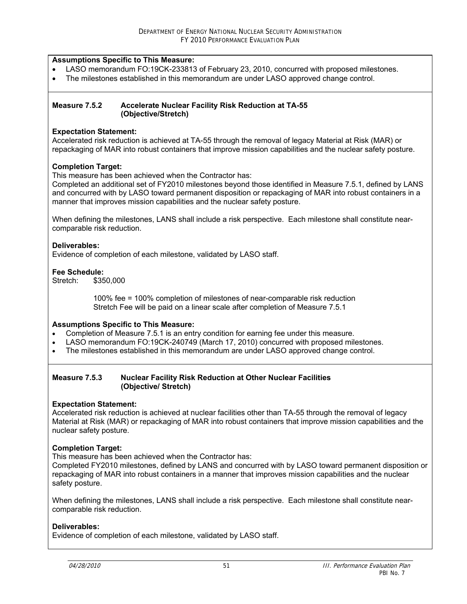# **Assumptions Specific to This Measure:**

- LASO memorandum FO:19CK-233813 of February 23, 2010, concurred with proposed milestones.
- The milestones established in this memorandum are under LASO approved change control.

#### **Measure 7.5.2 Accelerate Nuclear Facility Risk Reduction at TA-55 (Objective/Stretch)**

#### **Expectation Statement:**

Accelerated risk reduction is achieved at TA-55 through the removal of legacy Material at Risk (MAR) or repackaging of MAR into robust containers that improve mission capabilities and the nuclear safety posture.

#### **Completion Target:**

This measure has been achieved when the Contractor has:

Completed an additional set of FY2010 milestones beyond those identified in Measure 7.5.1, defined by LANS and concurred with by LASO toward permanent disposition or repackaging of MAR into robust containers in a manner that improves mission capabilities and the nuclear safety posture.

When defining the milestones, LANS shall include a risk perspective. Each milestone shall constitute nearcomparable risk reduction.

#### **Deliverables:**

Evidence of completion of each milestone, validated by LASO staff.

#### **Fee Schedule:**

Stretch: \$350,000

100% fee = 100% completion of milestones of near-comparable risk reduction Stretch Fee will be paid on a linear scale after completion of Measure 7.5.1

#### **Assumptions Specific to This Measure:**

- Completion of Measure 7.5.1 is an entry condition for earning fee under this measure.
- LASO memorandum FO:19CK-240749 (March 17, 2010) concurred with proposed milestones.
- The milestones established in this memorandum are under LASO approved change control.

# **Measure 7.5.3 Nuclear Facility Risk Reduction at Other Nuclear Facilities (Objective/ Stretch)**

# **Expectation Statement:**

Accelerated risk reduction is achieved at nuclear facilities other than TA-55 through the removal of legacy Material at Risk (MAR) or repackaging of MAR into robust containers that improve mission capabilities and the nuclear safety posture.

# **Completion Target:**

This measure has been achieved when the Contractor has:

Completed FY2010 milestones, defined by LANS and concurred with by LASO toward permanent disposition or repackaging of MAR into robust containers in a manner that improves mission capabilities and the nuclear safety posture.

When defining the milestones, LANS shall include a risk perspective. Each milestone shall constitute nearcomparable risk reduction.

#### **Deliverables:**

Evidence of completion of each milestone, validated by LASO staff.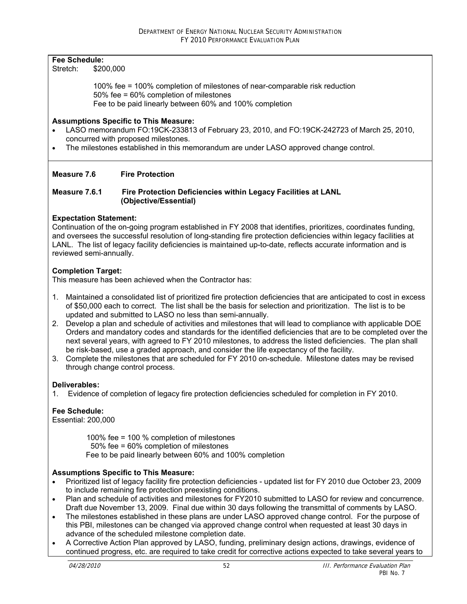# **Fee Schedule:**

Stretch: \$200,000

100% fee = 100% completion of milestones of near-comparable risk reduction 50% fee = 60% completion of milestones Fee to be paid linearly between 60% and 100% completion

# **Assumptions Specific to This Measure:**

- LASO memorandum FO:19CK-233813 of February 23, 2010, and FO:19CK-242723 of March 25, 2010, concurred with proposed milestones.
- The milestones established in this memorandum are under LASO approved change control.

# **Measure 7.6 Fire Protection**

# **Measure 7.6.1 Fire Protection Deficiencies within Legacy Facilities at LANL (Objective/Essential)**

# **Expectation Statement:**

Continuation of the on-going program established in FY 2008 that identifies, prioritizes, coordinates funding, and oversees the successful resolution of long-standing fire protection deficiencies within legacy facilities at LANL. The list of legacy facility deficiencies is maintained up-to-date, reflects accurate information and is reviewed semi-annually.

#### **Completion Target:**

This measure has been achieved when the Contractor has:

- 1. Maintained a consolidated list of prioritized fire protection deficiencies that are anticipated to cost in excess of \$50,000 each to correct. The list shall be the basis for selection and prioritization. The list is to be updated and submitted to LASO no less than semi-annually.
- 2. Develop a plan and schedule of activities and milestones that will lead to compliance with applicable DOE Orders and mandatory codes and standards for the identified deficiencies that are to be completed over the next several years, with agreed to FY 2010 milestones, to address the listed deficiencies. The plan shall be risk-based, use a graded approach, and consider the life expectancy of the facility.
- 3. Complete the milestones that are scheduled for FY 2010 on-schedule. Milestone dates may be revised through change control process.

# **Deliverables:**

1. Evidence of completion of legacy fire protection deficiencies scheduled for completion in FY 2010.

# **Fee Schedule:**

Essential: 200,000

 100% fee = 100 % completion of milestones 50% fee = 60% completion of milestones Fee to be paid linearly between 60% and 100% completion

# **Assumptions Specific to This Measure:**

- Prioritized list of legacy facility fire protection deficiencies updated list for FY 2010 due October 23, 2009 to include remaining fire protection preexisting conditions.
- Plan and schedule of activities and milestones for FY2010 submitted to LASO for review and concurrence. Draft due November 13, 2009. Final due within 30 days following the transmittal of comments by LASO.
- The milestones established in these plans are under LASO approved change control. For the purpose of this PBI, milestones can be changed via approved change control when requested at least 30 days in advance of the scheduled milestone completion date.
- A Corrective Action Plan approved by LASO, funding, preliminary design actions, drawings, evidence of continued progress, etc. are required to take credit for corrective actions expected to take several years to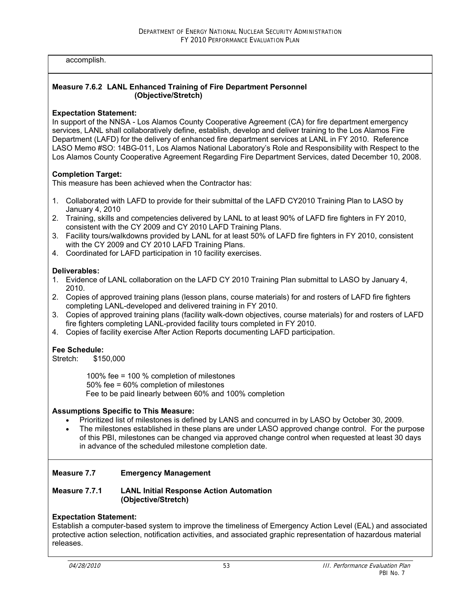accomplish.

### **Measure 7.6.2 LANL Enhanced Training of Fire Department Personnel (Objective/Stretch)**

### **Expectation Statement:**

In support of the NNSA - Los Alamos County Cooperative Agreement (CA) for fire department emergency services, LANL shall collaboratively define, establish, develop and deliver training to the Los Alamos Fire Department (LAFD) for the delivery of enhanced fire department services at LANL in FY 2010. Reference LASO Memo #SO: 14BG-011, Los Alamos National Laboratory's Role and Responsibility with Respect to the Los Alamos County Cooperative Agreement Regarding Fire Department Services, dated December 10, 2008.

# **Completion Target:**

This measure has been achieved when the Contractor has:

- 1. Collaborated with LAFD to provide for their submittal of the LAFD CY2010 Training Plan to LASO by January 4, 2010
- 2. Training, skills and competencies delivered by LANL to at least 90% of LAFD fire fighters in FY 2010, consistent with the CY 2009 and CY 2010 LAFD Training Plans.
- 3. Facility tours/walkdowns provided by LANL for at least 50% of LAFD fire fighters in FY 2010, consistent with the CY 2009 and CY 2010 LAFD Training Plans.
- 4. Coordinated for LAFD participation in 10 facility exercises.

# **Deliverables:**

- 1. Evidence of LANL collaboration on the LAFD CY 2010 Training Plan submittal to LASO by January 4, 2010.
- 2. Copies of approved training plans (lesson plans, course materials) for and rosters of LAFD fire fighters completing LANL-developed and delivered training in FY 2010.
- 3. Copies of approved training plans (facility walk-down objectives, course materials) for and rosters of LAFD fire fighters completing LANL-provided facility tours completed in FY 2010.
- 4. Copies of facility exercise After Action Reports documenting LAFD participation.

# **Fee Schedule:**

Stretch: \$150,000

 100% fee = 100 % completion of milestones 50% fee = 60% completion of milestones Fee to be paid linearly between 60% and 100% completion

# **Assumptions Specific to This Measure:**

- Prioritized list of milestones is defined by LANS and concurred in by LASO by October 30, 2009.
- The milestones established in these plans are under LASO approved change control. For the purpose of this PBI, milestones can be changed via approved change control when requested at least 30 days in advance of the scheduled milestone completion date.

# **Measure 7.7 Emergency Management**

### **Measure 7.7.1 LANL Initial Response Action Automation (Objective/Stretch)**

# **Expectation Statement:**

Establish a computer-based system to improve the timeliness of Emergency Action Level (EAL) and associated protective action selection, notification activities, and associated graphic representation of hazardous material releases.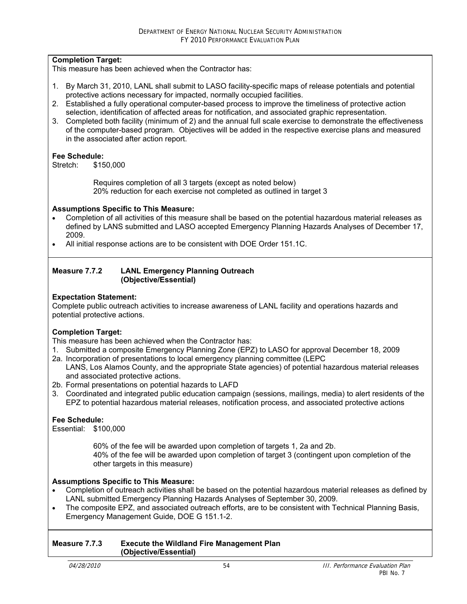### **Completion Target:**

This measure has been achieved when the Contractor has:

- 1. By March 31, 2010, LANL shall submit to LASO facility-specific maps of release potentials and potential protective actions necessary for impacted, normally occupied facilities.
- 2. Established a fully operational computer-based process to improve the timeliness of protective action selection, identification of affected areas for notification, and associated graphic representation.
- 3. Completed both facility (minimum of 2) and the annual full scale exercise to demonstrate the effectiveness of the computer-based program. Objectives will be added in the respective exercise plans and measured in the associated after action report.

#### **Fee Schedule:**

Stretch: \$150,000

Requires completion of all 3 targets (except as noted below) 20% reduction for each exercise not completed as outlined in target 3

#### **Assumptions Specific to This Measure:**

- Completion of all activities of this measure shall be based on the potential hazardous material releases as defined by LANS submitted and LASO accepted Emergency Planning Hazards Analyses of December 17, 2009.
- All initial response actions are to be consistent with DOE Order 151.1C.

# **Measure 7.7.2 LANL Emergency Planning Outreach (Objective/Essential)**

#### **Expectation Statement:**

Complete public outreach activities to increase awareness of LANL facility and operations hazards and potential protective actions.

# **Completion Target:**

This measure has been achieved when the Contractor has:

- 1. Submitted a composite Emergency Planning Zone (EPZ) to LASO for approval December 18, 2009
- 2a. Incorporation of presentations to local emergency planning committee (LEPC LANS, Los Alamos County, and the appropriate State agencies) of potential hazardous material releases and associated protective actions.
- 2b. Formal presentations on potential hazards to LAFD
- 3. Coordinated and integrated public education campaign (sessions, mailings, media) to alert residents of the EPZ to potential hazardous material releases, notification process, and associated protective actions

#### **Fee Schedule:**

Essential: \$100,000

60% of the fee will be awarded upon completion of targets 1, 2a and 2b. 40% of the fee will be awarded upon completion of target 3 (contingent upon completion of the other targets in this measure)

# **Assumptions Specific to This Measure:**

- Completion of outreach activities shall be based on the potential hazardous material releases as defined by LANL submitted Emergency Planning Hazards Analyses of September 30, 2009.
- The composite EPZ, and associated outreach efforts, are to be consistent with Technical Planning Basis, Emergency Management Guide, DOE G 151.1-2.

| Measure 7.7.3 | <b>Execute the Wildland Fire Management Plan</b> |
|---------------|--------------------------------------------------|
|               | (Objective/Essential)                            |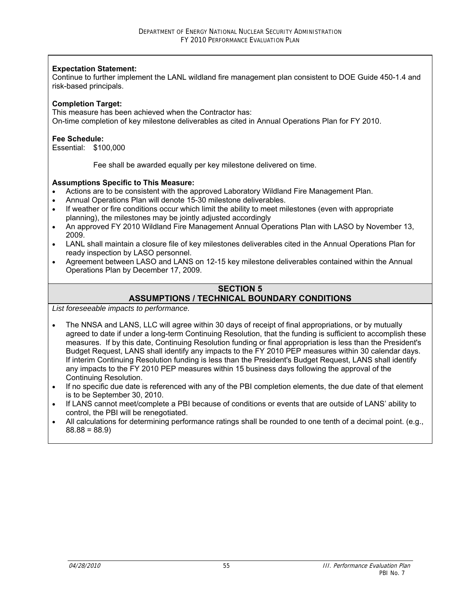# **Expectation Statement:**

Continue to further implement the LANL wildland fire management plan consistent to DOE Guide 450-1.4 and risk-based principals.

# **Completion Target:**

This measure has been achieved when the Contractor has: On-time completion of key milestone deliverables as cited in Annual Operations Plan for FY 2010.

# **Fee Schedule:**

Essential: \$100,000

Fee shall be awarded equally per key milestone delivered on time.

# **Assumptions Specific to This Measure:**

- Actions are to be consistent with the approved Laboratory Wildland Fire Management Plan.
- Annual Operations Plan will denote 15-30 milestone deliverables.
- If weather or fire conditions occur which limit the ability to meet milestones (even with appropriate planning), the milestones may be jointly adjusted accordingly
- An approved FY 2010 Wildland Fire Management Annual Operations Plan with LASO by November 13, 2009.
- LANL shall maintain a closure file of key milestones deliverables cited in the Annual Operations Plan for ready inspection by LASO personnel.
- Agreement between LASO and LANS on 12-15 key milestone deliverables contained within the Annual Operations Plan by December 17, 2009.

# **SECTION 5 ASSUMPTIONS / TECHNICAL BOUNDARY CONDITIONS**

*List foreseeable impacts to performance.*

- The NNSA and LANS, LLC will agree within 30 days of receipt of final appropriations, or by mutually agreed to date if under a long-term Continuing Resolution, that the funding is sufficient to accomplish these measures. If by this date, Continuing Resolution funding or final appropriation is less than the President's Budget Request, LANS shall identify any impacts to the FY 2010 PEP measures within 30 calendar days. If interim Continuing Resolution funding is less than the President's Budget Request, LANS shall identify any impacts to the FY 2010 PEP measures within 15 business days following the approval of the Continuing Resolution.
- If no specific due date is referenced with any of the PBI completion elements, the due date of that element is to be September 30, 2010.
- If LANS cannot meet/complete a PBI because of conditions or events that are outside of LANS' ability to control, the PBI will be renegotiated.
- All calculations for determining performance ratings shall be rounded to one tenth of a decimal point. (e.g.,  $88.88 = 88.9$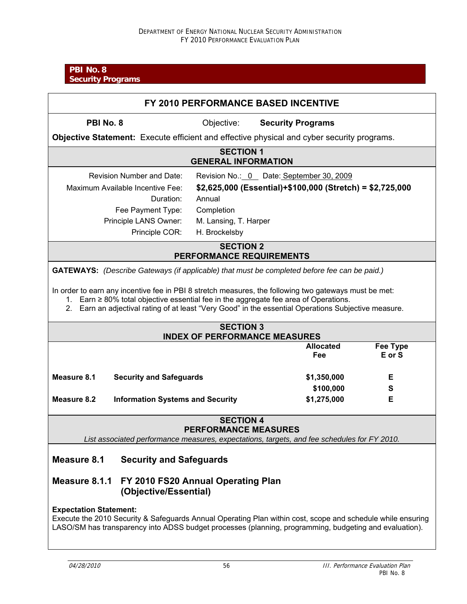# **PBI NO. 8 Security Programs**

| FY 2010 PERFORMANCE BASED INCENTIVE                                                                                                                                                                          |                                                          |                                                           |                    |  |
|--------------------------------------------------------------------------------------------------------------------------------------------------------------------------------------------------------------|----------------------------------------------------------|-----------------------------------------------------------|--------------------|--|
| PBI No. 8                                                                                                                                                                                                    | Objective:                                               | <b>Security Programs</b>                                  |                    |  |
| Objective Statement: Execute efficient and effective physical and cyber security programs.                                                                                                                   |                                                          |                                                           |                    |  |
|                                                                                                                                                                                                              | <b>SECTION 1</b><br><b>GENERAL INFORMATION</b>           |                                                           |                    |  |
| Revision Number and Date:                                                                                                                                                                                    | Revision No.: 0 Date: September 30, 2009                 |                                                           |                    |  |
| Maximum Available Incentive Fee:<br>Duration:                                                                                                                                                                | Annual                                                   | \$2,625,000 (Essential)+\$100,000 (Stretch) = \$2,725,000 |                    |  |
| Fee Payment Type:                                                                                                                                                                                            | Completion                                               |                                                           |                    |  |
| Principle LANS Owner:                                                                                                                                                                                        | M. Lansing, T. Harper                                    |                                                           |                    |  |
| Principle COR:                                                                                                                                                                                               | H. Brockelsby                                            |                                                           |                    |  |
|                                                                                                                                                                                                              | <b>SECTION 2</b><br><b>PERFORMANCE REQUIREMENTS</b>      |                                                           |                    |  |
| <b>GATEWAYS:</b> (Describe Gateways (if applicable) that must be completed before fee can be paid.)<br>In order to earn any incentive fee in PBI 8 stretch measures, the following two gateways must be met: |                                                          |                                                           |                    |  |
| 1. Earn ≥ 80% total objective essential fee in the aggregate fee area of Operations.<br>2. Earn an adjectival rating of at least "Very Good" in the essential Operations Subjective measure.                 |                                                          |                                                           |                    |  |
|                                                                                                                                                                                                              | <b>SECTION 3</b><br><b>INDEX OF PERFORMANCE MEASURES</b> |                                                           |                    |  |
|                                                                                                                                                                                                              |                                                          | <b>Allocated</b><br>Fee                                   | Fee Type<br>E or S |  |
| Measure 8.1<br><b>Security and Safeguards</b>                                                                                                                                                                |                                                          | \$1,350,000                                               | Е                  |  |
|                                                                                                                                                                                                              |                                                          | \$100,000                                                 | s                  |  |
| Measure 8.2<br><b>Information Systems and Security</b>                                                                                                                                                       |                                                          | \$1,275,000                                               | Е                  |  |
| <b>SECTION 4</b><br><b>PERFORMANCE MEASURES</b><br>List associated performance measures, expectations, targets, and fee schedules for FY 2010.                                                               |                                                          |                                                           |                    |  |
| Measure 8.1<br><b>Security and Safeguards</b>                                                                                                                                                                |                                                          |                                                           |                    |  |

# **Measure 8.1.1 FY 2010 FS20 Annual Operating Plan (Objective/Essential)**

# **Expectation Statement:**

Execute the 2010 Security & Safeguards Annual Operating Plan within cost, scope and schedule while ensuring LASO/SM has transparency into ADSS budget processes (planning, programming, budgeting and evaluation).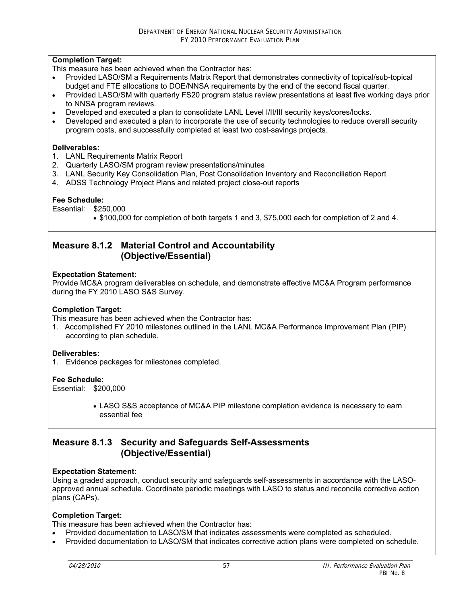# **Completion Target:**

This measure has been achieved when the Contractor has:

- Provided LASO/SM a Requirements Matrix Report that demonstrates connectivity of topical/sub-topical budget and FTE allocations to DOE/NNSA requirements by the end of the second fiscal quarter.
- Provided LASO/SM with quarterly FS20 program status review presentations at least five working days prior to NNSA program reviews.
- Developed and executed a plan to consolidate LANL Level I/II/III security keys/cores/locks.
- Developed and executed a plan to incorporate the use of security technologies to reduce overall security program costs, and successfully completed at least two cost-savings projects.

# **Deliverables:**

- 1. LANL Requirements Matrix Report
- 2. Quarterly LASO/SM program review presentations/minutes
- 3. LANL Security Key Consolidation Plan, Post Consolidation Inventory and Reconciliation Report
- 4. ADSS Technology Project Plans and related project close-out reports

# **Fee Schedule:**

Essential: \$250,000

• \$100,000 for completion of both targets 1 and 3, \$75,000 each for completion of 2 and 4.

# **Measure 8.1.2 Material Control and Accountability (Objective/Essential)**

# **Expectation Statement:**

Provide MC&A program deliverables on schedule, and demonstrate effective MC&A Program performance during the FY 2010 LASO S&S Survey.

# **Completion Target:**

This measure has been achieved when the Contractor has:

1. Accomplished FY 2010 milestones outlined in the LANL MC&A Performance Improvement Plan (PIP) according to plan schedule.

# **Deliverables:**

1. Evidence packages for milestones completed.

# **Fee Schedule:**

Essential: \$200,000

• LASO S&S acceptance of MC&A PIP milestone completion evidence is necessary to earn essential fee

# **Measure 8.1.3 Security and Safeguards Self-Assessments (Objective/Essential)**

# **Expectation Statement:**

Using a graded approach, conduct security and safeguards self-assessments in accordance with the LASOapproved annual schedule. Coordinate periodic meetings with LASO to status and reconcile corrective action plans (CAPs).

# **Completion Target:**

This measure has been achieved when the Contractor has:

- Provided documentation to LASO/SM that indicates assessments were completed as scheduled.
- Provided documentation to LASO/SM that indicates corrective action plans were completed on schedule.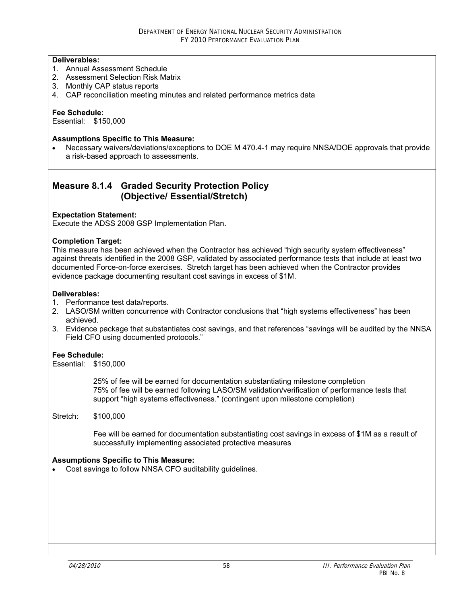# **Deliverables:**

- 1. Annual Assessment Schedule
- 2. Assessment Selection Risk Matrix
- 3. Monthly CAP status reports
- 4. CAP reconciliation meeting minutes and related performance metrics data

### **Fee Schedule:**

Essential: \$150,000

#### **Assumptions Specific to This Measure:**

• Necessary waivers/deviations/exceptions to DOE M 470.4-1 may require NNSA/DOE approvals that provide a risk-based approach to assessments.

# **Measure 8.1.4 Graded Security Protection Policy (Objective/ Essential/Stretch)**

#### **Expectation Statement:**

Execute the ADSS 2008 GSP Implementation Plan.

#### **Completion Target:**

This measure has been achieved when the Contractor has achieved "high security system effectiveness" against threats identified in the 2008 GSP, validated by associated performance tests that include at least two documented Force-on-force exercises. Stretch target has been achieved when the Contractor provides evidence package documenting resultant cost savings in excess of \$1M.

#### **Deliverables:**

- 1. Performance test data/reports.
- 2. LASO/SM written concurrence with Contractor conclusions that "high systems effectiveness" has been achieved.
- 3. Evidence package that substantiates cost savings, and that references "savings will be audited by the NNSA Field CFO using documented protocols."

#### **Fee Schedule:**

Essential: \$150,000

25% of fee will be earned for documentation substantiating milestone completion 75% of fee will be earned following LASO/SM validation/verification of performance tests that support "high systems effectiveness." (contingent upon milestone completion)

#### Stretch: \$100,000

Fee will be earned for documentation substantiating cost savings in excess of \$1M as a result of successfully implementing associated protective measures

#### **Assumptions Specific to This Measure:**

Cost savings to follow NNSA CFO auditability guidelines.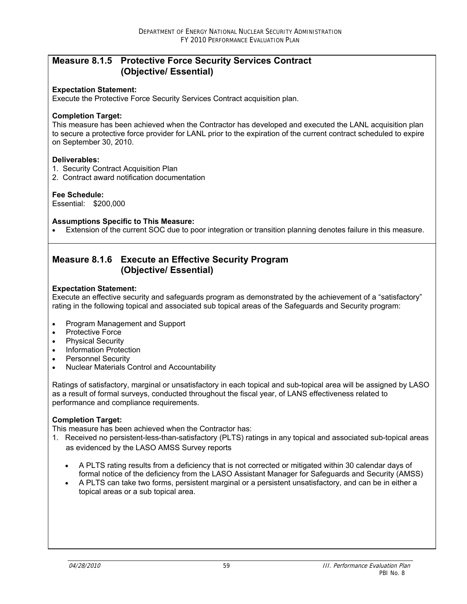# **Measure 8.1.5 Protective Force Security Services Contract (Objective/ Essential)**

# **Expectation Statement:**

Execute the Protective Force Security Services Contract acquisition plan.

### **Completion Target:**

This measure has been achieved when the Contractor has developed and executed the LANL acquisition plan to secure a protective force provider for LANL prior to the expiration of the current contract scheduled to expire on September 30, 2010.

# **Deliverables:**

- 1. Security Contract Acquisition Plan
- 2. Contract award notification documentation

# **Fee Schedule:**

Essential: \$200,000

#### **Assumptions Specific to This Measure:**

Extension of the current SOC due to poor integration or transition planning denotes failure in this measure.

# **Measure 8.1.6 Execute an Effective Security Program (Objective/ Essential)**

#### **Expectation Statement:**

Execute an effective security and safeguards program as demonstrated by the achievement of a "satisfactory" rating in the following topical and associated sub topical areas of the Safeguards and Security program:

- Program Management and Support
- Protective Force
- Physical Security
- Information Protection
- Personnel Security
- Nuclear Materials Control and Accountability

Ratings of satisfactory, marginal or unsatisfactory in each topical and sub-topical area will be assigned by LASO as a result of formal surveys, conducted throughout the fiscal year, of LANS effectiveness related to performance and compliance requirements.

# **Completion Target:**

This measure has been achieved when the Contractor has:

- 1. Received no persistent-less-than-satisfactory (PLTS) ratings in any topical and associated sub-topical areas as evidenced by the LASO AMSS Survey reports
	- A PLTS rating results from a deficiency that is not corrected or mitigated within 30 calendar days of formal notice of the deficiency from the LASO Assistant Manager for Safeguards and Security (AMSS)
	- A PLTS can take two forms, persistent marginal or a persistent unsatisfactory, and can be in either a topical areas or a sub topical area.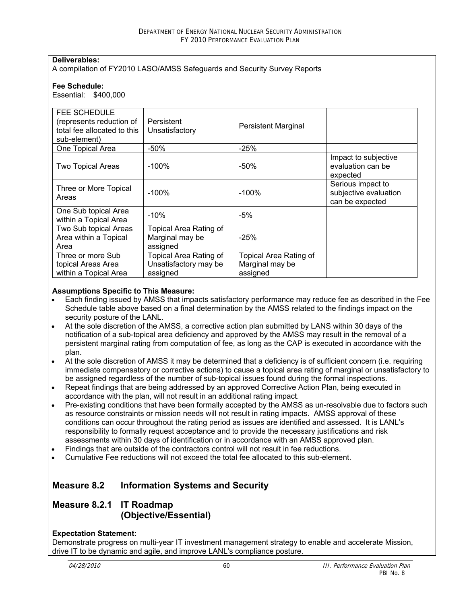# **Deliverables:**

# A compilation of FY2010 LASO/AMSS Safeguards and Security Survey Reports

### **Fee Schedule:**

Essential: \$400,000

| FEE SCHEDULE<br>(represents reduction of<br>total fee allocated to this<br>sub-element) | Persistent<br>Unsatisfactory                                       | <b>Persistent Marginal</b>                                   |                                                               |
|-----------------------------------------------------------------------------------------|--------------------------------------------------------------------|--------------------------------------------------------------|---------------------------------------------------------------|
| One Topical Area                                                                        | -50%                                                               | $-25%$                                                       |                                                               |
| <b>Two Topical Areas</b>                                                                | $-100\%$                                                           | $-50%$                                                       | Impact to subjective<br>evaluation can be<br>expected         |
| Three or More Topical<br>Areas                                                          | $-100%$                                                            | $-100%$                                                      | Serious impact to<br>subjective evaluation<br>can be expected |
| One Sub topical Area<br>within a Topical Area                                           | $-10%$                                                             | $-5%$                                                        |                                                               |
| Two Sub topical Areas<br>Area within a Topical<br>Area                                  | Topical Area Rating of<br>Marginal may be<br>assigned              | $-25%$                                                       |                                                               |
| Three or more Sub<br>topical Areas Area<br>within a Topical Area                        | <b>Topical Area Rating of</b><br>Unsatisfactory may be<br>assigned | <b>Topical Area Rating of</b><br>Marginal may be<br>assigned |                                                               |

#### **Assumptions Specific to This Measure:**

- Each finding issued by AMSS that impacts satisfactory performance may reduce fee as described in the Fee Schedule table above based on a final determination by the AMSS related to the findings impact on the security posture of the LANL.
- At the sole discretion of the AMSS, a corrective action plan submitted by LANS within 30 days of the notification of a sub-topical area deficiency and approved by the AMSS may result in the removal of a persistent marginal rating from computation of fee, as long as the CAP is executed in accordance with the plan.
- At the sole discretion of AMSS it may be determined that a deficiency is of sufficient concern (i.e. requiring immediate compensatory or corrective actions) to cause a topical area rating of marginal or unsatisfactory to be assigned regardless of the number of sub-topical issues found during the formal inspections.
- Repeat findings that are being addressed by an approved Corrective Action Plan, being executed in accordance with the plan, will not result in an additional rating impact.
- Pre-existing conditions that have been formally accepted by the AMSS as un-resolvable due to factors such as resource constraints or mission needs will not result in rating impacts. AMSS approval of these conditions can occur throughout the rating period as issues are identified and assessed. It is LANL's responsibility to formally request acceptance and to provide the necessary justifications and risk assessments within 30 days of identification or in accordance with an AMSS approved plan.
- Findings that are outside of the contractors control will not result in fee reductions.
- Cumulative Fee reductions will not exceed the total fee allocated to this sub-element.

# **Measure 8.2 Information Systems and Security**

# **Measure 8.2.1 IT Roadmap (Objective/Essential)**

# **Expectation Statement:**

Demonstrate progress on multi-year IT investment management strategy to enable and accelerate Mission, drive IT to be dynamic and agile, and improve LANL's compliance posture.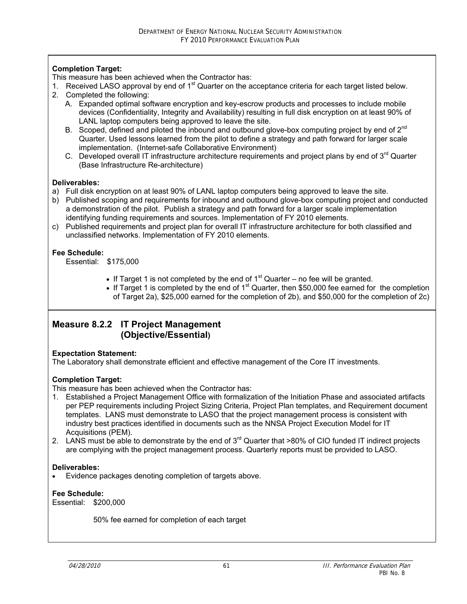# **Completion Target:**

This measure has been achieved when the Contractor has:

- 1. Received LASO approval by end of  $1<sup>st</sup>$  Quarter on the acceptance criteria for each target listed below.
- 2. Completed the following:
	- A. Expanded optimal software encryption and key-escrow products and processes to include mobile devices (Confidentiality, Integrity and Availability) resulting in full disk encryption on at least 90% of LANL laptop computers being approved to leave the site.
	- B. Scoped, defined and piloted the inbound and outbound glove-box computing project by end of  $2^{nd}$ Quarter. Used lessons learned from the pilot to define a strategy and path forward for larger scale implementation. (Internet-safe Collaborative Environment)
	- C. Developed overall IT infrastructure architecture requirements and project plans by end of 3<sup>rd</sup> Quarter (Base Infrastructure Re-architecture)

# **Deliverables:**

- a) Full disk encryption on at least 90% of LANL laptop computers being approved to leave the site.
- b) Published scoping and requirements for inbound and outbound glove-box computing project and conducted a demonstration of the pilot. Publish a strategy and path forward for a larger scale implementation identifying funding requirements and sources. Implementation of FY 2010 elements.
- c) Published requirements and project plan for overall IT infrastructure architecture for both classified and unclassified networks. Implementation of FY 2010 elements.

# **Fee Schedule:**

Essential: \$175,000

- If Target 1 is not completed by the end of  $1<sup>st</sup>$  Quarter no fee will be granted.
- If Target 1 is completed by the end of  $1<sup>st</sup>$  Quarter, then \$50,000 fee earned for the completion of Target 2a), \$25,000 earned for the completion of 2b), and \$50,000 for the completion of 2c)

# **Measure 8.2.2 IT Project Management (Objective/Essential)**

# **Expectation Statement:**

The Laboratory shall demonstrate efficient and effective management of the Core IT investments.

# **Completion Target:**

This measure has been achieved when the Contractor has:

- 1. Established a Project Management Office with formalization of the Initiation Phase and associated artifacts per PEP requirements including Project Sizing Criteria, Project Plan templates, and Requirement document templates. LANS must demonstrate to LASO that the project management process is consistent with industry best practices identified in documents such as the NNSA Project Execution Model for IT Acquisitions (PEM).
- 2. LANS must be able to demonstrate by the end of  $3^{rd}$  Quarter that >80% of CIO funded IT indirect projects are complying with the project management process. Quarterly reports must be provided to LASO.

# **Deliverables:**

• Evidence packages denoting completion of targets above.

# **Fee Schedule:**

Essential: \$200,000

50% fee earned for completion of each target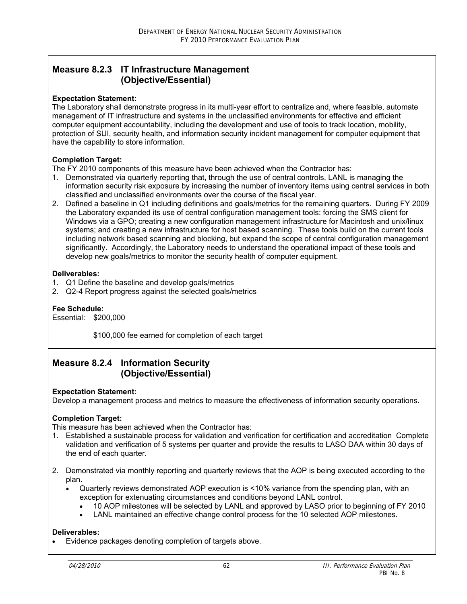# **Measure 8.2.3 IT Infrastructure Management (Objective/Essential)**

# **Expectation Statement:**

The Laboratory shall demonstrate progress in its multi-year effort to centralize and, where feasible, automate management of IT infrastructure and systems in the unclassified environments for effective and efficient computer equipment accountability, including the development and use of tools to track location, mobility, protection of SUI, security health, and information security incident management for computer equipment that have the capability to store information.

# **Completion Target:**

The FY 2010 components of this measure have been achieved when the Contractor has:

- 1. Demonstrated via quarterly reporting that, through the use of central controls, LANL is managing the information security risk exposure by increasing the number of inventory items using central services in both classified and unclassified environments over the course of the fiscal year.
- 2. Defined a baseline in Q1 including definitions and goals/metrics for the remaining quarters. During FY 2009 the Laboratory expanded its use of central configuration management tools: forcing the SMS client for Windows via a GPO; creating a new configuration management infrastructure for Macintosh and unix/linux systems; and creating a new infrastructure for host based scanning. These tools build on the current tools including network based scanning and blocking, but expand the scope of central configuration management significantly. Accordingly, the Laboratory needs to understand the operational impact of these tools and develop new goals/metrics to monitor the security health of computer equipment.

# **Deliverables:**

- 1. Q1 Define the baseline and develop goals/metrics
- 2. Q2-4 Report progress against the selected goals/metrics

# **Fee Schedule:**

Essential: \$200,000

\$100,000 fee earned for completion of each target

# **Measure 8.2.4 Information Security (Objective/Essential)**

# **Expectation Statement:**

Develop a management process and metrics to measure the effectiveness of information security operations.

# **Completion Target:**

This measure has been achieved when the Contractor has:

- 1. Established a sustainable process for validation and verification for certification and accreditation Complete validation and verification of 5 systems per quarter and provide the results to LASO DAA within 30 days of the end of each quarter.
- 2. Demonstrated via monthly reporting and quarterly reviews that the AOP is being executed according to the plan.
	- Quarterly reviews demonstrated AOP execution is <10% variance from the spending plan, with an exception for extenuating circumstances and conditions beyond LANL control.
		- 10 AOP milestones will be selected by LANL and approved by LASO prior to beginning of FY 2010
		- LANL maintained an effective change control process for the 10 selected AOP milestones.

# **Deliverables:**

• Evidence packages denoting completion of targets above.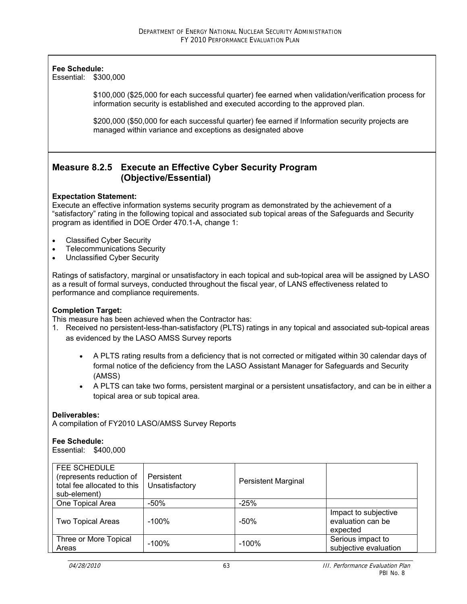**Fee Schedule:** Essential: \$300,000

> \$100,000 (\$25,000 for each successful quarter) fee earned when validation/verification process for information security is established and executed according to the approved plan.

\$200,000 (\$50,000 for each successful quarter) fee earned if Information security projects are managed within variance and exceptions as designated above

# **Measure 8.2.5 Execute an Effective Cyber Security Program (Objective/Essential)**

# **Expectation Statement:**

Execute an effective information systems security program as demonstrated by the achievement of a "satisfactory" rating in the following topical and associated sub topical areas of the Safeguards and Security program as identified in DOE Order 470.1-A, change 1:

- Classified Cyber Security
- **Telecommunications Security**
- Unclassified Cyber Security

Ratings of satisfactory, marginal or unsatisfactory in each topical and sub-topical area will be assigned by LASO as a result of formal surveys, conducted throughout the fiscal year, of LANS effectiveness related to performance and compliance requirements.

# **Completion Target:**

This measure has been achieved when the Contractor has:

- 1. Received no persistent-less-than-satisfactory (PLTS) ratings in any topical and associated sub-topical areas as evidenced by the LASO AMSS Survey reports
	- A PLTS rating results from a deficiency that is not corrected or mitigated within 30 calendar days of formal notice of the deficiency from the LASO Assistant Manager for Safeguards and Security (AMSS)
	- A PLTS can take two forms, persistent marginal or a persistent unsatisfactory, and can be in either a topical area or sub topical area.

# **Deliverables:**

A compilation of FY2010 LASO/AMSS Survey Reports

# **Fee Schedule:**

Essential: \$400,000

| <b>FEE SCHEDULE</b><br>(represents reduction of<br>total fee allocated to this<br>sub-element) | Persistent<br>Unsatisfactory | <b>Persistent Marginal</b> |                                                       |
|------------------------------------------------------------------------------------------------|------------------------------|----------------------------|-------------------------------------------------------|
| One Topical Area                                                                               | $-50\%$                      | $-25%$                     |                                                       |
| <b>Two Topical Areas</b>                                                                       | $-100%$                      | $-50%$                     | Impact to subjective<br>evaluation can be<br>expected |
| Three or More Topical<br>Areas                                                                 | $-100%$                      | $-100%$                    | Serious impact to<br>subjective evaluation            |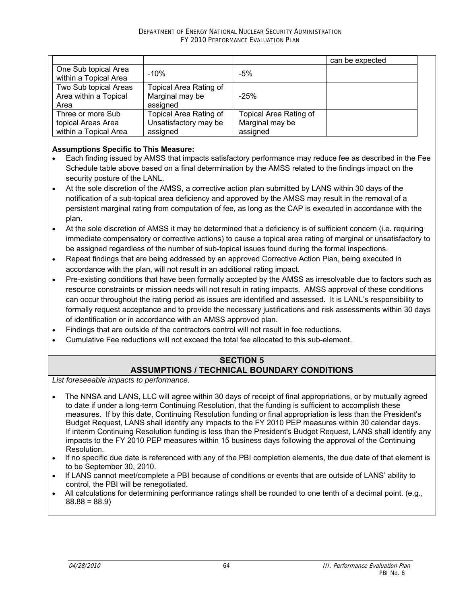|                       |                               |                        | can be expected |
|-----------------------|-------------------------------|------------------------|-----------------|
| One Sub topical Area  | $-10%$                        | $-5%$                  |                 |
| within a Topical Area |                               |                        |                 |
| Two Sub topical Areas | Topical Area Rating of        |                        |                 |
| Area within a Topical | Marginal may be               | $-25%$                 |                 |
| Area                  | assigned                      |                        |                 |
| Three or more Sub     | <b>Topical Area Rating of</b> | Topical Area Rating of |                 |
| topical Areas Area    | Unsatisfactory may be         | Marginal may be        |                 |
| within a Topical Area | assigned                      | assigned               |                 |

# **Assumptions Specific to This Measure:**

- Each finding issued by AMSS that impacts satisfactory performance may reduce fee as described in the Fee Schedule table above based on a final determination by the AMSS related to the findings impact on the security posture of the LANL.
- At the sole discretion of the AMSS, a corrective action plan submitted by LANS within 30 days of the notification of a sub-topical area deficiency and approved by the AMSS may result in the removal of a persistent marginal rating from computation of fee, as long as the CAP is executed in accordance with the plan.
- At the sole discretion of AMSS it may be determined that a deficiency is of sufficient concern (i.e. requiring immediate compensatory or corrective actions) to cause a topical area rating of marginal or unsatisfactory to be assigned regardless of the number of sub-topical issues found during the formal inspections.
- Repeat findings that are being addressed by an approved Corrective Action Plan, being executed in accordance with the plan, will not result in an additional rating impact.
- Pre-existing conditions that have been formally accepted by the AMSS as irresolvable due to factors such as resource constraints or mission needs will not result in rating impacts. AMSS approval of these conditions can occur throughout the rating period as issues are identified and assessed. It is LANL's responsibility to formally request acceptance and to provide the necessary justifications and risk assessments within 30 days of identification or in accordance with an AMSS approved plan.
- Findings that are outside of the contractors control will not result in fee reductions.
- Cumulative Fee reductions will not exceed the total fee allocated to this sub-element.

# **SECTION 5 ASSUMPTIONS / TECHNICAL BOUNDARY CONDITIONS**

*List foreseeable impacts to performance.*

- The NNSA and LANS, LLC will agree within 30 days of receipt of final appropriations, or by mutually agreed to date if under a long-term Continuing Resolution, that the funding is sufficient to accomplish these measures. If by this date, Continuing Resolution funding or final appropriation is less than the President's Budget Request, LANS shall identify any impacts to the FY 2010 PEP measures within 30 calendar days. If interim Continuing Resolution funding is less than the President's Budget Request, LANS shall identify any impacts to the FY 2010 PEP measures within 15 business days following the approval of the Continuing Resolution.
- If no specific due date is referenced with any of the PBI completion elements, the due date of that element is to be September 30, 2010.
- If LANS cannot meet/complete a PBI because of conditions or events that are outside of LANS' ability to control, the PBI will be renegotiated.
- All calculations for determining performance ratings shall be rounded to one tenth of a decimal point. (e.g.,  $88.88 = 88.9$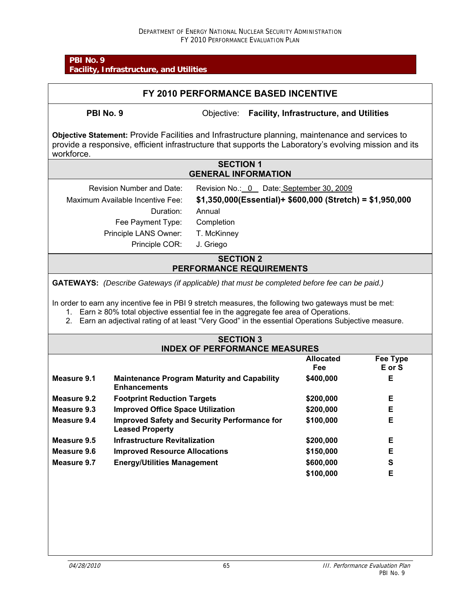#### **PBI NO. 9 Facility, Infrastructure, and Utilities**

# **FY 2010 PERFORMANCE BASED INCENTIVE PBI No. 9** Objective: **Facility, Infrastructure, and Utilities Objective Statement:** Provide Facilities and Infrastructure planning, maintenance and services to provide a responsive, efficient infrastructure that supports the Laboratory's evolving mission and its workforce. **SECTION 1 GENERAL INFORMATION**  Revision Number and Date: Revision No.: 0 Date: September 30, 2009 Maximum Available Incentive Fee: **\$1,350,000(Essential)+ \$600,000 (Stretch) = \$1,950,000** Duration: Annual Fee Payment Type: Completion Principle LANS Owner: T. McKinney Principle COR: J. Griego **SECTION 2 PERFORMANCE REQUIREMENTS GATEWAYS:** *(Describe Gateways (if applicable) that must be completed before fee can be paid.)*  In order to earn any incentive fee in PBI 9 stretch measures, the following two gateways must be met: 1. Earn ≥ 80% total objective essential fee in the aggregate fee area of Operations. 2. Earn an adjectival rating of at least "Very Good" in the essential Operations Subjective measure. **SECTION 3 INDEX OF PERFORMANCE MEASURES**

| <b>INDEA OF FENI ORIVANCE MEADORED</b> |                                                                               |                         |                    |
|----------------------------------------|-------------------------------------------------------------------------------|-------------------------|--------------------|
|                                        |                                                                               | <b>Allocated</b><br>Fee | Fee Type<br>E or S |
| Measure 9.1                            | <b>Maintenance Program Maturity and Capability</b><br><b>Enhancements</b>     | \$400,000               | Е                  |
| Measure 9.2                            | <b>Footprint Reduction Targets</b>                                            | \$200,000               | Е                  |
| Measure 9.3                            | <b>Improved Office Space Utilization</b>                                      | \$200,000               | Е                  |
| Measure 9.4                            | <b>Improved Safety and Security Performance for</b><br><b>Leased Property</b> | \$100,000               | Е                  |
| Measure 9.5                            | <b>Infrastructure Revitalization</b>                                          | \$200,000               | Е                  |
| Measure 9.6                            | <b>Improved Resource Allocations</b>                                          | \$150,000               | Е                  |
| Measure 9.7                            | <b>Energy/Utilities Management</b>                                            | \$600,000               | S                  |
|                                        |                                                                               | \$100,000               | Е                  |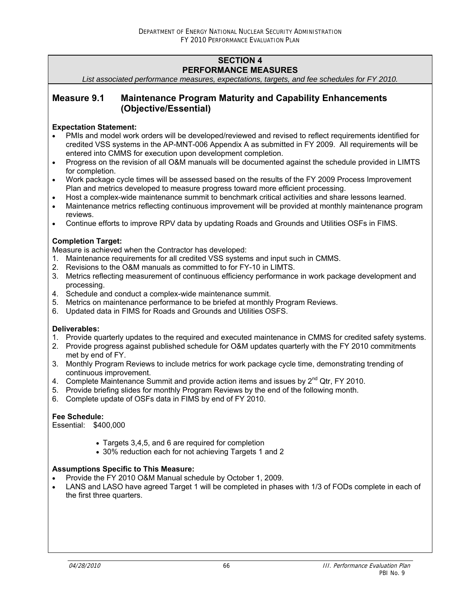# **SECTION 4 PERFORMANCE MEASURES**

List associated performance measures, expectations, targets, and fee schedules for FY 2010.

# **Measure 9.1 Maintenance Program Maturity and Capability Enhancements (Objective/Essential)**

# **Expectation Statement:**

- PMIs and model work orders will be developed/reviewed and revised to reflect requirements identified for credited VSS systems in the AP-MNT-006 Appendix A as submitted in FY 2009. All requirements will be entered into CMMS for execution upon development completion.
- Progress on the revision of all O&M manuals will be documented against the schedule provided in LIMTS for completion.
- Work package cycle times will be assessed based on the results of the FY 2009 Process Improvement Plan and metrics developed to measure progress toward more efficient processing.
- Host a complex-wide maintenance summit to benchmark critical activities and share lessons learned.
- Maintenance metrics reflecting continuous improvement will be provided at monthly maintenance program reviews.
- Continue efforts to improve RPV data by updating Roads and Grounds and Utilities OSFs in FIMS.

# **Completion Target:**

Measure is achieved when the Contractor has developed:

- 1. Maintenance requirements for all credited VSS systems and input such in CMMS.
- 2. Revisions to the O&M manuals as committed to for FY-10 in LIMTS.
- 3. Metrics reflecting measurement of continuous efficiency performance in work package development and processing.
- 4. Schedule and conduct a complex-wide maintenance summit.
- 5. Metrics on maintenance performance to be briefed at monthly Program Reviews.
- 6. Updated data in FIMS for Roads and Grounds and Utilities OSFS.

# **Deliverables:**

- 1. Provide quarterly updates to the required and executed maintenance in CMMS for credited safety systems.
- 2. Provide progress against published schedule for O&M updates quarterly with the FY 2010 commitments met by end of FY.
- 3. Monthly Program Reviews to include metrics for work package cycle time, demonstrating trending of continuous improvement.
- 4. Complete Maintenance Summit and provide action items and issues by  $2^{nd}$  Qtr, FY 2010.
- 5. Provide briefing slides for monthly Program Reviews by the end of the following month.
- 6. Complete update of OSFs data in FIMS by end of FY 2010.

# **Fee Schedule:**

Essential: \$400,000

- Targets 3.4.5, and 6 are required for completion
- 30% reduction each for not achieving Targets 1 and 2

# **Assumptions Specific to This Measure:**

- Provide the FY 2010 O&M Manual schedule by October 1, 2009.
- LANS and LASO have agreed Target 1 will be completed in phases with 1/3 of FODs complete in each of the first three quarters.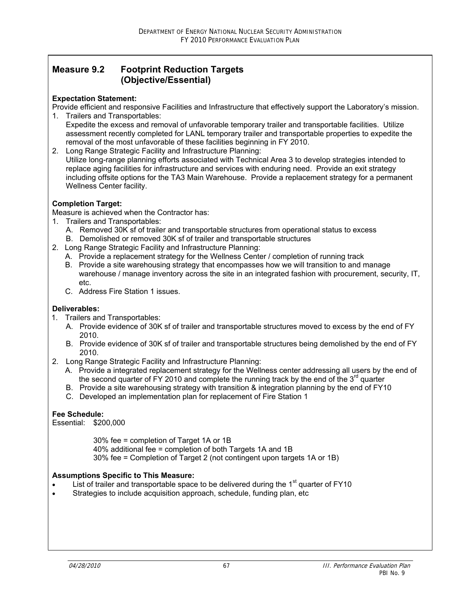# **Measure 9.2 Footprint Reduction Targets (Objective/Essential)**

# **Expectation Statement:**

Provide efficient and responsive Facilities and Infrastructure that effectively support the Laboratory's mission.

- 1. Trailers and Transportables: Expedite the excess and removal of unfavorable temporary trailer and transportable facilities. Utilize assessment recently completed for LANL temporary trailer and transportable properties to expedite the removal of the most unfavorable of these facilities beginning in FY 2010.
- 2. Long Range Strategic Facility and Infrastructure Planning:

 Utilize long-range planning efforts associated with Technical Area 3 to develop strategies intended to replace aging facilities for infrastructure and services with enduring need. Provide an exit strategy including offsite options for the TA3 Main Warehouse. Provide a replacement strategy for a permanent Wellness Center facility.

# **Completion Target:**

Measure is achieved when the Contractor has:

- 1. Trailers and Transportables:
	- A. Removed 30K sf of trailer and transportable structures from operational status to excess
	- B. Demolished or removed 30K sf of trailer and transportable structures
- 2. Long Range Strategic Facility and Infrastructure Planning:
	- A. Provide a replacement strategy for the Wellness Center / completion of running track
	- B. Provide a site warehousing strategy that encompasses how we will transition to and manage warehouse / manage inventory across the site in an integrated fashion with procurement, security, IT, etc.
	- C. Address Fire Station 1 issues.

# **Deliverables:**

1. Trailers and Transportables:

- A. Provide evidence of 30K sf of trailer and transportable structures moved to excess by the end of FY 2010.
- B. Provide evidence of 30K sf of trailer and transportable structures being demolished by the end of FY 2010.
- 2. Long Range Strategic Facility and Infrastructure Planning:
	- A. Provide a integrated replacement strategy for the Wellness center addressing all users by the end of the second quarter of FY 2010 and complete the running track by the end of the  $3<sup>rd</sup>$  quarter
	- B. Provide a site warehousing strategy with transition & integration planning by the end of FY10
	- C. Developed an implementation plan for replacement of Fire Station 1

# **Fee Schedule:**

Essential: \$200,000

30% fee = completion of Target 1A or 1B 40% additional fee = completion of both Targets 1A and 1B 30% fee = Completion of Target 2 (not contingent upon targets 1A or 1B)

# **Assumptions Specific to This Measure:**

- List of trailer and transportable space to be delivered during the  $1<sup>st</sup>$  quarter of FY10
- Strategies to include acquisition approach, schedule, funding plan, etc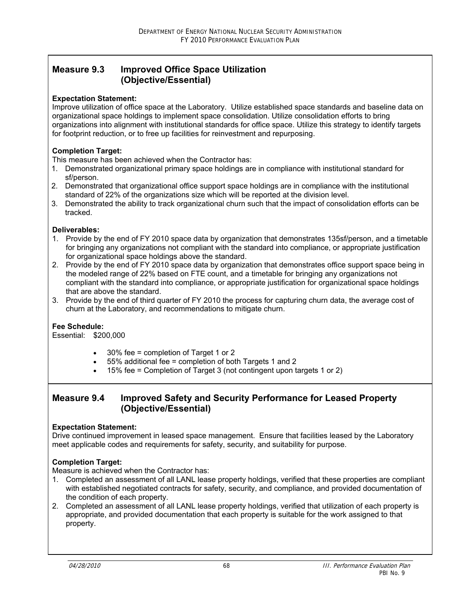# **Measure 9.3 Improved Office Space Utilization (Objective/Essential)**

### **Expectation Statement:**

Improve utilization of office space at the Laboratory. Utilize established space standards and baseline data on organizational space holdings to implement space consolidation. Utilize consolidation efforts to bring organizations into alignment with institutional standards for office space. Utilize this strategy to identify targets for footprint reduction, or to free up facilities for reinvestment and repurposing.

# **Completion Target:**

This measure has been achieved when the Contractor has:

- 1. Demonstrated organizational primary space holdings are in compliance with institutional standard for sf/person.
- 2. Demonstrated that organizational office support space holdings are in compliance with the institutional standard of 22% of the organizations size which will be reported at the division level.
- 3. Demonstrated the ability to track organizational churn such that the impact of consolidation efforts can be tracked.

# **Deliverables:**

- 1. Provide by the end of FY 2010 space data by organization that demonstrates 135sf/person, and a timetable for bringing any organizations not compliant with the standard into compliance, or appropriate justification for organizational space holdings above the standard.
- 2. Provide by the end of FY 2010 space data by organization that demonstrates office support space being in the modeled range of 22% based on FTE count, and a timetable for bringing any organizations not compliant with the standard into compliance, or appropriate justification for organizational space holdings that are above the standard.
- 3. Provide by the end of third quarter of FY 2010 the process for capturing churn data, the average cost of churn at the Laboratory, and recommendations to mitigate churn.

# **Fee Schedule:**

Essential: \$200,000

- 30% fee = completion of Target 1 or 2
- 55% additional fee = completion of both Targets 1 and 2
- 15% fee = Completion of Target 3 (not contingent upon targets 1 or 2)

# **Measure 9.4 Improved Safety and Security Performance for Leased Property (Objective/Essential)**

# **Expectation Statement:**

Drive continued improvement in leased space management. Ensure that facilities leased by the Laboratory meet applicable codes and requirements for safety, security, and suitability for purpose.

# **Completion Target:**

Measure is achieved when the Contractor has:

- 1. Completed an assessment of all LANL lease property holdings, verified that these properties are compliant with established negotiated contracts for safety, security, and compliance, and provided documentation of the condition of each property.
- 2. Completed an assessment of all LANL lease property holdings, verified that utilization of each property is appropriate, and provided documentation that each property is suitable for the work assigned to that property.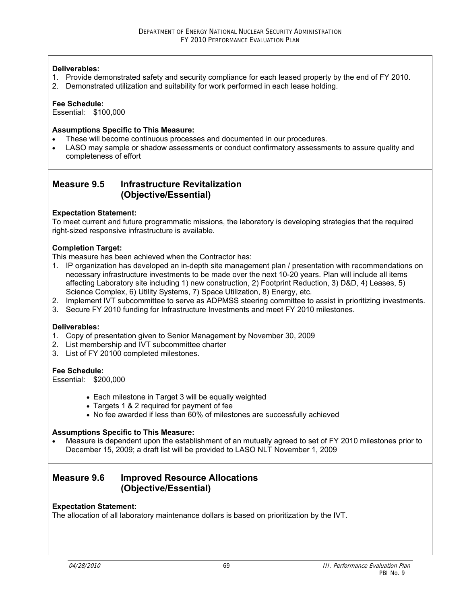### **Deliverables:**

- 1. Provide demonstrated safety and security compliance for each leased property by the end of FY 2010.
- 2. Demonstrated utilization and suitability for work performed in each lease holding.

#### **Fee Schedule:**

Essential: \$100,000

#### **Assumptions Specific to This Measure:**

- These will become continuous processes and documented in our procedures.
- LASO may sample or shadow assessments or conduct confirmatory assessments to assure quality and completeness of effort

# **Measure 9.5 Infrastructure Revitalization (Objective/Essential)**

# **Expectation Statement:**

To meet current and future programmatic missions, the laboratory is developing strategies that the required right-sized responsive infrastructure is available.

#### **Completion Target:**

This measure has been achieved when the Contractor has:

- 1. IP organization has developed an in-depth site management plan / presentation with recommendations on necessary infrastructure investments to be made over the next 10-20 years. Plan will include all items affecting Laboratory site including 1) new construction, 2) Footprint Reduction, 3) D&D, 4) Leases, 5) Science Complex, 6) Utility Systems, 7) Space Utilization, 8) Energy, etc.
- 2. Implement IVT subcommittee to serve as ADPMSS steering committee to assist in prioritizing investments.
- 3. Secure FY 2010 funding for Infrastructure Investments and meet FY 2010 milestones.

#### **Deliverables:**

- 1. Copy of presentation given to Senior Management by November 30, 2009
- 2. List membership and IVT subcommittee charter
- 3. List of FY 20100 completed milestones.

#### **Fee Schedule:**

Essential: \$200,000

- Each milestone in Target 3 will be equally weighted
- Targets 1 & 2 required for payment of fee
- No fee awarded if less than 60% of milestones are successfully achieved

# **Assumptions Specific to This Measure:**

• Measure is dependent upon the establishment of an mutually agreed to set of FY 2010 milestones prior to December 15, 2009; a draft list will be provided to LASO NLT November 1, 2009

# **Measure 9.6 Improved Resource Allocations (Objective/Essential)**

# **Expectation Statement:**

The allocation of all laboratory maintenance dollars is based on prioritization by the IVT.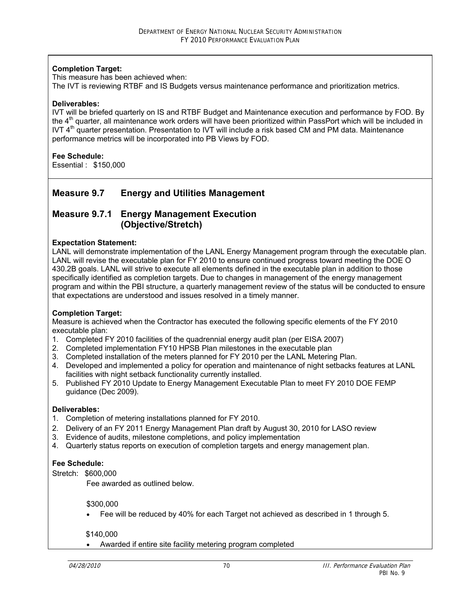## **Completion Target:**

This measure has been achieved when:

The IVT is reviewing RTBF and IS Budgets versus maintenance performance and prioritization metrics.

### **Deliverables:**

IVT will be briefed quarterly on IS and RTBF Budget and Maintenance execution and performance by FOD. By the 4<sup>th</sup> quarter, all maintenance work orders will have been prioritized within PassPort which will be included in IVT  $4<sup>th</sup>$  quarter presentation. Presentation to IVT will include a risk based CM and PM data. Maintenance performance metrics will be incorporated into PB Views by FOD.

## **Fee Schedule:**

Essential : \$150,000

## **Measure 9.7 Energy and Utilities Management**

## **Measure 9.7.1 Energy Management Execution (Objective/Stretch)**

#### **Expectation Statement:**

LANL will demonstrate implementation of the LANL Energy Management program through the executable plan. LANL will revise the executable plan for FY 2010 to ensure continued progress toward meeting the DOE O 430.2B goals. LANL will strive to execute all elements defined in the executable plan in addition to those specifically identified as completion targets. Due to changes in management of the energy management program and within the PBI structure, a quarterly management review of the status will be conducted to ensure that expectations are understood and issues resolved in a timely manner.

## **Completion Target:**

Measure is achieved when the Contractor has executed the following specific elements of the FY 2010 executable plan:

- 1. Completed FY 2010 facilities of the quadrennial energy audit plan (per EISA 2007)
- 2. Completed implementation FY10 HPSB Plan milestones in the executable plan
- 3. Completed installation of the meters planned for FY 2010 per the LANL Metering Plan.
- 4. Developed and implemented a policy for operation and maintenance of night setbacks features at LANL facilities with night setback functionality currently installed.
- 5. Published FY 2010 Update to Energy Management Executable Plan to meet FY 2010 DOE FEMP guidance (Dec 2009).

## **Deliverables:**

- 1. Completion of metering installations planned for FY 2010.
- 2. Delivery of an FY 2011 Energy Management Plan draft by August 30, 2010 for LASO review
- 3. Evidence of audits, milestone completions, and policy implementation
- 4. Quarterly status reports on execution of completion targets and energy management plan.

## **Fee Schedule:**

Stretch: \$600,000

Fee awarded as outlined below.

#### \$300,000

• Fee will be reduced by 40% for each Target not achieved as described in 1 through 5.

#### \$140,000

• Awarded if entire site facility metering program completed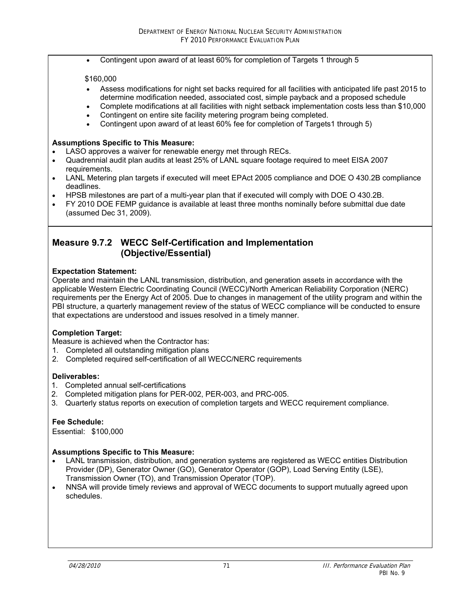• Contingent upon award of at least 60% for completion of Targets 1 through 5

#### \$160,000

- Assess modifications for night set backs required for all facilities with anticipated life past 2015 to determine modification needed, associated cost, simple payback and a proposed schedule
- Complete modifications at all facilities with night setback implementation costs less than \$10,000
- Contingent on entire site facility metering program being completed.
- Contingent upon award of at least 60% fee for completion of Targets1 through 5)

## **Assumptions Specific to This Measure:**

- LASO approves a waiver for renewable energy met through RECs.
- Quadrennial audit plan audits at least 25% of LANL square footage required to meet EISA 2007 requirements.
- LANL Metering plan targets if executed will meet EPAct 2005 compliance and DOE O 430.2B compliance deadlines.
- HPSB milestones are part of a multi-year plan that if executed will comply with DOE O 430.2B.
- FY 2010 DOE FEMP guidance is available at least three months nominally before submittal due date (assumed Dec 31, 2009).

## **Measure 9.7.2 WECC Self-Certification and Implementation (Objective/Essential)**

## **Expectation Statement:**

Operate and maintain the LANL transmission, distribution, and generation assets in accordance with the applicable Western Electric Coordinating Council (WECC)/North American Reliability Corporation (NERC) requirements per the Energy Act of 2005. Due to changes in management of the utility program and within the PBI structure, a quarterly management review of the status of WECC compliance will be conducted to ensure that expectations are understood and issues resolved in a timely manner.

## **Completion Target:**

Measure is achieved when the Contractor has:

- 1. Completed all outstanding mitigation plans
- 2. Completed required self-certification of all WECC/NERC requirements

## **Deliverables:**

- 1. Completed annual self-certifications
- 2. Completed mitigation plans for PER-002, PER-003, and PRC-005.
- 3. Quarterly status reports on execution of completion targets and WECC requirement compliance.

## **Fee Schedule:**

Essential: \$100,000

## **Assumptions Specific to This Measure:**

- LANL transmission, distribution, and generation systems are registered as WECC entities Distribution Provider (DP), Generator Owner (GO), Generator Operator (GOP), Load Serving Entity (LSE), Transmission Owner (TO), and Transmission Operator (TOP).
- NNSA will provide timely reviews and approval of WECC documents to support mutually agreed upon schedules.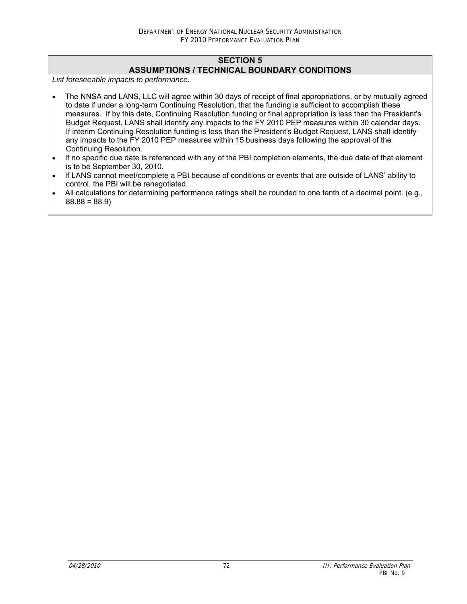## **SECTION 5 ASSUMPTIONS / TECHNICAL BOUNDARY CONDITIONS**

*List foreseeable impacts to performance.*

- The NNSA and LANS, LLC will agree within 30 days of receipt of final appropriations, or by mutually agreed to date if under a long-term Continuing Resolution, that the funding is sufficient to accomplish these measures. If by this date, Continuing Resolution funding or final appropriation is less than the President's Budget Request, LANS shall identify any impacts to the FY 2010 PEP measures within 30 calendar days. If interim Continuing Resolution funding is less than the President's Budget Request, LANS shall identify any impacts to the FY 2010 PEP measures within 15 business days following the approval of the Continuing Resolution.
- If no specific due date is referenced with any of the PBI completion elements, the due date of that element is to be September 30, 2010.
- If LANS cannot meet/complete a PBI because of conditions or events that are outside of LANS' ability to control, the PBI will be renegotiated.
- All calculations for determining performance ratings shall be rounded to one tenth of a decimal point. (e.g.,  $88.88 = 88.9$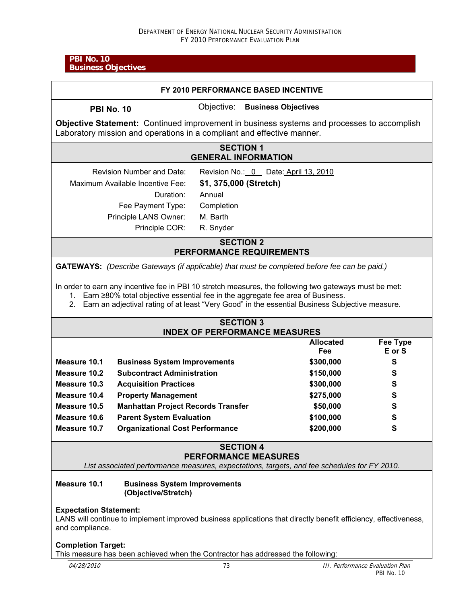#### **PBI NO. 10 Business Objectives**

| FY 2010 PERFORMANCE BASED INCENTIVE                                                                                                                                                     |                                           |                                                          |                  |                                  |
|-----------------------------------------------------------------------------------------------------------------------------------------------------------------------------------------|-------------------------------------------|----------------------------------------------------------|------------------|----------------------------------|
| <b>PBI No. 10</b>                                                                                                                                                                       | Objective:                                | <b>Business Objectives</b>                               |                  |                                  |
| Objective Statement: Continued improvement in business systems and processes to accomplish<br>Laboratory mission and operations in a compliant and effective manner.                    |                                           |                                                          |                  |                                  |
|                                                                                                                                                                                         |                                           | <b>SECTION 1</b><br><b>GENERAL INFORMATION</b>           |                  |                                  |
| <b>Revision Number and Date:</b>                                                                                                                                                        |                                           | Revision No.: 0 Date: April 13, 2010                     |                  |                                  |
| Maximum Available Incentive Fee:                                                                                                                                                        |                                           | \$1, 375,000 (Stretch)                                   |                  |                                  |
| Duration:                                                                                                                                                                               | Annual                                    |                                                          |                  |                                  |
| Fee Payment Type:                                                                                                                                                                       | Completion                                |                                                          |                  |                                  |
| Principle LANS Owner:                                                                                                                                                                   | M. Barth                                  |                                                          |                  |                                  |
| Principle COR:                                                                                                                                                                          | R. Snyder                                 |                                                          |                  |                                  |
|                                                                                                                                                                                         |                                           | <b>SECTION 2</b><br>PERFORMANCE REQUIREMENTS             |                  |                                  |
| <b>GATEWAYS:</b> (Describe Gateways (if applicable) that must be completed before fee can be paid.)                                                                                     |                                           |                                                          |                  |                                  |
|                                                                                                                                                                                         |                                           |                                                          |                  |                                  |
| In order to earn any incentive fee in PBI 10 stretch measures, the following two gateways must be met:                                                                                  |                                           |                                                          |                  |                                  |
| 1. Earn ≥80% total objective essential fee in the aggregate fee area of Business.<br>2. Earn an adjectival rating of at least "Very Good" in the essential Business Subjective measure. |                                           |                                                          |                  |                                  |
|                                                                                                                                                                                         |                                           |                                                          |                  |                                  |
|                                                                                                                                                                                         |                                           | <b>SECTION 3</b><br><b>INDEX OF PERFORMANCE MEASURES</b> |                  |                                  |
|                                                                                                                                                                                         |                                           |                                                          | <b>Allocated</b> | <b>Fee Type</b>                  |
|                                                                                                                                                                                         |                                           |                                                          | Fee              | E or S                           |
| Measure 10.1                                                                                                                                                                            | <b>Business System Improvements</b>       |                                                          | \$300,000        | S                                |
| <b>Subcontract Administration</b><br>Measure 10.2                                                                                                                                       |                                           |                                                          | \$150,000        | S                                |
| Measure 10.3<br><b>Acquisition Practices</b>                                                                                                                                            |                                           |                                                          | \$300,000        | S                                |
| Measure 10.4<br><b>Property Management</b>                                                                                                                                              |                                           |                                                          | \$275,000        | S                                |
| Measure 10.5                                                                                                                                                                            | <b>Manhattan Project Records Transfer</b> |                                                          | \$50,000         | S                                |
| <b>Parent System Evaluation</b><br>Measure 10.6                                                                                                                                         |                                           |                                                          | \$100,000        | S                                |
| Measure 10.7                                                                                                                                                                            | <b>Organizational Cost Performance</b>    |                                                          | \$200,000        | S                                |
|                                                                                                                                                                                         |                                           | <b>SECTION 4</b>                                         |                  |                                  |
|                                                                                                                                                                                         |                                           | <b>PERFORMANCE MEASURES</b>                              |                  |                                  |
| List associated performance measures, expectations, targets, and fee schedules for FY 2010.                                                                                             |                                           |                                                          |                  |                                  |
| Measure 10.1<br>(Objective/Stretch)                                                                                                                                                     | <b>Business System Improvements</b>       |                                                          |                  |                                  |
| <b>Expectation Statement:</b><br>LANS will continue to implement improved business applications that directly benefit efficiency, effectiveness,<br>and compliance.                     |                                           |                                                          |                  |                                  |
| <b>Completion Target:</b><br>This measure has been achieved when the Contractor has addressed the following:                                                                            |                                           |                                                          |                  |                                  |
| 04/28/2010                                                                                                                                                                              | 73                                        |                                                          |                  | III. Performance Evaluation Plan |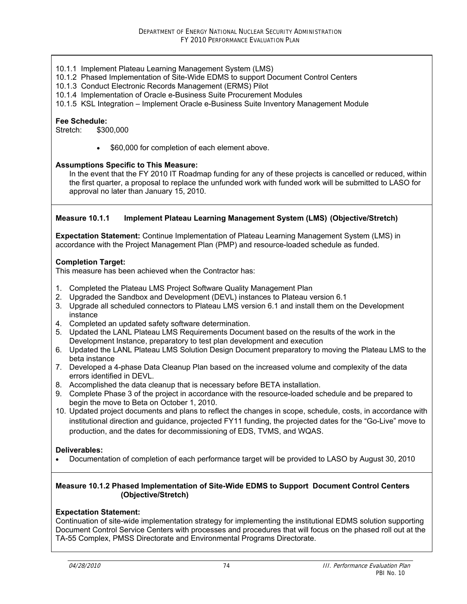- 10.1.1 Implement Plateau Learning Management System (LMS)
- 10.1.2 Phased Implementation of Site-Wide EDMS to support Document Control Centers
- 10.1.3 Conduct Electronic Records Management (ERMS) Pilot
- 10.1.4 Implementation of Oracle e-Business Suite Procurement Modules
- 10.1.5 KSL Integration Implement Oracle e-Business Suite Inventory Management Module

# **Fee Schedule:**

\$300,000

• \$60,000 for completion of each element above.

#### **Assumptions Specific to This Measure:**

In the event that the FY 2010 IT Roadmap funding for any of these projects is cancelled or reduced, within the first quarter, a proposal to replace the unfunded work with funded work will be submitted to LASO for approval no later than January 15, 2010.

## **Measure 10.1.1 Implement Plateau Learning Management System (LMS) (Objective/Stretch)**

**Expectation Statement:** Continue Implementation of Plateau Learning Management System (LMS) in accordance with the Project Management Plan (PMP) and resource-loaded schedule as funded.

## **Completion Target:**

This measure has been achieved when the Contractor has:

- 1. Completed the Plateau LMS Project Software Quality Management Plan
- 2. Upgraded the Sandbox and Development (DEVL) instances to Plateau version 6.1
- 3. Upgrade all scheduled connectors to Plateau LMS version 6.1 and install them on the Development instance
- 4. Completed an updated safety software determination.
- 5. Updated the LANL Plateau LMS Requirements Document based on the results of the work in the Development Instance, preparatory to test plan development and execution
- 6. Updated the LANL Plateau LMS Solution Design Document preparatory to moving the Plateau LMS to the beta instance
- 7. Developed a 4-phase Data Cleanup Plan based on the increased volume and complexity of the data errors identified in DEVL.
- 8. Accomplished the data cleanup that is necessary before BETA installation.
- 9. Complete Phase 3 of the project in accordance with the resource-loaded schedule and be prepared to begin the move to Beta on October 1, 2010.
- 10. Updated project documents and plans to reflect the changes in scope, schedule, costs, in accordance with institutional direction and guidance, projected FY11 funding, the projected dates for the "Go-Live" move to production, and the dates for decommissioning of EDS, TVMS, and WQAS.

## **Deliverables:**

• Documentation of completion of each performance target will be provided to LASO by August 30, 2010

## **Measure 10.1.2 Phased Implementation of Site-Wide EDMS to Support Document Control Centers (Objective/Stretch)**

## **Expectation Statement:**

Continuation of site-wide implementation strategy for implementing the institutional EDMS solution supporting Document Control Service Centers with processes and procedures that will focus on the phased roll out at the TA-55 Complex, PMSS Directorate and Environmental Programs Directorate.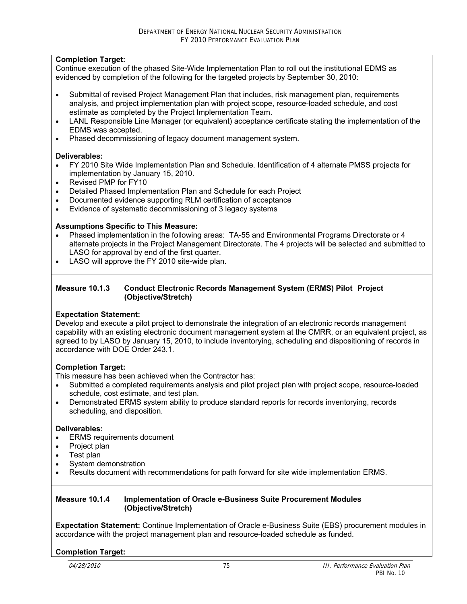## **Completion Target:**

Continue execution of the phased Site-Wide Implementation Plan to roll out the institutional EDMS as evidenced by completion of the following for the targeted projects by September 30, 2010:

- Submittal of revised Project Management Plan that includes, risk management plan, requirements analysis, and project implementation plan with project scope, resource-loaded schedule, and cost estimate as completed by the Project Implementation Team.
- LANL Responsible Line Manager (or equivalent) acceptance certificate stating the implementation of the EDMS was accepted.
- Phased decommissioning of legacy document management system.

## **Deliverables:**

- FY 2010 Site Wide Implementation Plan and Schedule. Identification of 4 alternate PMSS projects for implementation by January 15, 2010.
- Revised PMP for FY10
- Detailed Phased Implementation Plan and Schedule for each Project
- Documented evidence supporting RLM certification of acceptance
- Evidence of systematic decommissioning of 3 legacy systems

## **Assumptions Specific to This Measure:**

- Phased implementation in the following areas: TA-55 and Environmental Programs Directorate or 4 alternate projects in the Project Management Directorate. The 4 projects will be selected and submitted to LASO for approval by end of the first quarter.
- LASO will approve the FY 2010 site-wide plan.

## **Measure 10.1.3 Conduct Electronic Records Management System (ERMS) Pilot Project (Objective/Stretch)**

## **Expectation Statement:**

Develop and execute a pilot project to demonstrate the integration of an electronic records management capability with an existing electronic document management system at the CMRR, or an equivalent project, as agreed to by LASO by January 15, 2010, to include inventorying, scheduling and dispositioning of records in accordance with DOE Order 243.1.

## **Completion Target:**

This measure has been achieved when the Contractor has:

- Submitted a completed requirements analysis and pilot project plan with project scope, resource-loaded schedule, cost estimate, and test plan.
- Demonstrated ERMS system ability to produce standard reports for records inventorying, records scheduling, and disposition.

## **Deliverables:**

- ERMS requirements document
- Project plan
- Test plan
- System demonstration
- Results document with recommendations for path forward for site wide implementation ERMS.

## **Measure 10.1.4 Implementation of Oracle e-Business Suite Procurement Modules (Objective/Stretch)**

**Expectation Statement:** Continue Implementation of Oracle e-Business Suite (EBS) procurement modules in accordance with the project management plan and resource-loaded schedule as funded.

## **Completion Target:**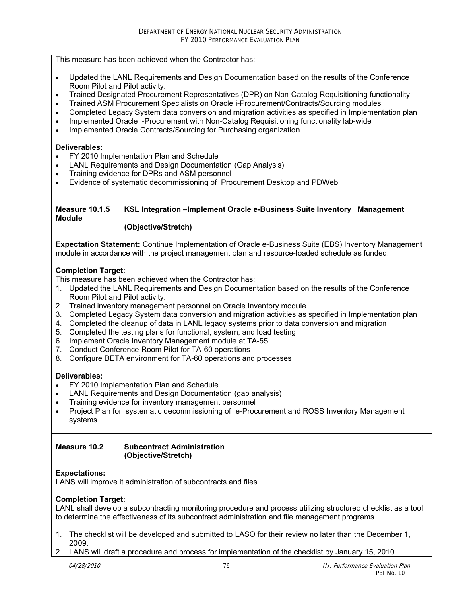This measure has been achieved when the Contractor has:

- Updated the LANL Requirements and Design Documentation based on the results of the Conference Room Pilot and Pilot activity.
- Trained Designated Procurement Representatives (DPR) on Non-Catalog Requisitioning functionality
- Trained ASM Procurement Specialists on Oracle i-Procurement/Contracts/Sourcing modules
- Completed Legacy System data conversion and migration activities as specified in Implementation plan
- Implemented Oracle i-Procurement with Non-Catalog Requisitioning functionality lab-wide
- Implemented Oracle Contracts/Sourcing for Purchasing organization

### **Deliverables:**

- FY 2010 Implementation Plan and Schedule
- LANL Requirements and Design Documentation (Gap Analysis)
- Training evidence for DPRs and ASM personnel
- Evidence of systematic decommissioning of Procurement Desktop and PDWeb

## **Measure 10.1.5 KSL Integration –Implement Oracle e-Business Suite Inventory Management Module**

## **(Objective/Stretch)**

**Expectation Statement:** Continue Implementation of Oracle e-Business Suite (EBS) Inventory Management module in accordance with the project management plan and resource-loaded schedule as funded.

#### **Completion Target:**

This measure has been achieved when the Contractor has:

- 1. Updated the LANL Requirements and Design Documentation based on the results of the Conference Room Pilot and Pilot activity.
- 2. Trained inventory management personnel on Oracle Inventory module
- 3. Completed Legacy System data conversion and migration activities as specified in Implementation plan
- 4. Completed the cleanup of data in LANL legacy systems prior to data conversion and migration
- 5. Completed the testing plans for functional, system, and load testing
- 6. Implement Oracle Inventory Management module at TA-55
- 7. Conduct Conference Room Pilot for TA-60 operations
- 8. Configure BETA environment for TA-60 operations and processes

## **Deliverables:**

- FY 2010 Implementation Plan and Schedule
- LANL Requirements and Design Documentation (gap analysis)
- Training evidence for inventory management personnel
- Project Plan for systematic decommissioning of e-Procurement and ROSS Inventory Management systems

#### **Measure 10.2 Subcontract Administration (Objective/Stretch)**

## **Expectations:**

LANS will improve it administration of subcontracts and files.

## **Completion Target:**

LANL shall develop a subcontracting monitoring procedure and process utilizing structured checklist as a tool to determine the effectiveness of its subcontract administration and file management programs.

- 1. The checklist will be developed and submitted to LASO for their review no later than the December 1, 2009.
- 2. LANS will draft a procedure and process for implementation of the checklist by January 15, 2010.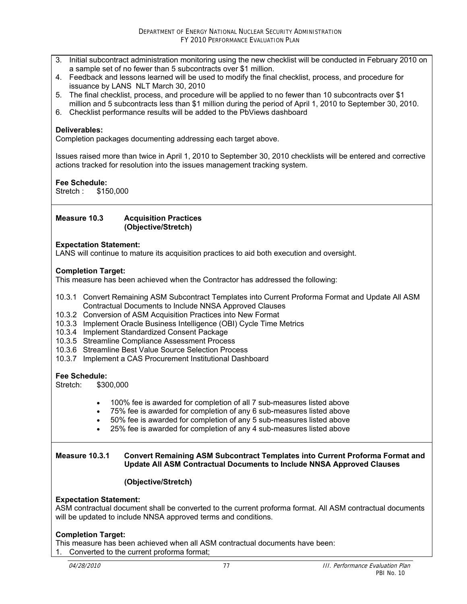- 3. Initial subcontract administration monitoring using the new checklist will be conducted in February 2010 on a sample set of no fewer than 5 subcontracts over \$1 million.
- 4. Feedback and lessons learned will be used to modify the final checklist, process, and procedure for issuance by LANS NLT March 30, 2010
- 5. The final checklist, process, and procedure will be applied to no fewer than 10 subcontracts over \$1 million and 5 subcontracts less than \$1 million during the period of April 1, 2010 to September 30, 2010.
- 6. Checklist performance results will be added to the PbViews dashboard

### **Deliverables:**

Completion packages documenting addressing each target above.

Issues raised more than twice in April 1, 2010 to September 30, 2010 checklists will be entered and corrective actions tracked for resolution into the issues management tracking system.

#### **Fee Schedule:**

Stretch : \$150,000

## **Measure 10.3 Acquisition Practices (Objective/Stretch)**

#### **Expectation Statement:**

LANS will continue to mature its acquisition practices to aid both execution and oversight.

#### **Completion Target:**

This measure has been achieved when the Contractor has addressed the following:

- 10.3.1 Convert Remaining ASM Subcontract Templates into Current Proforma Format and Update All ASM Contractual Documents to Include NNSA Approved Clauses
- 10.3.2 Conversion of ASM Acquisition Practices into New Format
- 10.3.3 Implement Oracle Business Intelligence (OBI) Cycle Time Metrics
- 10.3.4 Implement Standardized Consent Package
- 10.3.5 Streamline Compliance Assessment Process
- 10.3.6 Streamline Best Value Source Selection Process
- 10.3.7 Implement a CAS Procurement Institutional Dashboard

## **Fee Schedule:**

Stretch: \$300,000

- 100% fee is awarded for completion of all 7 sub-measures listed above
- 75% fee is awarded for completion of any 6 sub-measures listed above
- 50% fee is awarded for completion of any 5 sub-measures listed above
- 25% fee is awarded for completion of any 4 sub-measures listed above

## **Measure 10.3.1 Convert Remaining ASM Subcontract Templates into Current Proforma Format and Update All ASM Contractual Documents to Include NNSA Approved Clauses**

## **(Objective/Stretch)**

## **Expectation Statement:**

ASM contractual document shall be converted to the current proforma format. All ASM contractual documents will be updated to include NNSA approved terms and conditions.

## **Completion Target:**

This measure has been achieved when all ASM contractual documents have been: 1. Converted to the current proforma format;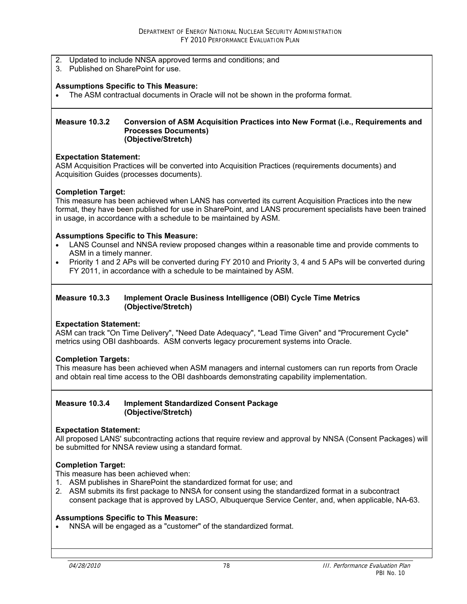- 2. Updated to include NNSA approved terms and conditions; and
- 3. Published on SharePoint for use.

### **Assumptions Specific to This Measure:**

• The ASM contractual documents in Oracle will not be shown in the proforma format.

#### **Measure 10.3.2 Conversion of ASM Acquisition Practices into New Format (i.e., Requirements and Processes Documents) (Objective/Stretch)**

#### **Expectation Statement:**

ASM Acquisition Practices will be converted into Acquisition Practices (requirements documents) and Acquisition Guides (processes documents).

#### **Completion Target:**

This measure has been achieved when LANS has converted its current Acquisition Practices into the new format, they have been published for use in SharePoint, and LANS procurement specialists have been trained in usage, in accordance with a schedule to be maintained by ASM.

#### **Assumptions Specific to This Measure:**

- LANS Counsel and NNSA review proposed changes within a reasonable time and provide comments to ASM in a timely manner.
- Priority 1 and 2 APs will be converted during FY 2010 and Priority 3, 4 and 5 APs will be converted during FY 2011, in accordance with a schedule to be maintained by ASM.

### **Measure 10.3.3 Implement Oracle Business Intelligence (OBI) Cycle Time Metrics (Objective/Stretch)**

#### **Expectation Statement:**

ASM can track "On Time Delivery", "Need Date Adequacy", "Lead Time Given" and "Procurement Cycle" metrics using OBI dashboards. ASM converts legacy procurement systems into Oracle.

## **Completion Targets:**

This measure has been achieved when ASM managers and internal customers can run reports from Oracle and obtain real time access to the OBI dashboards demonstrating capability implementation.

#### **Measure 10.3.4 Implement Standardized Consent Package (Objective/Stretch)**

#### **Expectation Statement:**

All proposed LANS' subcontracting actions that require review and approval by NNSA (Consent Packages) will be submitted for NNSA review using a standard format.

## **Completion Target:**

This measure has been achieved when:

- 1. ASM publishes in SharePoint the standardized format for use; and
- 2. ASM submits its first package to NNSA for consent using the standardized format in a subcontract consent package that is approved by LASO, Albuquerque Service Center, and, when applicable, NA-63.

#### **Assumptions Specific to This Measure:**

• NNSA will be engaged as a "customer" of the standardized format.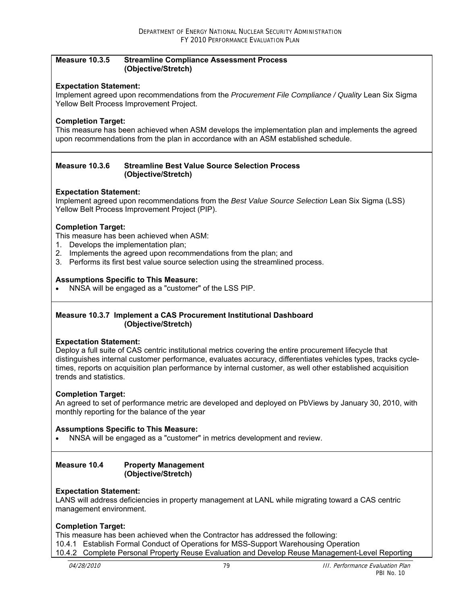## **Measure 10.3.5 Streamline Compliance Assessment Process (Objective/Stretch)**

## **Expectation Statement:**

Implement agreed upon recommendations from the *Procurement File Compliance / Quality* Lean Six Sigma Yellow Belt Process Improvement Project.

#### **Completion Target:**

This measure has been achieved when ASM develops the implementation plan and implements the agreed upon recommendations from the plan in accordance with an ASM established schedule.

## **Measure 10.3.6 Streamline Best Value Source Selection Process (Objective/Stretch)**

#### **Expectation Statement:**

Implement agreed upon recommendations from the *Best Value Source Selection* Lean Six Sigma (LSS) Yellow Belt Process Improvement Project (PIP).

#### **Completion Target:**

This measure has been achieved when ASM:

- 1. Develops the implementation plan;
- 2. Implements the agreed upon recommendations from the plan; and
- 3. Performs its first best value source selection using the streamlined process.

#### **Assumptions Specific to This Measure:**

• NNSA will be engaged as a "customer" of the LSS PIP.

#### **Measure 10.3.7 Implement a CAS Procurement Institutional Dashboard (Objective/Stretch)**

#### **Expectation Statement:**

Deploy a full suite of CAS centric institutional metrics covering the entire procurement lifecycle that distinguishes internal customer performance, evaluates accuracy, differentiates vehicles types, tracks cycletimes, reports on acquisition plan performance by internal customer, as well other established acquisition trends and statistics.

#### **Completion Target:**

An agreed to set of performance metric are developed and deployed on PbViews by January 30, 2010, with monthly reporting for the balance of the year

#### **Assumptions Specific to This Measure:**

• NNSA will be engaged as a "customer" in metrics development and review.

## **Measure 10.4 Property Management (Objective/Stretch)**

## **Expectation Statement:**

LANS will address deficiencies in property management at LANL while migrating toward a CAS centric management environment.

## **Completion Target:**

This measure has been achieved when the Contractor has addressed the following:

10.4.1 Establish Formal Conduct of Operations for MSS-Support Warehousing Operation

10.4.2 Complete Personal Property Reuse Evaluation and Develop Reuse Management-Level Reporting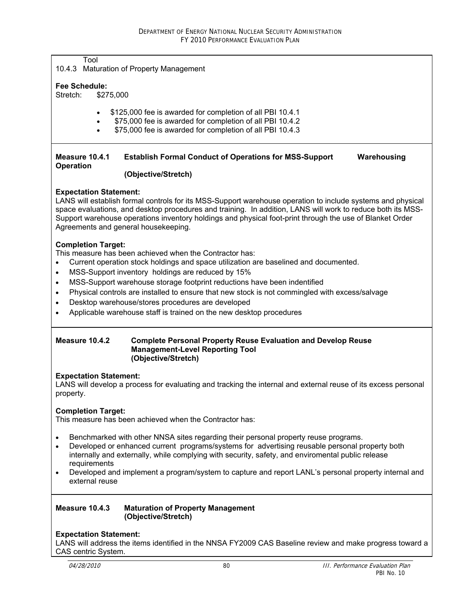Tool

10.4.3 Maturation of Property Management

## **Fee Schedule:**

Stretch: \$275,000

- \$125,000 fee is awarded for completion of all PBI 10.4.1
- \$75,000 fee is awarded for completion of all PBI 10.4.2
- \$75,000 fee is awarded for completion of all PBI 10.4.3

## **Measure 10.4.1 Establish Formal Conduct of Operations for MSS-Support Warehousing Operation**

## **(Objective/Stretch)**

## **Expectation Statement:**

LANS will establish formal controls for its MSS-Support warehouse operation to include systems and physical space evaluations, and desktop procedures and training. In addition, LANS will work to reduce both its MSS-Support warehouse operations inventory holdings and physical foot-print through the use of Blanket Order Agreements and general housekeeping.

## **Completion Target:**

This measure has been achieved when the Contractor has:

- Current operation stock holdings and space utilization are baselined and documented.
- MSS-Support inventory holdings are reduced by 15%
- MSS-Support warehouse storage footprint reductions have been indentified
- Physical controls are installed to ensure that new stock is not commingled with excess/salvage
- Desktop warehouse/stores procedures are developed
- Applicable warehouse staff is trained on the new desktop procedures

#### **Measure 10.4.2 Complete Personal Property Reuse Evaluation and Develop Reuse Management-Level Reporting Tool (Objective/Stretch)**

## **Expectation Statement:**

LANS will develop a process for evaluating and tracking the internal and external reuse of its excess personal property.

## **Completion Target:**

This measure has been achieved when the Contractor has:

- Benchmarked with other NNSA sites regarding their personal property reuse programs.
- Developed or enhanced current programs/systems for advertising reusable personal property both internally and externally, while complying with security, safety, and enviromental public release requirements
- Developed and implement a program/system to capture and report LANL's personal property internal and external reuse

## **Measure 10.4.3 Maturation of Property Management (Objective/Stretch)**

## **Expectation Statement:**

LANS will address the items identified in the NNSA FY2009 CAS Baseline review and make progress toward a CAS centric System.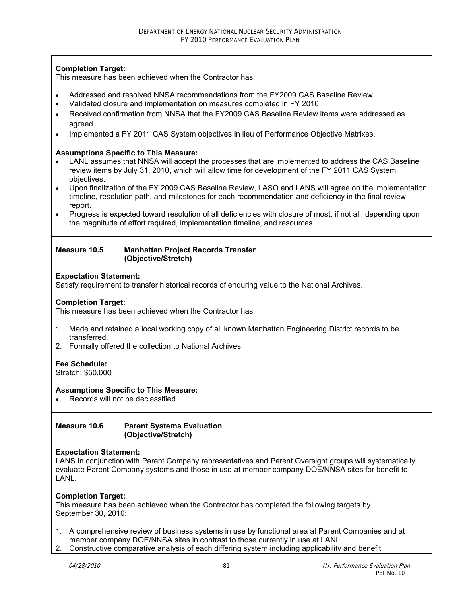## **Completion Target:**

This measure has been achieved when the Contractor has:

- Addressed and resolved NNSA recommendations from the FY2009 CAS Baseline Review
- Validated closure and implementation on measures completed in FY 2010
- Received confirmation from NNSA that the FY2009 CAS Baseline Review items were addressed as agreed
- Implemented a FY 2011 CAS System objectives in lieu of Performance Objective Matrixes.

### **Assumptions Specific to This Measure:**

- LANL assumes that NNSA will accept the processes that are implemented to address the CAS Baseline review items by July 31, 2010, which will allow time for development of the FY 2011 CAS System objectives.
- Upon finalization of the FY 2009 CAS Baseline Review, LASO and LANS will agree on the implementation timeline, resolution path, and milestones for each recommendation and deficiency in the final review report.
- Progress is expected toward resolution of all deficiencies with closure of most, if not all, depending upon the magnitude of effort required, implementation timeline, and resources.

#### **Measure 10.5 Manhattan Project Records Transfer (Objective/Stretch)**

#### **Expectation Statement:**

Satisfy requirement to transfer historical records of enduring value to the National Archives.

#### **Completion Target:**

This measure has been achieved when the Contractor has:

- 1. Made and retained a local working copy of all known Manhattan Engineering District records to be transferred.
- 2. Formally offered the collection to National Archives.

## **Fee Schedule:**

Stretch: \$50,000

#### **Assumptions Specific to This Measure:**

• Records will not be declassified.

## **Measure 10.6 Parent Systems Evaluation (Objective/Stretch)**

#### **Expectation Statement:**

LANS in conjunction with Parent Company representatives and Parent Oversight groups will systematically evaluate Parent Company systems and those in use at member company DOE/NNSA sites for benefit to LANL.

#### **Completion Target:**

This measure has been achieved when the Contractor has completed the following targets by September 30, 2010:

- 1. A comprehensive review of business systems in use by functional area at Parent Companies and at member company DOE/NNSA sites in contrast to those currently in use at LANL
- 2. Constructive comparative analysis of each differing system including applicability and benefit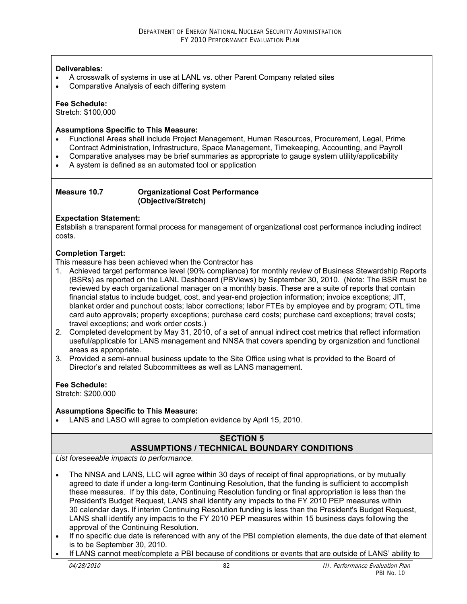#### **Deliverables:**

- A crosswalk of systems in use at LANL vs. other Parent Company related sites
- Comparative Analysis of each differing system

#### **Fee Schedule:**

Stretch: \$100,000

#### **Assumptions Specific to This Measure:**

- Functional Areas shall include Project Management, Human Resources, Procurement, Legal, Prime Contract Administration, Infrastructure, Space Management, Timekeeping, Accounting, and Payroll
- Comparative analyses may be brief summaries as appropriate to gauge system utility/applicability
- A system is defined as an automated tool or application

| Measure 10.7 | <b>Organizational Cost Performance</b> |
|--------------|----------------------------------------|
|              | (Objective/Stretch)                    |

#### **Expectation Statement:**

Establish a transparent formal process for management of organizational cost performance including indirect costs.

#### **Completion Target:**

This measure has been achieved when the Contractor has

- 1. Achieved target performance level (90% compliance) for monthly review of Business Stewardship Reports (BSRs) as reported on the LANL Dashboard (PBViews) by September 30, 2010. (Note: The BSR must be reviewed by each organizational manager on a monthly basis. These are a suite of reports that contain financial status to include budget, cost, and year-end projection information; invoice exceptions; JIT, blanket order and punchout costs; labor corrections; labor FTEs by employee and by program; OTL time card auto approvals; property exceptions; purchase card costs; purchase card exceptions; travel costs; travel exceptions; and work order costs.)
- 2. Completed development by May 31, 2010, of a set of annual indirect cost metrics that reflect information useful/applicable for LANS management and NNSA that covers spending by organization and functional areas as appropriate.
- 3. Provided a semi-annual business update to the Site Office using what is provided to the Board of Director's and related Subcommittees as well as LANS management.

#### **Fee Schedule:**

Stretch: \$200,000

## **Assumptions Specific to This Measure:**

• LANS and LASO will agree to completion evidence by April 15, 2010.

## **SECTION 5 ASSUMPTIONS / TECHNICAL BOUNDARY CONDITIONS**

*List foreseeable impacts to performance.*

- The NNSA and LANS, LLC will agree within 30 days of receipt of final appropriations, or by mutually agreed to date if under a long-term Continuing Resolution, that the funding is sufficient to accomplish these measures. If by this date, Continuing Resolution funding or final appropriation is less than the President's Budget Request, LANS shall identify any impacts to the FY 2010 PEP measures within 30 calendar days. If interim Continuing Resolution funding is less than the President's Budget Request, LANS shall identify any impacts to the FY 2010 PEP measures within 15 business days following the approval of the Continuing Resolution.
- If no specific due date is referenced with any of the PBI completion elements, the due date of that element is to be September 30, 2010.
- If LANS cannot meet/complete a PBI because of conditions or events that are outside of LANS' ability to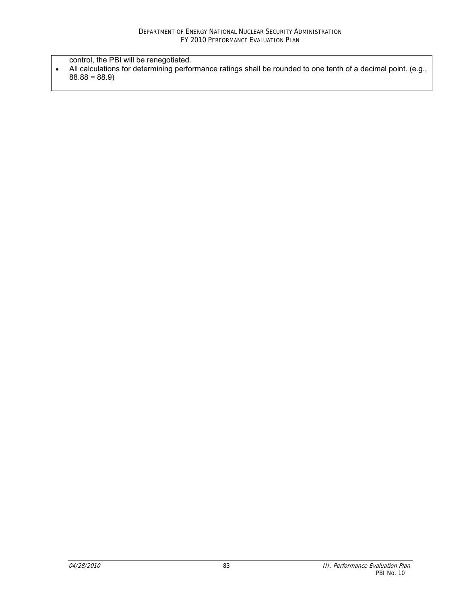control, the PBI will be renegotiated.

• All calculations for determining performance ratings shall be rounded to one tenth of a decimal point. (e.g., 88.88 = 88.9)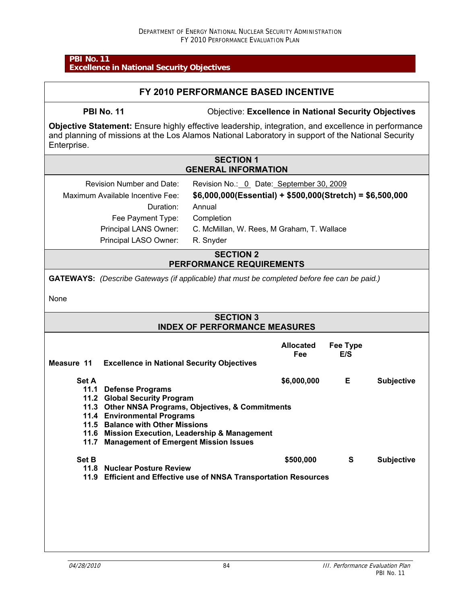#### **PBI NO. 11 Excellence in National Security Objectives**

## **FY 2010 PERFORMANCE BASED INCENTIVE**

**PBI No. 11** Objective: **Excellence in National Security Objectives** 

**Objective Statement:** Ensure highly effective leadership, integration, and excellence in performance and planning of missions at the Los Alamos National Laboratory in support of the National Security Enterprise.

## **SECTION 1 GENERAL INFORMATION**

| Revision Number and Date:<br>Maximum Available Incentive Fee: | Revision No.: 0 Date: September 30, 2009<br>$$6,000,000$ (Essential) + \$500,000(Stretch) = \$6,500,000 |  |
|---------------------------------------------------------------|---------------------------------------------------------------------------------------------------------|--|
| Duration:                                                     | Annual                                                                                                  |  |
|                                                               |                                                                                                         |  |
| Fee Payment Type:                                             | Completion                                                                                              |  |
| Principal LANS Owner:                                         | C. McMillan, W. Rees, M Graham, T. Wallace                                                              |  |
| Principal LASO Owner:                                         | R. Snyder                                                                                               |  |
| <b>SECTION 2</b>                                              |                                                                                                         |  |

## **PERFORMANCE REQUIREMENTS**

**GATEWAYS:** *(Describe Gateways (if applicable) that must be completed before fee can be paid.)* 

None

## **SECTION 3 INDEX OF PERFORMANCE MEASURES**

|              | <b>Measure 11 Excellence in National Security Objectives</b>        | <b>Allocated</b><br>Fee | Fee Type<br>E/S |                   |
|--------------|---------------------------------------------------------------------|-------------------------|-----------------|-------------------|
| Set A        |                                                                     | \$6,000,000             | Е               | <b>Subjective</b> |
| 11.1         | <b>Defense Programs</b>                                             |                         |                 |                   |
| 11.2         | <b>Global Security Program</b>                                      |                         |                 |                   |
|              | 11.3 Other NNSA Programs, Objectives, & Commitments                 |                         |                 |                   |
|              | 11.4 Environmental Programs                                         |                         |                 |                   |
|              | 11.5 Balance with Other Missions                                    |                         |                 |                   |
|              | 11.6 Mission Execution, Leadership & Management                     |                         |                 |                   |
| 11.7         | <b>Management of Emergent Mission Issues</b>                        |                         |                 |                   |
| <b>Set B</b> |                                                                     | \$500,000               | S               | <b>Subjective</b> |
| 11.8         | <b>Nuclear Posture Review</b>                                       |                         |                 |                   |
| 11.9         | <b>Efficient and Effective use of NNSA Transportation Resources</b> |                         |                 |                   |
|              |                                                                     |                         |                 |                   |
|              |                                                                     |                         |                 |                   |
|              |                                                                     |                         |                 |                   |
|              |                                                                     |                         |                 |                   |
|              |                                                                     |                         |                 |                   |
|              |                                                                     |                         |                 |                   |
|              |                                                                     |                         |                 |                   |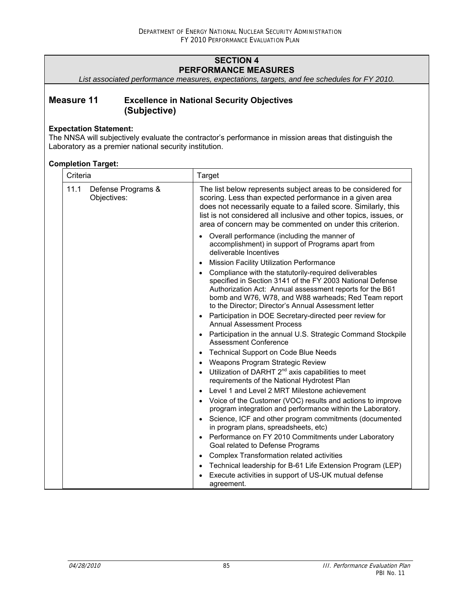## **SECTION 4 PERFORMANCE MEASURES**

*List associated performance measures, expectations, targets, and fee schedules for FY 2010.* 

## **Measure 11 Excellence in National Security Objectives (Subjective)**

### **Expectation Statement:**

The NNSA will subjectively evaluate the contractor's performance in mission areas that distinguish the Laboratory as a premier national security institution.

#### **Completion Target:**

| Criteria                                  | Target                                                                                                                                                                                                                                                                                                                      |
|-------------------------------------------|-----------------------------------------------------------------------------------------------------------------------------------------------------------------------------------------------------------------------------------------------------------------------------------------------------------------------------|
| 11.1<br>Defense Programs &<br>Objectives: | The list below represents subject areas to be considered for<br>scoring. Less than expected performance in a given area<br>does not necessarily equate to a failed score. Similarly, this<br>list is not considered all inclusive and other topics, issues, or<br>area of concern may be commented on under this criterion. |
|                                           | Overall performance (including the manner of<br>$\bullet$<br>accomplishment) in support of Programs apart from<br>deliverable Incentives                                                                                                                                                                                    |
|                                           | <b>Mission Facility Utilization Performance</b><br>$\bullet$                                                                                                                                                                                                                                                                |
|                                           | Compliance with the statutorily-required deliverables<br>$\bullet$<br>specified in Section 3141 of the FY 2003 National Defense<br>Authorization Act: Annual assessment reports for the B61<br>bomb and W76, W78, and W88 warheads; Red Team report<br>to the Director; Director's Annual Assessment letter                 |
|                                           | Participation in DOE Secretary-directed peer review for<br>$\bullet$<br><b>Annual Assessment Process</b>                                                                                                                                                                                                                    |
|                                           | Participation in the annual U.S. Strategic Command Stockpile<br>$\bullet$<br><b>Assessment Conference</b>                                                                                                                                                                                                                   |
|                                           | <b>Technical Support on Code Blue Needs</b><br>$\bullet$                                                                                                                                                                                                                                                                    |
|                                           | Weapons Program Strategic Review<br>$\bullet$                                                                                                                                                                                                                                                                               |
|                                           | Utilization of DARHT 2 <sup>nd</sup> axis capabilities to meet<br>$\bullet$<br>requirements of the National Hydrotest Plan                                                                                                                                                                                                  |
|                                           | Level 1 and Level 2 MRT Milestone achievement                                                                                                                                                                                                                                                                               |
|                                           | Voice of the Customer (VOC) results and actions to improve<br>$\bullet$<br>program integration and performance within the Laboratory.                                                                                                                                                                                       |
|                                           | Science, ICF and other program commitments (documented<br>$\bullet$<br>in program plans, spreadsheets, etc)                                                                                                                                                                                                                 |
|                                           | Performance on FY 2010 Commitments under Laboratory<br>$\bullet$<br>Goal related to Defense Programs                                                                                                                                                                                                                        |
|                                           | <b>Complex Transformation related activities</b><br>$\bullet$                                                                                                                                                                                                                                                               |
|                                           | Technical leadership for B-61 Life Extension Program (LEP)<br>$\bullet$                                                                                                                                                                                                                                                     |
|                                           | Execute activities in support of US-UK mutual defense<br>agreement.                                                                                                                                                                                                                                                         |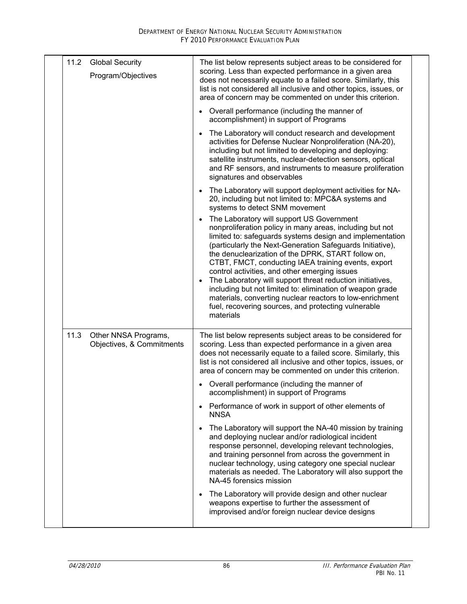| 11.2 | <b>Global Security</b><br>Program/Objectives      | The list below represents subject areas to be considered for<br>scoring. Less than expected performance in a given area<br>does not necessarily equate to a failed score. Similarly, this<br>list is not considered all inclusive and other topics, issues, or<br>area of concern may be commented on under this criterion.                                                                                                                                                                                                                                                                                                                                                      |
|------|---------------------------------------------------|----------------------------------------------------------------------------------------------------------------------------------------------------------------------------------------------------------------------------------------------------------------------------------------------------------------------------------------------------------------------------------------------------------------------------------------------------------------------------------------------------------------------------------------------------------------------------------------------------------------------------------------------------------------------------------|
|      |                                                   | • Overall performance (including the manner of<br>accomplishment) in support of Programs                                                                                                                                                                                                                                                                                                                                                                                                                                                                                                                                                                                         |
|      |                                                   | The Laboratory will conduct research and development<br>$\bullet$<br>activities for Defense Nuclear Nonproliferation (NA-20),<br>including but not limited to developing and deploying:<br>satellite instruments, nuclear-detection sensors, optical<br>and RF sensors, and instruments to measure proliferation<br>signatures and observables                                                                                                                                                                                                                                                                                                                                   |
|      |                                                   | The Laboratory will support deployment activities for NA-<br>$\bullet$<br>20, including but not limited to: MPC&A systems and<br>systems to detect SNM movement                                                                                                                                                                                                                                                                                                                                                                                                                                                                                                                  |
|      |                                                   | The Laboratory will support US Government<br>$\bullet$<br>nonproliferation policy in many areas, including but not<br>limited to: safeguards systems design and implementation<br>(particularly the Next-Generation Safeguards Initiative),<br>the denuclearization of the DPRK, START follow on,<br>CTBT, FMCT, conducting IAEA training events, export<br>control activities, and other emerging issues<br>The Laboratory will support threat reduction initiatives,<br>$\bullet$<br>including but not limited to: elimination of weapon grade<br>materials, converting nuclear reactors to low-enrichment<br>fuel, recovering sources, and protecting vulnerable<br>materials |
| 11.3 | Other NNSA Programs,<br>Objectives, & Commitments | The list below represents subject areas to be considered for<br>scoring. Less than expected performance in a given area<br>does not necessarily equate to a failed score. Similarly, this<br>list is not considered all inclusive and other topics, issues, or<br>area of concern may be commented on under this criterion.                                                                                                                                                                                                                                                                                                                                                      |
|      |                                                   | Overall performance (including the manner of<br>accomplishment) in support of Programs                                                                                                                                                                                                                                                                                                                                                                                                                                                                                                                                                                                           |
|      |                                                   | Performance of work in support of other elements of<br><b>NNSA</b>                                                                                                                                                                                                                                                                                                                                                                                                                                                                                                                                                                                                               |
|      |                                                   | The Laboratory will support the NA-40 mission by training<br>$\bullet$<br>and deploying nuclear and/or radiological incident<br>response personnel, developing relevant technologies,<br>and training personnel from across the government in<br>nuclear technology, using category one special nuclear<br>materials as needed. The Laboratory will also support the<br>NA-45 forensics mission                                                                                                                                                                                                                                                                                  |
|      |                                                   | The Laboratory will provide design and other nuclear<br>$\bullet$<br>weapons expertise to further the assessment of<br>improvised and/or foreign nuclear device designs                                                                                                                                                                                                                                                                                                                                                                                                                                                                                                          |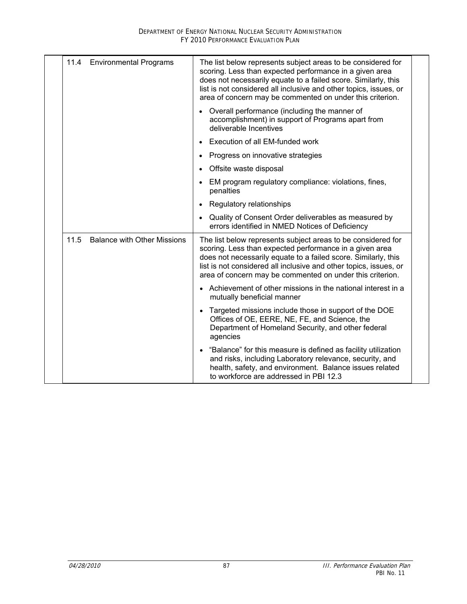| 11.4 Environmental Programs                | The list below represents subject areas to be considered for<br>scoring. Less than expected performance in a given area<br>does not necessarily equate to a failed score. Similarly, this<br>list is not considered all inclusive and other topics, issues, or<br>area of concern may be commented on under this criterion. |
|--------------------------------------------|-----------------------------------------------------------------------------------------------------------------------------------------------------------------------------------------------------------------------------------------------------------------------------------------------------------------------------|
|                                            | Overall performance (including the manner of<br>accomplishment) in support of Programs apart from<br>deliverable Incentives                                                                                                                                                                                                 |
|                                            | Execution of all EM-funded work                                                                                                                                                                                                                                                                                             |
|                                            | Progress on innovative strategies                                                                                                                                                                                                                                                                                           |
|                                            | Offsite waste disposal                                                                                                                                                                                                                                                                                                      |
|                                            | EM program regulatory compliance: violations, fines,<br>penalties                                                                                                                                                                                                                                                           |
|                                            | Regulatory relationships                                                                                                                                                                                                                                                                                                    |
|                                            | Quality of Consent Order deliverables as measured by<br>errors identified in NMED Notices of Deficiency                                                                                                                                                                                                                     |
| 11.5<br><b>Balance with Other Missions</b> | The list below represents subject areas to be considered for<br>scoring. Less than expected performance in a given area<br>does not necessarily equate to a failed score. Similarly, this<br>list is not considered all inclusive and other topics, issues, or<br>area of concern may be commented on under this criterion. |
|                                            | Achievement of other missions in the national interest in a<br>mutually beneficial manner                                                                                                                                                                                                                                   |
|                                            | Targeted missions include those in support of the DOE<br>$\bullet$<br>Offices of OE, EERE, NE, FE, and Science, the<br>Department of Homeland Security, and other federal<br>agencies                                                                                                                                       |
|                                            | "Balance" for this measure is defined as facility utilization<br>and risks, including Laboratory relevance, security, and<br>health, safety, and environment. Balance issues related<br>to workforce are addressed in PBI 12.3                                                                                              |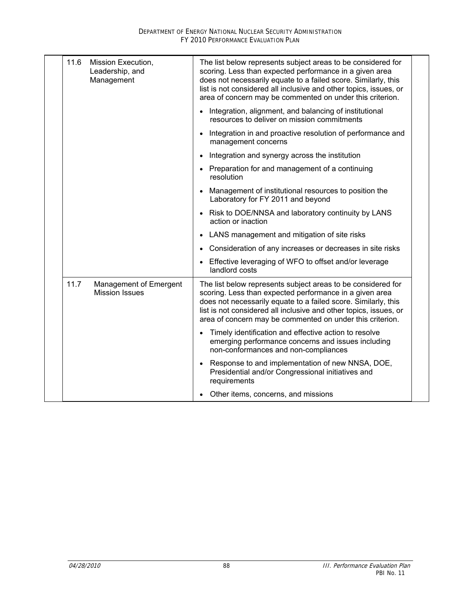| 11.6 | Mission Execution,<br>Leadership, and<br>Management | The list below represents subject areas to be considered for<br>scoring. Less than expected performance in a given area<br>does not necessarily equate to a failed score. Similarly, this<br>list is not considered all inclusive and other topics, issues, or<br>area of concern may be commented on under this criterion. |  |
|------|-----------------------------------------------------|-----------------------------------------------------------------------------------------------------------------------------------------------------------------------------------------------------------------------------------------------------------------------------------------------------------------------------|--|
|      |                                                     | • Integration, alignment, and balancing of institutional<br>resources to deliver on mission commitments                                                                                                                                                                                                                     |  |
|      |                                                     | Integration in and proactive resolution of performance and<br>management concerns                                                                                                                                                                                                                                           |  |
|      |                                                     | Integration and synergy across the institution<br>$\bullet$                                                                                                                                                                                                                                                                 |  |
|      |                                                     | Preparation for and management of a continuing<br>resolution                                                                                                                                                                                                                                                                |  |
|      |                                                     | Management of institutional resources to position the<br>Laboratory for FY 2011 and beyond                                                                                                                                                                                                                                  |  |
|      |                                                     | Risk to DOE/NNSA and laboratory continuity by LANS<br>action or inaction                                                                                                                                                                                                                                                    |  |
|      |                                                     | • LANS management and mitigation of site risks                                                                                                                                                                                                                                                                              |  |
|      |                                                     | • Consideration of any increases or decreases in site risks                                                                                                                                                                                                                                                                 |  |
|      |                                                     | Effective leveraging of WFO to offset and/or leverage<br>landlord costs                                                                                                                                                                                                                                                     |  |
| 11.7 | Management of Emergent<br><b>Mission Issues</b>     | The list below represents subject areas to be considered for<br>scoring. Less than expected performance in a given area<br>does not necessarily equate to a failed score. Similarly, this<br>list is not considered all inclusive and other topics, issues, or<br>area of concern may be commented on under this criterion. |  |
|      |                                                     | Timely identification and effective action to resolve<br>emerging performance concerns and issues including<br>non-conformances and non-compliances                                                                                                                                                                         |  |
|      |                                                     | Response to and implementation of new NNSA, DOE,<br>Presidential and/or Congressional initiatives and<br>requirements                                                                                                                                                                                                       |  |
|      |                                                     | Other items, concerns, and missions                                                                                                                                                                                                                                                                                         |  |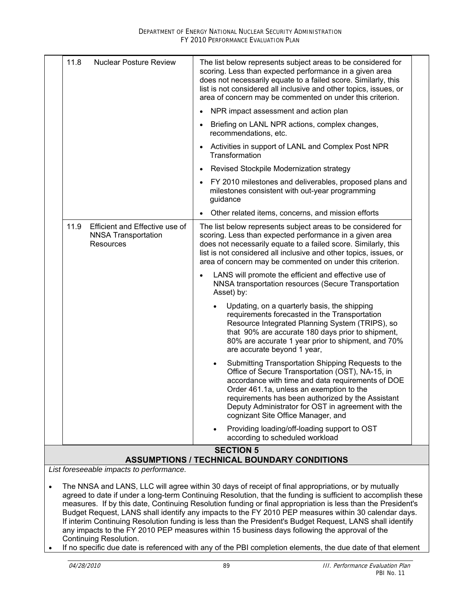| 11.8              | <b>Nuclear Posture Review</b>                                          | The list below represents subject areas to be considered for<br>scoring. Less than expected performance in a given area<br>does not necessarily equate to a failed score. Similarly, this<br>list is not considered all inclusive and other topics, issues, or<br>area of concern may be commented on under this criterion.                                           |  |  |
|-------------------|------------------------------------------------------------------------|-----------------------------------------------------------------------------------------------------------------------------------------------------------------------------------------------------------------------------------------------------------------------------------------------------------------------------------------------------------------------|--|--|
|                   |                                                                        | NPR impact assessment and action plan<br>$\bullet$                                                                                                                                                                                                                                                                                                                    |  |  |
|                   |                                                                        | Briefing on LANL NPR actions, complex changes,<br>recommendations, etc.                                                                                                                                                                                                                                                                                               |  |  |
|                   |                                                                        | Activities in support of LANL and Complex Post NPR<br>$\bullet$<br>Transformation                                                                                                                                                                                                                                                                                     |  |  |
|                   |                                                                        | Revised Stockpile Modernization strategy<br>$\bullet$                                                                                                                                                                                                                                                                                                                 |  |  |
|                   |                                                                        | FY 2010 milestones and deliverables, proposed plans and<br>milestones consistent with out-year programming<br>guidance                                                                                                                                                                                                                                                |  |  |
|                   |                                                                        | Other related items, concerns, and mission efforts                                                                                                                                                                                                                                                                                                                    |  |  |
| 11.9<br>Resources | Efficient and Effective use of<br><b>NNSA Transportation</b>           | The list below represents subject areas to be considered for<br>scoring. Less than expected performance in a given area<br>does not necessarily equate to a failed score. Similarly, this<br>list is not considered all inclusive and other topics, issues, or<br>area of concern may be commented on under this criterion.                                           |  |  |
|                   |                                                                        | LANS will promote the efficient and effective use of<br>$\bullet$<br>NNSA transportation resources (Secure Transportation<br>Asset) by:                                                                                                                                                                                                                               |  |  |
|                   |                                                                        | Updating, on a quarterly basis, the shipping<br>requirements forecasted in the Transportation<br>Resource Integrated Planning System (TRIPS), so<br>that 90% are accurate 180 days prior to shipment,<br>80% are accurate 1 year prior to shipment, and 70%<br>are accurate beyond 1 year,                                                                            |  |  |
|                   |                                                                        | Submitting Transportation Shipping Requests to the<br>$\bullet$<br>Office of Secure Transportation (OST), NA-15, in<br>accordance with time and data requirements of DOE<br>Order 461.1a, unless an exemption to the<br>requirements has been authorized by the Assistant<br>Deputy Administrator for OST in agreement with the<br>cognizant Site Office Manager, and |  |  |
|                   |                                                                        | Providing loading/off-loading support to OST<br>$\bullet$<br>according to scheduled workload                                                                                                                                                                                                                                                                          |  |  |
|                   | <b>SECTION 5</b><br><b>ASSUMPTIONS / TECHNICAL BOUNDARY CONDITIONS</b> |                                                                                                                                                                                                                                                                                                                                                                       |  |  |

*List foreseeable impacts to performance.*

- The NNSA and LANS, LLC will agree within 30 days of receipt of final appropriations, or by mutually agreed to date if under a long-term Continuing Resolution, that the funding is sufficient to accomplish these measures. If by this date, Continuing Resolution funding or final appropriation is less than the President's Budget Request, LANS shall identify any impacts to the FY 2010 PEP measures within 30 calendar days. If interim Continuing Resolution funding is less than the President's Budget Request, LANS shall identify any impacts to the FY 2010 PEP measures within 15 business days following the approval of the Continuing Resolution.
- If no specific due date is referenced with any of the PBI completion elements, the due date of that element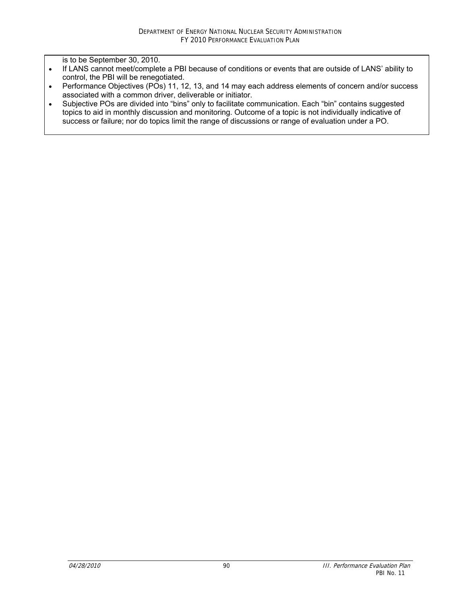is to be September 30, 2010.

- If LANS cannot meet/complete a PBI because of conditions or events that are outside of LANS' ability to control, the PBI will be renegotiated.
- Performance Objectives (POs) 11, 12, 13, and 14 may each address elements of concern and/or success associated with a common driver, deliverable or initiator.
- Subjective POs are divided into "bins" only to facilitate communication. Each "bin" contains suggested topics to aid in monthly discussion and monitoring. Outcome of a topic is not individually indicative of success or failure; nor do topics limit the range of discussions or range of evaluation under a PO.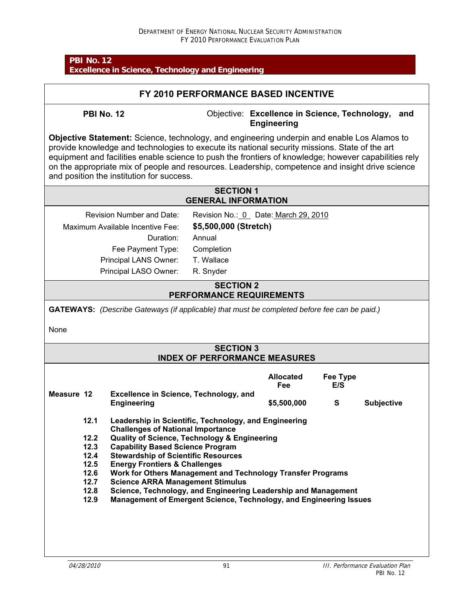## **PBI NO. 12 Excellence in Science, Technology and Engineering**

## **FY 2010 PERFORMANCE BASED INCENTIVE**

**PBI No. 12** Objective: **Excellence in Science, Technology, and Engineering** 

**Objective Statement:** Science, technology, and engineering underpin and enable Los Alamos to provide knowledge and technologies to execute its national security missions. State of the art equipment and facilities enable science to push the frontiers of knowledge; however capabilities rely on the appropriate mix of people and resources. Leadership, competence and insight drive science and position the institution for success.

## **SECTION 1 GENERAL INFORMATION**

| Revision Number and Date:        |                       | Revision No.: 0 Date: March 29, 2010 |
|----------------------------------|-----------------------|--------------------------------------|
| Maximum Available Incentive Fee: | \$5,500,000 (Stretch) |                                      |
| Duration:                        | Annual                |                                      |
| Fee Payment Type:                | Completion            |                                      |
| Principal LANS Owner:            | T. Wallace            |                                      |
| Principal LASO Owner:            | R. Snyder             |                                      |
|                                  |                       |                                      |

## **SECTION 2 PERFORMANCE REQUIREMENTS**

**GATEWAYS:** *(Describe Gateways (if applicable) that must be completed before fee can be paid.)* 

None

## **SECTION 3 INDEX OF PERFORMANCE MEASURES**

|            |      |                                                                           | <b>Allocated</b><br><b>Fee</b> | Fee Type<br>E/S |                   |
|------------|------|---------------------------------------------------------------------------|--------------------------------|-----------------|-------------------|
| Measure 12 |      | <b>Excellence in Science, Technology, and</b>                             |                                |                 |                   |
|            |      | <b>Engineering</b>                                                        | \$5,500,000                    | S               | <b>Subjective</b> |
|            | 12.1 | Leadership in Scientific, Technology, and Engineering                     |                                |                 |                   |
|            |      | <b>Challenges of National Importance</b>                                  |                                |                 |                   |
|            | 12.2 | <b>Quality of Science, Technology &amp; Engineering</b>                   |                                |                 |                   |
|            | 12.3 | <b>Capability Based Science Program</b>                                   |                                |                 |                   |
|            | 12.4 | <b>Stewardship of Scientific Resources</b>                                |                                |                 |                   |
|            | 12.5 | <b>Energy Frontiers &amp; Challenges</b>                                  |                                |                 |                   |
|            | 12.6 | Work for Others Management and Technology Transfer Programs               |                                |                 |                   |
|            | 12.7 | <b>Science ARRA Management Stimulus</b>                                   |                                |                 |                   |
|            | 12.8 | Science, Technology, and Engineering Leadership and Management            |                                |                 |                   |
|            | 12.9 | <b>Management of Emergent Science, Technology, and Engineering Issues</b> |                                |                 |                   |
|            |      |                                                                           |                                |                 |                   |
|            |      |                                                                           |                                |                 |                   |
|            |      |                                                                           |                                |                 |                   |
|            |      |                                                                           |                                |                 |                   |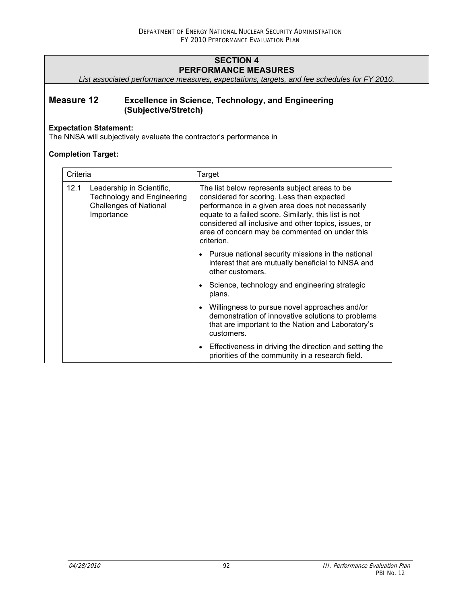## **SECTION 4 PERFORMANCE MEASURES**

*List associated performance measures, expectations, targets, and fee schedules for FY 2010.* 

## **Measure 12 Excellence in Science, Technology, and Engineering (Subjective/Stretch)**

## **Expectation Statement:**

The NNSA will subjectively evaluate the contractor's performance in

#### **Completion Target:**

|      | Criteria                                                                                               | Target                                                                                                                                                                                                                                                                                                                            |
|------|--------------------------------------------------------------------------------------------------------|-----------------------------------------------------------------------------------------------------------------------------------------------------------------------------------------------------------------------------------------------------------------------------------------------------------------------------------|
| 12.1 | Leadership in Scientific,<br>Technology and Engineering<br><b>Challenges of National</b><br>Importance | The list below represents subject areas to be<br>considered for scoring. Less than expected<br>performance in a given area does not necessarily<br>equate to a failed score. Similarly, this list is not<br>considered all inclusive and other topics, issues, or<br>area of concern may be commented on under this<br>criterion. |
|      |                                                                                                        | Pursue national security missions in the national<br>interest that are mutually beneficial to NNSA and<br>other customers.                                                                                                                                                                                                        |
|      |                                                                                                        | Science, technology and engineering strategic<br>plans.                                                                                                                                                                                                                                                                           |
|      |                                                                                                        | Willingness to pursue novel approaches and/or<br>demonstration of innovative solutions to problems<br>that are important to the Nation and Laboratory's<br>customers.                                                                                                                                                             |
|      |                                                                                                        | Effectiveness in driving the direction and setting the<br>priorities of the community in a research field.                                                                                                                                                                                                                        |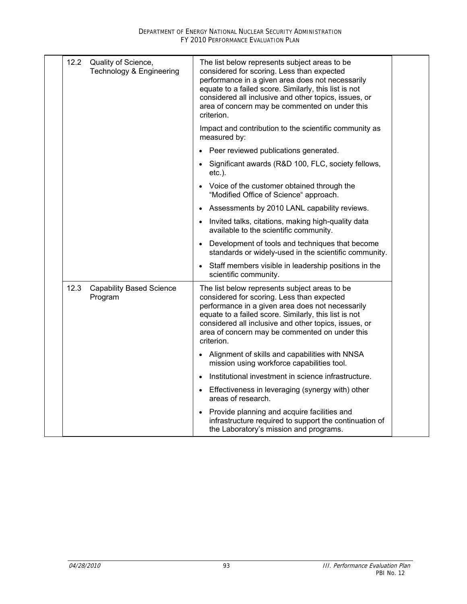| 12.2<br>Quality of Science,<br>Technology & Engineering | The list below represents subject areas to be<br>considered for scoring. Less than expected<br>performance in a given area does not necessarily<br>equate to a failed score. Similarly, this list is not<br>considered all inclusive and other topics, issues, or<br>area of concern may be commented on under this<br>criterion. |
|---------------------------------------------------------|-----------------------------------------------------------------------------------------------------------------------------------------------------------------------------------------------------------------------------------------------------------------------------------------------------------------------------------|
|                                                         | Impact and contribution to the scientific community as<br>measured by:                                                                                                                                                                                                                                                            |
|                                                         | Peer reviewed publications generated.                                                                                                                                                                                                                                                                                             |
|                                                         | Significant awards (R&D 100, FLC, society fellows,<br>$etc.$ ).                                                                                                                                                                                                                                                                   |
|                                                         | • Voice of the customer obtained through the<br>"Modified Office of Science" approach.                                                                                                                                                                                                                                            |
|                                                         | • Assessments by 2010 LANL capability reviews.                                                                                                                                                                                                                                                                                    |
|                                                         | • Invited talks, citations, making high-quality data<br>available to the scientific community.                                                                                                                                                                                                                                    |
|                                                         | • Development of tools and techniques that become<br>standards or widely-used in the scientific community.                                                                                                                                                                                                                        |
|                                                         | Staff members visible in leadership positions in the<br>scientific community.                                                                                                                                                                                                                                                     |
| 12.3<br><b>Capability Based Science</b><br>Program      | The list below represents subject areas to be<br>considered for scoring. Less than expected<br>performance in a given area does not necessarily<br>equate to a failed score. Similarly, this list is not<br>considered all inclusive and other topics, issues, or<br>area of concern may be commented on under this<br>criterion. |
|                                                         | • Alignment of skills and capabilities with NNSA<br>mission using workforce capabilities tool.                                                                                                                                                                                                                                    |
|                                                         | Institutional investment in science infrastructure.                                                                                                                                                                                                                                                                               |
|                                                         | • Effectiveness in leveraging (synergy with) other<br>areas of research.                                                                                                                                                                                                                                                          |
|                                                         | • Provide planning and acquire facilities and<br>infrastructure required to support the continuation of<br>the Laboratory's mission and programs.                                                                                                                                                                                 |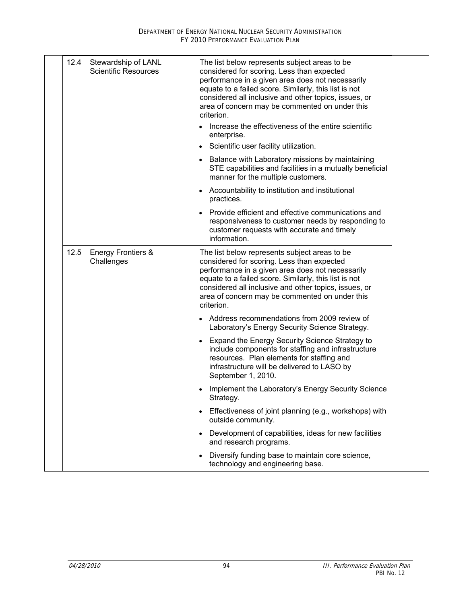| 12.4 | Stewardship of LANL<br><b>Scientific Resources</b> | The list below represents subject areas to be<br>considered for scoring. Less than expected<br>performance in a given area does not necessarily<br>equate to a failed score. Similarly, this list is not<br>considered all inclusive and other topics, issues, or<br>area of concern may be commented on under this<br>criterion.<br>Increase the effectiveness of the entire scientific<br>$\bullet$<br>enterprise.<br>Scientific user facility utilization.<br>$\bullet$ |  |
|------|----------------------------------------------------|----------------------------------------------------------------------------------------------------------------------------------------------------------------------------------------------------------------------------------------------------------------------------------------------------------------------------------------------------------------------------------------------------------------------------------------------------------------------------|--|
|      |                                                    | Balance with Laboratory missions by maintaining<br>STE capabilities and facilities in a mutually beneficial<br>manner for the multiple customers.                                                                                                                                                                                                                                                                                                                          |  |
|      |                                                    | Accountability to institution and institutional<br>$\bullet$<br>practices.                                                                                                                                                                                                                                                                                                                                                                                                 |  |
|      |                                                    | Provide efficient and effective communications and<br>responsiveness to customer needs by responding to<br>customer requests with accurate and timely<br>information.                                                                                                                                                                                                                                                                                                      |  |
| 12.5 | <b>Energy Frontiers &amp;</b><br>Challenges        | The list below represents subject areas to be<br>considered for scoring. Less than expected<br>performance in a given area does not necessarily<br>equate to a failed score. Similarly, this list is not<br>considered all inclusive and other topics, issues, or<br>area of concern may be commented on under this<br>criterion.                                                                                                                                          |  |
|      |                                                    | Address recommendations from 2009 review of<br>$\bullet$<br>Laboratory's Energy Security Science Strategy.                                                                                                                                                                                                                                                                                                                                                                 |  |
|      |                                                    | Expand the Energy Security Science Strategy to<br>$\bullet$<br>include components for staffing and infrastructure<br>resources. Plan elements for staffing and<br>infrastructure will be delivered to LASO by<br>September 1, 2010.                                                                                                                                                                                                                                        |  |
|      |                                                    | Implement the Laboratory's Energy Security Science<br>$\bullet$<br>Strategy.                                                                                                                                                                                                                                                                                                                                                                                               |  |
|      |                                                    | Effectiveness of joint planning (e.g., workshops) with<br>$\bullet$<br>outside community.                                                                                                                                                                                                                                                                                                                                                                                  |  |
|      |                                                    | Development of capabilities, ideas for new facilities<br>$\bullet$<br>and research programs.                                                                                                                                                                                                                                                                                                                                                                               |  |
|      |                                                    | Diversify funding base to maintain core science,<br>$\bullet$<br>technology and engineering base.                                                                                                                                                                                                                                                                                                                                                                          |  |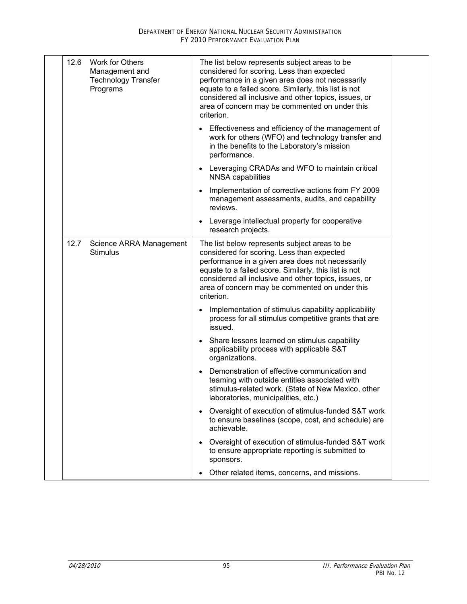| 12.6 | Work for Others<br>Management and<br><b>Technology Transfer</b><br>Programs | The list below represents subject areas to be<br>considered for scoring. Less than expected<br>performance in a given area does not necessarily<br>equate to a failed score. Similarly, this list is not<br>considered all inclusive and other topics, issues, or<br>area of concern may be commented on under this<br>criterion. |  |
|------|-----------------------------------------------------------------------------|-----------------------------------------------------------------------------------------------------------------------------------------------------------------------------------------------------------------------------------------------------------------------------------------------------------------------------------|--|
|      |                                                                             | • Effectiveness and efficiency of the management of<br>work for others (WFO) and technology transfer and<br>in the benefits to the Laboratory's mission<br>performance.                                                                                                                                                           |  |
|      |                                                                             | Leveraging CRADAs and WFO to maintain critical<br>$\bullet$<br><b>NNSA</b> capabilities                                                                                                                                                                                                                                           |  |
|      |                                                                             | Implementation of corrective actions from FY 2009<br>$\bullet$<br>management assessments, audits, and capability<br>reviews.                                                                                                                                                                                                      |  |
|      |                                                                             | Leverage intellectual property for cooperative<br>research projects.                                                                                                                                                                                                                                                              |  |
| 12.7 | Science ARRA Management<br><b>Stimulus</b>                                  | The list below represents subject areas to be<br>considered for scoring. Less than expected<br>performance in a given area does not necessarily<br>equate to a failed score. Similarly, this list is not<br>considered all inclusive and other topics, issues, or<br>area of concern may be commented on under this<br>criterion. |  |
|      |                                                                             | Implementation of stimulus capability applicability<br>$\bullet$<br>process for all stimulus competitive grants that are<br>issued.                                                                                                                                                                                               |  |
|      |                                                                             | Share lessons learned on stimulus capability<br>$\bullet$<br>applicability process with applicable S&T<br>organizations.                                                                                                                                                                                                          |  |
|      |                                                                             | Demonstration of effective communication and<br>$\bullet$<br>teaming with outside entities associated with<br>stimulus-related work. (State of New Mexico, other<br>laboratories, municipalities, etc.)                                                                                                                           |  |
|      |                                                                             | Oversight of execution of stimulus-funded S&T work<br>$\bullet$<br>to ensure baselines (scope, cost, and schedule) are<br>achievable.                                                                                                                                                                                             |  |
|      |                                                                             | Oversight of execution of stimulus-funded S&T work<br>to ensure appropriate reporting is submitted to<br>sponsors.                                                                                                                                                                                                                |  |
|      |                                                                             | Other related items, concerns, and missions.<br>$\bullet$                                                                                                                                                                                                                                                                         |  |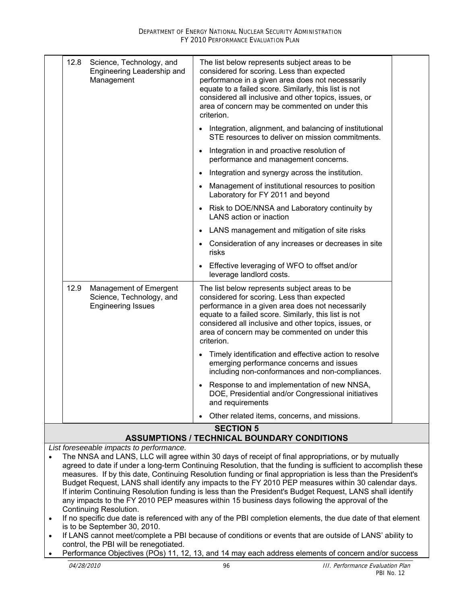| Integration, alignment, and balancing of institutional<br>STE resources to deliver on mission commitments.<br>Integration in and proactive resolution of<br>performance and management concerns.<br>Integration and synergy across the institution.<br>$\bullet$<br>Management of institutional resources to position<br>Laboratory for FY 2011 and beyond<br>• Risk to DOE/NNSA and Laboratory continuity by<br>LANS action or inaction<br>• LANS management and mitigation of site risks<br>• Consideration of any increases or decreases in site<br>risks<br>Effective leveraging of WFO to offset and/or<br>leverage landlord costs.<br>12.9<br><b>Management of Emergent</b><br>The list below represents subject areas to be<br>considered for scoring. Less than expected<br>Science, Technology, and<br>performance in a given area does not necessarily<br><b>Engineering Issues</b><br>equate to a failed score. Similarly, this list is not<br>considered all inclusive and other topics, issues, or<br>area of concern may be commented on under this<br>criterion.<br>Timely identification and effective action to resolve<br>$\bullet$<br>emerging performance concerns and issues<br>including non-conformances and non-compliances.<br>Response to and implementation of new NNSA,<br>DOE, Presidential and/or Congressional initiatives<br>and requirements | 12.8 | Science, Technology, and<br>Engineering Leadership and<br>Management | The list below represents subject areas to be<br>considered for scoring. Less than expected<br>performance in a given area does not necessarily<br>equate to a failed score. Similarly, this list is not<br>considered all inclusive and other topics, issues, or<br>area of concern may be commented on under this<br>criterion. |  |
|-------------------------------------------------------------------------------------------------------------------------------------------------------------------------------------------------------------------------------------------------------------------------------------------------------------------------------------------------------------------------------------------------------------------------------------------------------------------------------------------------------------------------------------------------------------------------------------------------------------------------------------------------------------------------------------------------------------------------------------------------------------------------------------------------------------------------------------------------------------------------------------------------------------------------------------------------------------------------------------------------------------------------------------------------------------------------------------------------------------------------------------------------------------------------------------------------------------------------------------------------------------------------------------------------------------------------------------------------------------------------------|------|----------------------------------------------------------------------|-----------------------------------------------------------------------------------------------------------------------------------------------------------------------------------------------------------------------------------------------------------------------------------------------------------------------------------|--|
|                                                                                                                                                                                                                                                                                                                                                                                                                                                                                                                                                                                                                                                                                                                                                                                                                                                                                                                                                                                                                                                                                                                                                                                                                                                                                                                                                                               |      |                                                                      |                                                                                                                                                                                                                                                                                                                                   |  |
|                                                                                                                                                                                                                                                                                                                                                                                                                                                                                                                                                                                                                                                                                                                                                                                                                                                                                                                                                                                                                                                                                                                                                                                                                                                                                                                                                                               |      |                                                                      |                                                                                                                                                                                                                                                                                                                                   |  |
|                                                                                                                                                                                                                                                                                                                                                                                                                                                                                                                                                                                                                                                                                                                                                                                                                                                                                                                                                                                                                                                                                                                                                                                                                                                                                                                                                                               |      |                                                                      |                                                                                                                                                                                                                                                                                                                                   |  |
|                                                                                                                                                                                                                                                                                                                                                                                                                                                                                                                                                                                                                                                                                                                                                                                                                                                                                                                                                                                                                                                                                                                                                                                                                                                                                                                                                                               |      |                                                                      |                                                                                                                                                                                                                                                                                                                                   |  |
|                                                                                                                                                                                                                                                                                                                                                                                                                                                                                                                                                                                                                                                                                                                                                                                                                                                                                                                                                                                                                                                                                                                                                                                                                                                                                                                                                                               |      |                                                                      |                                                                                                                                                                                                                                                                                                                                   |  |
|                                                                                                                                                                                                                                                                                                                                                                                                                                                                                                                                                                                                                                                                                                                                                                                                                                                                                                                                                                                                                                                                                                                                                                                                                                                                                                                                                                               |      |                                                                      |                                                                                                                                                                                                                                                                                                                                   |  |
|                                                                                                                                                                                                                                                                                                                                                                                                                                                                                                                                                                                                                                                                                                                                                                                                                                                                                                                                                                                                                                                                                                                                                                                                                                                                                                                                                                               |      |                                                                      |                                                                                                                                                                                                                                                                                                                                   |  |
|                                                                                                                                                                                                                                                                                                                                                                                                                                                                                                                                                                                                                                                                                                                                                                                                                                                                                                                                                                                                                                                                                                                                                                                                                                                                                                                                                                               |      |                                                                      |                                                                                                                                                                                                                                                                                                                                   |  |
|                                                                                                                                                                                                                                                                                                                                                                                                                                                                                                                                                                                                                                                                                                                                                                                                                                                                                                                                                                                                                                                                                                                                                                                                                                                                                                                                                                               |      |                                                                      |                                                                                                                                                                                                                                                                                                                                   |  |
|                                                                                                                                                                                                                                                                                                                                                                                                                                                                                                                                                                                                                                                                                                                                                                                                                                                                                                                                                                                                                                                                                                                                                                                                                                                                                                                                                                               |      |                                                                      |                                                                                                                                                                                                                                                                                                                                   |  |
|                                                                                                                                                                                                                                                                                                                                                                                                                                                                                                                                                                                                                                                                                                                                                                                                                                                                                                                                                                                                                                                                                                                                                                                                                                                                                                                                                                               |      |                                                                      |                                                                                                                                                                                                                                                                                                                                   |  |
|                                                                                                                                                                                                                                                                                                                                                                                                                                                                                                                                                                                                                                                                                                                                                                                                                                                                                                                                                                                                                                                                                                                                                                                                                                                                                                                                                                               |      |                                                                      | Other related items, concerns, and missions.                                                                                                                                                                                                                                                                                      |  |

## **ASSUMPTIONS / TECHNICAL BOUNDARY CONDITIONS**

*List foreseeable impacts to performance.*

- The NNSA and LANS, LLC will agree within 30 days of receipt of final appropriations, or by mutually agreed to date if under a long-term Continuing Resolution, that the funding is sufficient to accomplish these measures. If by this date, Continuing Resolution funding or final appropriation is less than the President's Budget Request, LANS shall identify any impacts to the FY 2010 PEP measures within 30 calendar days. If interim Continuing Resolution funding is less than the President's Budget Request, LANS shall identify any impacts to the FY 2010 PEP measures within 15 business days following the approval of the Continuing Resolution.
- If no specific due date is referenced with any of the PBI completion elements, the due date of that element is to be September 30, 2010.
- If LANS cannot meet/complete a PBI because of conditions or events that are outside of LANS' ability to control, the PBI will be renegotiated.
- Performance Objectives (POs) 11, 12, 13, and 14 may each address elements of concern and/or success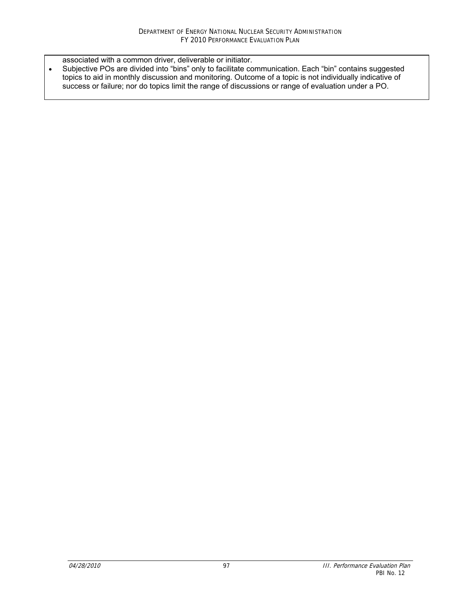associated with a common driver, deliverable or initiator.

• Subjective POs are divided into "bins" only to facilitate communication. Each "bin" contains suggested topics to aid in monthly discussion and monitoring. Outcome of a topic is not individually indicative of success or failure; nor do topics limit the range of discussions or range of evaluation under a PO.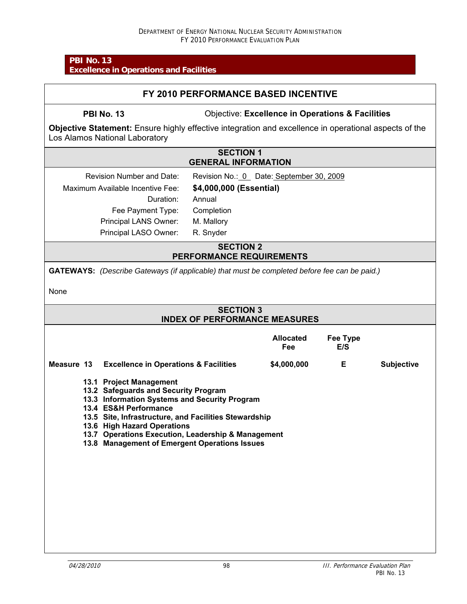## **PBI NO. 13 Excellence in Operations and Facilities**

## **FY 2010 PERFORMANCE BASED INCENTIVE**

**PBI No. 13** Objective: **Excellence in Operations & Facilities** 

**Objective Statement:** Ensure highly effective integration and excellence in operational aspects of the Los Alamos National Laboratory

## **SECTION 1 GENERAL INFORMATION**

| Revision Number and Date:        |                         | Revision No.: 0 Date: September 30, 2009 |
|----------------------------------|-------------------------|------------------------------------------|
| Maximum Available Incentive Fee: | \$4,000,000 (Essential) |                                          |
| Duration:                        | Annual                  |                                          |
| Fee Payment Type:                | Completion              |                                          |
| Principal LANS Owner:            | M. Mallory              |                                          |
| Principal LASO Owner:            | R. Snyder               |                                          |
|                                  |                         |                                          |

## **SECTION 2 PERFORMANCE REQUIREMENTS**

**GATEWAYS:** *(Describe Gateways (if applicable) that must be completed before fee can be paid.)* 

None

## **SECTION 3 INDEX OF PERFORMANCE MEASURES**

|            |                                                       | <b>Allocated</b><br><b>Fee</b> | <b>Fee Type</b><br>E/S |                   |
|------------|-------------------------------------------------------|--------------------------------|------------------------|-------------------|
| Measure 13 | <b>Excellence in Operations &amp; Facilities</b>      | \$4,000,000                    | Е                      | <b>Subjective</b> |
|            | 13.1 Project Management                               |                                |                        |                   |
|            | 13.2 Safeguards and Security Program                  |                                |                        |                   |
|            | 13.3 Information Systems and Security Program         |                                |                        |                   |
|            | 13.4 ES&H Performance                                 |                                |                        |                   |
|            | 13.5 Site, Infrastructure, and Facilities Stewardship |                                |                        |                   |
|            | 13.6 High Hazard Operations                           |                                |                        |                   |
|            | 13.7 Operations Execution, Leadership & Management    |                                |                        |                   |
|            | 13.8 Management of Emergent Operations Issues         |                                |                        |                   |
|            |                                                       |                                |                        |                   |
|            |                                                       |                                |                        |                   |
|            |                                                       |                                |                        |                   |
|            |                                                       |                                |                        |                   |
|            |                                                       |                                |                        |                   |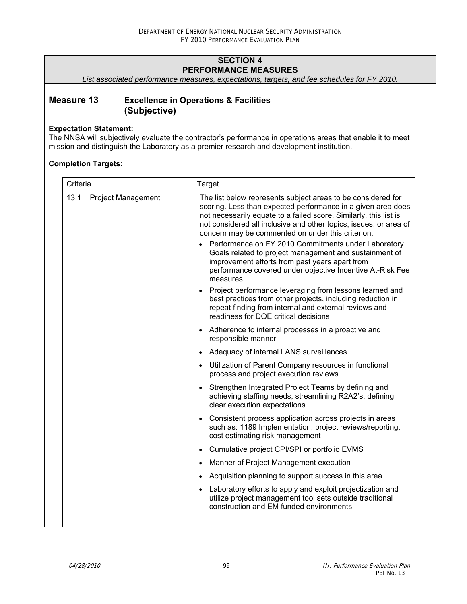## **SECTION 4 PERFORMANCE MEASURES**

*List associated performance measures, expectations, targets, and fee schedules for FY 2010.* 

## **Measure 13 Excellence in Operations & Facilities (Subjective)**

#### **Expectation Statement:**

The NNSA will subjectively evaluate the contractor's performance in operations areas that enable it to meet mission and distinguish the Laboratory as a premier research and development institution.

## **Completion Targets:**

| Target                                                                                                                                                                                                                                                                                                                                                                                                                                                                                                                                                                  |  |  |  |  |
|-------------------------------------------------------------------------------------------------------------------------------------------------------------------------------------------------------------------------------------------------------------------------------------------------------------------------------------------------------------------------------------------------------------------------------------------------------------------------------------------------------------------------------------------------------------------------|--|--|--|--|
| The list below represents subject areas to be considered for<br>scoring. Less than expected performance in a given area does<br>not necessarily equate to a failed score. Similarly, this list is<br>not considered all inclusive and other topics, issues, or area of<br>concern may be commented on under this criterion.<br>Performance on FY 2010 Commitments under Laboratory<br>Goals related to project management and sustainment of<br>improvement efforts from past years apart from<br>performance covered under objective Incentive At-Risk Fee<br>measures |  |  |  |  |
| Project performance leveraging from lessons learned and<br>best practices from other projects, including reduction in<br>repeat finding from internal and external reviews and<br>readiness for DOE critical decisions                                                                                                                                                                                                                                                                                                                                                  |  |  |  |  |
| • Adherence to internal processes in a proactive and<br>responsible manner                                                                                                                                                                                                                                                                                                                                                                                                                                                                                              |  |  |  |  |
| Adequacy of internal LANS surveillances                                                                                                                                                                                                                                                                                                                                                                                                                                                                                                                                 |  |  |  |  |
| • Utilization of Parent Company resources in functional<br>process and project execution reviews                                                                                                                                                                                                                                                                                                                                                                                                                                                                        |  |  |  |  |
| Strengthen Integrated Project Teams by defining and<br>achieving staffing needs, streamlining R2A2's, defining<br>clear execution expectations                                                                                                                                                                                                                                                                                                                                                                                                                          |  |  |  |  |
| Consistent process application across projects in areas<br>$\bullet$<br>such as: 1189 Implementation, project reviews/reporting,<br>cost estimating risk management                                                                                                                                                                                                                                                                                                                                                                                                     |  |  |  |  |
| Cumulative project CPI/SPI or portfolio EVMS<br>$\bullet$                                                                                                                                                                                                                                                                                                                                                                                                                                                                                                               |  |  |  |  |
| Manner of Project Management execution                                                                                                                                                                                                                                                                                                                                                                                                                                                                                                                                  |  |  |  |  |
| Acquisition planning to support success in this area                                                                                                                                                                                                                                                                                                                                                                                                                                                                                                                    |  |  |  |  |
| Laboratory efforts to apply and exploit projectization and<br>utilize project management tool sets outside traditional<br>construction and EM funded environments                                                                                                                                                                                                                                                                                                                                                                                                       |  |  |  |  |
|                                                                                                                                                                                                                                                                                                                                                                                                                                                                                                                                                                         |  |  |  |  |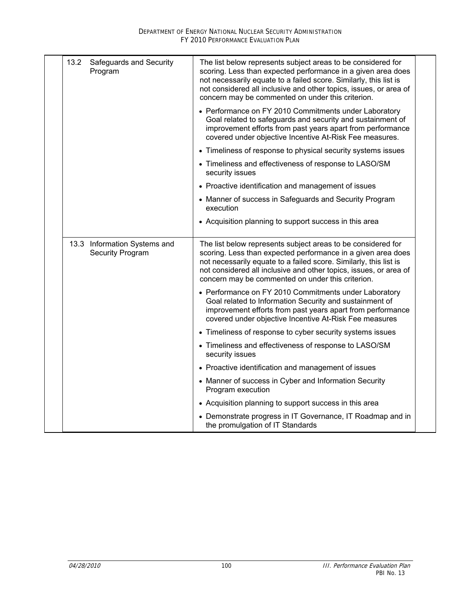| Safeguards and Security<br>13.2<br>Program              | The list below represents subject areas to be considered for<br>scoring. Less than expected performance in a given area does<br>not necessarily equate to a failed score. Similarly, this list is<br>not considered all inclusive and other topics, issues, or area of<br>concern may be commented on under this criterion. |  |
|---------------------------------------------------------|-----------------------------------------------------------------------------------------------------------------------------------------------------------------------------------------------------------------------------------------------------------------------------------------------------------------------------|--|
|                                                         | • Performance on FY 2010 Commitments under Laboratory<br>Goal related to safeguards and security and sustainment of<br>improvement efforts from past years apart from performance<br>covered under objective Incentive At-Risk Fee measures.                                                                                |  |
|                                                         | • Timeliness of response to physical security systems issues                                                                                                                                                                                                                                                                |  |
|                                                         | • Timeliness and effectiveness of response to LASO/SM<br>security issues                                                                                                                                                                                                                                                    |  |
|                                                         | • Proactive identification and management of issues                                                                                                                                                                                                                                                                         |  |
|                                                         | • Manner of success in Safeguards and Security Program<br>execution                                                                                                                                                                                                                                                         |  |
|                                                         | • Acquisition planning to support success in this area                                                                                                                                                                                                                                                                      |  |
| 13.3 Information Systems and<br><b>Security Program</b> | The list below represents subject areas to be considered for<br>scoring. Less than expected performance in a given area does<br>not necessarily equate to a failed score. Similarly, this list is<br>not considered all inclusive and other topics, issues, or area of<br>concern may be commented on under this criterion. |  |
|                                                         | • Performance on FY 2010 Commitments under Laboratory<br>Goal related to Information Security and sustainment of<br>improvement efforts from past years apart from performance<br>covered under objective Incentive At-Risk Fee measures                                                                                    |  |
|                                                         | • Timeliness of response to cyber security systems issues                                                                                                                                                                                                                                                                   |  |
|                                                         | • Timeliness and effectiveness of response to LASO/SM<br>security issues                                                                                                                                                                                                                                                    |  |
|                                                         | • Proactive identification and management of issues                                                                                                                                                                                                                                                                         |  |
|                                                         | • Manner of success in Cyber and Information Security<br>Program execution                                                                                                                                                                                                                                                  |  |
|                                                         | • Acquisition planning to support success in this area                                                                                                                                                                                                                                                                      |  |
|                                                         | • Demonstrate progress in IT Governance, IT Roadmap and in<br>the promulgation of IT Standards                                                                                                                                                                                                                              |  |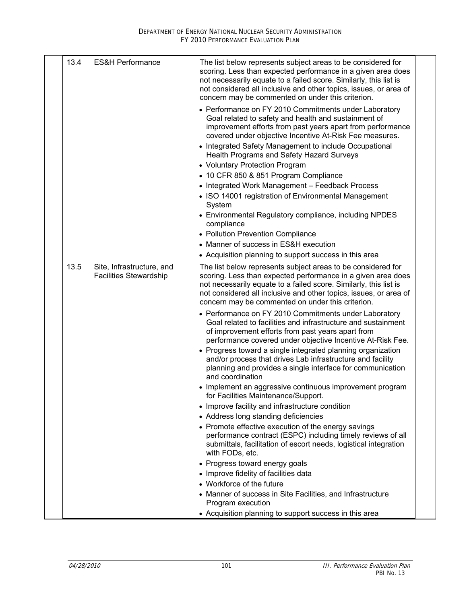| 13.4 | <b>ES&amp;H Performance</b>                                | The list below represents subject areas to be considered for<br>scoring. Less than expected performance in a given area does<br>not necessarily equate to a failed score. Similarly, this list is<br>not considered all inclusive and other topics, issues, or area of<br>concern may be commented on under this criterion.<br>• Performance on FY 2010 Commitments under Laboratory<br>Goal related to safety and health and sustainment of<br>improvement efforts from past years apart from performance<br>covered under objective Incentive At-Risk Fee measures.<br>• Integrated Safety Management to include Occupational<br>Health Programs and Safety Hazard Surveys<br>• Voluntary Protection Program<br>• 10 CFR 850 & 851 Program Compliance<br>• Integrated Work Management - Feedback Process<br>• ISO 14001 registration of Environmental Management<br>System<br>• Environmental Regulatory compliance, including NPDES<br>compliance<br>• Pollution Prevention Compliance<br>• Manner of success in ES&H execution<br>• Acquisition planning to support success in this area                                                                                                                                                                                                                                                                                                  |  |
|------|------------------------------------------------------------|-----------------------------------------------------------------------------------------------------------------------------------------------------------------------------------------------------------------------------------------------------------------------------------------------------------------------------------------------------------------------------------------------------------------------------------------------------------------------------------------------------------------------------------------------------------------------------------------------------------------------------------------------------------------------------------------------------------------------------------------------------------------------------------------------------------------------------------------------------------------------------------------------------------------------------------------------------------------------------------------------------------------------------------------------------------------------------------------------------------------------------------------------------------------------------------------------------------------------------------------------------------------------------------------------------------------------------------------------------------------------------------------------|--|
| 13.5 | Site, Infrastructure, and<br><b>Facilities Stewardship</b> | The list below represents subject areas to be considered for<br>scoring. Less than expected performance in a given area does<br>not necessarily equate to a failed score. Similarly, this list is<br>not considered all inclusive and other topics, issues, or area of<br>concern may be commented on under this criterion.<br>• Performance on FY 2010 Commitments under Laboratory<br>Goal related to facilities and infrastructure and sustainment<br>of improvement efforts from past years apart from<br>performance covered under objective Incentive At-Risk Fee.<br>• Progress toward a single integrated planning organization<br>and/or process that drives Lab infrastructure and facility<br>planning and provides a single interface for communication<br>and coordination<br>• Implement an aggressive continuous improvement program<br>for Facilities Maintenance/Support.<br>• Improve facility and infrastructure condition<br>• Address long standing deficiencies<br>• Promote effective execution of the energy savings<br>performance contract (ESPC) including timely reviews of all<br>submittals, facilitation of escort needs, logistical integration<br>with FODs, etc.<br>• Progress toward energy goals<br>• Improve fidelity of facilities data<br>• Workforce of the future<br>• Manner of success in Site Facilities, and Infrastructure<br>Program execution |  |
|      |                                                            | • Acquisition planning to support success in this area                                                                                                                                                                                                                                                                                                                                                                                                                                                                                                                                                                                                                                                                                                                                                                                                                                                                                                                                                                                                                                                                                                                                                                                                                                                                                                                                        |  |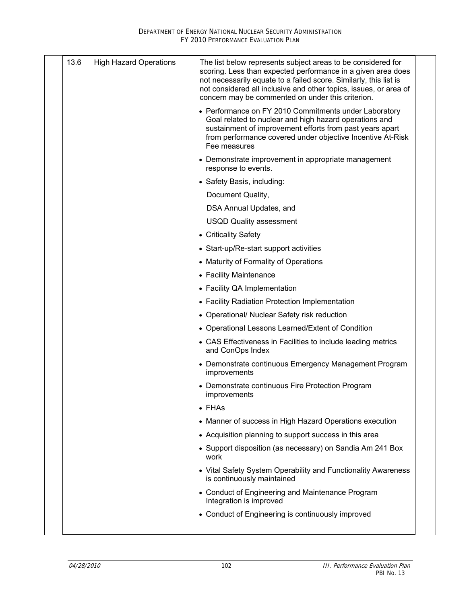| 13.6 | <b>High Hazard Operations</b> | The list below represents subject areas to be considered for<br>scoring. Less than expected performance in a given area does<br>not necessarily equate to a failed score. Similarly, this list is<br>not considered all inclusive and other topics, issues, or area of<br>concern may be commented on under this criterion. |
|------|-------------------------------|-----------------------------------------------------------------------------------------------------------------------------------------------------------------------------------------------------------------------------------------------------------------------------------------------------------------------------|
|      |                               | • Performance on FY 2010 Commitments under Laboratory<br>Goal related to nuclear and high hazard operations and<br>sustainment of improvement efforts from past years apart<br>from performance covered under objective Incentive At-Risk<br>Fee measures                                                                   |
|      |                               | • Demonstrate improvement in appropriate management<br>response to events.                                                                                                                                                                                                                                                  |
|      |                               | • Safety Basis, including:                                                                                                                                                                                                                                                                                                  |
|      |                               | Document Quality,                                                                                                                                                                                                                                                                                                           |
|      |                               | DSA Annual Updates, and                                                                                                                                                                                                                                                                                                     |
|      |                               | <b>USQD Quality assessment</b>                                                                                                                                                                                                                                                                                              |
|      |                               | • Criticality Safety                                                                                                                                                                                                                                                                                                        |
|      |                               | • Start-up/Re-start support activities                                                                                                                                                                                                                                                                                      |
|      |                               | • Maturity of Formality of Operations                                                                                                                                                                                                                                                                                       |
|      |                               | • Facility Maintenance                                                                                                                                                                                                                                                                                                      |
|      |                               | • Facility QA Implementation                                                                                                                                                                                                                                                                                                |
|      |                               | • Facility Radiation Protection Implementation                                                                                                                                                                                                                                                                              |
|      |                               | • Operational/ Nuclear Safety risk reduction                                                                                                                                                                                                                                                                                |
|      |                               | • Operational Lessons Learned/Extent of Condition                                                                                                                                                                                                                                                                           |
|      |                               | • CAS Effectiveness in Facilities to include leading metrics<br>and ConOps Index                                                                                                                                                                                                                                            |
|      |                               | • Demonstrate continuous Emergency Management Program<br>improvements                                                                                                                                                                                                                                                       |
|      |                               | • Demonstrate continuous Fire Protection Program<br>improvements                                                                                                                                                                                                                                                            |
|      |                               | $\bullet$ FHAs                                                                                                                                                                                                                                                                                                              |
|      |                               | • Manner of success in High Hazard Operations execution                                                                                                                                                                                                                                                                     |
|      |                               | • Acquisition planning to support success in this area                                                                                                                                                                                                                                                                      |
|      |                               | • Support disposition (as necessary) on Sandia Am 241 Box<br>work                                                                                                                                                                                                                                                           |
|      |                               | • Vital Safety System Operability and Functionality Awareness<br>is continuously maintained                                                                                                                                                                                                                                 |
|      |                               | • Conduct of Engineering and Maintenance Program<br>Integration is improved                                                                                                                                                                                                                                                 |
|      |                               | • Conduct of Engineering is continuously improved                                                                                                                                                                                                                                                                           |
|      |                               |                                                                                                                                                                                                                                                                                                                             |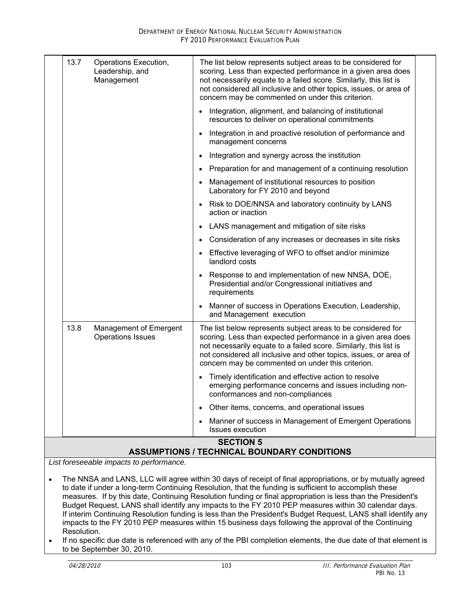| 13.7 | Operations Execution,<br>Leadership, and<br>Management | The list below represents subject areas to be considered for<br>scoring. Less than expected performance in a given area does<br>not necessarily equate to a failed score. Similarly, this list is<br>not considered all inclusive and other topics, issues, or area of<br>concern may be commented on under this criterion. |
|------|--------------------------------------------------------|-----------------------------------------------------------------------------------------------------------------------------------------------------------------------------------------------------------------------------------------------------------------------------------------------------------------------------|
|      |                                                        | Integration, alignment, and balancing of institutional<br>resources to deliver on operational commitments                                                                                                                                                                                                                   |
|      |                                                        | Integration in and proactive resolution of performance and<br>management concerns                                                                                                                                                                                                                                           |
|      |                                                        | Integration and synergy across the institution                                                                                                                                                                                                                                                                              |
|      |                                                        | Preparation for and management of a continuing resolution                                                                                                                                                                                                                                                                   |
|      |                                                        | Management of institutional resources to position<br>Laboratory for FY 2010 and beyond                                                                                                                                                                                                                                      |
|      |                                                        | • Risk to DOE/NNSA and laboratory continuity by LANS<br>action or inaction                                                                                                                                                                                                                                                  |
|      |                                                        | LANS management and mitigation of site risks                                                                                                                                                                                                                                                                                |
|      |                                                        | Consideration of any increases or decreases in site risks                                                                                                                                                                                                                                                                   |
|      |                                                        | • Effective leveraging of WFO to offset and/or minimize<br>landlord costs                                                                                                                                                                                                                                                   |
|      |                                                        | • Response to and implementation of new NNSA, DOE,<br>Presidential and/or Congressional initiatives and<br>requirements                                                                                                                                                                                                     |
|      |                                                        | Manner of success in Operations Execution, Leadership,<br>and Management execution                                                                                                                                                                                                                                          |
| 13.8 | Management of Emergent<br><b>Operations Issues</b>     | The list below represents subject areas to be considered for<br>scoring. Less than expected performance in a given area does<br>not necessarily equate to a failed score. Similarly, this list is<br>not considered all inclusive and other topics, issues, or area of<br>concern may be commented on under this criterion. |
|      |                                                        | Timely identification and effective action to resolve<br>emerging performance concerns and issues including non-<br>conformances and non-compliances                                                                                                                                                                        |
|      |                                                        | Other items, concerns, and operational issues                                                                                                                                                                                                                                                                               |
|      |                                                        | Manner of success in Management of Emergent Operations<br><b>Issues execution</b>                                                                                                                                                                                                                                           |
|      |                                                        | <b>SECTION 5</b>                                                                                                                                                                                                                                                                                                            |

## **ASSUMPTIONS / TECHNICAL BOUNDARY CONDITIONS**

*List foreseeable impacts to performance.*

- The NNSA and LANS, LLC will agree within 30 days of receipt of final appropriations, or by mutually agreed to date if under a long-term Continuing Resolution, that the funding is sufficient to accomplish these measures. If by this date, Continuing Resolution funding or final appropriation is less than the President's Budget Request, LANS shall identify any impacts to the FY 2010 PEP measures within 30 calendar days. If interim Continuing Resolution funding is less than the President's Budget Request, LANS shall identify any impacts to the FY 2010 PEP measures within 15 business days following the approval of the Continuing Resolution.
- If no specific due date is referenced with any of the PBI completion elements, the due date of that element is to be September 30, 2010.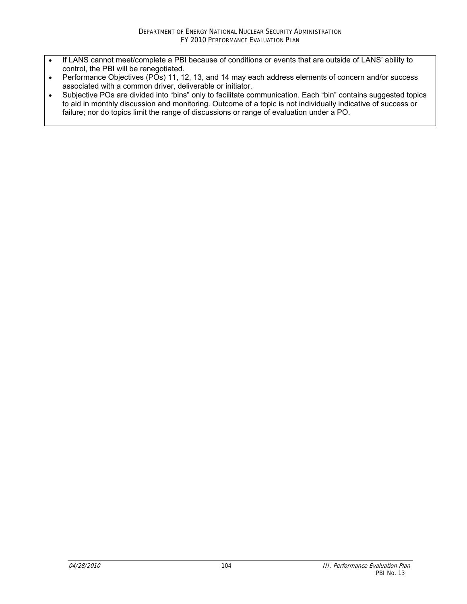- If LANS cannot meet/complete a PBI because of conditions or events that are outside of LANS' ability to control, the PBI will be renegotiated.
- Performance Objectives (POs) 11, 12, 13, and 14 may each address elements of concern and/or success associated with a common driver, deliverable or initiator.
- Subjective POs are divided into "bins" only to facilitate communication. Each "bin" contains suggested topics to aid in monthly discussion and monitoring. Outcome of a topic is not individually indicative of success or failure; nor do topics limit the range of discussions or range of evaluation under a PO.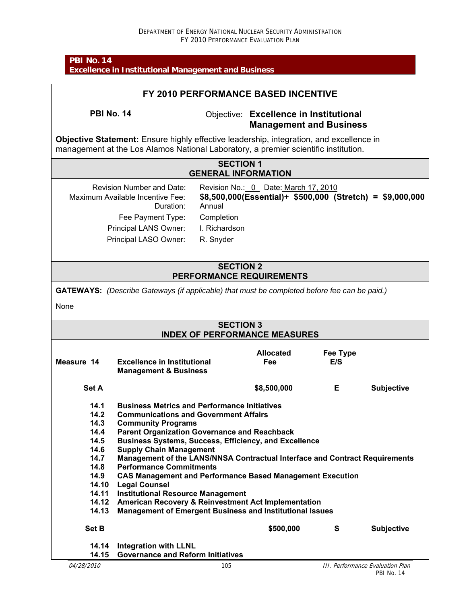## **PBI NO. 14 Excellence in Institutional Management and Business**

|                                                                                                                                                                                                                                                                                                                                                                                                                                                                                                                                                                                                                                                                                                                | FY 2010 PERFORMANCE BASED INCENTIVE                                                                                                                                            |                                                |                                                                                                   |                        |                   |
|----------------------------------------------------------------------------------------------------------------------------------------------------------------------------------------------------------------------------------------------------------------------------------------------------------------------------------------------------------------------------------------------------------------------------------------------------------------------------------------------------------------------------------------------------------------------------------------------------------------------------------------------------------------------------------------------------------------|--------------------------------------------------------------------------------------------------------------------------------------------------------------------------------|------------------------------------------------|---------------------------------------------------------------------------------------------------|------------------------|-------------------|
| <b>PBI No. 14</b>                                                                                                                                                                                                                                                                                                                                                                                                                                                                                                                                                                                                                                                                                              |                                                                                                                                                                                |                                                | Objective: Excellence in Institutional<br><b>Management and Business</b>                          |                        |                   |
|                                                                                                                                                                                                                                                                                                                                                                                                                                                                                                                                                                                                                                                                                                                | Objective Statement: Ensure highly effective leadership, integration, and excellence in<br>management at the Los Alamos National Laboratory, a premier scientific institution. |                                                |                                                                                                   |                        |                   |
|                                                                                                                                                                                                                                                                                                                                                                                                                                                                                                                                                                                                                                                                                                                |                                                                                                                                                                                | <b>SECTION 1</b><br><b>GENERAL INFORMATION</b> |                                                                                                   |                        |                   |
|                                                                                                                                                                                                                                                                                                                                                                                                                                                                                                                                                                                                                                                                                                                |                                                                                                                                                                                |                                                |                                                                                                   |                        |                   |
|                                                                                                                                                                                                                                                                                                                                                                                                                                                                                                                                                                                                                                                                                                                | Revision Number and Date:<br>Maximum Available Incentive Fee:<br>Duration:                                                                                                     | Annual                                         | Revision No.: 0 Date: March 17, 2010<br>\$8,500,000(Essential)+ \$500,000 (Stretch) = \$9,000,000 |                        |                   |
|                                                                                                                                                                                                                                                                                                                                                                                                                                                                                                                                                                                                                                                                                                                | Fee Payment Type:                                                                                                                                                              | Completion                                     |                                                                                                   |                        |                   |
|                                                                                                                                                                                                                                                                                                                                                                                                                                                                                                                                                                                                                                                                                                                | Principal LANS Owner:                                                                                                                                                          | I. Richardson                                  |                                                                                                   |                        |                   |
|                                                                                                                                                                                                                                                                                                                                                                                                                                                                                                                                                                                                                                                                                                                | Principal LASO Owner:                                                                                                                                                          | R. Snyder                                      |                                                                                                   |                        |                   |
|                                                                                                                                                                                                                                                                                                                                                                                                                                                                                                                                                                                                                                                                                                                |                                                                                                                                                                                |                                                |                                                                                                   |                        |                   |
|                                                                                                                                                                                                                                                                                                                                                                                                                                                                                                                                                                                                                                                                                                                |                                                                                                                                                                                | <b>SECTION 2</b>                               | <b>PERFORMANCE REQUIREMENTS</b>                                                                   |                        |                   |
|                                                                                                                                                                                                                                                                                                                                                                                                                                                                                                                                                                                                                                                                                                                | <b>GATEWAYS:</b> (Describe Gateways (if applicable) that must be completed before fee can be paid.)                                                                            |                                                |                                                                                                   |                        |                   |
| None                                                                                                                                                                                                                                                                                                                                                                                                                                                                                                                                                                                                                                                                                                           |                                                                                                                                                                                |                                                |                                                                                                   |                        |                   |
|                                                                                                                                                                                                                                                                                                                                                                                                                                                                                                                                                                                                                                                                                                                |                                                                                                                                                                                | <b>SECTION 3</b>                               | <b>INDEX OF PERFORMANCE MEASURES</b>                                                              |                        |                   |
| Measure 14                                                                                                                                                                                                                                                                                                                                                                                                                                                                                                                                                                                                                                                                                                     | <b>Excellence in Institutional</b><br><b>Management &amp; Business</b>                                                                                                         |                                                | <b>Allocated</b><br>Fee                                                                           | <b>Fee Type</b><br>E/S |                   |
| Set A                                                                                                                                                                                                                                                                                                                                                                                                                                                                                                                                                                                                                                                                                                          |                                                                                                                                                                                |                                                | \$8,500,000                                                                                       | Е                      | <b>Subjective</b> |
| <b>Business Metrics and Performance Initiatives</b><br>14.1<br>14.2<br><b>Communications and Government Affairs</b><br>14.3<br><b>Community Programs</b><br>14.4<br><b>Parent Organization Governance and Reachback</b><br>14.5<br><b>Business Systems, Success, Efficiency, and Excellence</b><br>14.6<br><b>Supply Chain Management</b><br>14.7<br>Management of the LANS/NNSA Contractual Interface and Contract Requirements<br>14.8<br><b>Performance Commitments</b><br>14.9<br><b>CAS Management and Performance Based Management Execution</b><br>14.10<br><b>Legal Counsel</b><br>14.11<br><b>Institutional Resource Management</b><br><b>American Recovery &amp; Reinvestment Act Implementation</b> |                                                                                                                                                                                |                                                |                                                                                                   |                        |                   |
| 14.12<br>14.13                                                                                                                                                                                                                                                                                                                                                                                                                                                                                                                                                                                                                                                                                                 | <b>Management of Emergent Business and Institutional Issues</b>                                                                                                                |                                                |                                                                                                   |                        |                   |
| Set B                                                                                                                                                                                                                                                                                                                                                                                                                                                                                                                                                                                                                                                                                                          |                                                                                                                                                                                |                                                | \$500,000                                                                                         | S                      | <b>Subjective</b> |
| 14.14<br>14.15                                                                                                                                                                                                                                                                                                                                                                                                                                                                                                                                                                                                                                                                                                 | <b>Integration with LLNL</b><br><b>Governance and Reform Initiatives</b>                                                                                                       |                                                |                                                                                                   |                        |                   |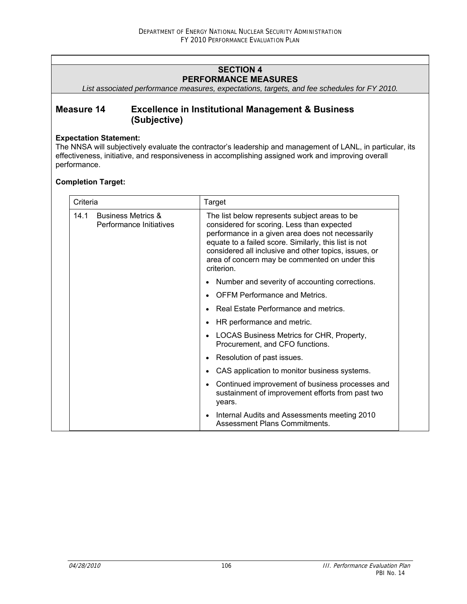### **SECTION 4 PERFORMANCE MEASURES**

*List associated performance measures, expectations, targets, and fee schedules for FY 2010.* 

### **Measure 14 Excellence in Institutional Management & Business (Subjective)**

### **Expectation Statement:**

The NNSA will subjectively evaluate the contractor's leadership and management of LANL, in particular, its effectiveness, initiative, and responsiveness in accomplishing assigned work and improving overall performance.

### **Completion Target:**

| Criteria                                                         |  | Target                                                                                                                                                                                                                                                                                                                            |
|------------------------------------------------------------------|--|-----------------------------------------------------------------------------------------------------------------------------------------------------------------------------------------------------------------------------------------------------------------------------------------------------------------------------------|
| 14.1<br><b>Business Metrics &amp;</b><br>Performance Initiatives |  | The list below represents subject areas to be<br>considered for scoring. Less than expected<br>performance in a given area does not necessarily<br>equate to a failed score. Similarly, this list is not<br>considered all inclusive and other topics, issues, or<br>area of concern may be commented on under this<br>criterion. |
|                                                                  |  | Number and severity of accounting corrections.                                                                                                                                                                                                                                                                                    |
|                                                                  |  | <b>OFFM Performance and Metrics.</b>                                                                                                                                                                                                                                                                                              |
|                                                                  |  | Real Estate Performance and metrics.                                                                                                                                                                                                                                                                                              |
|                                                                  |  | HR performance and metric.<br>$\bullet$                                                                                                                                                                                                                                                                                           |
|                                                                  |  | LOCAS Business Metrics for CHR, Property,<br>$\bullet$<br>Procurement, and CFO functions.                                                                                                                                                                                                                                         |
|                                                                  |  | Resolution of past issues.                                                                                                                                                                                                                                                                                                        |
|                                                                  |  | CAS application to monitor business systems.                                                                                                                                                                                                                                                                                      |
|                                                                  |  | Continued improvement of business processes and<br>$\bullet$<br>sustainment of improvement efforts from past two<br>vears.                                                                                                                                                                                                        |
|                                                                  |  | Internal Audits and Assessments meeting 2010<br>Assessment Plans Commitments.                                                                                                                                                                                                                                                     |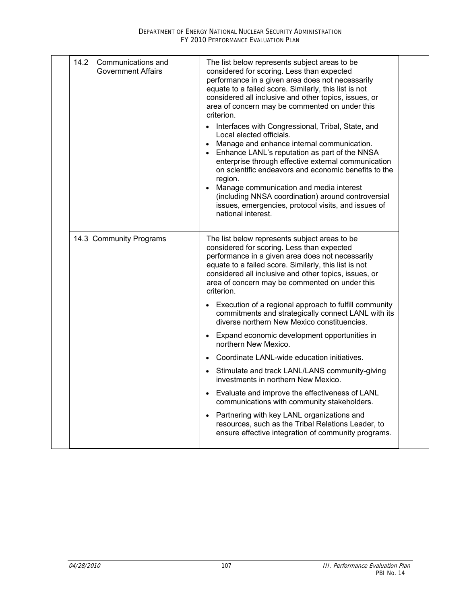| 14.2<br>Communications and<br><b>Government Affairs</b> | The list below represents subject areas to be<br>considered for scoring. Less than expected<br>performance in a given area does not necessarily<br>equate to a failed score. Similarly, this list is not<br>considered all inclusive and other topics, issues, or<br>area of concern may be commented on under this<br>criterion.<br>• Interfaces with Congressional, Tribal, State, and<br>Local elected officials.<br>• Manage and enhance internal communication.<br>• Enhance LANL's reputation as part of the NNSA<br>enterprise through effective external communication<br>on scientific endeavors and economic benefits to the<br>region.<br>Manage communication and media interest<br>$\bullet$<br>(including NNSA coordination) around controversial<br>issues, emergencies, protocol visits, and issues of<br>national interest. |  |
|---------------------------------------------------------|----------------------------------------------------------------------------------------------------------------------------------------------------------------------------------------------------------------------------------------------------------------------------------------------------------------------------------------------------------------------------------------------------------------------------------------------------------------------------------------------------------------------------------------------------------------------------------------------------------------------------------------------------------------------------------------------------------------------------------------------------------------------------------------------------------------------------------------------|--|
| 14.3 Community Programs                                 | The list below represents subject areas to be<br>considered for scoring. Less than expected<br>performance in a given area does not necessarily<br>equate to a failed score. Similarly, this list is not<br>considered all inclusive and other topics, issues, or<br>area of concern may be commented on under this<br>criterion.                                                                                                                                                                                                                                                                                                                                                                                                                                                                                                            |  |
|                                                         | • Execution of a regional approach to fulfill community<br>commitments and strategically connect LANL with its<br>diverse northern New Mexico constituencies.                                                                                                                                                                                                                                                                                                                                                                                                                                                                                                                                                                                                                                                                                |  |
|                                                         | Expand economic development opportunities in<br>$\bullet$<br>northern New Mexico.                                                                                                                                                                                                                                                                                                                                                                                                                                                                                                                                                                                                                                                                                                                                                            |  |
|                                                         | Coordinate LANL-wide education initiatives.<br>$\bullet$                                                                                                                                                                                                                                                                                                                                                                                                                                                                                                                                                                                                                                                                                                                                                                                     |  |
|                                                         | • Stimulate and track LANL/LANS community-giving<br>investments in northern New Mexico.                                                                                                                                                                                                                                                                                                                                                                                                                                                                                                                                                                                                                                                                                                                                                      |  |
|                                                         | • Evaluate and improve the effectiveness of LANL<br>communications with community stakeholders.                                                                                                                                                                                                                                                                                                                                                                                                                                                                                                                                                                                                                                                                                                                                              |  |
|                                                         | Partnering with key LANL organizations and<br>$\bullet$<br>resources, such as the Tribal Relations Leader, to<br>ensure effective integration of community programs.                                                                                                                                                                                                                                                                                                                                                                                                                                                                                                                                                                                                                                                                         |  |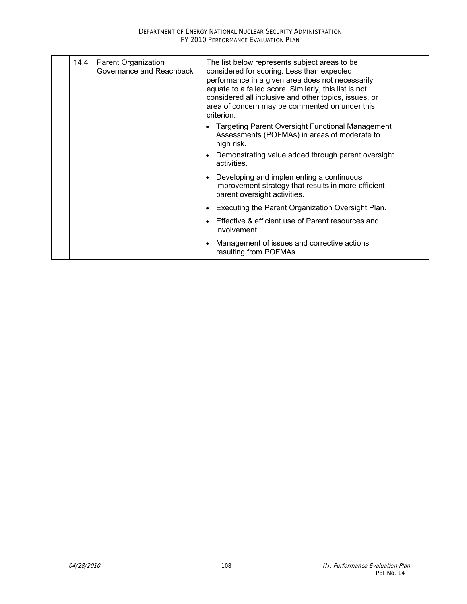| Parent Organization<br>The list below represents subject areas to be<br>14.4<br>Governance and Reachback<br>considered for scoring. Less than expected<br>criterion. |  | performance in a given area does not necessarily<br>equate to a failed score. Similarly, this list is not<br>considered all inclusive and other topics, issues, or<br>area of concern may be commented on under this |  |
|----------------------------------------------------------------------------------------------------------------------------------------------------------------------|--|----------------------------------------------------------------------------------------------------------------------------------------------------------------------------------------------------------------------|--|
|                                                                                                                                                                      |  | <b>Targeting Parent Oversight Functional Management</b><br>Assessments (POFMAs) in areas of moderate to<br>high risk.                                                                                                |  |
|                                                                                                                                                                      |  | Demonstrating value added through parent oversight<br>$\bullet$<br>activities.                                                                                                                                       |  |
|                                                                                                                                                                      |  | Developing and implementing a continuous<br>$\bullet$<br>improvement strategy that results in more efficient<br>parent oversight activities.                                                                         |  |
|                                                                                                                                                                      |  | Executing the Parent Organization Oversight Plan.<br>$\bullet$                                                                                                                                                       |  |
|                                                                                                                                                                      |  | Effective & efficient use of Parent resources and<br>involvement.                                                                                                                                                    |  |
|                                                                                                                                                                      |  | Management of issues and corrective actions<br>$\bullet$<br>resulting from POFMAs.                                                                                                                                   |  |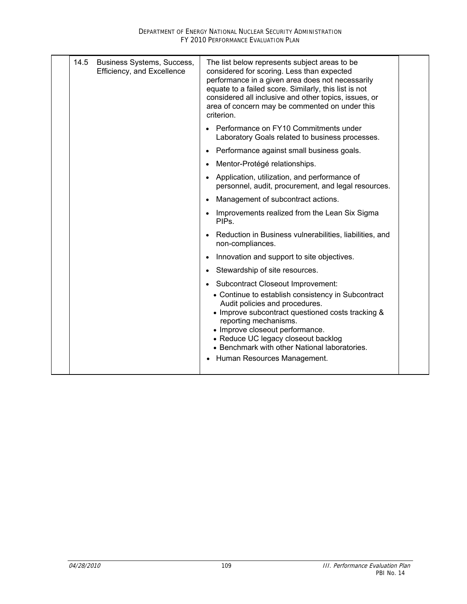| 14.5 | Business Systems, Success,<br>Efficiency, and Excellence | The list below represents subject areas to be<br>considered for scoring. Less than expected<br>performance in a given area does not necessarily<br>equate to a failed score. Similarly, this list is not<br>considered all inclusive and other topics, issues, or<br>area of concern may be commented on under this<br>criterion.<br>Performance on FY10 Commitments under<br>Laboratory Goals related to business processes.<br>Performance against small business goals.<br>$\bullet$<br>Mentor-Protégé relationships.<br>$\bullet$<br>Application, utilization, and performance of<br>$\bullet$<br>personnel, audit, procurement, and legal resources.<br>Management of subcontract actions.<br>$\bullet$<br>Improvements realized from the Lean Six Sigma<br>$\bullet$<br>PIPs.<br>Reduction in Business vulnerabilities, liabilities, and<br>$\bullet$<br>non-compliances.<br>Innovation and support to site objectives.<br>$\bullet$<br>Stewardship of site resources.<br>$\bullet$<br><b>Subcontract Closeout Improvement:</b><br>• Continue to establish consistency in Subcontract<br>Audit policies and procedures.<br>• Improve subcontract questioned costs tracking &<br>reporting mechanisms.<br>• Improve closeout performance. |  |
|------|----------------------------------------------------------|------------------------------------------------------------------------------------------------------------------------------------------------------------------------------------------------------------------------------------------------------------------------------------------------------------------------------------------------------------------------------------------------------------------------------------------------------------------------------------------------------------------------------------------------------------------------------------------------------------------------------------------------------------------------------------------------------------------------------------------------------------------------------------------------------------------------------------------------------------------------------------------------------------------------------------------------------------------------------------------------------------------------------------------------------------------------------------------------------------------------------------------------------------------------------------------------------------------------------------------------|--|
|      |                                                          | • Reduce UC legacy closeout backlog<br>• Benchmark with other National laboratories.<br>Human Resources Management.                                                                                                                                                                                                                                                                                                                                                                                                                                                                                                                                                                                                                                                                                                                                                                                                                                                                                                                                                                                                                                                                                                                            |  |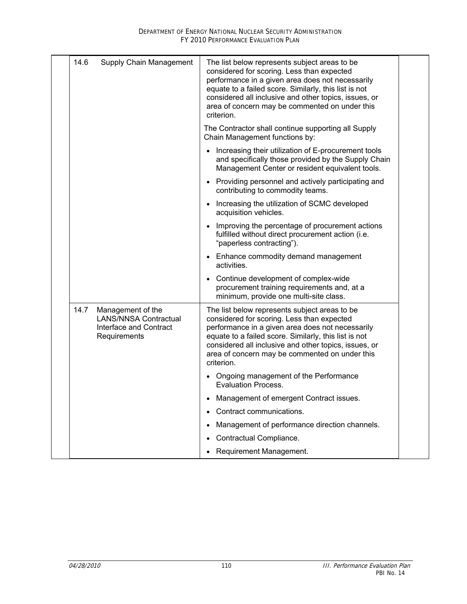| 14.6 | Supply Chain Management                                                                     | The list below represents subject areas to be<br>considered for scoring. Less than expected<br>performance in a given area does not necessarily<br>equate to a failed score. Similarly, this list is not<br>considered all inclusive and other topics, issues, or<br>area of concern may be commented on under this<br>criterion. |  |
|------|---------------------------------------------------------------------------------------------|-----------------------------------------------------------------------------------------------------------------------------------------------------------------------------------------------------------------------------------------------------------------------------------------------------------------------------------|--|
|      |                                                                                             | The Contractor shall continue supporting all Supply<br>Chain Management functions by:                                                                                                                                                                                                                                             |  |
|      |                                                                                             | Increasing their utilization of E-procurement tools<br>and specifically those provided by the Supply Chain<br>Management Center or resident equivalent tools.                                                                                                                                                                     |  |
|      |                                                                                             | • Providing personnel and actively participating and<br>contributing to commodity teams.                                                                                                                                                                                                                                          |  |
|      |                                                                                             | Increasing the utilization of SCMC developed<br>$\bullet$<br>acquisition vehicles.                                                                                                                                                                                                                                                |  |
|      |                                                                                             | Improving the percentage of procurement actions<br>fulfilled without direct procurement action (i.e.<br>"paperless contracting").                                                                                                                                                                                                 |  |
|      |                                                                                             | • Enhance commodity demand management<br>activities.                                                                                                                                                                                                                                                                              |  |
|      |                                                                                             | Continue development of complex-wide<br>procurement training requirements and, at a<br>minimum, provide one multi-site class.                                                                                                                                                                                                     |  |
| 14.7 | Management of the<br><b>LANS/NNSA Contractual</b><br>Interface and Contract<br>Requirements | The list below represents subject areas to be<br>considered for scoring. Less than expected<br>performance in a given area does not necessarily<br>equate to a failed score. Similarly, this list is not<br>considered all inclusive and other topics, issues, or<br>area of concern may be commented on under this<br>criterion. |  |
|      |                                                                                             | Ongoing management of the Performance<br><b>Evaluation Process.</b>                                                                                                                                                                                                                                                               |  |
|      |                                                                                             | Management of emergent Contract issues.                                                                                                                                                                                                                                                                                           |  |
|      |                                                                                             | Contract communications.                                                                                                                                                                                                                                                                                                          |  |
|      |                                                                                             | Management of performance direction channels.                                                                                                                                                                                                                                                                                     |  |
|      |                                                                                             | Contractual Compliance.                                                                                                                                                                                                                                                                                                           |  |
|      |                                                                                             | Requirement Management.                                                                                                                                                                                                                                                                                                           |  |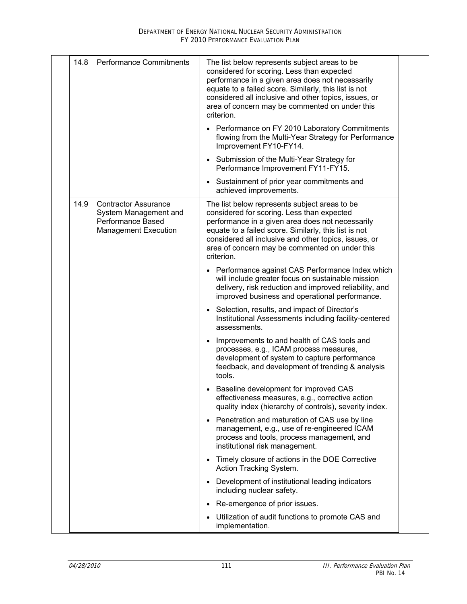| 14.8 | <b>Performance Commitments</b>                                                                           | The list below represents subject areas to be<br>considered for scoring. Less than expected<br>performance in a given area does not necessarily<br>equate to a failed score. Similarly, this list is not<br>considered all inclusive and other topics, issues, or<br>area of concern may be commented on under this<br>criterion. |  |
|------|----------------------------------------------------------------------------------------------------------|-----------------------------------------------------------------------------------------------------------------------------------------------------------------------------------------------------------------------------------------------------------------------------------------------------------------------------------|--|
|      |                                                                                                          | • Performance on FY 2010 Laboratory Commitments<br>flowing from the Multi-Year Strategy for Performance<br>Improvement FY10-FY14.                                                                                                                                                                                                 |  |
|      |                                                                                                          | Submission of the Multi-Year Strategy for<br>Performance Improvement FY11-FY15.                                                                                                                                                                                                                                                   |  |
|      |                                                                                                          | Sustainment of prior year commitments and<br>$\bullet$<br>achieved improvements.                                                                                                                                                                                                                                                  |  |
| 14.9 | <b>Contractor Assurance</b><br>System Management and<br>Performance Based<br><b>Management Execution</b> | The list below represents subject areas to be<br>considered for scoring. Less than expected<br>performance in a given area does not necessarily<br>equate to a failed score. Similarly, this list is not<br>considered all inclusive and other topics, issues, or<br>area of concern may be commented on under this<br>criterion. |  |
|      |                                                                                                          | • Performance against CAS Performance Index which<br>will include greater focus on sustainable mission<br>delivery, risk reduction and improved reliability, and<br>improved business and operational performance.                                                                                                                |  |
|      |                                                                                                          | Selection, results, and impact of Director's<br>$\bullet$<br>Institutional Assessments including facility-centered<br>assessments.                                                                                                                                                                                                |  |
|      |                                                                                                          | Improvements to and health of CAS tools and<br>$\bullet$<br>processes, e.g., ICAM process measures,<br>development of system to capture performance<br>feedback, and development of trending & analysis<br>tools.                                                                                                                 |  |
|      |                                                                                                          | Baseline development for improved CAS<br>effectiveness measures, e.g., corrective action<br>quality index (hierarchy of controls), severity index.                                                                                                                                                                                |  |
|      |                                                                                                          | Penetration and maturation of CAS use by line<br>$\bullet$<br>management, e.g., use of re-engineered ICAM<br>process and tools, process management, and<br>institutional risk management.                                                                                                                                         |  |
|      |                                                                                                          | Timely closure of actions in the DOE Corrective<br>$\bullet$<br>Action Tracking System.                                                                                                                                                                                                                                           |  |
|      |                                                                                                          | Development of institutional leading indicators<br>$\bullet$<br>including nuclear safety.                                                                                                                                                                                                                                         |  |
|      |                                                                                                          | Re-emergence of prior issues.<br>$\bullet$                                                                                                                                                                                                                                                                                        |  |
|      |                                                                                                          | Utilization of audit functions to promote CAS and<br>$\bullet$<br>implementation.                                                                                                                                                                                                                                                 |  |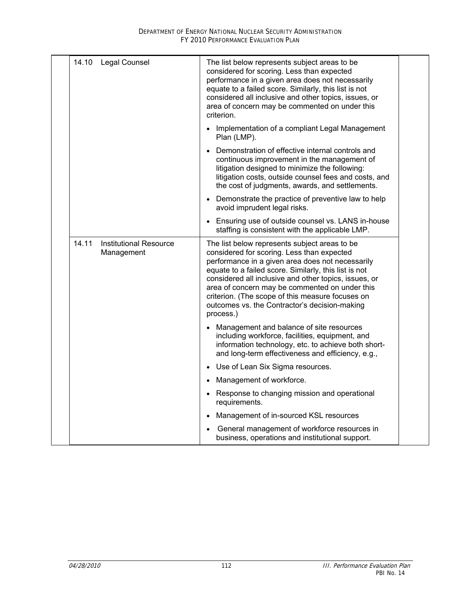| 14.10<br>Legal Counsel                               | The list below represents subject areas to be<br>considered for scoring. Less than expected<br>performance in a given area does not necessarily<br>equate to a failed score. Similarly, this list is not<br>considered all inclusive and other topics, issues, or<br>area of concern may be commented on under this<br>criterion.                                                                                                      |
|------------------------------------------------------|----------------------------------------------------------------------------------------------------------------------------------------------------------------------------------------------------------------------------------------------------------------------------------------------------------------------------------------------------------------------------------------------------------------------------------------|
|                                                      | • Implementation of a compliant Legal Management<br>Plan (LMP).                                                                                                                                                                                                                                                                                                                                                                        |
|                                                      | Demonstration of effective internal controls and<br>continuous improvement in the management of<br>litigation designed to minimize the following:<br>litigation costs, outside counsel fees and costs, and<br>the cost of judgments, awards, and settlements.                                                                                                                                                                          |
|                                                      | • Demonstrate the practice of preventive law to help<br>avoid imprudent legal risks.                                                                                                                                                                                                                                                                                                                                                   |
|                                                      | Ensuring use of outside counsel vs. LANS in-house<br>staffing is consistent with the applicable LMP.                                                                                                                                                                                                                                                                                                                                   |
| <b>Institutional Resource</b><br>14.11<br>Management | The list below represents subject areas to be.<br>considered for scoring. Less than expected<br>performance in a given area does not necessarily<br>equate to a failed score. Similarly, this list is not<br>considered all inclusive and other topics, issues, or<br>area of concern may be commented on under this<br>criterion. (The scope of this measure focuses on<br>outcomes vs. the Contractor's decision-making<br>process.) |
|                                                      | Management and balance of site resources<br>including workforce, facilities, equipment, and<br>information technology, etc. to achieve both short-<br>and long-term effectiveness and efficiency, e.g.,                                                                                                                                                                                                                                |
|                                                      | Use of Lean Six Sigma resources.<br>$\bullet$                                                                                                                                                                                                                                                                                                                                                                                          |
|                                                      | • Management of workforce.                                                                                                                                                                                                                                                                                                                                                                                                             |
|                                                      | • Response to changing mission and operational<br>requirements.                                                                                                                                                                                                                                                                                                                                                                        |
|                                                      | Management of in-sourced KSL resources<br>$\bullet$                                                                                                                                                                                                                                                                                                                                                                                    |
|                                                      | General management of workforce resources in<br>business, operations and institutional support.                                                                                                                                                                                                                                                                                                                                        |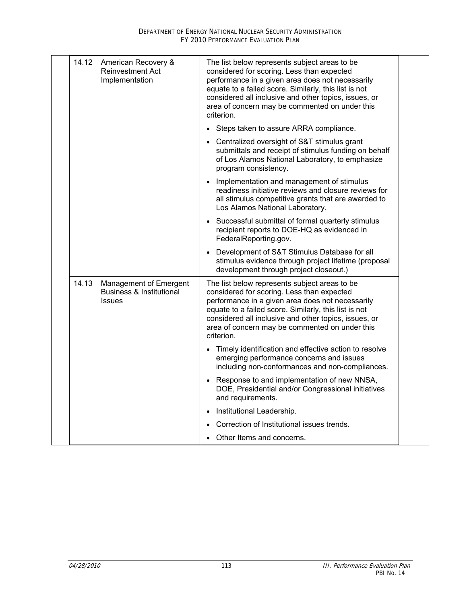|       | 14.12 American Recovery &<br><b>Reinvestment Act</b><br>Implementation         | The list below represents subject areas to be<br>considered for scoring. Less than expected<br>performance in a given area does not necessarily<br>equate to a failed score. Similarly, this list is not<br>considered all inclusive and other topics, issues, or<br>area of concern may be commented on under this<br>criterion. |  |
|-------|--------------------------------------------------------------------------------|-----------------------------------------------------------------------------------------------------------------------------------------------------------------------------------------------------------------------------------------------------------------------------------------------------------------------------------|--|
|       |                                                                                | Steps taken to assure ARRA compliance.<br>$\bullet$                                                                                                                                                                                                                                                                               |  |
|       |                                                                                | • Centralized oversight of S&T stimulus grant<br>submittals and receipt of stimulus funding on behalf<br>of Los Alamos National Laboratory, to emphasize<br>program consistency.                                                                                                                                                  |  |
|       |                                                                                | Implementation and management of stimulus<br>$\bullet$<br>readiness initiative reviews and closure reviews for<br>all stimulus competitive grants that are awarded to<br>Los Alamos National Laboratory.                                                                                                                          |  |
|       |                                                                                | Successful submittal of formal quarterly stimulus<br>recipient reports to DOE-HQ as evidenced in<br>FederalReporting.gov.                                                                                                                                                                                                         |  |
|       |                                                                                | Development of S&T Stimulus Database for all<br>stimulus evidence through project lifetime (proposal<br>development through project closeout.)                                                                                                                                                                                    |  |
| 14.13 | Management of Emergent<br><b>Business &amp; Institutional</b><br><b>Issues</b> | The list below represents subject areas to be<br>considered for scoring. Less than expected<br>performance in a given area does not necessarily<br>equate to a failed score. Similarly, this list is not<br>considered all inclusive and other topics, issues, or<br>area of concern may be commented on under this<br>criterion. |  |
|       |                                                                                | • Timely identification and effective action to resolve<br>emerging performance concerns and issues<br>including non-conformances and non-compliances.                                                                                                                                                                            |  |
|       |                                                                                | Response to and implementation of new NNSA,<br>DOE, Presidential and/or Congressional initiatives<br>and requirements.                                                                                                                                                                                                            |  |
|       |                                                                                | Institutional Leadership.<br>$\bullet$                                                                                                                                                                                                                                                                                            |  |
|       |                                                                                | Correction of Institutional issues trends.                                                                                                                                                                                                                                                                                        |  |
|       |                                                                                | Other Items and concerns.                                                                                                                                                                                                                                                                                                         |  |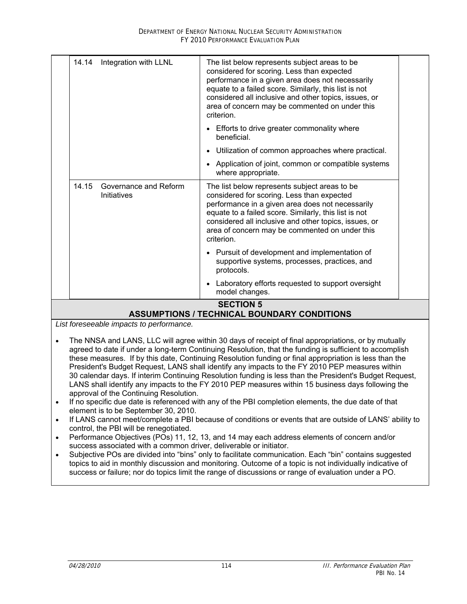| 14.14            | Integration with LLNL                | The list below represents subject areas to be.<br>considered for scoring. Less than expected<br>performance in a given area does not necessarily<br>equate to a failed score. Similarly, this list is not<br>considered all inclusive and other topics, issues, or<br>area of concern may be commented on under this<br>criterion. |  |
|------------------|--------------------------------------|------------------------------------------------------------------------------------------------------------------------------------------------------------------------------------------------------------------------------------------------------------------------------------------------------------------------------------|--|
|                  |                                      | Efforts to drive greater commonality where<br>beneficial.                                                                                                                                                                                                                                                                          |  |
|                  |                                      | Utilization of common approaches where practical.<br>$\bullet$                                                                                                                                                                                                                                                                     |  |
|                  |                                      | Application of joint, common or compatible systems<br>where appropriate.                                                                                                                                                                                                                                                           |  |
| 14.15            | Governance and Reform<br>Initiatives | The list below represents subject areas to be<br>considered for scoring. Less than expected<br>performance in a given area does not necessarily<br>equate to a failed score. Similarly, this list is not<br>considered all inclusive and other topics, issues, or<br>area of concern may be commented on under this<br>criterion.  |  |
|                  |                                      | Pursuit of development and implementation of<br>$\bullet$<br>supportive systems, processes, practices, and<br>protocols.                                                                                                                                                                                                           |  |
|                  |                                      | Laboratory efforts requested to support oversight<br>$\bullet$<br>model changes.                                                                                                                                                                                                                                                   |  |
| <b>SECTION 5</b> |                                      |                                                                                                                                                                                                                                                                                                                                    |  |

### **ASSUMPTIONS / TECHNICAL BOUNDARY CONDITIONS**

*List foreseeable impacts to performance.*

- The NNSA and LANS, LLC will agree within 30 days of receipt of final appropriations, or by mutually agreed to date if under a long-term Continuing Resolution, that the funding is sufficient to accomplish these measures. If by this date, Continuing Resolution funding or final appropriation is less than the President's Budget Request, LANS shall identify any impacts to the FY 2010 PEP measures within 30 calendar days. If interim Continuing Resolution funding is less than the President's Budget Request, LANS shall identify any impacts to the FY 2010 PEP measures within 15 business days following the approval of the Continuing Resolution.
- If no specific due date is referenced with any of the PBI completion elements, the due date of that element is to be September 30, 2010.
- If LANS cannot meet/complete a PBI because of conditions or events that are outside of LANS' ability to control, the PBI will be renegotiated.
- Performance Objectives (POs) 11, 12, 13, and 14 may each address elements of concern and/or success associated with a common driver, deliverable or initiator.
- Subjective POs are divided into "bins" only to facilitate communication. Each "bin" contains suggested topics to aid in monthly discussion and monitoring. Outcome of a topic is not individually indicative of success or failure; nor do topics limit the range of discussions or range of evaluation under a PO.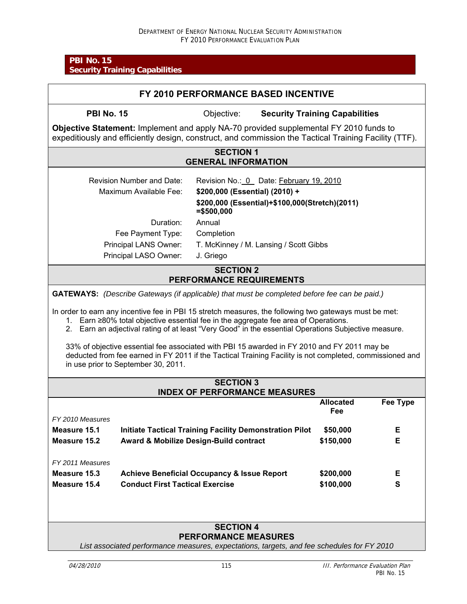### **PBI NO. 15 Security Training Capabilities**

| <b>FY 2010 PERFORMANCE BASED INCENTIVE</b>                                                                                                                                                            |                                |                                         |  |  |
|-------------------------------------------------------------------------------------------------------------------------------------------------------------------------------------------------------|--------------------------------|-----------------------------------------|--|--|
| <b>PBI No. 15</b><br>Objective:<br><b>Security Training Capabilities</b>                                                                                                                              |                                |                                         |  |  |
| <b>Objective Statement:</b> Implement and apply NA-70 provided supplemental FY 2010 funds to<br>expeditiously and efficiently design, construct, and commission the Tactical Training Facility (TTF). |                                |                                         |  |  |
| <b>SECTION 1</b><br><b>GENERAL INFORMATION</b>                                                                                                                                                        |                                |                                         |  |  |
| Revision Number and Date:<br>Maximum Available Fee:                                                                                                                                                   | \$200,000 (Essential) (2010) + | Revision No.: 0 Date: February 19, 2010 |  |  |
| \$200,000 (Essential)+\$100,000(Stretch)(2011)<br>$= $500,000$                                                                                                                                        |                                |                                         |  |  |
| Duration:                                                                                                                                                                                             | Annual                         |                                         |  |  |
| Fee Payment Type:                                                                                                                                                                                     | Completion                     |                                         |  |  |
| Principal LANS Owner:                                                                                                                                                                                 |                                | T. McKinney / M. Lansing / Scott Gibbs  |  |  |
| Principal LASO Owner:                                                                                                                                                                                 | J. Griego                      |                                         |  |  |
| <b>SECTION 2</b><br><b>PERFORMANCE REQUIREMENTS</b>                                                                                                                                                   |                                |                                         |  |  |

**GATEWAYS:** *(Describe Gateways (if applicable) that must be completed before fee can be paid.)* 

In order to earn any incentive fee in PBI 15 stretch measures, the following two gateways must be met:

- 1. Earn ≥80% total objective essential fee in the aggregate fee area of Operations.
- 2. Earn an adjectival rating of at least "Very Good" in the essential Operations Subjective measure.

33% of objective essential fee associated with PBI 15 awarded in FY 2010 and FY 2011 may be deducted from fee earned in FY 2011 if the Tactical Training Facility is not completed, commissioned and in use prior to September 30, 2011.

### **SECTION 3 INDEX OF PERFORMANCE MEASURES**

|                  |                                                                | <b>Allocated</b><br><b>Fee</b> | <b>Fee Type</b> |
|------------------|----------------------------------------------------------------|--------------------------------|-----------------|
| FY 2010 Measures |                                                                |                                |                 |
| Measure 15.1     | <b>Initiate Tactical Training Facility Demonstration Pilot</b> | \$50,000                       | E.              |
| Measure 15.2     | Award & Mobilize Design-Build contract                         | \$150,000                      | Е               |
|                  |                                                                |                                |                 |
| FY 2011 Measures |                                                                |                                |                 |
| Measure 15.3     | <b>Achieve Beneficial Occupancy &amp; Issue Report</b>         | \$200,000                      | E.              |
| Measure 15.4     | <b>Conduct First Tactical Exercise</b>                         | \$100,000                      | S               |
|                  |                                                                |                                |                 |

### **SECTION 4 PERFORMANCE MEASURES**

*List associated performance measures, expectations, targets, and fee schedules for FY 2010*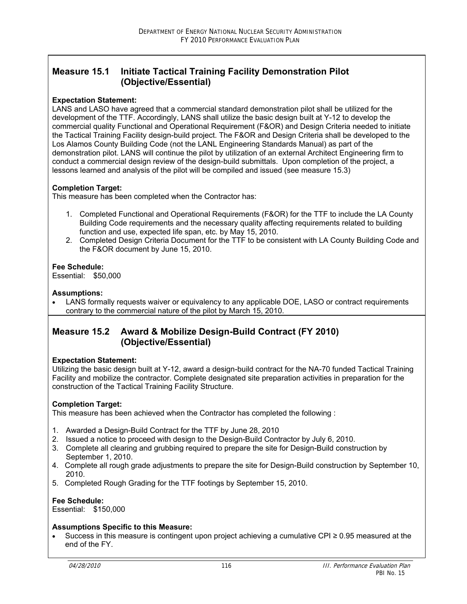## **Measure 15.1 Initiate Tactical Training Facility Demonstration Pilot (Objective/Essential)**

### **Expectation Statement:**

LANS and LASO have agreed that a commercial standard demonstration pilot shall be utilized for the development of the TTF. Accordingly, LANS shall utilize the basic design built at Y-12 to develop the commercial quality Functional and Operational Requirement (F&OR) and Design Criteria needed to initiate the Tactical Training Facility design-build project. The F&OR and Design Criteria shall be developed to the Los Alamos County Building Code (not the LANL Engineering Standards Manual) as part of the demonstration pilot. LANS will continue the pilot by utilization of an external Architect Engineering firm to conduct a commercial design review of the design-build submittals. Upon completion of the project, a lessons learned and analysis of the pilot will be compiled and issued (see measure 15.3)

### **Completion Target:**

This measure has been completed when the Contractor has:

- 1. Completed Functional and Operational Requirements (F&OR) for the TTF to include the LA County Building Code requirements and the necessary quality affecting requirements related to building function and use, expected life span, etc. by May 15, 2010.
- 2. Completed Design Criteria Document for the TTF to be consistent with LA County Building Code and the F&OR document by June 15, 2010.

### **Fee Schedule:**

Essential: \$50,000

### **Assumptions:**

• LANS formally requests waiver or equivalency to any applicable DOE, LASO or contract requirements contrary to the commercial nature of the pilot by March 15, 2010.

### **Measure 15.2 Award & Mobilize Design-Build Contract (FY 2010) (Objective/Essential)**

### **Expectation Statement:**

Utilizing the basic design built at Y-12, award a design-build contract for the NA-70 funded Tactical Training Facility and mobilize the contractor. Complete designated site preparation activities in preparation for the construction of the Tactical Training Facility Structure.

### **Completion Target:**

This measure has been achieved when the Contractor has completed the following :

- 1. Awarded a Design-Build Contract for the TTF by June 28, 2010
- 2. Issued a notice to proceed with design to the Design-Build Contractor by July 6, 2010.
- 3. Complete all clearing and grubbing required to prepare the site for Design-Build construction by September 1, 2010.
- 4. Complete all rough grade adjustments to prepare the site for Design-Build construction by September 10, 2010.
- 5. Completed Rough Grading for the TTF footings by September 15, 2010.

### **Fee Schedule:**

Essential: \$150,000

### **Assumptions Specific to this Measure:**

Success in this measure is contingent upon project achieving a cumulative CPI  $\geq$  0.95 measured at the end of the FY.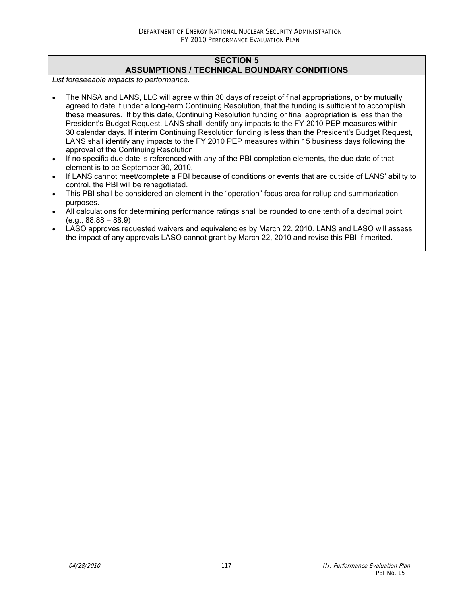### **SECTION 5 ASSUMPTIONS / TECHNICAL BOUNDARY CONDITIONS**

*List foreseeable impacts to performance.*

- The NNSA and LANS, LLC will agree within 30 days of receipt of final appropriations, or by mutually agreed to date if under a long-term Continuing Resolution, that the funding is sufficient to accomplish these measures. If by this date, Continuing Resolution funding or final appropriation is less than the President's Budget Request, LANS shall identify any impacts to the FY 2010 PEP measures within 30 calendar days. If interim Continuing Resolution funding is less than the President's Budget Request, LANS shall identify any impacts to the FY 2010 PEP measures within 15 business days following the approval of the Continuing Resolution.
- If no specific due date is referenced with any of the PBI completion elements, the due date of that element is to be September 30, 2010.
- If LANS cannot meet/complete a PBI because of conditions or events that are outside of LANS' ability to control, the PBI will be renegotiated.
- This PBI shall be considered an element in the "operation" focus area for rollup and summarization purposes.
- All calculations for determining performance ratings shall be rounded to one tenth of a decimal point.  $(e.g., 88.88 = 88.9)$
- LASO approves requested waivers and equivalencies by March 22, 2010. LANS and LASO will assess the impact of any approvals LASO cannot grant by March 22, 2010 and revise this PBI if merited.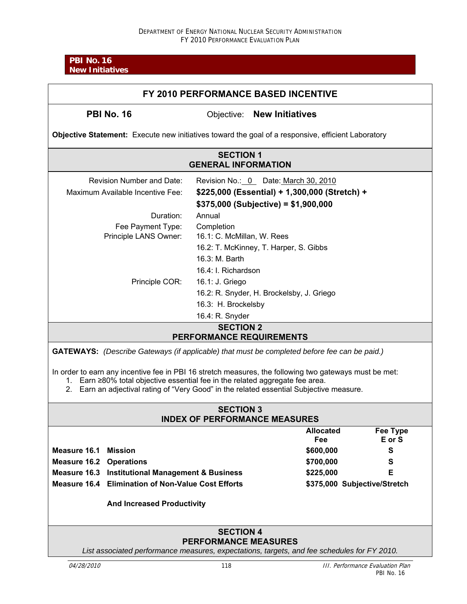**PBI NO. 16 New Initiatives** 

| FY 2010 PERFORMANCE BASED INCENTIVE                                                                                                                                                                                                                                                                                                                                                        |                                                                                                                                       |  |  |
|--------------------------------------------------------------------------------------------------------------------------------------------------------------------------------------------------------------------------------------------------------------------------------------------------------------------------------------------------------------------------------------------|---------------------------------------------------------------------------------------------------------------------------------------|--|--|
| <b>PBI No. 16</b>                                                                                                                                                                                                                                                                                                                                                                          | <b>New Initiatives</b><br>Objective:                                                                                                  |  |  |
|                                                                                                                                                                                                                                                                                                                                                                                            | Objective Statement: Execute new initiatives toward the goal of a responsive, efficient Laboratory                                    |  |  |
|                                                                                                                                                                                                                                                                                                                                                                                            | <b>SECTION 1</b><br><b>GENERAL INFORMATION</b>                                                                                        |  |  |
| <b>Revision Number and Date:</b><br>Maximum Available Incentive Fee:                                                                                                                                                                                                                                                                                                                       | Revision No.: 0 Date: March 30, 2010<br>\$225,000 (Essential) + 1,300,000 (Stretch) +<br>$$375,000$ (Subjective) = \$1,900,000        |  |  |
| Duration:<br>Fee Payment Type:<br>Principle LANS Owner:                                                                                                                                                                                                                                                                                                                                    | Annual<br>Completion<br>16.1: C. McMillan, W. Rees<br>16.2: T. McKinney, T. Harper, S. Gibbs<br>16.3: M. Barth<br>16.4: I. Richardson |  |  |
| Principle COR:                                                                                                                                                                                                                                                                                                                                                                             | 16.1: J. Griego<br>16.2: R. Snyder, H. Brockelsby, J. Griego<br>16.3: H. Brockelsby<br>16.4: R. Snyder                                |  |  |
|                                                                                                                                                                                                                                                                                                                                                                                            | <b>SECTION 2</b><br><b>PERFORMANCE REQUIREMENTS</b>                                                                                   |  |  |
| <b>GATEWAYS:</b> (Describe Gateways (if applicable) that must be completed before fee can be paid.)<br>In order to earn any incentive fee in PBI 16 stretch measures, the following two gateways must be met:<br>1. Earn ≥80% total objective essential fee in the related aggregate fee area.<br>2. Earn an adjectival rating of "Very Good" in the related essential Subjective measure. |                                                                                                                                       |  |  |
|                                                                                                                                                                                                                                                                                                                                                                                            | <b>SECTION 3</b>                                                                                                                      |  |  |

| <b>INDEX OF PERFORMANCE MEASURES</b> |                                                                                             |                                |                                  |  |
|--------------------------------------|---------------------------------------------------------------------------------------------|--------------------------------|----------------------------------|--|
|                                      |                                                                                             | <b>Allocated</b><br><b>Fee</b> | Fee Type<br>E or S               |  |
| Measure 16.1 Mission                 |                                                                                             | \$600,000                      | S                                |  |
| <b>Measure 16.2 Operations</b>       |                                                                                             | \$700,000                      | S                                |  |
|                                      | <b>Measure 16.3 Institutional Management &amp; Business</b>                                 | \$225,000                      | Е                                |  |
|                                      | <b>Measure 16.4 Elimination of Non-Value Cost Efforts</b>                                   | \$375,000 Subjective/Stretch   |                                  |  |
|                                      | <b>And Increased Productivity</b>                                                           |                                |                                  |  |
|                                      | <b>SECTION 4</b><br><b>PERFORMANCE MEASURES</b>                                             |                                |                                  |  |
|                                      | List associated performance measures, expectations, targets, and fee schedules for FY 2010. |                                |                                  |  |
| 04/28/2010                           | 118                                                                                         |                                | III. Performance Evaluation Plan |  |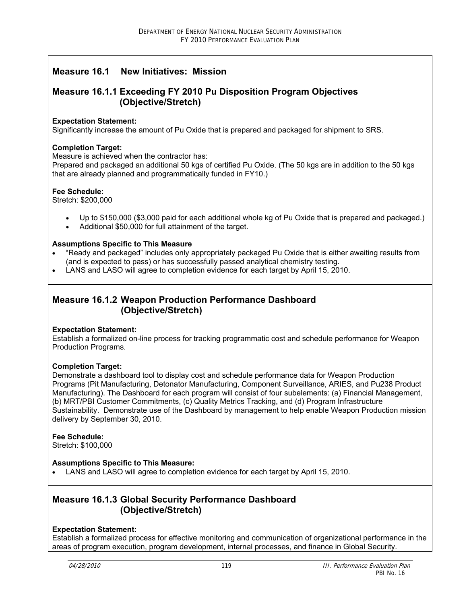## **Measure 16.1 New Initiatives: Mission**

### **Measure 16.1.1 Exceeding FY 2010 Pu Disposition Program Objectives (Objective/Stretch)**

### **Expectation Statement:**

Significantly increase the amount of Pu Oxide that is prepared and packaged for shipment to SRS.

### **Completion Target:**

Measure is achieved when the contractor has:

Prepared and packaged an additional 50 kgs of certified Pu Oxide. (The 50 kgs are in addition to the 50 kgs that are already planned and programmatically funded in FY10.)

### **Fee Schedule:**

Stretch: \$200,000

- Up to \$150,000 (\$3,000 paid for each additional whole kg of Pu Oxide that is prepared and packaged.)
- Additional \$50,000 for full attainment of the target.

### **Assumptions Specific to This Measure**

- "Ready and packaged" includes only appropriately packaged Pu Oxide that is either awaiting results from (and is expected to pass) or has successfully passed analytical chemistry testing.
- LANS and LASO will agree to completion evidence for each target by April 15, 2010.

### **Measure 16.1.2 Weapon Production Performance Dashboard (Objective/Stretch)**

### **Expectation Statement:**

Establish a formalized on-line process for tracking programmatic cost and schedule performance for Weapon Production Programs.

### **Completion Target:**

Demonstrate a dashboard tool to display cost and schedule performance data for Weapon Production Programs (Pit Manufacturing, Detonator Manufacturing, Component Surveillance, ARIES, and Pu238 Product Manufacturing). The Dashboard for each program will consist of four subelements: (a) Financial Management, (b) MRT/PBI Customer Commitments, (c) Quality Metrics Tracking, and (d) Program Infrastructure Sustainability. Demonstrate use of the Dashboard by management to help enable Weapon Production mission delivery by September 30, 2010.

#### **Fee Schedule:**

Stretch: \$100,000

### **Assumptions Specific to This Measure:**

LANS and LASO will agree to completion evidence for each target by April 15, 2010.

### **Measure 16.1.3 Global Security Performance Dashboard (Objective/Stretch)**

### **Expectation Statement:**

Establish a formalized process for effective monitoring and communication of organizational performance in the areas of program execution, program development, internal processes, and finance in Global Security.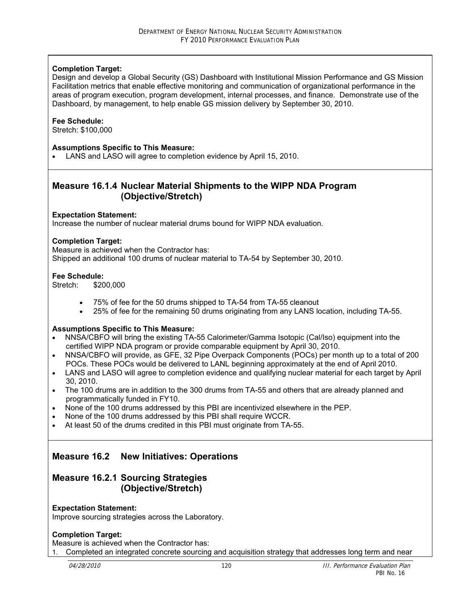### **Completion Target:**

Design and develop a Global Security (GS) Dashboard with Institutional Mission Performance and GS Mission Facilitation metrics that enable effective monitoring and communication of organizational performance in the areas of program execution, program development, internal processes, and finance. Demonstrate use of the Dashboard, by management, to help enable GS mission delivery by September 30, 2010.

#### **Fee Schedule:**

Stretch: \$100,000

#### **Assumptions Specific to This Measure:**

LANS and LASO will agree to completion evidence by April 15, 2010.

### **Measure 16.1.4 Nuclear Material Shipments to the WIPP NDA Program (Objective/Stretch)**

### **Expectation Statement:**

Increase the number of nuclear material drums bound for WIPP NDA evaluation.

### **Completion Target:**

Measure is achieved when the Contractor has: Shipped an additional 100 drums of nuclear material to TA-54 by September 30, 2010.

# **Fee Schedule:**

\$200,000

- 75% of fee for the 50 drums shipped to TA-54 from TA-55 cleanout
- 25% of fee for the remaining 50 drums originating from any LANS location, including TA-55.

### **Assumptions Specific to This Measure:**

- NNSA/CBFO will bring the existing TA-55 Calorimeter/Gamma Isotopic (Cal/Iso) equipment into the certified WIPP NDA program or provide comparable equipment by April 30, 2010.
- NNSA/CBFO will provide, as GFE, 32 Pipe Overpack Components (POCs) per month up to a total of 200 POCs. These POCs would be delivered to LANL beginning approximately at the end of April 2010.
- LANS and LASO will agree to completion evidence and qualifying nuclear material for each target by April 30, 2010.
- The 100 drums are in addition to the 300 drums from TA-55 and others that are already planned and programmatically funded in FY10.
- None of the 100 drums addressed by this PBI are incentivized elsewhere in the PEP.
- None of the 100 drums addressed by this PBI shall require WCCR.
- At least 50 of the drums credited in this PBI must originate from TA-55.

## **Measure 16.2 New Initiatives: Operations**

### **Measure 16.2.1 Sourcing Strategies (Objective/Stretch)**

### **Expectation Statement:**

Improve sourcing strategies across the Laboratory.

### **Completion Target:**

Measure is achieved when the Contractor has:

1. Completed an integrated concrete sourcing and acquisition strategy that addresses long term and near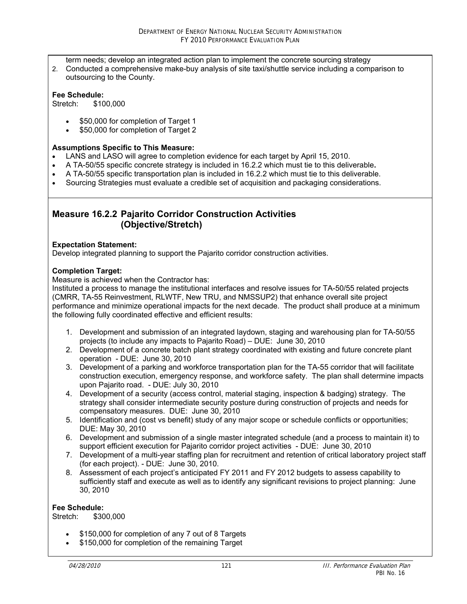term needs; develop an integrated action plan to implement the concrete sourcing strategy

2. Conducted a comprehensive make-buy analysis of site taxi/shuttle service including a comparison to outsourcing to the County.

### **Fee Schedule:**

Stretch: \$100,000

- \$50,000 for completion of Target 1
- \$50,000 for completion of Target 2

### **Assumptions Specific to This Measure:**

- LANS and LASO will agree to completion evidence for each target by April 15, 2010.
- A TA-50/55 specific concrete strategy is included in 16.2.2 which must tie to this deliverable**.**
- A TA-50/55 specific transportation plan is included in 16.2.2 which must tie to this deliverable.
- Sourcing Strategies must evaluate a credible set of acquisition and packaging considerations.

### **Measure 16.2.2 Pajarito Corridor Construction Activities (Objective/Stretch)**

### **Expectation Statement:**

Develop integrated planning to support the Pajarito corridor construction activities.

### **Completion Target:**

Measure is achieved when the Contractor has:

Instituted a process to manage the institutional interfaces and resolve issues for TA-50/55 related projects (CMRR, TA-55 Reinvestment, RLWTF, New TRU, and NMSSUP2) that enhance overall site project performance and minimize operational impacts for the next decade. The product shall produce at a minimum the following fully coordinated effective and efficient results:

- 1. Development and submission of an integrated laydown, staging and warehousing plan for TA-50/55 projects (to include any impacts to Pajarito Road) – DUE: June 30, 2010
- 2. Development of a concrete batch plant strategy coordinated with existing and future concrete plant operation - DUE: June 30, 2010
- 3. Development of a parking and workforce transportation plan for the TA-55 corridor that will facilitate construction execution, emergency response, and workforce safety. The plan shall determine impacts upon Pajarito road. - DUE: July 30, 2010
- 4. Development of a security (access control, material staging, inspection & badging) strategy. The strategy shall consider intermediate security posture during construction of projects and needs for compensatory measures. DUE: June 30, 2010
- 5. Identification and (cost vs benefit) study of any major scope or schedule conflicts or opportunities; DUE: May 30, 2010
- 6. Development and submission of a single master integrated schedule (and a process to maintain it) to support efficient execution for Pajarito corridor project activities - DUE: June 30, 2010
- 7. Development of a multi-year staffing plan for recruitment and retention of critical laboratory project staff (for each project). - DUE: June 30, 2010.
- 8. Assessment of each project's anticipated FY 2011 and FY 2012 budgets to assess capability to sufficiently staff and execute as well as to identify any significant revisions to project planning: June 30, 2010

### **Fee Schedule:**

Stretch: \$300,000

- \$150,000 for completion of any 7 out of 8 Targets
- \$150,000 for completion of the remaining Target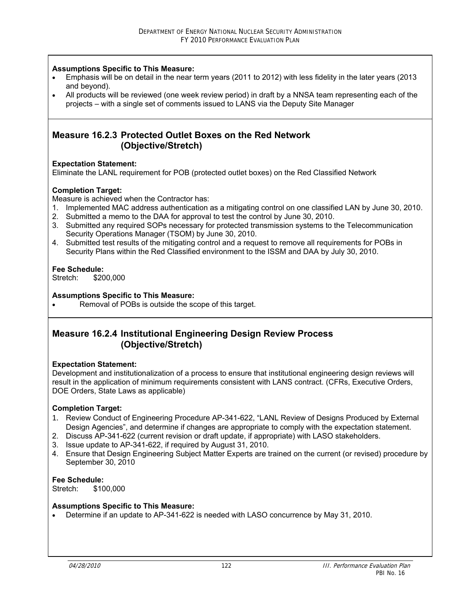### **Assumptions Specific to This Measure:**

- Emphasis will be on detail in the near term years (2011 to 2012) with less fidelity in the later years (2013 and beyond).
- All products will be reviewed (one week review period) in draft by a NNSA team representing each of the projects – with a single set of comments issued to LANS via the Deputy Site Manager

### **Measure 16.2.3 Protected Outlet Boxes on the Red Network (Objective/Stretch)**

### **Expectation Statement:**

Eliminate the LANL requirement for POB (protected outlet boxes) on the Red Classified Network

### **Completion Target:**

Measure is achieved when the Contractor has:

- 1. Implemented MAC address authentication as a mitigating control on one classified LAN by June 30, 2010.
- 2. Submitted a memo to the DAA for approval to test the control by June 30, 2010.
- 3. Submitted any required SOPs necessary for protected transmission systems to the Telecommunication Security Operations Manager (TSOM) by June 30, 2010.
- 4. Submitted test results of the mitigating control and a request to remove all requirements for POBs in Security Plans within the Red Classified environment to the ISSM and DAA by July 30, 2010.

### **Fee Schedule:**

Stretch: \$200,000

### **Assumptions Specific to This Measure:**

Removal of POBs is outside the scope of this target.

### **Measure 16.2.4 Institutional Engineering Design Review Process (Objective/Stretch)**

#### **Expectation Statement:**

Development and institutionalization of a process to ensure that institutional engineering design reviews will result in the application of minimum requirements consistent with LANS contract. (CFRs, Executive Orders, DOE Orders, State Laws as applicable)

### **Completion Target:**

- 1. Review Conduct of Engineering Procedure AP-341-622, "LANL Review of Designs Produced by External Design Agencies", and determine if changes are appropriate to comply with the expectation statement.
- 2. Discuss AP-341-622 (current revision or draft update, if appropriate) with LASO stakeholders.
- 3. Issue update to AP-341-622, if required by August 31, 2010.
- 4. Ensure that Design Engineering Subject Matter Experts are trained on the current (or revised) procedure by September 30, 2010

### **Fee Schedule:**

Stretch: \$100,000

#### **Assumptions Specific to This Measure:**

• Determine if an update to AP-341-622 is needed with LASO concurrence by May 31, 2010.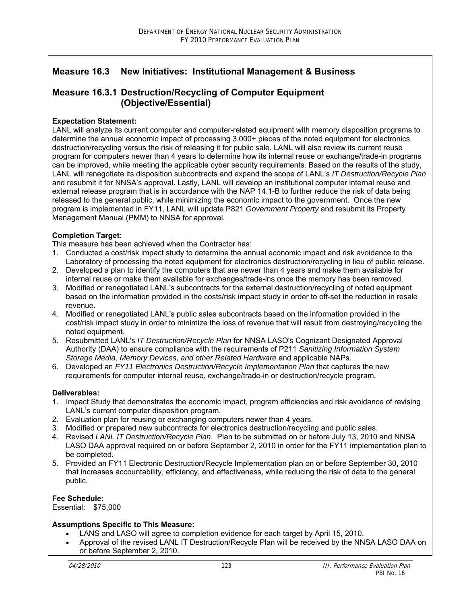## **Measure 16.3 New Initiatives: Institutional Management & Business**

### **Measure 16.3.1 Destruction/Recycling of Computer Equipment (Objective/Essential)**

### **Expectation Statement:**

LANL will analyze its current computer and computer-related equipment with memory disposition programs to determine the annual economic impact of processing 3,000+ pieces of the noted equipment for electronics destruction/recycling versus the risk of releasing it for public sale. LANL will also review its current reuse program for computers newer than 4 years to determine how its internal reuse or exchange/trade-in programs can be improved, while meeting the applicable cyber security requirements. Based on the results of the study, LANL will renegotiate its disposition subcontracts and expand the scope of LANL's *IT Destruction/Recycle Plan* and resubmit it for NNSA's approval. Lastly, LANL will develop an institutional computer internal reuse and external release program that is in accordance with the NAP 14.1-B to further reduce the risk of data being released to the general public, while minimizing the economic impact to the government. Once the new program is implemented in FY11, LANL will update P821 *Government Property* and resubmit its Property Management Manual (PMM) to NNSA for approval.

### **Completion Target:**

This measure has been achieved when the Contractor has:

- 1. Conducted a cost/risk impact study to determine the annual economic impact and risk avoidance to the Laboratory of processing the noted equipment for electronics destruction/recycling in lieu of public release.
- 2. Developed a plan to identify the computers that are newer than 4 years and make them available for internal reuse or make them available for exchanges/trade-ins once the memory has been removed.
- 3. Modified or renegotiated LANL's subcontracts for the external destruction/recycling of noted equipment based on the information provided in the costs/risk impact study in order to off-set the reduction in resale revenue.
- 4. Modified or renegotiated LANL's public sales subcontracts based on the information provided in the cost/risk impact study in order to minimize the loss of revenue that will result from destroying/recycling the noted equipment.
- 5. Resubmitted LANL's *IT Destruction/Recycle Plan* for NNSA LASO's Cognizant Designated Approval Authority (DAA) to ensure compliance with the requirements of P211 *Sanitizing Information System Storage Media, Memory Devices, and other Related Hardware* and applicable NAPs.
- 6. Developed an *FY11 Electronics Destruction/Recycle Implementation Plan* that captures the new requirements for computer internal reuse, exchange/trade-in or destruction/recycle program.

### **Deliverables:**

- 1. Impact Study that demonstrates the economic impact, program efficiencies and risk avoidance of revising LANL's current computer disposition program.
- 2. Evaluation plan for reusing or exchanging computers newer than 4 years.
- 3. Modified or prepared new subcontracts for electronics destruction/recycling and public sales.
- 4. Revised *LANL IT Destruction/Recycle Plan*. Plan to be submitted on or before July 13, 2010 and NNSA LASO DAA approval required on or before September 2, 2010 in order for the FY11 implementation plan to be completed.
- 5. Provided an FY11 Electronic Destruction/Recycle Implementation plan on or before September 30, 2010 that increases accountability, efficiency, and effectiveness, while reducing the risk of data to the general public.

### **Fee Schedule:**

Essential: \$75,000

### **Assumptions Specific to This Measure:**

- LANS and LASO will agree to completion evidence for each target by April 15, 2010.
- Approval of the revised LANL IT Destruction/Recycle Plan will be received by the NNSA LASO DAA on or before September 2, 2010.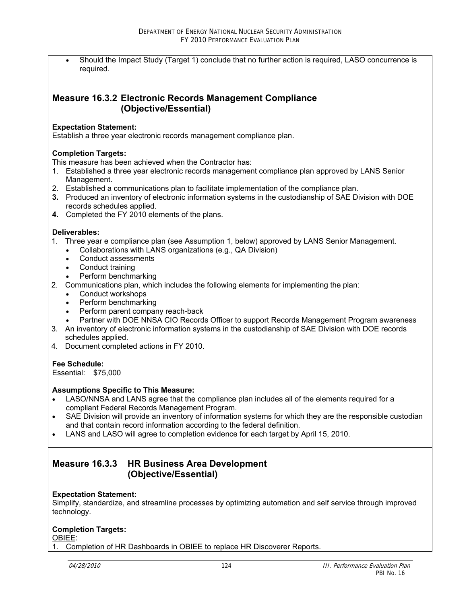Should the Impact Study (Target 1) conclude that no further action is required, LASO concurrence is required.

### **Measure 16.3.2 Electronic Records Management Compliance (Objective/Essential)**

### **Expectation Statement:**

Establish a three year electronic records management compliance plan.

### **Completion Targets:**

This measure has been achieved when the Contractor has:

- 1. Established a three year electronic records management compliance plan approved by LANS Senior Management.
- 2. Established a communications plan to facilitate implementation of the compliance plan.
- **3.** Produced an inventory of electronic information systems in the custodianship of SAE Division with DOE records schedules applied.
- **4.** Completed the FY 2010 elements of the plans.

### **Deliverables:**

- 1. Three year e compliance plan (see Assumption 1, below) approved by LANS Senior Management.
	- Collaborations with LANS organizations (e.g., QA Division)
	- Conduct assessments
	- Conduct training
	- Perform benchmarking
- 2. Communications plan, which includes the following elements for implementing the plan:
	- Conduct workshops
	- Perform benchmarking
	- Perform parent company reach-back
	- Partner with DOE NNSA CIO Records Officer to support Records Management Program awareness
- 3. An inventory of electronic information systems in the custodianship of SAE Division with DOE records schedules applied.
- 4. Document completed actions in FY 2010.

### **Fee Schedule:**

Essential: \$75,000

#### **Assumptions Specific to This Measure:**

- LASO/NNSA and LANS agree that the compliance plan includes all of the elements required for a compliant Federal Records Management Program.
- SAE Division will provide an inventory of information systems for which they are the responsible custodian and that contain record information according to the federal definition.
- LANS and LASO will agree to completion evidence for each target by April 15, 2010.

### **Measure 16.3.3 HR Business Area Development (Objective/Essential)**

### **Expectation Statement:**

Simplify, standardize, and streamline processes by optimizing automation and self service through improved technology.

### **Completion Targets:**

OBIEE:

1. Completion of HR Dashboards in OBIEE to replace HR Discoverer Reports.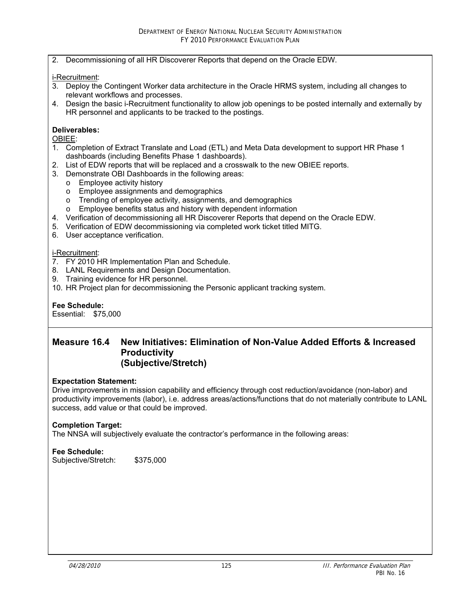2. Decommissioning of all HR Discoverer Reports that depend on the Oracle EDW.

### i-Recruitment:

- 3. Deploy the Contingent Worker data architecture in the Oracle HRMS system, including all changes to relevant workflows and processes.
- 4. Design the basic i-Recruitment functionality to allow job openings to be posted internally and externally by HR personnel and applicants to be tracked to the postings.

### **Deliverables:**

OBIEE:

- 1. Completion of Extract Translate and Load (ETL) and Meta Data development to support HR Phase 1 dashboards (including Benefits Phase 1 dashboards).
- 2. List of EDW reports that will be replaced and a crosswalk to the new OBIEE reports.
- 3. Demonstrate OBI Dashboards in the following areas:
	- o Employee activity history
		- o Employee assignments and demographics
		- o Trending of employee activity, assignments, and demographics
	- o Employee benefits status and history with dependent information
- 4. Verification of decommissioning all HR Discoverer Reports that depend on the Oracle EDW.
- 5. Verification of EDW decommissioning via completed work ticket titled MITG.
- 6. User acceptance verification.

### i-Recruitment:

- 7. FY 2010 HR Implementation Plan and Schedule.
- 8. LANL Requirements and Design Documentation.
- 9. Training evidence for HR personnel.
- 10. HR Project plan for decommissioning the Personic applicant tracking system.

### **Fee Schedule:**

Essential: \$75,000

### **Measure 16.4 New Initiatives: Elimination of Non-Value Added Efforts & Increased Productivity (Subjective/Stretch)**

### **Expectation Statement:**

Drive improvements in mission capability and efficiency through cost reduction/avoidance (non-labor) and productivity improvements (labor), i.e. address areas/actions/functions that do not materially contribute to LANL success, add value or that could be improved.

### **Completion Target:**

The NNSA will subjectively evaluate the contractor's performance in the following areas:

### **Fee Schedule:**

Subjective/Stretch: \$375,000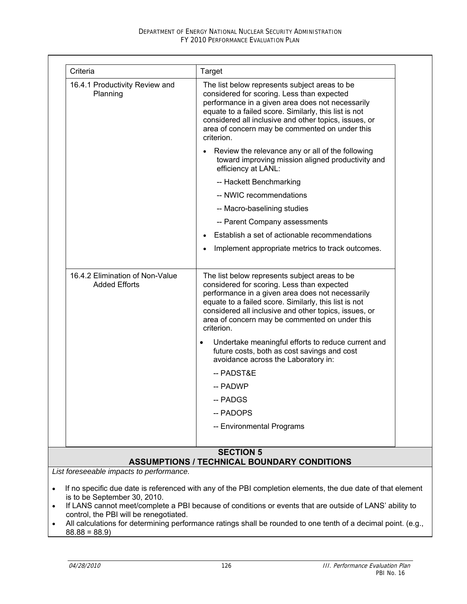| Criteria                                                | Target                                                                                                                                                                                                                                                                                                                            |
|---------------------------------------------------------|-----------------------------------------------------------------------------------------------------------------------------------------------------------------------------------------------------------------------------------------------------------------------------------------------------------------------------------|
| 16.4.1 Productivity Review and<br>Planning              | The list below represents subject areas to be<br>considered for scoring. Less than expected<br>performance in a given area does not necessarily<br>equate to a failed score. Similarly, this list is not<br>considered all inclusive and other topics, issues, or<br>area of concern may be commented on under this<br>criterion. |
|                                                         | Review the relevance any or all of the following<br>toward improving mission aligned productivity and<br>efficiency at LANL:                                                                                                                                                                                                      |
|                                                         | -- Hackett Benchmarking                                                                                                                                                                                                                                                                                                           |
|                                                         | -- NWIC recommendations                                                                                                                                                                                                                                                                                                           |
|                                                         | -- Macro-baselining studies                                                                                                                                                                                                                                                                                                       |
|                                                         | -- Parent Company assessments                                                                                                                                                                                                                                                                                                     |
|                                                         | Establish a set of actionable recommendations                                                                                                                                                                                                                                                                                     |
|                                                         | Implement appropriate metrics to track outcomes.                                                                                                                                                                                                                                                                                  |
| 16.4.2 Elimination of Non-Value<br><b>Added Efforts</b> | The list below represents subject areas to be<br>considered for scoring. Less than expected<br>performance in a given area does not necessarily<br>equate to a failed score. Similarly, this list is not<br>considered all inclusive and other topics, issues, or<br>area of concern may be commented on under this<br>criterion. |
|                                                         | Undertake meaningful efforts to reduce current and<br>$\bullet$<br>future costs, both as cost savings and cost<br>avoidance across the Laboratory in:                                                                                                                                                                             |
|                                                         | -- PADST&E                                                                                                                                                                                                                                                                                                                        |
|                                                         | -- PADWP                                                                                                                                                                                                                                                                                                                          |
|                                                         | -- PADGS                                                                                                                                                                                                                                                                                                                          |
|                                                         | -- PADOPS                                                                                                                                                                                                                                                                                                                         |
|                                                         | -- Environmental Programs                                                                                                                                                                                                                                                                                                         |

## **ASSUMPTIONS / TECHNICAL BOUNDARY CONDITIONS**

*List foreseeable impacts to performance.*

- If no specific due date is referenced with any of the PBI completion elements, the due date of that element is to be September 30, 2010.
- If LANS cannot meet/complete a PBI because of conditions or events that are outside of LANS' ability to control, the PBI will be renegotiated.
- All calculations for determining performance ratings shall be rounded to one tenth of a decimal point. (e.g., 88.88 = 88.9)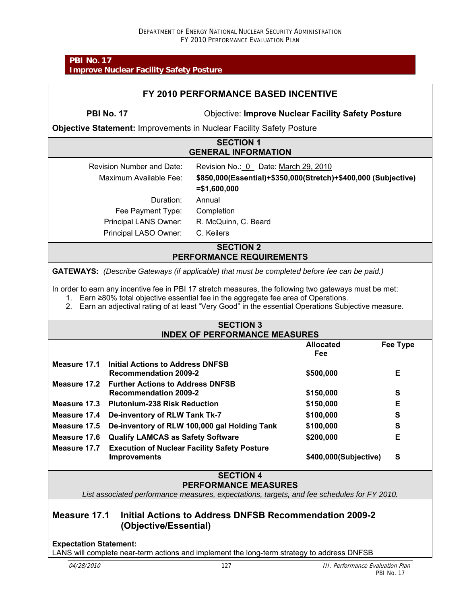### **PBI NO. 17 Improve Nuclear Facility Safety Posture**

| FY 2010 PERFORMANCE BASED INCENTIVE                                                                 |                                                                                                         |  |  |  |
|-----------------------------------------------------------------------------------------------------|---------------------------------------------------------------------------------------------------------|--|--|--|
| <b>PBI No. 17</b><br><b>Objective: Improve Nuclear Facility Safety Posture</b>                      |                                                                                                         |  |  |  |
| <b>Objective Statement: Improvements in Nuclear Facility Safety Posture</b>                         |                                                                                                         |  |  |  |
| <b>SECTION 1</b><br><b>GENERAL INFORMATION</b>                                                      |                                                                                                         |  |  |  |
| <b>Revision Number and Date:</b>                                                                    | Revision No.: 0 Date: March 29, 2010                                                                    |  |  |  |
| Maximum Available Fee:                                                                              | \$850,000(Essential)+\$350,000(Stretch)+\$400,000 (Subjective)                                          |  |  |  |
|                                                                                                     | $= $1,600,000$                                                                                          |  |  |  |
| Duration:                                                                                           | Annual                                                                                                  |  |  |  |
| Fee Payment Type:                                                                                   | Completion                                                                                              |  |  |  |
| Principal LANS Owner:                                                                               | R. McQuinn, C. Beard                                                                                    |  |  |  |
| Principal LASO Owner:                                                                               | C. Keilers                                                                                              |  |  |  |
| <b>SECTION 2</b><br>PERFORMANCE REQUIREMENTS                                                        |                                                                                                         |  |  |  |
| <b>GATEWAYS:</b> (Describe Gateways (if applicable) that must be completed before fee can be paid.) |                                                                                                         |  |  |  |
|                                                                                                     | In erder to earn any incentive fee in DDI 17 etrateb measures, the following two actourave must be mot: |  |  |  |

In order to earn any incentive fee in PBI 17 stretch measures, the following two gateways must be met:

- 1. Earn ≥80% total objective essential fee in the aggregate fee area of Operations.
- 2. Earn an adjectival rating of at least "Very Good" in the essential Operations Subjective measure.

| <b>SECTION 3</b>                     |                                                                                      |                                |                 |  |  |
|--------------------------------------|--------------------------------------------------------------------------------------|--------------------------------|-----------------|--|--|
| <b>INDEX OF PERFORMANCE MEASURES</b> |                                                                                      |                                |                 |  |  |
|                                      |                                                                                      | <b>Allocated</b><br><b>Fee</b> | <b>Fee Type</b> |  |  |
| Measure 17.1                         | Initial Actions to Address DNFSB<br><b>Recommendation 2009-2</b>                     | \$500,000                      | Е               |  |  |
|                                      | <b>Measure 17.2 Further Actions to Address DNFSB</b><br><b>Recommendation 2009-2</b> | \$150,000                      | S               |  |  |
|                                      | Measure 17.3 Plutonium-238 Risk Reduction                                            | \$150,000                      | E               |  |  |
|                                      | Measure 17.4 De-inventory of RLW Tank Tk-7                                           | \$100,000                      | S               |  |  |
| Measure 17.5                         | De-inventory of RLW 100,000 gal Holding Tank                                         | \$100,000                      | S               |  |  |
| Measure 17.6                         | <b>Qualify LAMCAS as Safety Software</b>                                             | \$200,000                      | E               |  |  |
| Measure 17.7                         | <b>Execution of Nuclear Facility Safety Posture</b><br><b>Improvements</b>           | \$400,000(Subjective)          | S               |  |  |
|                                      |                                                                                      |                                |                 |  |  |

#### **SECTION 4 PERFORMANCE MEASURES**

*List associated performance measures, expectations, targets, and fee schedules for FY 2010.* 

### **Measure 17.1 Initial Actions to Address DNFSB Recommendation 2009-2 (Objective/Essential)**

**Expectation Statement:** 

LANS will complete near-term actions and implement the long-term strategy to address DNFSB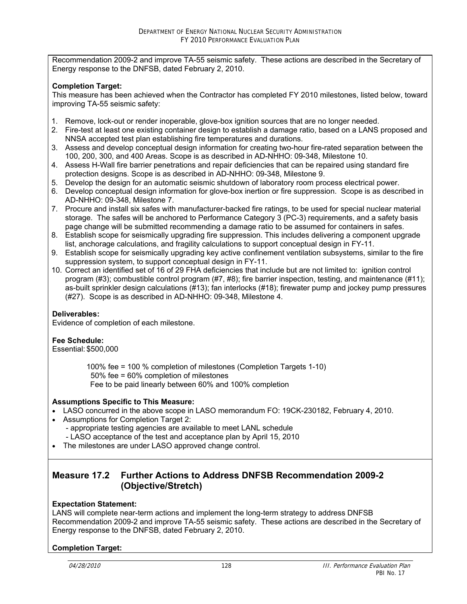Recommendation 2009-2 and improve TA-55 seismic safety. These actions are described in the Secretary of Energy response to the DNFSB, dated February 2, 2010.

### **Completion Target:**

This measure has been achieved when the Contractor has completed FY 2010 milestones, listed below, toward improving TA-55 seismic safety:

- 1. Remove, lock-out or render inoperable, glove-box ignition sources that are no longer needed.
- 2. Fire-test at least one existing container design to establish a damage ratio, based on a LANS proposed and NNSA accepted test plan establishing fire temperatures and durations.
- 3. Assess and develop conceptual design information for creating two-hour fire-rated separation between the 100, 200, 300, and 400 Areas. Scope is as described in AD-NHHO: 09-348, Milestone 10.
- 4. Assess H-Wall fire barrier penetrations and repair deficiencies that can be repaired using standard fire protection designs. Scope is as described in AD-NHHO: 09-348, Milestone 9.
- 5. Develop the design for an automatic seismic shutdown of laboratory room process electrical power.
- 6. Develop conceptual design information for glove-box inertion or fire suppression. Scope is as described in AD-NHHO: 09-348, Milestone 7.
- 7. Procure and install six safes with manufacturer-backed fire ratings, to be used for special nuclear material storage. The safes will be anchored to Performance Category 3 (PC-3) requirements, and a safety basis page change will be submitted recommending a damage ratio to be assumed for containers in safes.
- 8. Establish scope for seismically upgrading fire suppression. This includes delivering a component upgrade list, anchorage calculations, and fragility calculations to support conceptual design in FY-11.
- 9. Establish scope for seismically upgrading key active confinement ventilation subsystems, similar to the fire suppression system, to support conceptual design in FY-11.
- 10. Correct an identified set of 16 of 29 FHA deficiencies that include but are not limited to: ignition control program (#3); combustible control program (#7, #8); fire barrier inspection, testing, and maintenance (#11); as-built sprinkler design calculations (#13); fan interlocks (#18); firewater pump and jockey pump pressures (#27). Scope is as described in AD-NHHO: 09-348, Milestone 4.

### **Deliverables:**

Evidence of completion of each milestone.

### **Fee Schedule:**

Essential: \$500,000

 100% fee = 100 % completion of milestones (Completion Targets 1-10) 50% fee = 60% completion of milestones Fee to be paid linearly between 60% and 100% completion

### **Assumptions Specific to This Measure:**

- LASO concurred in the above scope in LASO memorandum FO: 19CK-230182, February 4, 2010.
- Assumptions for Completion Target 2:
	- appropriate testing agencies are available to meet LANL schedule
	- LASO acceptance of the test and acceptance plan by April 15, 2010
- The milestones are under LASO approved change control.

### **Measure 17.2 Further Actions to Address DNFSB Recommendation 2009-2 (Objective/Stretch)**

### **Expectation Statement:**

LANS will complete near-term actions and implement the long-term strategy to address DNFSB Recommendation 2009-2 and improve TA-55 seismic safety. These actions are described in the Secretary of Energy response to the DNFSB, dated February 2, 2010.

### **Completion Target:**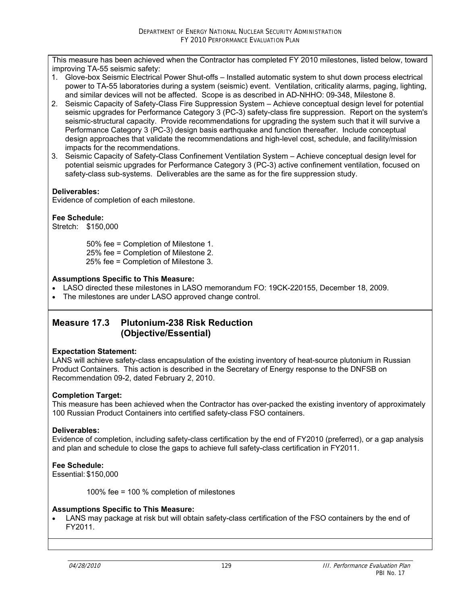This measure has been achieved when the Contractor has completed FY 2010 milestones, listed below, toward improving TA-55 seismic safety:

- 1. Glove-box Seismic Electrical Power Shut-offs Installed automatic system to shut down process electrical power to TA-55 laboratories during a system (seismic) event. Ventilation, criticality alarms, paging, lighting, and similar devices will not be affected. Scope is as described in AD-NHHO: 09-348, Milestone 8.
- 2. Seismic Capacity of Safety-Class Fire Suppression System Achieve conceptual design level for potential seismic upgrades for Performance Category 3 (PC-3) safety-class fire suppression. Report on the system's seismic-structural capacity. Provide recommendations for upgrading the system such that it will survive a Performance Category 3 (PC-3) design basis earthquake and function thereafter. Include conceptual design approaches that validate the recommendations and high-level cost, schedule, and facility/mission impacts for the recommendations.
- 3. Seismic Capacity of Safety-Class Confinement Ventilation System Achieve conceptual design level for potential seismic upgrades for Performance Category 3 (PC-3) active confinement ventilation, focused on safety-class sub-systems. Deliverables are the same as for the fire suppression study.

### **Deliverables:**

Evidence of completion of each milestone.

### **Fee Schedule:**

Stretch: \$150,000

 50% fee = Completion of Milestone 1. 25% fee = Completion of Milestone 2. 25% fee = Completion of Milestone 3.

### **Assumptions Specific to This Measure:**

- LASO directed these milestones in LASO memorandum FO: 19CK-220155, December 18, 2009.
- The milestones are under LASO approved change control.

### **Measure 17.3 Plutonium-238 Risk Reduction (Objective/Essential)**

#### **Expectation Statement:**

LANS will achieve safety-class encapsulation of the existing inventory of heat-source plutonium in Russian Product Containers. This action is described in the Secretary of Energy response to the DNFSB on Recommendation 09-2, dated February 2, 2010.

### **Completion Target:**

This measure has been achieved when the Contractor has over-packed the existing inventory of approximately 100 Russian Product Containers into certified safety-class FSO containers.

### **Deliverables:**

Evidence of completion, including safety-class certification by the end of FY2010 (preferred), or a gap analysis and plan and schedule to close the gaps to achieve full safety-class certification in FY2011.

### **Fee Schedule:**

Essential: \$150,000

100% fee = 100 % completion of milestones

### **Assumptions Specific to This Measure:**

LANS may package at risk but will obtain safety-class certification of the FSO containers by the end of FY2011.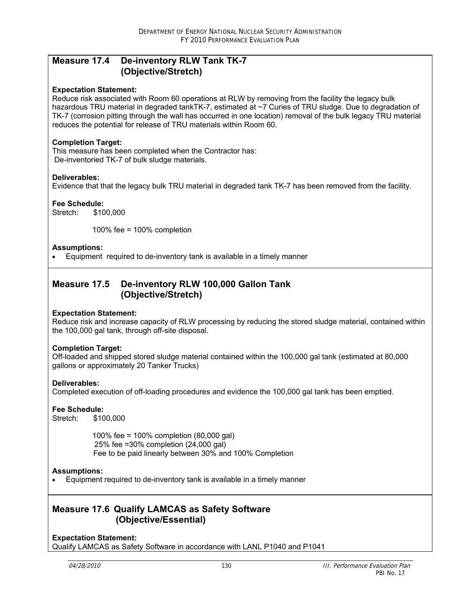## **Measure 17.4 De-inventory RLW Tank TK-7 (Objective/Stretch)**

### **Expectation Statement:**

Reduce risk associated with Room 60 operations at RLW by removing from the facility the legacy bulk hazardous TRU material in degraded tankTK-7, estimated at ~7 Curies of TRU sludge. Due to degradation of TK-7 (corrosion pitting through the wall has occurred in one location) removal of the bulk legacy TRU material reduces the potential for release of TRU materials within Room 60.

### **Completion Target:**

This measure has been completed when the Contractor has: De-inventoried TK-7 of bulk sludge materials.

### **Deliverables:**

Evidence that that the legacy bulk TRU material in degraded tank TK-7 has been removed from the facility.

### **Fee Schedule:**

Stretch: \$100,000

100% fee = 100% completion

### **Assumptions:**

• Equipment required to de-inventory tank is available in a timely manner

### **Measure 17.5 De-inventory RLW 100,000 Gallon Tank (Objective/Stretch)**

### **Expectation Statement:**

Reduce risk and increase capacity of RLW processing by reducing the stored sludge material, contained within the 100,000 gal tank, through off-site disposal.

### **Completion Target:**

Off-loaded and shipped stored sludge material contained within the 100,000 gal tank (estimated at 80,000 gallons or approximately 20 Tanker Trucks)

### **Deliverables:**

Completed execution of off-loading procedures and evidence the 100,000 gal tank has been emptied.

### **Fee Schedule:**

Stretch: \$100,000

 100% fee = 100% completion (80,000 gal) 25% fee =30% completion (24,000 gal) Fee to be paid linearly between 30% and 100% Completion

#### **Assumptions:**

• Equipment required to de-inventory tank is available in a timely manner

### **Measure 17.6 Qualify LAMCAS as Safety Software (Objective/Essential)**

### **Expectation Statement:**

Qualify LAMCAS as Safety Software in accordance with LANL P1040 and P1041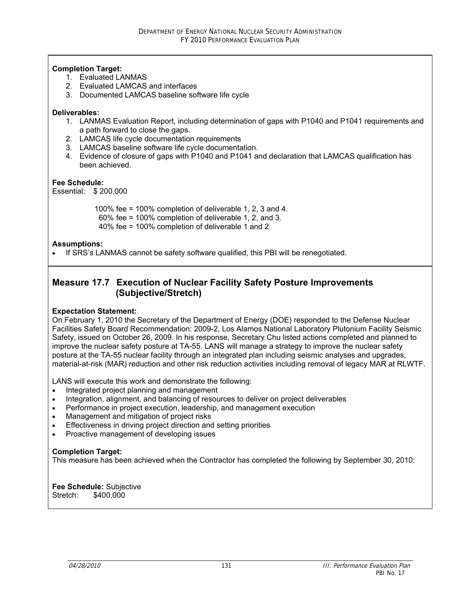### **Completion Target:**

- 1. Evaluated LANMAS
- 2. Evaluated LAMCAS and interfaces
- 3. Documented LAMCAS baseline software life cycle

### **Deliverables:**

- 1. LANMAS Evaluation Report, including determination of gaps with P1040 and P1041 requirements and a path forward to close the gaps.
- 2. LAMCAS life cycle documentation requirements
- 3. LAMCAS baseline software life cycle documentation.
- 4. Evidence of closure of gaps with P1040 and P1041 and declaration that LAMCAS qualification has been achieved.

### **Fee Schedule:**

Essential: \$ 200,000

 100% fee = 100% completion of deliverable 1, 2, 3 and 4. 60% fee = 100% completion of deliverable 1, 2, and 3. 40% fee = 100% completion of deliverable 1 and 2

### **Assumptions:**

• If SRS's LANMAS cannot be safety software qualified, this PBI will be renegotiated.

### **Measure 17.7 Execution of Nuclear Facility Safety Posture Improvements (Subjective/Stretch)**

### **Expectation Statement:**

On February 1, 2010 the Secretary of the Department of Energy (DOE) responded to the Defense Nuclear Facilities Safety Board Recommendation: 2009-2, Los Alamos National Laboratory Plutonium Facility Seismic Safety, issued on October 26, 2009. In his response, Secretary Chu listed actions completed and planned to improve the nuclear safety posture at TA-55. LANS will manage a strategy to improve the nuclear safety posture at the TA-55 nuclear facility through an integrated plan including seismic analyses and upgrades, material-at-risk (MAR) reduction and other risk reduction activities including removal of legacy MAR at RLWTF.

LANS will execute this work and demonstrate the following:

- Integrated project planning and management
- Integration, alignment, and balancing of resources to deliver on project deliverables
- Performance in project execution, leadership, and management execution
- Management and mitigation of project risks
- Effectiveness in driving project direction and setting priorities
- Proactive management of developing issues

### **Completion Target:**

This measure has been achieved when the Contractor has completed the following by September 30, 2010:

**Fee Schedule:** Subjective Stretch: \$400,000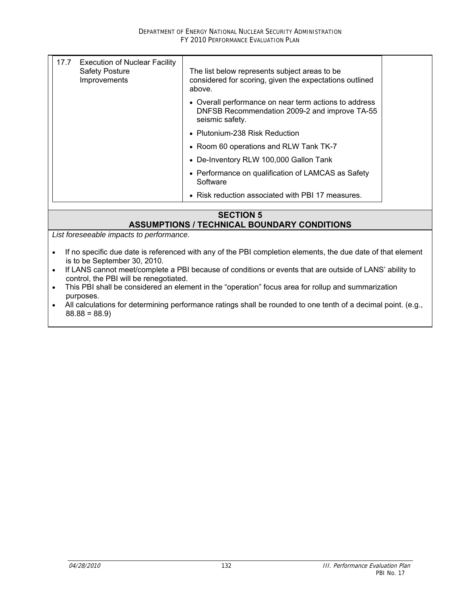| 17.7 | <b>Execution of Nuclear Facility</b><br><b>Safety Posture</b><br>Improvements | The list below represents subject areas to be.<br>considered for scoring, given the expectations outlined<br>above.       |  |
|------|-------------------------------------------------------------------------------|---------------------------------------------------------------------------------------------------------------------------|--|
|      |                                                                               | • Overall performance on near term actions to address<br>DNFSB Recommendation 2009-2 and improve TA-55<br>seismic safety. |  |
|      |                                                                               | • Plutonium-238 Risk Reduction                                                                                            |  |
|      |                                                                               | • Room 60 operations and RLW Tank TK-7                                                                                    |  |
|      |                                                                               | • De-Inventory RLW 100,000 Gallon Tank                                                                                    |  |
|      |                                                                               | • Performance on qualification of LAMCAS as Safety<br>Software                                                            |  |
|      |                                                                               | • Risk reduction associated with PBI 17 measures.                                                                         |  |

### **SECTION 5 ASSUMPTIONS / TECHNICAL BOUNDARY CONDITIONS**

*List foreseeable impacts to performance.*

- If no specific due date is referenced with any of the PBI completion elements, the due date of that element is to be September 30, 2010.
- If LANS cannot meet/complete a PBI because of conditions or events that are outside of LANS' ability to control, the PBI will be renegotiated.
- This PBI shall be considered an element in the "operation" focus area for rollup and summarization purposes.
- All calculations for determining performance ratings shall be rounded to one tenth of a decimal point. (e.g.,  $88.88 = 88.9$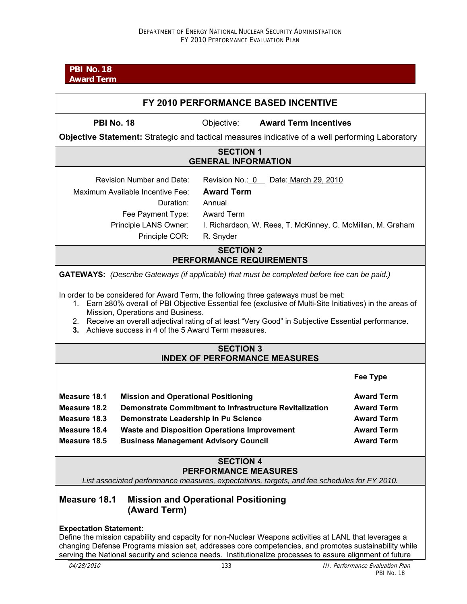### **PBI NO. 18 Award Term**

| FY 2010 PERFORMANCE BASED INCENTIVE                                                                                                                                                                                    |                                                |                                                                |                   |  |
|------------------------------------------------------------------------------------------------------------------------------------------------------------------------------------------------------------------------|------------------------------------------------|----------------------------------------------------------------|-------------------|--|
| <b>PBI No. 18</b>                                                                                                                                                                                                      | Objective:                                     | <b>Award Term Incentives</b>                                   |                   |  |
| <b>Objective Statement:</b> Strategic and tactical measures indicative of a well performing Laboratory                                                                                                                 |                                                |                                                                |                   |  |
|                                                                                                                                                                                                                        | <b>SECTION 1</b><br><b>GENERAL INFORMATION</b> |                                                                |                   |  |
| <b>Revision Number and Date:</b><br>Revision No.: 0<br>Date: March 29, 2010                                                                                                                                            |                                                |                                                                |                   |  |
| <b>Award Term</b><br>Maximum Available Incentive Fee:                                                                                                                                                                  |                                                |                                                                |                   |  |
| Annual<br>Duration:                                                                                                                                                                                                    |                                                |                                                                |                   |  |
| Fee Payment Type:<br><b>Award Term</b>                                                                                                                                                                                 |                                                |                                                                |                   |  |
| Principle LANS Owner:<br>I. Richardson, W. Rees, T. McKinney, C. McMillan, M. Graham                                                                                                                                   |                                                |                                                                |                   |  |
| Principle COR:                                                                                                                                                                                                         | R. Snyder                                      |                                                                |                   |  |
|                                                                                                                                                                                                                        | <b>SECTION 2</b>                               | <b>PERFORMANCE REQUIREMENTS</b>                                |                   |  |
| <b>GATEWAYS:</b> (Describe Gateways (if applicable) that must be completed before fee can be paid.)                                                                                                                    |                                                |                                                                |                   |  |
| Mission, Operations and Business.<br>2. Receive an overall adjectival rating of at least "Very Good" in Subjective Essential performance.<br>3. Achieve success in 4 of the 5 Award Term measures.<br><b>SECTION 3</b> |                                                |                                                                |                   |  |
|                                                                                                                                                                                                                        |                                                | <b>INDEX OF PERFORMANCE MEASURES</b>                           |                   |  |
|                                                                                                                                                                                                                        |                                                |                                                                | Fee Type          |  |
| Measure 18.1<br><b>Mission and Operational Positioning</b>                                                                                                                                                             |                                                |                                                                | <b>Award Term</b> |  |
| Measure 18.2                                                                                                                                                                                                           |                                                | <b>Demonstrate Commitment to Infrastructure Revitalization</b> | <b>Award Term</b> |  |
| Measure 18.3<br>Demonstrate Leadership in Pu Science                                                                                                                                                                   |                                                |                                                                | <b>Award Term</b> |  |
| <b>Waste and Disposition Operations Improvement</b><br>Measure 18.4                                                                                                                                                    |                                                |                                                                | <b>Award Term</b> |  |
| <b>Business Management Advisory Council</b><br>Measure 18.5                                                                                                                                                            |                                                |                                                                | <b>Award Term</b> |  |
| <b>SECTION 4</b><br><b>PERFORMANCE MEASURES</b><br>List associated performance measures, expectations, targets, and fee schedules for FY 2010.                                                                         |                                                |                                                                |                   |  |
| <b>Mission and Operational Positioning</b><br>Measure 18.1<br>(Award Term)                                                                                                                                             |                                                |                                                                |                   |  |

### **Expectation Statement:**

Define the mission capability and capacity for non-Nuclear Weapons activities at LANL that leverages a changing Defense Programs mission set, addresses core competencies, and promotes sustainability while serving the National security and science needs. Institutionalize processes to assure alignment of future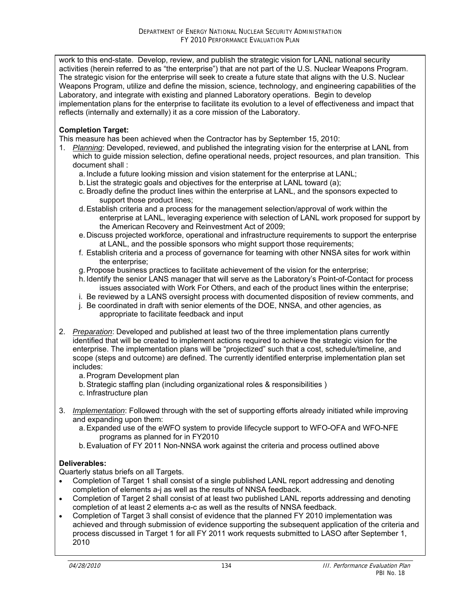work to this end-state. Develop, review, and publish the strategic vision for LANL national security activities (herein referred to as "the enterprise") that are not part of the U.S. Nuclear Weapons Program. The strategic vision for the enterprise will seek to create a future state that aligns with the U.S. Nuclear Weapons Program, utilize and define the mission, science, technology, and engineering capabilities of the Laboratory, and integrate with existing and planned Laboratory operations. Begin to develop implementation plans for the enterprise to facilitate its evolution to a level of effectiveness and impact that reflects (internally and externally) it as a core mission of the Laboratory.

### **Completion Target:**

This measure has been achieved when the Contractor has by September 15, 2010:

- 1. *Planning*: Developed, reviewed, and published the integrating vision for the enterprise at LANL from which to guide mission selection, define operational needs, project resources, and plan transition. This document shall :
	- a. Include a future looking mission and vision statement for the enterprise at LANL;
	- b. List the strategic goals and objectives for the enterprise at LANL toward (a);
	- c. Broadly define the product lines within the enterprise at LANL, and the sponsors expected to support those product lines;
	- d. Establish criteria and a process for the management selection/approval of work within the enterprise at LANL, leveraging experience with selection of LANL work proposed for support by the American Recovery and Reinvestment Act of 2009;
	- e. Discuss projected workforce, operational and infrastructure requirements to support the enterprise at LANL, and the possible sponsors who might support those requirements;
	- f. Establish criteria and a process of governance for teaming with other NNSA sites for work within the enterprise;
	- g. Propose business practices to facilitate achievement of the vision for the enterprise;
	- h. Identify the senior LANS manager that will serve as the Laboratory's Point-of-Contact for process issues associated with Work For Others, and each of the product lines within the enterprise;
	- i. Be reviewed by a LANS oversight process with documented disposition of review comments, and
	- j. Be coordinated in draft with senior elements of the DOE, NNSA, and other agencies, as appropriate to facilitate feedback and input
- 2. *Preparation*: Developed and published at least two of the three implementation plans currently identified that will be created to implement actions required to achieve the strategic vision for the enterprise. The implementation plans will be "projectized" such that a cost, schedule/timeline, and scope (steps and outcome) are defined. The currently identified enterprise implementation plan set includes:
	- a. Program Development plan
	- b. Strategic staffing plan (including organizational roles & responsibilities )
	- c. Infrastructure plan
- 3. *Implementation*: Followed through with the set of supporting efforts already initiated while improving and expanding upon them:

a. Expanded use of the eWFO system to provide lifecycle support to WFO-OFA and WFO-NFE programs as planned for in FY2010

b. Evaluation of FY 2011 Non-NNSA work against the criteria and process outlined above

### **Deliverables:**

Quarterly status briefs on all Targets.

- Completion of Target 1 shall consist of a single published LANL report addressing and denoting completion of elements a-j as well as the results of NNSA feedback.
- Completion of Target 2 shall consist of at least two published LANL reports addressing and denoting completion of at least 2 elements a-c as well as the results of NNSA feedback.
- Completion of Target 3 shall consist of evidence that the planned FY 2010 implementation was achieved and through submission of evidence supporting the subsequent application of the criteria and process discussed in Target 1 for all FY 2011 work requests submitted to LASO after September 1, 2010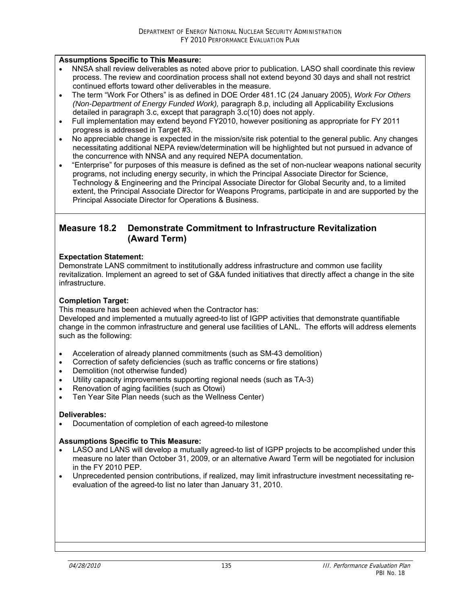### **Assumptions Specific to This Measure:**

- NNSA shall review deliverables as noted above prior to publication. LASO shall coordinate this review process. The review and coordination process shall not extend beyond 30 days and shall not restrict continued efforts toward other deliverables in the measure.
- The term "Work For Others" is as defined in DOE Order 481.1C (24 January 2005), *Work For Others (Non-Department of Energy Funded Work),* paragraph 8.p, including all Applicability Exclusions detailed in paragraph 3.c, except that paragraph 3.c(10) does not apply.
- Full implementation may extend beyond FY2010, however positioning as appropriate for FY 2011 progress is addressed in Target #3.
- No appreciable change is expected in the mission/site risk potential to the general public. Any changes necessitating additional NEPA review/determination will be highlighted but not pursued in advance of the concurrence with NNSA and any required NEPA documentation.
- "Enterprise" for purposes of this measure is defined as the set of non-nuclear weapons national security programs, not including energy security, in which the Principal Associate Director for Science, Technology & Engineering and the Principal Associate Director for Global Security and, to a limited extent, the Principal Associate Director for Weapons Programs, participate in and are supported by the Principal Associate Director for Operations & Business.

### **Measure 18.2 Demonstrate Commitment to Infrastructure Revitalization (Award Term)**

### **Expectation Statement:**

Demonstrate LANS commitment to institutionally address infrastructure and common use facility revitalization. Implement an agreed to set of G&A funded initiatives that directly affect a change in the site infrastructure.

### **Completion Target:**

This measure has been achieved when the Contractor has:

Developed and implemented a mutually agreed-to list of IGPP activities that demonstrate quantifiable change in the common infrastructure and general use facilities of LANL. The efforts will address elements such as the following:

- Acceleration of already planned commitments (such as SM-43 demolition)
- Correction of safety deficiencies (such as traffic concerns or fire stations)
- Demolition (not otherwise funded)
- Utility capacity improvements supporting regional needs (such as TA-3)
- Renovation of aging facilities (such as Otowi)
- Ten Year Site Plan needs (such as the Wellness Center)

#### **Deliverables:**

• Documentation of completion of each agreed-to milestone

#### **Assumptions Specific to This Measure:**

- LASO and LANS will develop a mutually agreed-to list of IGPP projects to be accomplished under this measure no later than October 31, 2009, or an alternative Award Term will be negotiated for inclusion in the FY 2010 PEP.
- Unprecedented pension contributions, if realized, may limit infrastructure investment necessitating reevaluation of the agreed-to list no later than January 31, 2010.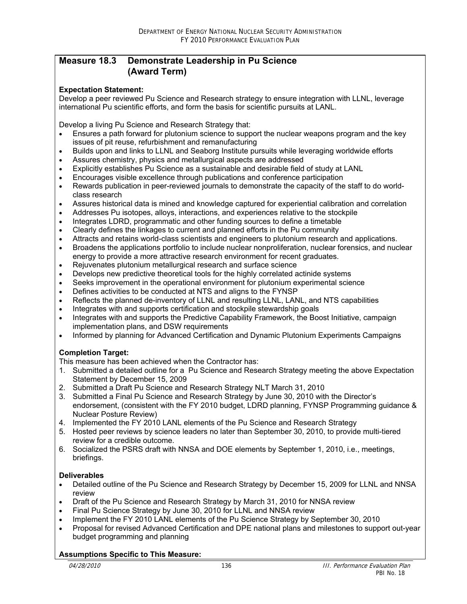### **Measure 18.3 Demonstrate Leadership in Pu Science (Award Term)**

### **Expectation Statement:**

Develop a peer reviewed Pu Science and Research strategy to ensure integration with LLNL, leverage international Pu scientific efforts, and form the basis for scientific pursuits at LANL.

Develop a living Pu Science and Research Strategy that:

- Ensures a path forward for plutonium science to support the nuclear weapons program and the key issues of pit reuse, refurbishment and remanufacturing
- Builds upon and links to LLNL and Seaborg Institute pursuits while leveraging worldwide efforts
- Assures chemistry, physics and metallurgical aspects are addressed
- Explicitly establishes Pu Science as a sustainable and desirable field of study at LANL
- Encourages visible excellence through publications and conference participation
- Rewards publication in peer-reviewed journals to demonstrate the capacity of the staff to do worldclass research
- Assures historical data is mined and knowledge captured for experiential calibration and correlation
- Addresses Pu isotopes, alloys, interactions, and experiences relative to the stockpile
- Integrates LDRD, programmatic and other funding sources to define a timetable
- Clearly defines the linkages to current and planned efforts in the Pu community
- Attracts and retains world-class scientists and engineers to plutonium research and applications.
- Broadens the applications portfolio to include nuclear nonproliferation, nuclear forensics, and nuclear energy to provide a more attractive research environment for recent graduates.
- Rejuvenates plutonium metallurgical research and surface science
- Develops new predictive theoretical tools for the highly correlated actinide systems
- Seeks improvement in the operational environment for plutonium experimental science
- Defines activities to be conducted at NTS and aligns to the FYNSP
- Reflects the planned de-inventory of LLNL and resulting LLNL, LANL, and NTS capabilities
- Integrates with and supports certification and stockpile stewardship goals
- Integrates with and supports the Predictive Capability Framework, the Boost Initiative, campaign implementation plans, and DSW requirements
- Informed by planning for Advanced Certification and Dynamic Plutonium Experiments Campaigns

### **Completion Target:**

This measure has been achieved when the Contractor has:

- 1. Submitted a detailed outline for a Pu Science and Research Strategy meeting the above Expectation Statement by December 15, 2009
- 2. Submitted a Draft Pu Science and Research Strategy NLT March 31, 2010
- 3. Submitted a Final Pu Science and Research Strategy by June 30, 2010 with the Director's endorsement, (consistent with the FY 2010 budget, LDRD planning, FYNSP Programming guidance & Nuclear Posture Review)
- 4. Implemented the FY 2010 LANL elements of the Pu Science and Research Strategy
- 5. Hosted peer reviews by science leaders no later than September 30, 2010, to provide multi-tiered review for a credible outcome.
- 6. Socialized the PSRS draft with NNSA and DOE elements by September 1, 2010, i.e., meetings, briefings.

### **Deliverables**

- Detailed outline of the Pu Science and Research Strategy by December 15, 2009 for LLNL and NNSA review
- Draft of the Pu Science and Research Strategy by March 31, 2010 for NNSA review
- Final Pu Science Strategy by June 30, 2010 for LLNL and NNSA review
- Implement the FY 2010 LANL elements of the Pu Science Strategy by September 30, 2010
- Proposal for revised Advanced Certification and DPE national plans and milestones to support out-year budget programming and planning

### **Assumptions Specific to This Measure:**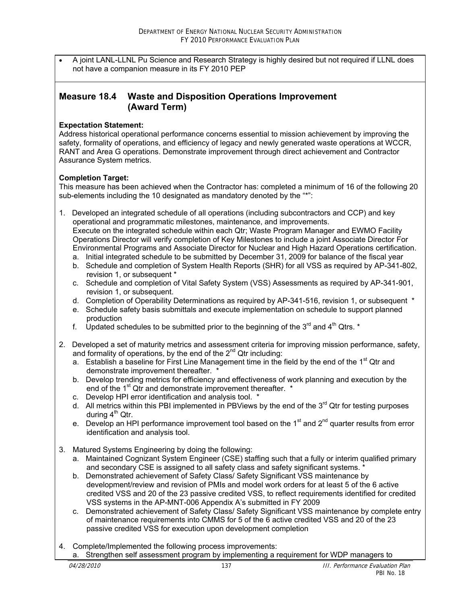• A joint LANL-LLNL Pu Science and Research Strategy is highly desired but not required if LLNL does not have a companion measure in its FY 2010 PEP

### **Measure 18.4 Waste and Disposition Operations Improvement (Award Term)**

### **Expectation Statement:**

Address historical operational performance concerns essential to mission achievement by improving the safety, formality of operations, and efficiency of legacy and newly generated waste operations at WCCR, RANT and Area G operations. Demonstrate improvement through direct achievement and Contractor Assurance System metrics.

### **Completion Target:**

This measure has been achieved when the Contractor has: completed a minimum of 16 of the following 20 sub-elements including the 10 designated as mandatory denoted by the "\*":

1. Developed an integrated schedule of all operations (including subcontractors and CCP) and key operational and programmatic milestones, maintenance, and improvements. Execute on the integrated schedule within each Qtr; Waste Program Manager and EWMO Facility Operations Director will verify completion of Key Milestones to include a joint Associate Director For Environmental Programs and Associate Director for Nuclear and High Hazard Operations certification.

- a. Initial integrated schedule to be submitted by December 31, 2009 for balance of the fiscal year
- b. Schedule and completion of System Health Reports (SHR) for all VSS as required by AP-341-802, revision 1, or subsequent \*
- c. Schedule and completion of Vital Safety System (VSS) Assessments as required by AP-341-901, revision 1, or subsequent.
- d. Completion of Operability Determinations as required by AP-341-516, revision 1, or subsequent \*
- e. Schedule safety basis submittals and execute implementation on schedule to support planned production
- f. Updated schedules to be submitted prior to the beginning of the  $3<sup>rd</sup>$  and  $4<sup>th</sup>$  Qtrs.  $*$
- 2. Developed a set of maturity metrics and assessment criteria for improving mission performance, safety, and formality of operations, by the end of the  $2<sup>nd</sup>$  Qtr including:
	- a. Establish a baseline for First Line Management time in the field by the end of the  $1<sup>st</sup>$  Qtr and demonstrate improvement thereafter. \*
	- b. Develop trending metrics for efficiency and effectiveness of work planning and execution by the end of the 1<sup>st</sup> Qtr and demonstrate improvement thereafter. \*
	- c. Develop HPI error identification and analysis tool. \*
	- d. All metrics within this PBI implemented in PBViews by the end of the  $3<sup>rd</sup>$  Qtr for testing purposes during  $4^{\text{th}}$  Qtr.
	- e. Develop an HPI performance improvement tool based on the 1<sup>st</sup> and 2<sup>nd</sup> quarter results from error identification and analysis tool.
- 3. Matured Systems Engineering by doing the following:
	- a. Maintained Cognizant System Engineer (CSE) staffing such that a fully or interim qualified primary and secondary CSE is assigned to all safety class and safety significant systems.
	- b. Demonstrated achievement of Safety Class/ Safety Significant VSS maintenance by development/review and revision of PMIs and model work orders for at least 5 of the 6 active credited VSS and 20 of the 23 passive credited VSS, to reflect requirements identified for credited VSS systems in the AP-MNT-006 Appendix A's submitted in FY 2009
	- c. Demonstrated achievement of Safety Class/ Safety Significant VSS maintenance by complete entry of maintenance requirements into CMMS for 5 of the 6 active credited VSS and 20 of the 23 passive credited VSS for execution upon development completion
- 4. Complete/Implemented the following process improvements:

a. Strengthen self assessment program by implementing a requirement for WDP managers to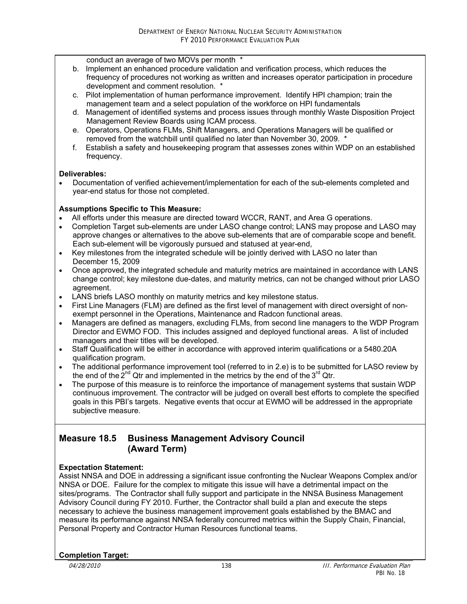conduct an average of two MOVs per month \*

- b. Implement an enhanced procedure validation and verification process, which reduces the frequency of procedures not working as written and increases operator participation in procedure development and comment resolution. \*
- c. Pilot implementation of human performance improvement. Identify HPI champion; train the management team and a select population of the workforce on HPI fundamentals
- d. Management of identified systems and process issues through monthly Waste Disposition Project Management Review Boards using ICAM process.
- e. Operators, Operations FLMs, Shift Managers, and Operations Managers will be qualified or removed from the watchbill until qualified no later than November 30, 2009. \*
- f. Establish a safety and housekeeping program that assesses zones within WDP on an established frequency.

### **Deliverables:**

• Documentation of verified achievement/implementation for each of the sub-elements completed and year-end status for those not completed.

### **Assumptions Specific to This Measure:**

- All efforts under this measure are directed toward WCCR, RANT, and Area G operations.
- Completion Target sub-elements are under LASO change control; LANS may propose and LASO may approve changes or alternatives to the above sub-elements that are of comparable scope and benefit. Each sub-element will be vigorously pursued and statused at year-end,
- Key milestones from the integrated schedule will be jointly derived with LASO no later than December 15, 2009
- Once approved, the integrated schedule and maturity metrics are maintained in accordance with LANS change control; key milestone due-dates, and maturity metrics, can not be changed without prior LASO agreement.
- LANS briefs LASO monthly on maturity metrics and key milestone status.
- First Line Managers (FLM) are defined as the first level of management with direct oversight of nonexempt personnel in the Operations, Maintenance and Radcon functional areas.
- Managers are defined as managers, excluding FLMs, from second line managers to the WDP Program Director and EWMO FOD. This includes assigned and deployed functional areas. A list of included managers and their titles will be developed.
- Staff Qualification will be either in accordance with approved interim qualifications or a 5480.20A qualification program.
- The additional performance improvement tool (referred to in 2.e) is to be submitted for LASO review by the end of the  $2^{nd}$  Qtr and implemented in the metrics by the end of the  $3^{rd}$  Qtr.
- The purpose of this measure is to reinforce the importance of management systems that sustain WDP continuous improvement. The contractor will be judged on overall best efforts to complete the specified goals in this PBI's targets. Negative events that occur at EWMO will be addressed in the appropriate subjective measure.

## **Measure 18.5 Business Management Advisory Council (Award Term)**

### **Expectation Statement:**

Assist NNSA and DOE in addressing a significant issue confronting the Nuclear Weapons Complex and/or NNSA or DOE. Failure for the complex to mitigate this issue will have a detrimental impact on the sites/programs.The Contractor shall fully support and participate in the NNSA Business Management Advisory Council during FY 2010. Further, the Contractor shall build a plan and execute the steps necessary to achieve the business management improvement goals established by the BMAC and measure its performance against NNSA federally concurred metrics within the Supply Chain, Financial, Personal Property and Contractor Human Resources functional teams.

### **Completion Target:**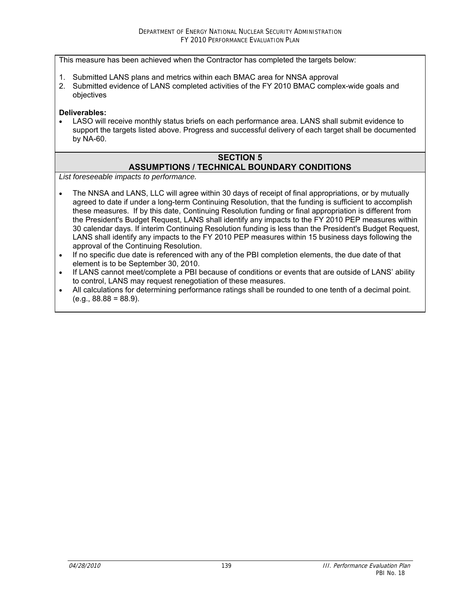This measure has been achieved when the Contractor has completed the targets below:

- 1. Submitted LANS plans and metrics within each BMAC area for NNSA approval
- 2. Submitted evidence of LANS completed activities of the FY 2010 BMAC complex-wide goals and objectives

### **Deliverables:**

LASO will receive monthly status briefs on each performance area. LANS shall submit evidence to support the targets listed above. Progress and successful delivery of each target shall be documented by NA-60.

### **SECTION 5 ASSUMPTIONS / TECHNICAL BOUNDARY CONDITIONS**

*List foreseeable impacts to performance.*

- The NNSA and LANS, LLC will agree within 30 days of receipt of final appropriations, or by mutually agreed to date if under a long-term Continuing Resolution, that the funding is sufficient to accomplish these measures. If by this date, Continuing Resolution funding or final appropriation is different from the President's Budget Request, LANS shall identify any impacts to the FY 2010 PEP measures within 30 calendar days. If interim Continuing Resolution funding is less than the President's Budget Request, LANS shall identify any impacts to the FY 2010 PEP measures within 15 business days following the approval of the Continuing Resolution.
- If no specific due date is referenced with any of the PBI completion elements, the due date of that element is to be September 30, 2010.
- If LANS cannot meet/complete a PBI because of conditions or events that are outside of LANS' ability to control, LANS may request renegotiation of these measures.
- All calculations for determining performance ratings shall be rounded to one tenth of a decimal point.  $(e.g., 88.88 = 88.9)$ .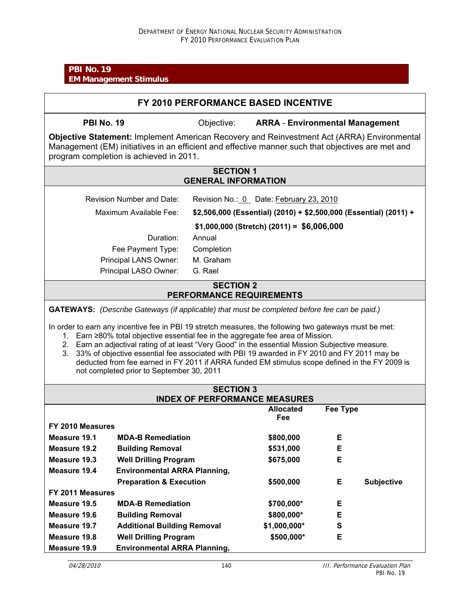#### **PBI NO. 19 EM Management Stimulus**

## **FY 2010 PERFORMANCE BASED INCENTIVE PBI No. 19** Objective: **ARRA** - **Environmental Management Objective Statement:** Implement American Recovery and Reinvestment Act (ARRA) Environmental Management (EM) initiatives in an efficient and effective manner such that objectives are met and program completion is achieved in 2011. **SECTION 1 GENERAL INFORMATION**  Revision Number and Date: Revision No.: 0 Date: February 23, 2010 Maximum Available Fee: **\$2,506,000 (Essential) (2010) + \$2,500,000 (Essential) (2011) + \$1,000,000 (Stretch) (2011) = \$6,006,000**  Duration: Annual Fee Payment Type: Completion Principal LANS Owner: M. Graham Principal LASO Owner: G. Rael **SECTION 2 PERFORMANCE REQUIREMENTS GATEWAYS:** *(Describe Gateways (if applicable) that must be completed before fee can be paid.)*  In order to earn any incentive fee in PBI 19 stretch measures, the following two gateways must be met:

1. Earn ≥80% total objective essential fee in the aggregate fee area of Mission.

- 2. Earn an adjectival rating of at least "Very Good" in the essential Mission Subjective measure.
- 3. 33% of objective essential fee associated with PBI 19 awarded in FY 2010 and FY 2011 may be
- deducted from fee earned in FY 2011 if ARRA funded EM stimulus scope defined in the FY 2009 is not completed prior to September 30, 2011

|                  | <b>SECTION 3</b>                     |                  |                 |                   |
|------------------|--------------------------------------|------------------|-----------------|-------------------|
|                  | <b>INDEX OF PERFORMANCE MEASURES</b> |                  |                 |                   |
|                  |                                      | <b>Allocated</b> | <b>Fee Type</b> |                   |
|                  |                                      | <b>Fee</b>       |                 |                   |
| FY 2010 Measures |                                      |                  |                 |                   |
| Measure 19.1     | <b>MDA-B Remediation</b>             | \$800,000        | Е               |                   |
| Measure 19.2     | <b>Building Removal</b>              | \$531,000        | Е               |                   |
| Measure 19.3     | <b>Well Drilling Program</b>         | \$675,000        | Е               |                   |
| Measure 19.4     | <b>Environmental ARRA Planning,</b>  |                  |                 |                   |
|                  | <b>Preparation &amp; Execution</b>   | \$500,000        | Е               | <b>Subjective</b> |
| FY 2011 Measures |                                      |                  |                 |                   |
| Measure 19.5     | <b>MDA-B Remediation</b>             | \$700,000*       | Е               |                   |
| Measure 19.6     | <b>Building Removal</b>              | \$800,000*       | Е               |                   |
| Measure 19.7     | <b>Additional Building Removal</b>   | \$1,000,000*     | S               |                   |
| Measure 19.8     | <b>Well Drilling Program</b>         | \$500,000*       | E               |                   |
| Measure 19.9     | <b>Environmental ARRA Planning,</b>  |                  |                 |                   |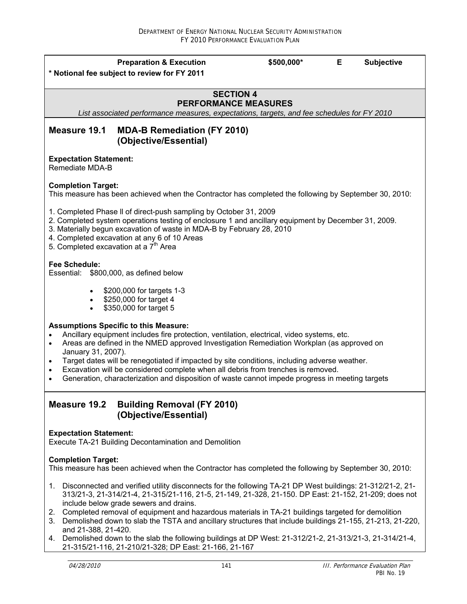|                                                                                                                                                                                                                                                                                                                                                                                                                                                                                                                                                                                                               | <b>Preparation &amp; Execution</b><br>* Notional fee subject to review for FY 2011                                                                                                                                                                                                                                                                                                                                                                                                                                                                                                                                                               | \$500,000* | E. | Subjective |  |  |
|---------------------------------------------------------------------------------------------------------------------------------------------------------------------------------------------------------------------------------------------------------------------------------------------------------------------------------------------------------------------------------------------------------------------------------------------------------------------------------------------------------------------------------------------------------------------------------------------------------------|--------------------------------------------------------------------------------------------------------------------------------------------------------------------------------------------------------------------------------------------------------------------------------------------------------------------------------------------------------------------------------------------------------------------------------------------------------------------------------------------------------------------------------------------------------------------------------------------------------------------------------------------------|------------|----|------------|--|--|
| <b>SECTION 4</b><br><b>PERFORMANCE MEASURES</b><br>List associated performance measures, expectations, targets, and fee schedules for FY 2010                                                                                                                                                                                                                                                                                                                                                                                                                                                                 |                                                                                                                                                                                                                                                                                                                                                                                                                                                                                                                                                                                                                                                  |            |    |            |  |  |
| Measure 19.1                                                                                                                                                                                                                                                                                                                                                                                                                                                                                                                                                                                                  | <b>MDA-B Remediation (FY 2010)</b><br>(Objective/Essential)                                                                                                                                                                                                                                                                                                                                                                                                                                                                                                                                                                                      |            |    |            |  |  |
| <b>Expectation Statement:</b><br>Remediate MDA-B                                                                                                                                                                                                                                                                                                                                                                                                                                                                                                                                                              |                                                                                                                                                                                                                                                                                                                                                                                                                                                                                                                                                                                                                                                  |            |    |            |  |  |
| <b>Completion Target:</b>                                                                                                                                                                                                                                                                                                                                                                                                                                                                                                                                                                                     | This measure has been achieved when the Contractor has completed the following by September 30, 2010:                                                                                                                                                                                                                                                                                                                                                                                                                                                                                                                                            |            |    |            |  |  |
|                                                                                                                                                                                                                                                                                                                                                                                                                                                                                                                                                                                                               | 1. Completed Phase II of direct-push sampling by October 31, 2009<br>2. Completed system operations testing of enclosure 1 and ancillary equipment by December 31, 2009.<br>3. Materially begun excavation of waste in MDA-B by February 28, 2010<br>4. Completed excavation at any 6 of 10 Areas<br>5. Completed excavation at a $7th$ Area                                                                                                                                                                                                                                                                                                     |            |    |            |  |  |
| <b>Fee Schedule:</b>                                                                                                                                                                                                                                                                                                                                                                                                                                                                                                                                                                                          | Essential: \$800,000, as defined below                                                                                                                                                                                                                                                                                                                                                                                                                                                                                                                                                                                                           |            |    |            |  |  |
|                                                                                                                                                                                                                                                                                                                                                                                                                                                                                                                                                                                                               | \$200,000 for targets 1-3<br>$\bullet$ \$250,000 for target 4<br>\$350,000 for target 5                                                                                                                                                                                                                                                                                                                                                                                                                                                                                                                                                          |            |    |            |  |  |
| <b>Assumptions Specific to this Measure:</b><br>Ancillary equipment includes fire protection, ventilation, electrical, video systems, etc.<br>$\bullet$<br>Areas are defined in the NMED approved Investigation Remediation Workplan (as approved on<br>$\bullet$<br>January 31, 2007).<br>Target dates will be renegotiated if impacted by site conditions, including adverse weather.<br>$\bullet$<br>Excavation will be considered complete when all debris from trenches is removed.<br>٠<br>Generation, characterization and disposition of waste cannot impede progress in meeting targets<br>$\bullet$ |                                                                                                                                                                                                                                                                                                                                                                                                                                                                                                                                                                                                                                                  |            |    |            |  |  |
| Measure 19.2<br><b>Building Removal (FY 2010)</b><br>(Objective/Essential)                                                                                                                                                                                                                                                                                                                                                                                                                                                                                                                                    |                                                                                                                                                                                                                                                                                                                                                                                                                                                                                                                                                                                                                                                  |            |    |            |  |  |
| <b>Expectation Statement:</b><br>Execute TA-21 Building Decontamination and Demolition                                                                                                                                                                                                                                                                                                                                                                                                                                                                                                                        |                                                                                                                                                                                                                                                                                                                                                                                                                                                                                                                                                                                                                                                  |            |    |            |  |  |
| <b>Completion Target:</b>                                                                                                                                                                                                                                                                                                                                                                                                                                                                                                                                                                                     | This measure has been achieved when the Contractor has completed the following by September 30, 2010:                                                                                                                                                                                                                                                                                                                                                                                                                                                                                                                                            |            |    |            |  |  |
| 1.<br>2.<br>3.<br>and 21-388, 21-420.<br>4.                                                                                                                                                                                                                                                                                                                                                                                                                                                                                                                                                                   | Disconnected and verified utility disconnects for the following TA-21 DP West buildings: 21-312/21-2, 21-<br>313/21-3, 21-314/21-4, 21-315/21-116, 21-5, 21-149, 21-328, 21-150. DP East: 21-152, 21-209; does not<br>include below grade sewers and drains.<br>Completed removal of equipment and hazardous materials in TA-21 buildings targeted for demolition<br>Demolished down to slab the TSTA and ancillary structures that include buildings 21-155, 21-213, 21-220,<br>Demolished down to the slab the following buildings at DP West: 21-312/21-2, 21-313/21-3, 21-314/21-4,<br>21-315/21-116, 21-210/21-328; DP East: 21-166, 21-167 |            |    |            |  |  |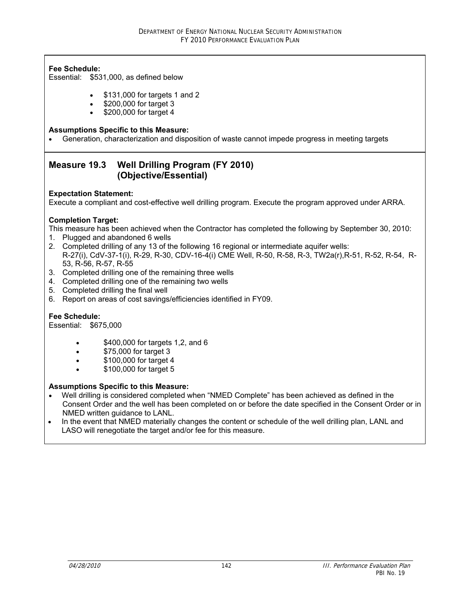# **Fee Schedule:**

Essential: \$531,000, as defined below

- \$131,000 for targets 1 and 2
- \$200,000 for target 3
- \$200,000 for target 4

## **Assumptions Specific to this Measure:**

• Generation, characterization and disposition of waste cannot impede progress in meeting targets

# **Measure 19.3 Well Drilling Program (FY 2010) (Objective/Essential)**

# **Expectation Statement:**

Execute a compliant and cost-effective well drilling program. Execute the program approved under ARRA.

# **Completion Target:**

This measure has been achieved when the Contractor has completed the following by September 30, 2010:

- 1. Plugged and abandoned 6 wells
- 2. Completed drilling of any 13 of the following 16 regional or intermediate aquifer wells: R-27(i), CdV-37-1(i), R-29, R-30, CDV-16-4(i) CME Well, R-50, R-58, R-3, TW2a(r),R-51, R-52, R-54, R-53, R-56, R-57, R-55
- 3. Completed drilling one of the remaining three wells
- 4. Completed drilling one of the remaining two wells
- 5. Completed drilling the final well
- 6. Report on areas of cost savings/efficiencies identified in FY09.

# **Fee Schedule:**

Essential: \$675,000

- \$400,000 for targets 1,2, and 6
- \$75,000 for target 3
- \$100,000 for target 4
- \$100,000 for target 5

# **Assumptions Specific to this Measure:**

- Well drilling is considered completed when "NMED Complete" has been achieved as defined in the Consent Order and the well has been completed on or before the date specified in the Consent Order or in NMED written guidance to LANL.
- In the event that NMED materially changes the content or schedule of the well drilling plan, LANL and LASO will renegotiate the target and/or fee for this measure.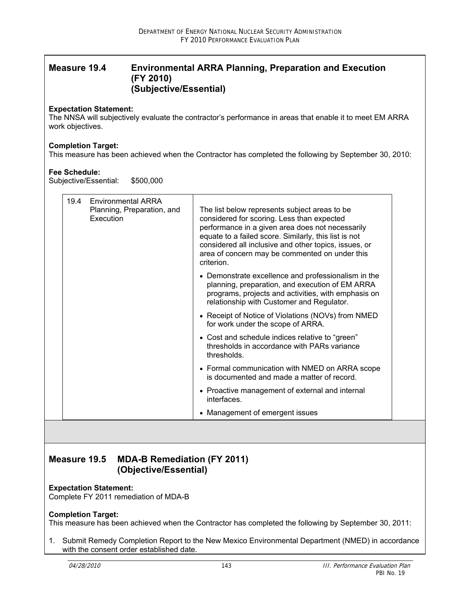# **Measure 19.4 Environmental ARRA Planning, Preparation and Execution (FY 2010) (Subjective/Essential)**

# **Expectation Statement:**

The NNSA will subjectively evaluate the contractor's performance in areas that enable it to meet EM ARRA work objectives.

#### **Completion Target:**

This measure has been achieved when the Contractor has completed the following by September 30, 2010:

# **Fee Schedule:**

Subjective/Essential: \$500,000

| 19.4<br><b>Environmental ARRA</b><br>Planning, Preparation, and<br>Execution |                                                                                                               | The list below represents subject areas to be<br>considered for scoring. Less than expected<br>performance in a given area does not necessarily<br>equate to a failed score. Similarly, this list is not<br>considered all inclusive and other topics, issues, or<br>area of concern may be commented on under this<br>criterion. |
|------------------------------------------------------------------------------|---------------------------------------------------------------------------------------------------------------|-----------------------------------------------------------------------------------------------------------------------------------------------------------------------------------------------------------------------------------------------------------------------------------------------------------------------------------|
|                                                                              |                                                                                                               | • Demonstrate excellence and professionalism in the<br>planning, preparation, and execution of EM ARRA<br>programs, projects and activities, with emphasis on<br>relationship with Customer and Regulator.                                                                                                                        |
|                                                                              |                                                                                                               | • Receipt of Notice of Violations (NOVs) from NMED<br>for work under the scope of ARRA.                                                                                                                                                                                                                                           |
|                                                                              | • Cost and schedule indices relative to "green"<br>thresholds in accordance with PARs variance<br>thresholds. |                                                                                                                                                                                                                                                                                                                                   |
|                                                                              |                                                                                                               | • Formal communication with NMED on ARRA scope<br>is documented and made a matter of record.                                                                                                                                                                                                                                      |
|                                                                              |                                                                                                               | • Proactive management of external and internal<br>interfaces.                                                                                                                                                                                                                                                                    |
|                                                                              |                                                                                                               | • Management of emergent issues                                                                                                                                                                                                                                                                                                   |

# **Measure 19.5 MDA-B Remediation (FY 2011) (Objective/Essential)**

#### **Expectation Statement:**

Complete FY 2011 remediation of MDA-B

#### **Completion Target:**

This measure has been achieved when the Contractor has completed the following by September 30, 2011:

1. Submit Remedy Completion Report to the New Mexico Environmental Department (NMED) in accordance with the consent order established date.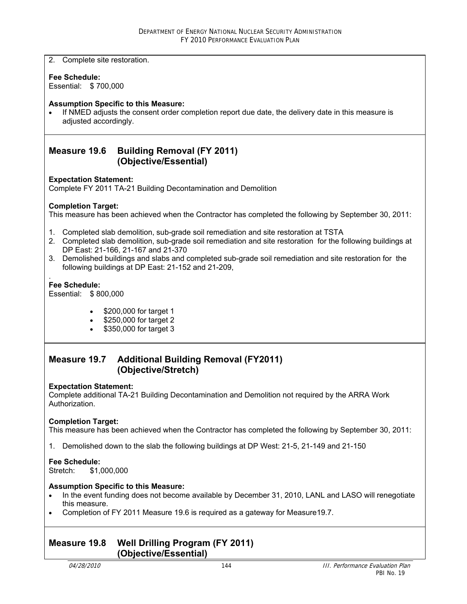2. Complete site restoration.

# **Fee Schedule:**

Essential: \$ 700,000

# **Assumption Specific to this Measure:**

If NMED adjusts the consent order completion report due date, the delivery date in this measure is adjusted accordingly.

# **Measure 19.6 Building Removal (FY 2011) (Objective/Essential)**

# **Expectation Statement:**

Complete FY 2011 TA-21 Building Decontamination and Demolition

# **Completion Target:**

This measure has been achieved when the Contractor has completed the following by September 30, 2011:

- 1. Completed slab demolition, sub-grade soil remediation and site restoration at TSTA
- 2. Completed slab demolition, sub-grade soil remediation and site restoration for the following buildings at DP East: 21-166, 21-167 and 21-370
- 3. Demolished buildings and slabs and completed sub-grade soil remediation and site restoration for the following buildings at DP East: 21-152 and 21-209,

#### . **Fee Schedule:**

Essential: \$ 800,000

- \$200,000 for target 1
- \$250,000 for target 2
- \$350,000 for target 3

# **Measure 19.7 Additional Building Removal (FY2011) (Objective/Stretch)**

# **Expectation Statement:**

Complete additional TA-21 Building Decontamination and Demolition not required by the ARRA Work Authorization.

# **Completion Target:**

This measure has been achieved when the Contractor has completed the following by September 30, 2011:

1. Demolished down to the slab the following buildings at DP West: 21-5, 21-149 and 21-150

# **Fee Schedule:**<br>Stretch: \$1

\$1,000,000

# **Assumption Specific to this Measure:**

- In the event funding does not become available by December 31, 2010, LANL and LASO will renegotiate this measure.
- Completion of FY 2011 Measure 19.6 is required as a gateway for Measure19.7.

# **Measure 19.8 Well Drilling Program (FY 2011) (Objective/Essential)**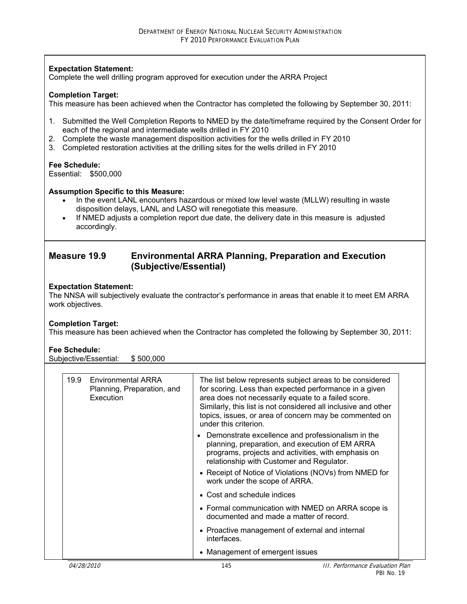# **Expectation Statement:**

Complete the well drilling program approved for execution under the ARRA Project

## **Completion Target:**

This measure has been achieved when the Contractor has completed the following by September 30, 2011:

- 1. Submitted the Well Completion Reports to NMED by the date/timeframe required by the Consent Order for each of the regional and intermediate wells drilled in FY 2010
- 2. Complete the waste management disposition activities for the wells drilled in FY 2010
- 3. Completed restoration activities at the drilling sites for the wells drilled in FY 2010

# **Fee Schedule:**

Essential: \$500,000

#### **Assumption Specific to this Measure:**

- In the event LANL encounters hazardous or mixed low level waste (MLLW) resulting in waste disposition delays, LANL and LASO will renegotiate this measure.
- If NMED adjusts a completion report due date, the delivery date in this measure is adjusted accordingly.

# **Measure 19.9 Environmental ARRA Planning, Preparation and Execution (Subjective/Essential)**

# **Expectation Statement:**

The NNSA will subjectively evaluate the contractor's performance in areas that enable it to meet EM ARRA work objectives.

# **Completion Target:**

This measure has been achieved when the Contractor has completed the following by September 30, 2011:

# **Fee Schedule:**

Subjective/Essential: \$500,000

| 19.9<br><b>Environmental ARRA</b><br>Planning, Preparation, and<br>Execution | The list below represents subject areas to be considered<br>for scoring. Less than expected performance in a given<br>area does not necessarily equate to a failed score.<br>Similarly, this list is not considered all inclusive and other<br>topics, issues, or area of concern may be commented on<br>under this criterion. |
|------------------------------------------------------------------------------|--------------------------------------------------------------------------------------------------------------------------------------------------------------------------------------------------------------------------------------------------------------------------------------------------------------------------------|
|                                                                              | Demonstrate excellence and professionalism in the<br>planning, preparation, and execution of EM ARRA<br>programs, projects and activities, with emphasis on<br>relationship with Customer and Regulator.                                                                                                                       |
|                                                                              | • Receipt of Notice of Violations (NOVs) from NMED for<br>work under the scope of ARRA.                                                                                                                                                                                                                                        |
|                                                                              | • Cost and schedule indices                                                                                                                                                                                                                                                                                                    |
|                                                                              | • Formal communication with NMED on ARRA scope is<br>documented and made a matter of record.                                                                                                                                                                                                                                   |
|                                                                              | • Proactive management of external and internal<br>interfaces.                                                                                                                                                                                                                                                                 |
|                                                                              | • Management of emergent issues                                                                                                                                                                                                                                                                                                |